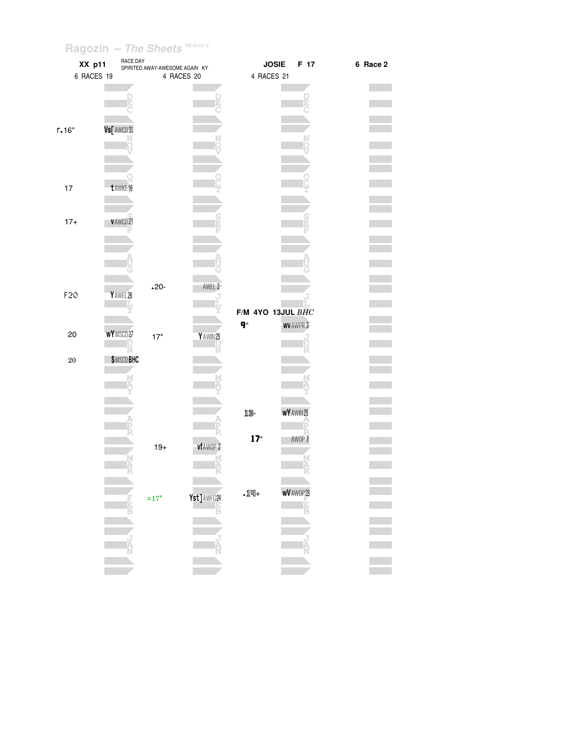|           | XX p11           | RACE DAY<br>SPIRITED AWAY-AWESOME AGAIN KY |             |                    | <b>JOSIE</b><br>F 17 | 6 Race 2 |
|-----------|------------------|--------------------------------------------|-------------|--------------------|----------------------|----------|
|           | 6 RACES 19       |                                            | 4 RACES 20  | 4 RACES 21         |                      |          |
|           |                  |                                            |             |                    |                      |          |
|           |                  |                                            |             |                    |                      |          |
|           |                  |                                            |             |                    |                      |          |
| r.16"     | Vs[ AWCD 30      |                                            |             |                    |                      |          |
|           |                  |                                            |             |                    |                      |          |
|           |                  |                                            |             |                    |                      |          |
|           |                  |                                            |             |                    |                      |          |
|           |                  |                                            |             |                    |                      |          |
| $17\,$    | t AWKE 16        |                                            |             |                    |                      |          |
|           |                  |                                            |             |                    |                      |          |
|           |                  |                                            |             |                    |                      |          |
| $17+$     | VAWCD21          |                                            |             |                    |                      |          |
|           |                  |                                            |             |                    |                      |          |
|           |                  |                                            |             |                    |                      |          |
|           |                  |                                            |             |                    |                      |          |
|           |                  |                                            |             |                    |                      |          |
| F20       | YAWEL 26         | $.20 -$                                    | AWEL 2      |                    |                      |          |
|           |                  |                                            |             |                    |                      |          |
|           |                  |                                            |             |                    | F/M 4YO 13JUL BHC    |          |
| 20        | WYMSCD27         |                                            |             | g"                 | <b>WV AWPR 3</b>     |          |
|           |                  | 17"                                        | Y AWIN 25   |                    |                      |          |
| $\bf{20}$ | <b>\$MSCDBHC</b> |                                            |             |                    |                      |          |
|           |                  |                                            |             |                    |                      |          |
|           |                  |                                            |             |                    |                      |          |
|           |                  |                                            |             |                    |                      |          |
|           |                  |                                            |             | 13-                | <b>WY</b> AWIN 28    |          |
|           |                  |                                            |             |                    |                      |          |
|           |                  |                                            |             | 17"                | AWOP 8               |          |
|           |                  | $19+$                                      | vf AWOP 2   |                    |                      |          |
|           |                  |                                            |             |                    |                      |          |
|           |                  |                                            |             |                    |                      |          |
|           |                  |                                            |             |                    |                      |          |
|           |                  | $=17"$                                     | Yst] AWFG24 | $\Pi_{\mathbb{H}}$ | <b>wV</b> AWOP 28    |          |
|           |                  |                                            |             |                    |                      |          |
|           |                  |                                            |             |                    |                      |          |
|           |                  |                                            |             |                    |                      |          |
|           |                  |                                            |             |                    |                      |          |
|           |                  |                                            |             |                    |                      |          |
|           |                  |                                            |             |                    |                      |          |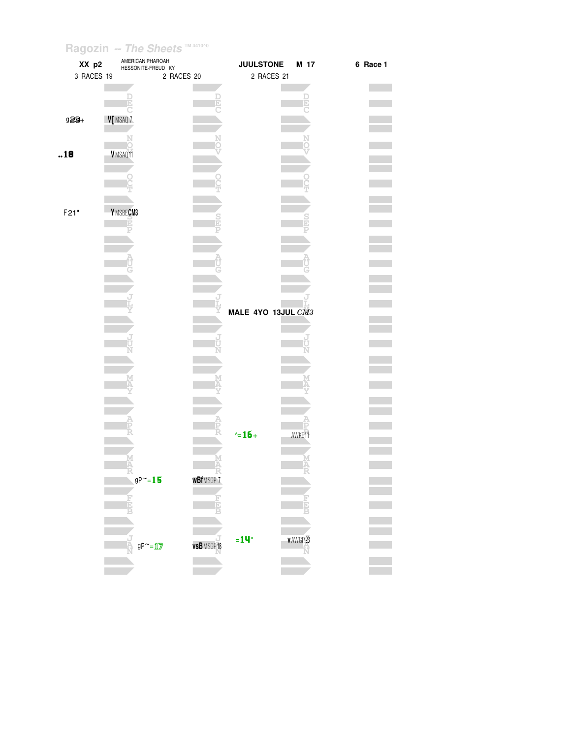| XX p2      | AMERICAN PHAROAH<br>HESSONITE-FREUD KY |            |                    | <b>JUULSTONE</b>   |                    | M 17 | 6 Race 1 |
|------------|----------------------------------------|------------|--------------------|--------------------|--------------------|------|----------|
| 3 RACES 19 |                                        | 2 RACES 20 |                    | 2 RACES 21         |                    |      |          |
|            |                                        |            |                    |                    |                    |      |          |
|            |                                        |            |                    |                    |                    |      |          |
|            |                                        |            |                    |                    |                    |      |          |
| 923+       | V MSAQ 7                               |            |                    |                    |                    |      |          |
|            |                                        |            |                    |                    |                    |      |          |
|            |                                        |            |                    |                    |                    |      |          |
| .18        | VMSAQ11                                |            |                    |                    |                    |      |          |
|            |                                        |            |                    |                    |                    |      |          |
|            |                                        |            |                    |                    |                    |      |          |
|            |                                        |            |                    |                    |                    |      |          |
|            |                                        |            |                    |                    |                    |      |          |
| F21"       | Y MSBECM3                              |            |                    |                    |                    |      |          |
|            | īó                                     |            |                    |                    |                    |      |          |
|            |                                        |            |                    |                    |                    |      |          |
|            |                                        |            |                    |                    |                    |      |          |
|            |                                        |            |                    |                    |                    |      |          |
|            |                                        |            |                    |                    |                    |      |          |
|            |                                        |            |                    |                    |                    |      |          |
|            |                                        |            |                    |                    |                    |      |          |
|            |                                        |            |                    |                    |                    |      |          |
|            |                                        |            |                    | MALE 4YO 13JUL CM3 |                    |      |          |
|            |                                        |            |                    |                    |                    |      |          |
|            |                                        |            |                    |                    |                    |      |          |
|            |                                        |            |                    |                    |                    |      |          |
|            |                                        |            |                    |                    |                    |      |          |
|            |                                        |            |                    |                    |                    |      |          |
|            |                                        |            |                    |                    |                    |      |          |
|            |                                        |            |                    |                    |                    |      |          |
|            |                                        |            |                    |                    |                    |      |          |
|            |                                        |            |                    |                    |                    |      |          |
|            |                                        |            |                    |                    |                    |      |          |
|            |                                        |            |                    | $\sim 16 +$        | AWKE <sup>11</sup> |      |          |
|            |                                        |            |                    |                    |                    |      |          |
|            |                                        |            |                    |                    |                    |      |          |
|            |                                        |            |                    |                    |                    |      |          |
|            | $gP^{\sim}=15$                         |            | <b>wBf</b> MSGP7   |                    |                    |      |          |
|            |                                        |            |                    |                    |                    |      |          |
|            |                                        |            |                    |                    |                    |      |          |
|            | E                                      |            |                    |                    |                    | Ė    |          |
|            |                                        |            |                    |                    |                    |      |          |
|            |                                        |            |                    |                    |                    |      |          |
|            | $\overline{M}$<br>$gP^{\sim} = 1/2$    |            | <b>vsB</b> MSGP 18 | $=14$ "            | v AWGP 23          |      |          |
|            |                                        |            |                    |                    |                    | Ń    |          |
|            |                                        |            |                    |                    |                    |      |          |
|            |                                        |            |                    |                    |                    |      |          |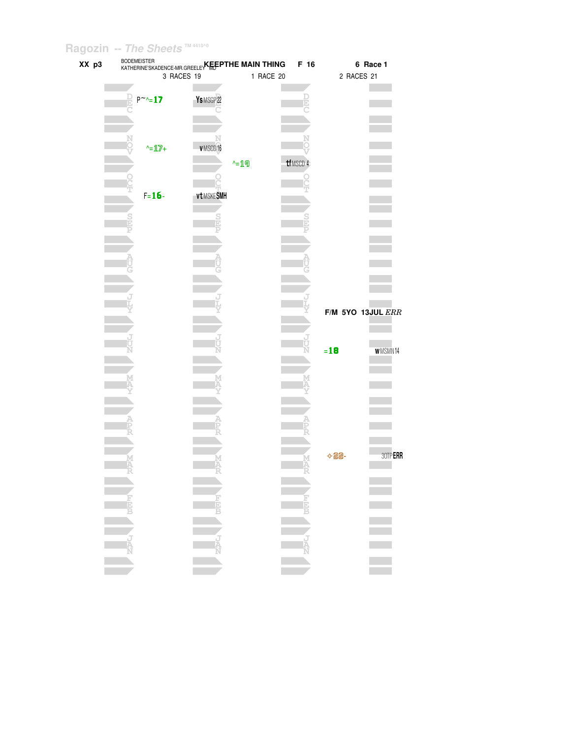| XX p3 | <b>BODEMEISTER</b><br>3 RACES 19 | KATHERINE'SKADENCE-MR.GREELEY KEEPTHE MAIN THING | F 16<br>1 RACE 20 | 6 Race 1<br>2 RACES 21               |
|-------|----------------------------------|--------------------------------------------------|-------------------|--------------------------------------|
|       |                                  |                                                  |                   |                                      |
|       | $P^{\sim} = 17$                  | Ys MSGP 22                                       |                   |                                      |
|       |                                  |                                                  |                   |                                      |
|       | $\text{-}1\text{}$               | VMSCD16                                          |                   |                                      |
|       |                                  | $-19$                                            | tfMSCD 4          |                                      |
|       | $F = 16 -$                       | vt MSKESMH                                       |                   |                                      |
|       |                                  |                                                  |                   |                                      |
|       |                                  |                                                  |                   |                                      |
|       |                                  |                                                  |                   |                                      |
|       |                                  |                                                  |                   |                                      |
|       |                                  |                                                  |                   |                                      |
|       |                                  |                                                  |                   | $F/M$ 5YO 13JUL $ERR$                |
|       |                                  |                                                  |                   |                                      |
|       |                                  |                                                  |                   | $= 18$<br><b>WMSMN14</b>             |
|       |                                  |                                                  |                   |                                      |
|       |                                  |                                                  |                   |                                      |
|       |                                  |                                                  |                   |                                      |
|       |                                  |                                                  |                   |                                      |
|       |                                  |                                                  |                   |                                      |
|       |                                  |                                                  |                   | 30TPERR<br>$\Diamond$ and $\Diamond$ |
|       |                                  |                                                  |                   |                                      |
|       |                                  |                                                  |                   |                                      |
|       |                                  |                                                  |                   |                                      |
|       |                                  |                                                  |                   |                                      |
|       |                                  |                                                  |                   | ÷.                                   |
|       |                                  |                                                  |                   |                                      |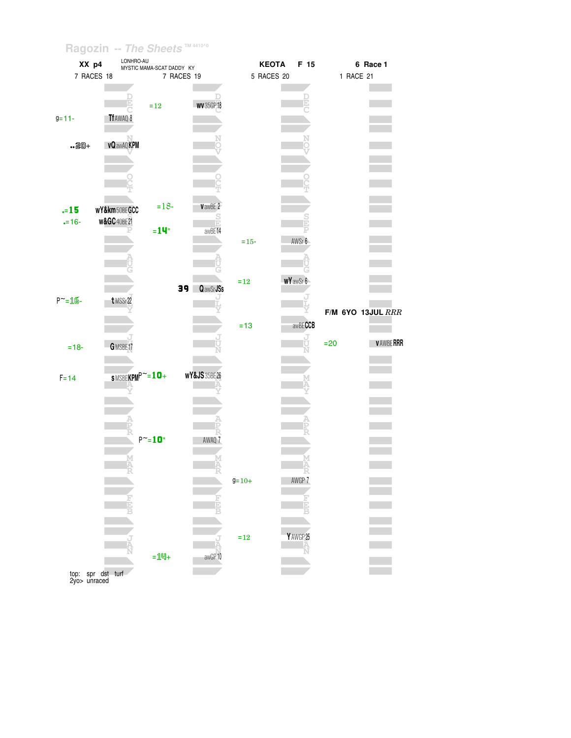| XX p4             | LONHRO-AU                       | MYSTIC MAMA-SCAT DADDY KY |                              |              | <b>KEOTA</b><br>F 15 |           | 6 Race 1                 |
|-------------------|---------------------------------|---------------------------|------------------------------|--------------|----------------------|-----------|--------------------------|
|                   | 7 RACES 18                      | 7 RACES 19                |                              |              | 5 RACES 20           | 1 RACE 21 |                          |
|                   |                                 |                           |                              |              |                      |           |                          |
|                   |                                 |                           |                              |              |                      |           |                          |
|                   |                                 | $\!=\!12$                 | <b>WV35GP18</b>              |              |                      |           |                          |
| $g = 11 -$        | Tf AWAQ 8                       |                           |                              |              |                      |           |                          |
|                   |                                 |                           |                              |              |                      |           |                          |
| $.20 +$           | <b>vQawAQKPM</b>                |                           |                              |              |                      |           |                          |
|                   |                                 |                           |                              |              |                      |           |                          |
|                   |                                 |                           |                              |              |                      |           |                          |
|                   |                                 |                           |                              |              |                      |           |                          |
|                   |                                 |                           |                              |              |                      |           |                          |
|                   |                                 |                           |                              |              |                      |           |                          |
| $-15$             | wY&km50BEGCC                    | $=18-$                    | VawBE 2                      |              |                      |           |                          |
| $-16-$            | <b>w&amp;GC</b> 40BE21          |                           | $\frac{S}{D}$                |              |                      |           |                          |
|                   |                                 | $=14$ "                   | awBE14                       |              |                      |           |                          |
|                   |                                 |                           |                              | $=15-$       | AWSr 6               |           |                          |
|                   |                                 |                           |                              |              |                      |           |                          |
|                   |                                 |                           |                              |              |                      |           |                          |
|                   |                                 |                           |                              | $=12$        | <b>wYawSr6</b>       |           |                          |
|                   |                                 |                           | 39 <sub>1</sub><br>Q awSrJSs |              |                      |           |                          |
| $P^{\sim} = 16 -$ | t MSSr22                        |                           |                              |              |                      |           |                          |
|                   |                                 |                           |                              |              |                      |           | <b>F/M 6YO 13JUL RRR</b> |
|                   |                                 |                           |                              | $=13$        | awBECCB              |           |                          |
|                   |                                 |                           |                              |              |                      |           |                          |
| $= 18 -$          | GMSBE17                         |                           |                              |              |                      | $=20$     | <b>VAWBERRR</b>          |
|                   |                                 |                           |                              |              |                      |           |                          |
|                   |                                 |                           |                              |              |                      |           |                          |
| $F = 14$          | $s$ MSBEKPM $P^{\thicksim}=10+$ |                           | <b>WY&amp;JS</b> 35BE 26     |              |                      |           |                          |
|                   |                                 |                           |                              |              |                      |           |                          |
|                   |                                 |                           |                              |              |                      |           |                          |
|                   |                                 |                           |                              |              |                      |           |                          |
|                   |                                 |                           |                              |              |                      |           |                          |
|                   |                                 | $P^{\sim} = 10$           | AWAQ 7                       |              |                      |           |                          |
|                   |                                 |                           |                              |              |                      |           |                          |
|                   |                                 |                           |                              |              |                      |           |                          |
|                   |                                 |                           |                              |              |                      |           |                          |
|                   |                                 |                           |                              | $9 = 10 +$   | AWGP 7               |           |                          |
|                   |                                 |                           |                              |              |                      |           |                          |
|                   |                                 |                           |                              |              |                      |           |                          |
|                   |                                 |                           |                              |              |                      |           |                          |
|                   |                                 |                           |                              |              |                      |           |                          |
|                   |                                 |                           |                              | $\verb&=12"$ | YAWGP 25             |           |                          |
|                   |                                 | $=$ 14+                   | awGP10                       |              |                      |           |                          |
|                   |                                 |                           |                              |              |                      |           |                          |
|                   | top: spr dst turf               |                           |                              |              |                      |           |                          |

2yo unraced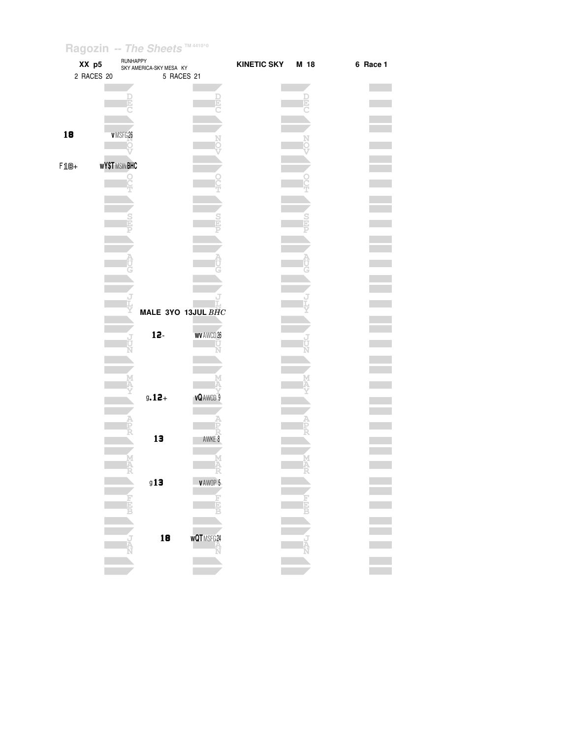|        | XX p5<br>2 RACES 20 | RUNHAPPY            | SKY AMERICA-SKY MESA KY<br>5 RACES 21 |                     | <b>KINETIC SKY</b> | M 18 | 6 Race 1 |
|--------|---------------------|---------------------|---------------------------------------|---------------------|--------------------|------|----------|
|        |                     |                     |                                       |                     |                    | E    |          |
| 18     |                     | VMSFG26             |                                       |                     |                    |      |          |
| $F1B+$ |                     | <b>WY\$TMSINBHC</b> |                                       |                     |                    |      |          |
|        |                     |                     |                                       |                     |                    |      |          |
|        |                     |                     |                                       |                     |                    |      |          |
|        |                     |                     |                                       |                     |                    |      |          |
|        |                     |                     |                                       |                     |                    |      |          |
|        |                     |                     | MALE 3YO 13JUL BHC                    |                     |                    |      |          |
|        |                     | J                   | $12-$                                 | <b>WV AWCD 26</b>   |                    |      |          |
|        |                     |                     |                                       |                     |                    |      |          |
|        |                     |                     | $9.12 +$                              | <b>vQAWCD 9</b>     |                    |      |          |
|        |                     |                     |                                       |                     |                    |      |          |
|        |                     |                     | 13                                    | AWKE 8              |                    |      |          |
|        |                     | M<br>A              | 913                                   | Α<br><b>VAWOP 5</b> |                    | M    |          |
|        |                     | Ē                   |                                       | <b>Hala</b>         |                    |      |          |
|        |                     |                     | 18                                    | WQTMSFG24           |                    |      |          |
|        |                     |                     |                                       |                     |                    |      |          |
|        |                     |                     |                                       |                     |                    |      |          |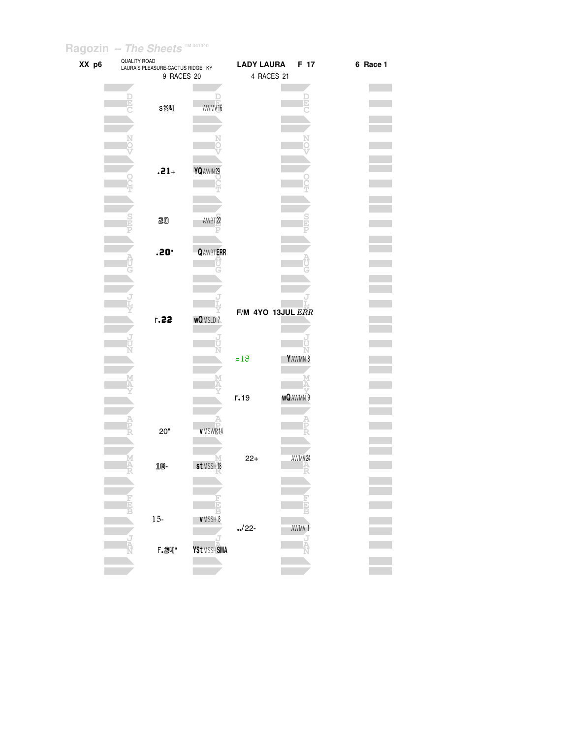| XX p6 | QUALITY ROAD | LAURA'S PLEASURE-CACTUS RIDGE KY |                       | <b>LADY LAURA</b> | F 17              | 6 Race 1 |
|-------|--------------|----------------------------------|-----------------------|-------------------|-------------------|----------|
|       |              | 9 RACES 20                       |                       |                   | 4 RACES 21        |          |
|       |              |                                  |                       |                   |                   |          |
|       |              |                                  |                       |                   |                   |          |
|       |              | s2叫                              | AWMV16                |                   |                   |          |
|       |              |                                  |                       |                   |                   |          |
|       |              |                                  |                       |                   |                   |          |
|       |              |                                  |                       |                   |                   |          |
|       |              |                                  |                       |                   |                   |          |
|       |              |                                  |                       |                   |                   |          |
|       |              |                                  |                       |                   |                   |          |
|       |              | $.21 +$                          | YQ AWIN 29            |                   |                   |          |
|       |              |                                  |                       |                   |                   |          |
|       |              |                                  |                       |                   |                   |          |
|       |              |                                  |                       |                   |                   |          |
|       |              | 20                               | AWBT <sub>22</sub>    |                   |                   |          |
|       |              |                                  |                       |                   |                   |          |
|       |              |                                  |                       |                   |                   |          |
|       |              |                                  |                       |                   |                   |          |
|       |              | $.20^{\circ}$                    | <b>QAWBTERR</b>       |                   |                   |          |
|       |              |                                  |                       |                   |                   |          |
|       |              |                                  |                       |                   |                   |          |
|       |              |                                  |                       |                   |                   |          |
|       |              |                                  |                       |                   |                   |          |
|       |              |                                  |                       |                   | F/M 4YO 13JUL ERR |          |
|       |              | r.22                             | <b>wQMSLD7</b>        |                   |                   |          |
|       |              |                                  |                       |                   |                   |          |
|       |              |                                  |                       |                   |                   |          |
|       |              |                                  |                       |                   |                   |          |
|       |              |                                  |                       | $=18$             | YAWMN 8           |          |
|       |              |                                  |                       |                   |                   |          |
|       |              |                                  |                       |                   |                   |          |
|       |              |                                  |                       |                   |                   |          |
|       |              |                                  |                       | r.19              | <b>wQAWMN9</b>    |          |
|       |              |                                  |                       |                   |                   |          |
|       |              |                                  |                       |                   |                   |          |
|       |              | 20"                              | <b>VMSWR14</b>        |                   |                   |          |
|       |              |                                  |                       |                   |                   |          |
|       |              |                                  |                       |                   |                   |          |
|       |              | 18-                              | st MSSH <sub>18</sub> | $22+$             | AWMV24            |          |
|       |              |                                  |                       |                   |                   |          |
|       |              |                                  |                       |                   |                   |          |
|       |              |                                  |                       |                   |                   |          |
|       |              |                                  |                       |                   |                   |          |
|       |              |                                  |                       |                   |                   |          |
|       |              | $15 -$                           | VMSSH 8               | $\frac{1}{22}$    | AWMV 1            |          |
|       |              |                                  |                       |                   |                   |          |
|       |              |                                  | <b>Y\$tMSSHSMA</b>    |                   |                   |          |
|       |              | <b>F.</b> 24"                    |                       |                   |                   |          |
|       |              |                                  |                       |                   |                   |          |
|       |              |                                  |                       |                   |                   |          |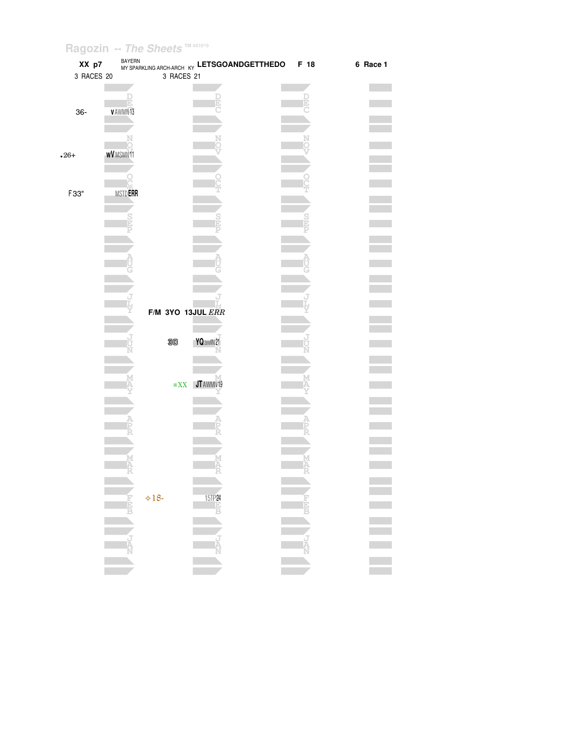| XX p7      |                  |                   | BAYERN ARCH-ARCH KY LETSGOANDGETTHEDO | F 18     | 6 Race 1 |
|------------|------------------|-------------------|---------------------------------------|----------|----------|
| 3 RACES 20 |                  | 3 RACES 21        |                                       |          |          |
|            |                  |                   |                                       |          |          |
|            |                  |                   |                                       |          |          |
|            | E<br>VAWMN13     |                   |                                       |          |          |
| 36-        |                  |                   |                                       |          |          |
|            |                  |                   |                                       |          |          |
|            |                  |                   |                                       |          |          |
|            |                  |                   |                                       |          |          |
| $.26+$     | <b>wV</b> MSMN11 |                   |                                       |          |          |
|            |                  |                   |                                       |          |          |
|            |                  |                   |                                       |          |          |
| F33"       | MSTD <b>ERR</b>  |                   |                                       |          |          |
|            |                  |                   |                                       |          |          |
|            |                  |                   |                                       |          |          |
|            |                  |                   |                                       |          |          |
|            |                  |                   |                                       |          |          |
|            |                  |                   |                                       |          |          |
|            |                  |                   |                                       |          |          |
|            |                  |                   |                                       |          |          |
|            |                  |                   |                                       |          |          |
|            |                  |                   |                                       |          |          |
|            |                  |                   |                                       |          |          |
|            |                  |                   |                                       |          |          |
|            |                  | F/M 3YO 13JUL ERR |                                       |          |          |
|            |                  |                   |                                       |          |          |
|            |                  | 30                | YQ awlN 21                            |          |          |
|            |                  |                   |                                       |          |          |
|            |                  |                   |                                       |          |          |
|            |                  |                   |                                       |          |          |
|            |                  | $=$ XX            | JT AWMN19                             |          |          |
|            |                  |                   |                                       |          |          |
|            |                  |                   |                                       |          |          |
|            |                  |                   |                                       |          |          |
|            |                  |                   |                                       |          |          |
|            |                  |                   |                                       |          |          |
|            |                  |                   |                                       |          |          |
|            |                  |                   |                                       |          |          |
|            |                  |                   |                                       |          |          |
|            |                  |                   |                                       |          |          |
|            |                  |                   |                                       |          |          |
|            | 靑                | $\diamond 18$     | 15TP 24                               |          |          |
|            |                  |                   |                                       | Ð        |          |
|            |                  |                   |                                       |          |          |
|            |                  |                   |                                       |          |          |
|            |                  |                   | Ta<br>A<br>N                          | i.<br>IA |          |
|            |                  |                   |                                       |          |          |
|            |                  |                   |                                       |          |          |
|            |                  |                   |                                       |          |          |
|            |                  |                   |                                       |          |          |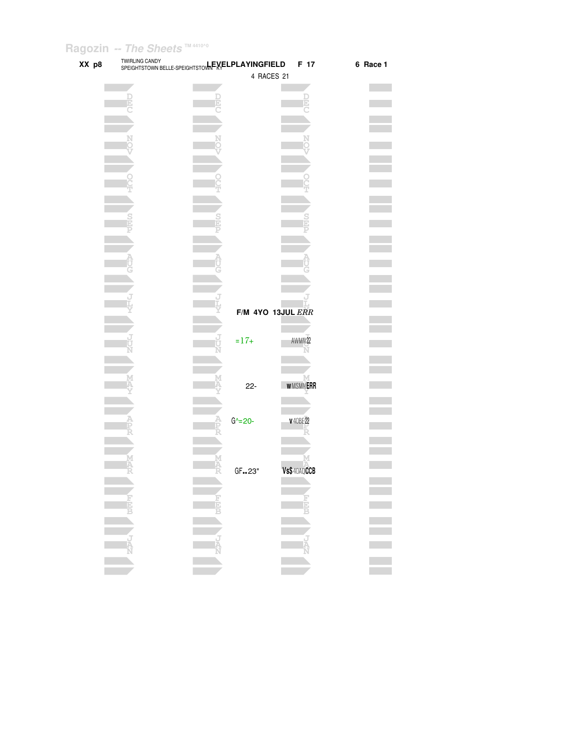| XX p8 | <b>TWIRLING CANDY</b><br>SPEIGHTSTOWN BELLE-SPEIGHTSTOWNEXELPLAYINGFIELD |                   | F 17             | 6 Race 1 |
|-------|--------------------------------------------------------------------------|-------------------|------------------|----------|
|       |                                                                          | 4 RACES 21        |                  |          |
|       |                                                                          |                   |                  |          |
|       |                                                                          |                   |                  |          |
|       |                                                                          |                   |                  |          |
|       |                                                                          |                   |                  |          |
|       |                                                                          |                   |                  |          |
|       |                                                                          |                   |                  |          |
|       |                                                                          |                   |                  |          |
|       |                                                                          |                   |                  |          |
|       |                                                                          |                   |                  |          |
|       |                                                                          |                   |                  |          |
|       |                                                                          |                   |                  |          |
|       |                                                                          |                   |                  |          |
|       |                                                                          |                   |                  |          |
|       |                                                                          |                   |                  |          |
|       |                                                                          |                   |                  |          |
|       |                                                                          |                   |                  |          |
|       |                                                                          |                   |                  |          |
|       |                                                                          |                   |                  |          |
|       |                                                                          |                   |                  |          |
|       |                                                                          | F/M 4YO 13JUL ERR |                  |          |
|       |                                                                          |                   |                  |          |
|       |                                                                          |                   |                  |          |
|       |                                                                          | $= 17 +$          | AWMN22           |          |
|       |                                                                          |                   |                  |          |
|       |                                                                          |                   |                  |          |
|       |                                                                          |                   |                  |          |
|       |                                                                          | $22 -$            | <b>WMSMNERR</b>  |          |
|       |                                                                          |                   |                  |          |
|       |                                                                          | $G^2 = 20 -$      |                  |          |
|       |                                                                          |                   | <b>v</b> 40BE 22 |          |
|       |                                                                          |                   |                  |          |
|       |                                                                          |                   |                  |          |
|       |                                                                          |                   |                  |          |
|       |                                                                          | GF23"             | Vs\$40AQCCB      |          |
|       |                                                                          |                   |                  |          |
|       |                                                                          |                   |                  |          |
|       |                                                                          |                   |                  |          |
|       |                                                                          |                   |                  |          |
|       |                                                                          |                   |                  |          |
|       |                                                                          |                   |                  |          |
|       |                                                                          |                   |                  |          |
|       |                                                                          |                   |                  |          |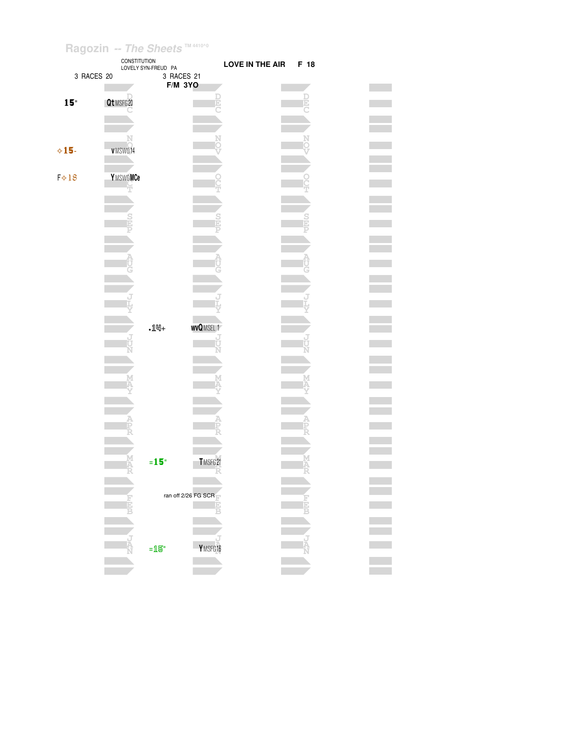|                 | CONSTITUTION  | LOVELY SYN-FREUD PA |                     | <b>LOVE IN THE AIR</b> | F 18 |  |
|-----------------|---------------|---------------------|---------------------|------------------------|------|--|
| 3 RACES 20      |               | 3 RACES 21          |                     |                        |      |  |
|                 |               | <b>F/M 3YO</b>      |                     |                        |      |  |
| 15 <sup>°</sup> | Qt MSFG 20    |                     |                     |                        |      |  |
|                 |               |                     |                     |                        |      |  |
|                 |               |                     |                     |                        |      |  |
|                 |               |                     |                     |                        |      |  |
|                 | N             |                     |                     |                        |      |  |
| $\diamond$ 15-  | VMSW014       |                     |                     |                        |      |  |
|                 |               |                     |                     |                        |      |  |
| $F \diamond 18$ | YMSWOMCe      |                     |                     |                        |      |  |
|                 | Ŧ             |                     |                     |                        |      |  |
|                 |               |                     |                     |                        |      |  |
|                 |               |                     |                     |                        |      |  |
|                 | $\frac{S}{D}$ |                     |                     |                        |      |  |
|                 |               |                     |                     |                        |      |  |
|                 |               |                     |                     |                        |      |  |
|                 |               |                     |                     |                        |      |  |
|                 |               |                     |                     |                        |      |  |
|                 |               |                     |                     |                        |      |  |
|                 |               |                     |                     |                        |      |  |
|                 |               |                     |                     |                        |      |  |
|                 |               |                     |                     |                        |      |  |
|                 |               |                     |                     |                        |      |  |
|                 |               | $.14 +$             | <b>WVQMSEL1</b>     |                        |      |  |
|                 |               |                     |                     |                        |      |  |
|                 |               |                     |                     |                        |      |  |
|                 |               |                     |                     |                        |      |  |
|                 | M             |                     |                     |                        |      |  |
|                 |               |                     |                     |                        |      |  |
|                 |               |                     |                     |                        |      |  |
|                 |               |                     |                     |                        |      |  |
|                 |               |                     |                     |                        |      |  |
|                 |               |                     |                     |                        |      |  |
|                 |               |                     |                     |                        |      |  |
|                 |               |                     |                     |                        |      |  |
|                 | M<br>FR       | $= 15$              | TMSFG21             |                        |      |  |
|                 |               |                     | R                   |                        |      |  |
|                 |               |                     |                     |                        |      |  |
|                 |               |                     | ran off 2/26 FG SCR |                        |      |  |
|                 |               |                     |                     |                        |      |  |
|                 |               |                     |                     |                        |      |  |
|                 |               |                     |                     |                        |      |  |
|                 | Ř             |                     |                     |                        |      |  |
|                 |               | $=$ 15"             | YMSFG16             |                        |      |  |
|                 |               |                     |                     |                        |      |  |
|                 |               |                     |                     |                        |      |  |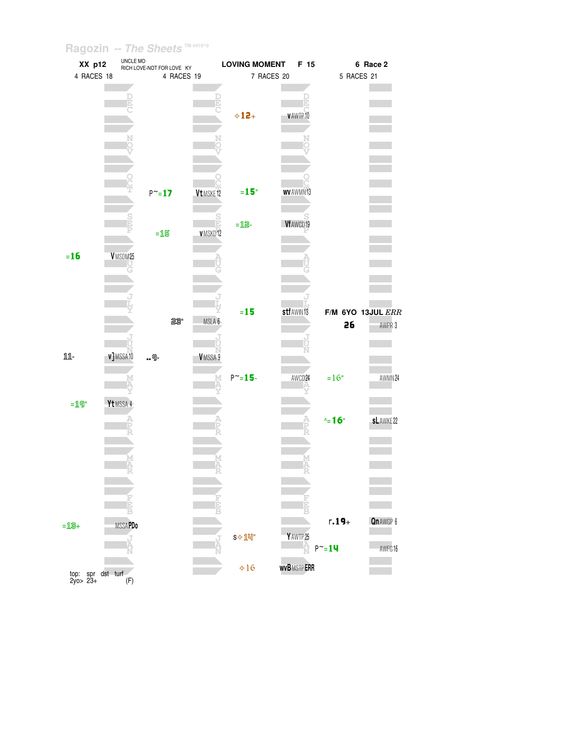| XX p12                        |                     | UNCLE MO<br>RICH LOVE-NOT FOR LOVE KY |                   | <b>LOVING MOMENT</b> | F 15                           |                             | 6 Race 2                    |
|-------------------------------|---------------------|---------------------------------------|-------------------|----------------------|--------------------------------|-----------------------------|-----------------------------|
| 4 RACES 18                    |                     | 4 RACES 19                            |                   |                      | 7 RACES 20                     | 5 RACES 21                  |                             |
|                               |                     |                                       |                   | $\diamond$ 12+       | V AWTP10                       |                             |                             |
|                               |                     | $P^{\sim} = 17$                       | Vt MSKE12         | $=15°$<br>$=$ $12$   | <b>WV AWMN13</b><br>Vf AWCD 19 |                             |                             |
| $=16$                         | VMSDM25             | $=15$                                 | V MSKD12          |                      |                                |                             |                             |
| 11-                           | v]MSSA10            | 23"<br>9-                             | MSLA 6<br>VMSSA 9 | $=15$                | stf AWIN 13                    | 26                          | F/M 6YO 13JUL ERR<br>AWPR 3 |
| $=$ 19"                       | Yt MSSA 4           |                                       |                   | $P^{\sim} = 15 -$    | AWCD24                         | $=16"$<br>$\sim$ 16"        | AWMN24<br><b>sLAWKE22</b>   |
|                               |                     |                                       |                   |                      |                                |                             |                             |
| $=$ 13+                       | <b>MSSAPDo</b><br>J |                                       |                   | S → 1 叫"             | Y AWTP 25                      | $r.19 +$<br>$P^{\sim} = 14$ | Qn AWGP 6<br>AWFG16         |
| top: spr dst turf<br>2yo> 23+ | (F)                 |                                       |                   | $\div 16$            | <b>WVB MSTPERR</b>             |                             |                             |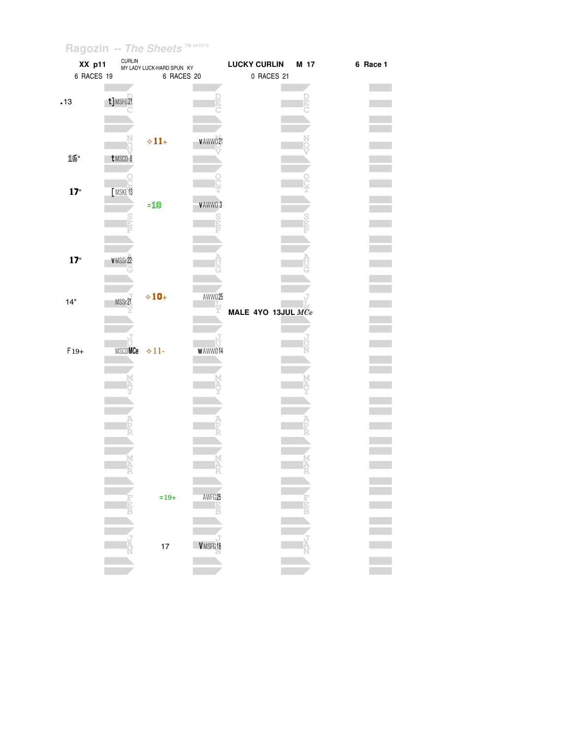| <b>XX p11</b> | <b>CURLIN</b> | MY LADY LUCK-HARD SPUN KY |                    | <b>LUCKY CURLIN</b> | M 17 | 6 Race 1 |
|---------------|---------------|---------------------------|--------------------|---------------------|------|----------|
| 6 RACES 19    |               | 6 RACES 20                |                    | 0 RACES 21          |      |          |
|               |               |                           |                    |                     |      |          |
|               |               |                           |                    |                     |      |          |
| .13           | t]MSFG21      |                           | F                  |                     |      |          |
|               |               |                           |                    |                     |      |          |
|               |               |                           |                    |                     |      |          |
|               |               |                           | v AWW021           |                     |      |          |
|               |               | $\diamond 11+$            |                    |                     |      |          |
| 16"           | t MSCD 8      |                           |                    |                     |      |          |
|               |               |                           |                    |                     |      |          |
|               |               |                           |                    |                     |      |          |
| 17"           | MSKE13        |                           |                    |                     |      |          |
|               |               |                           |                    |                     |      |          |
|               |               | $=10$                     | VAWWO 3            |                     |      |          |
|               | Ì             |                           | $\frac{S}{D}$      |                     |      |          |
|               |               |                           |                    |                     |      |          |
|               |               |                           |                    |                     |      |          |
|               |               |                           |                    |                     |      |          |
| 17"           | VMSSr22       |                           |                    |                     |      |          |
|               |               |                           |                    |                     |      |          |
|               |               |                           |                    |                     |      |          |
|               |               | $\diamond 10+$            | AWW025             |                     |      |          |
| 14"           | MSSr21        |                           |                    |                     |      |          |
|               |               |                           |                    | MALE 4YO 13JUL MCe  |      |          |
|               |               |                           |                    |                     |      |          |
|               |               |                           |                    |                     |      |          |
|               | MSCDMCe       |                           | Ū                  |                     |      |          |
| $F19+$        |               | $+11-$                    | <b>WAWW014</b>     |                     |      |          |
|               |               |                           |                    |                     |      |          |
|               |               |                           |                    |                     |      |          |
|               |               |                           |                    |                     |      |          |
|               |               |                           |                    |                     |      |          |
|               |               |                           |                    |                     |      |          |
|               |               |                           |                    |                     |      |          |
|               |               |                           |                    |                     |      |          |
|               |               |                           |                    |                     |      |          |
|               |               |                           |                    |                     |      |          |
|               |               |                           |                    |                     |      |          |
|               |               |                           |                    |                     |      |          |
|               |               |                           |                    |                     |      |          |
|               |               |                           | AWFG <sub>25</sub> |                     |      |          |
|               |               | $=19+$                    |                    |                     |      |          |
|               |               |                           |                    |                     |      |          |
|               |               |                           |                    |                     |      |          |
|               |               |                           |                    |                     |      |          |
|               |               | $17\,$                    | VMSFG18            |                     |      |          |
|               |               |                           |                    |                     |      |          |
|               |               |                           |                    |                     |      |          |
|               |               |                           |                    |                     |      |          |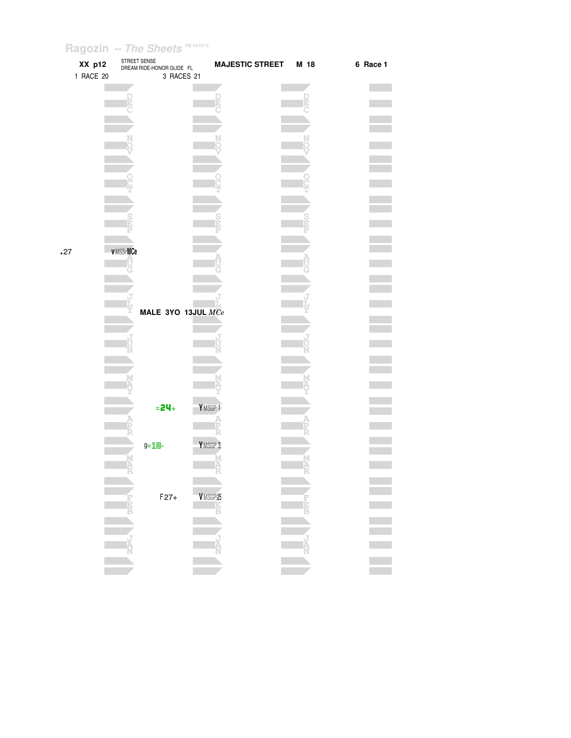|     | XX p12<br>1 RACE 20 | STREET SENSE    | DREAM RIDE-HONOR GLIDE FL<br>3 RACES 21 | <b>MAJESTIC STREET</b> | M 18 | 6 Race 1 |  |
|-----|---------------------|-----------------|-----------------------------------------|------------------------|------|----------|--|
|     |                     |                 |                                         |                        |      |          |  |
|     |                     |                 |                                         |                        |      |          |  |
|     |                     |                 |                                         |                        |      |          |  |
|     |                     |                 |                                         |                        |      |          |  |
|     |                     |                 |                                         |                        |      |          |  |
|     |                     |                 |                                         |                        |      |          |  |
|     |                     |                 |                                         |                        |      |          |  |
|     |                     |                 |                                         |                        |      |          |  |
|     |                     |                 |                                         |                        |      |          |  |
|     |                     |                 |                                         |                        |      |          |  |
|     |                     |                 |                                         |                        |      |          |  |
|     |                     |                 |                                         |                        |      |          |  |
| .27 |                     | <b>vMSSrMCe</b> |                                         |                        |      |          |  |
|     |                     |                 |                                         |                        |      |          |  |
|     |                     |                 |                                         |                        |      |          |  |
|     |                     |                 |                                         |                        |      |          |  |
|     |                     |                 |                                         |                        |      |          |  |
|     |                     |                 | MALE 3YO 13JUL MCe                      |                        |      |          |  |
|     |                     |                 |                                         |                        |      |          |  |
|     |                     |                 |                                         |                        |      |          |  |
|     |                     |                 |                                         |                        |      |          |  |
|     |                     |                 |                                         |                        |      |          |  |
|     |                     |                 |                                         |                        |      |          |  |
|     |                     |                 |                                         |                        |      |          |  |
|     |                     |                 | $= 24 +$                                | YMSGP 1                |      |          |  |
|     |                     |                 |                                         |                        |      |          |  |
|     |                     |                 |                                         | YMSGP 3                |      |          |  |
|     |                     |                 | $g = 18$                                |                        |      |          |  |
|     |                     |                 |                                         |                        |      |          |  |
|     |                     |                 |                                         |                        |      |          |  |
|     |                     |                 | $F27+$                                  | VMSGP 25               |      |          |  |
|     |                     |                 |                                         | E<br>R                 |      |          |  |
|     |                     |                 |                                         |                        |      |          |  |
|     |                     |                 |                                         |                        |      |          |  |
|     |                     |                 |                                         |                        |      |          |  |
|     |                     |                 |                                         |                        |      |          |  |
|     |                     |                 |                                         |                        |      |          |  |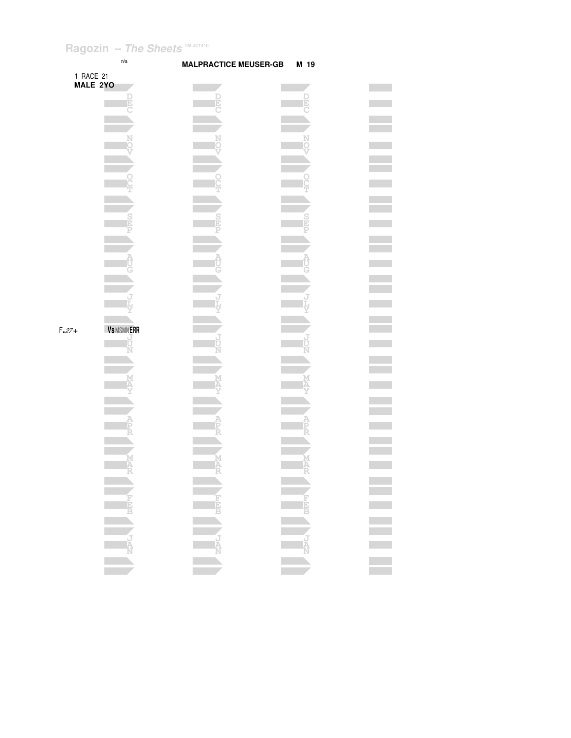



 $\mathcal{L}^{\text{max}}_{\text{max}}$ **Contract Contract**  $\mathcal{L}^{\text{max}}$ **The Co**  $\mathcal{L}^{\text{max}}_{\text{max}}$ 

 $\equiv$ 

**Contract** 

 $\overline{\phantom{a}}$ 

**Contract** 

 $\equiv$ 

 $\mathcal{L}^{\mathcal{L}}$ 

 $\overline{\phantom{a}}$ 

 $\mathcal{L}^{\text{max}}$  $\sim 100$  $\mathcal{L}^{\text{max}}$ 

 $\equiv$ 

 $\mathcal{L}^{\text{max}}_{\text{max}}$ 

 $\overline{\phantom{a}}$ 

 $\mathcal{L}^{\text{max}}_{\text{max}}$ 

 $\overline{\phantom{a}}$  $\mathcal{L}^{\text{max}}$ 

 $\frac{1}{\sqrt{2}}$ 

 $\equiv$ 

| MALE 2YO |                  |             |             |  |
|----------|------------------|-------------|-------------|--|
|          | <b>DED</b>       | DEL         | <b>DEEC</b> |  |
|          |                  |             |             |  |
|          |                  |             |             |  |
|          |                  |             |             |  |
|          | N<br>Ö           | N<br>O      | N<br>O      |  |
|          |                  |             |             |  |
|          |                  |             |             |  |
|          | o<br>C           |             |             |  |
|          |                  |             | ĕ           |  |
|          |                  |             |             |  |
|          |                  |             |             |  |
|          | <b>ERS</b>       | $rac{S}{E}$ | Elic        |  |
|          | P                | P           |             |  |
|          |                  |             |             |  |
|          |                  |             |             |  |
|          | A<br>UC          | <b>AUG</b>  | <b>AUG</b>  |  |
|          |                  |             |             |  |
|          |                  |             |             |  |
|          | ŕ                |             |             |  |
|          |                  |             |             |  |
|          |                  |             |             |  |
| $F.27+$  | <b>VSMSMNERR</b> |             |             |  |
|          |                  |             |             |  |
|          | ل<br>U           | ป<br>ปั     |             |  |
|          | Ń                |             | ני<br>מ     |  |
|          |                  |             |             |  |
|          |                  |             | M           |  |
|          | K                |             |             |  |
|          |                  |             |             |  |
|          |                  |             |             |  |
|          |                  |             |             |  |
|          | A<br>Fr          | A<br>PR     | A<br>PR     |  |
|          |                  |             |             |  |
|          |                  |             |             |  |
|          | MAR<br>R         | <b>MAR</b>  | M<br>A<br>R |  |
|          |                  |             |             |  |
|          |                  |             |             |  |
|          |                  |             |             |  |
|          |                  |             | <b>LEEP</b> |  |
|          | <b>REPLA</b>     | <b>FEED</b> |             |  |
|          |                  |             |             |  |
|          |                  |             |             |  |
|          | JAN              |             |             |  |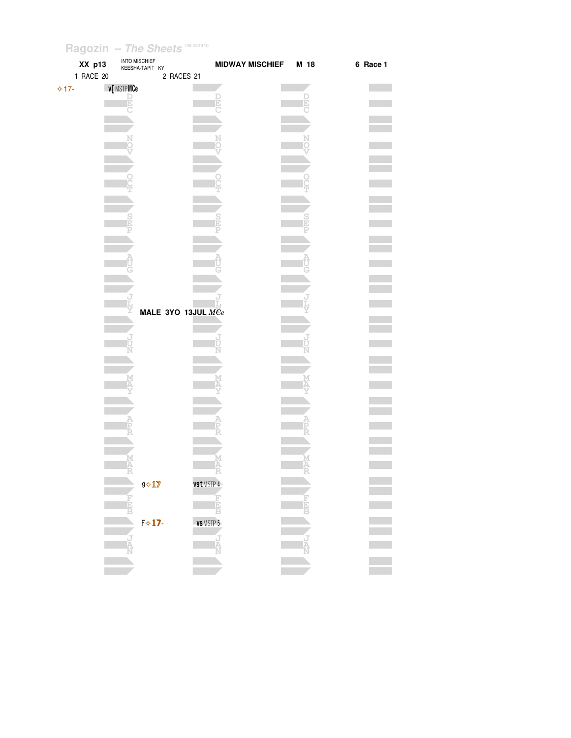| $\overline{\phantom{a}}$<br>XX p13 | INTO MISCHIEF<br>KEESHA-TAPIT KY | MIDWAY MISCHIEF M 18 |    | 6 Race 1 |
|------------------------------------|----------------------------------|----------------------|----|----------|
| 1 RACE 20                          | 2 RACES 21                       |                      |    |          |
| $\Leftrightarrow$ 17-              | v[MSTPMCe                        |                      |    |          |
|                                    |                                  |                      |    |          |
|                                    |                                  |                      |    |          |
|                                    |                                  |                      |    |          |
|                                    |                                  |                      |    |          |
|                                    |                                  |                      |    |          |
|                                    |                                  |                      |    |          |
|                                    |                                  |                      |    |          |
|                                    |                                  |                      |    |          |
|                                    |                                  |                      |    |          |
|                                    |                                  |                      |    |          |
|                                    |                                  |                      |    |          |
|                                    |                                  |                      |    |          |
|                                    |                                  |                      |    |          |
|                                    |                                  |                      |    |          |
|                                    |                                  |                      |    |          |
|                                    |                                  |                      |    |          |
|                                    |                                  |                      |    |          |
|                                    |                                  |                      |    |          |
|                                    | MALE 3YO 13JUL $MCe$             |                      |    |          |
|                                    |                                  |                      |    |          |
|                                    |                                  |                      |    |          |
|                                    |                                  |                      |    |          |
|                                    |                                  |                      |    |          |
|                                    |                                  |                      |    |          |
|                                    |                                  |                      |    |          |
|                                    |                                  |                      |    |          |
|                                    |                                  |                      |    |          |
|                                    |                                  |                      |    |          |
|                                    |                                  |                      |    |          |
|                                    |                                  |                      |    |          |
|                                    |                                  |                      |    |          |
|                                    |                                  |                      |    |          |
|                                    |                                  |                      |    |          |
|                                    | 57                               | -55                  |    |          |
|                                    | $9 \diamond 17$                  | vst MSTP 4           |    |          |
|                                    |                                  |                      | 同同 |          |
|                                    |                                  | Ē<br>B               |    |          |
|                                    | $F \diamond 17$                  | <b>VS</b> MSTP 5     |    |          |
|                                    |                                  |                      |    |          |
|                                    |                                  |                      |    |          |
|                                    |                                  |                      |    |          |
|                                    |                                  |                      |    |          |
|                                    |                                  |                      |    |          |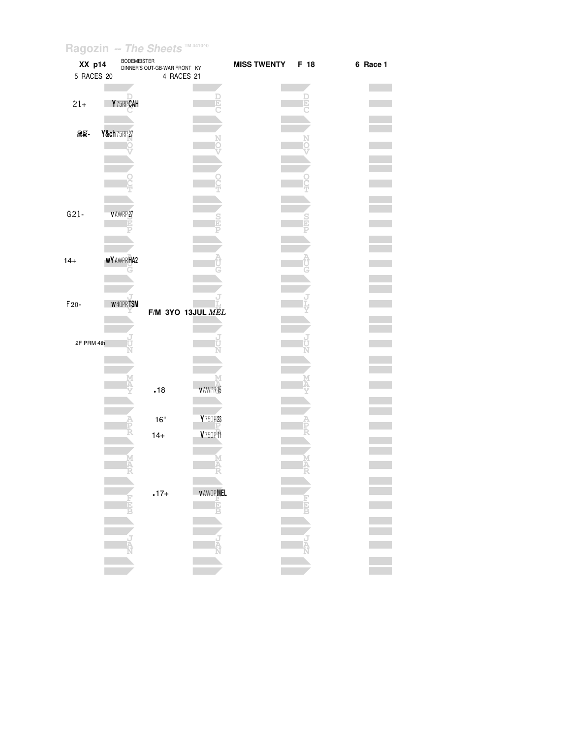| XX p14<br>5 RACES 20 | <b>BODEMEISTER</b> | DINNER'S OUT-GB-WAR FRONT KY<br>4 RACES 21 |                 | <b>MISS TWENTY</b> | F 18 | 6 Race 1 |
|----------------------|--------------------|--------------------------------------------|-----------------|--------------------|------|----------|
| $21+$                | Y75RPCAH           |                                            |                 |                    |      |          |
| 25-                  | Y&ch 75RP 27       |                                            |                 |                    |      |          |
|                      |                    |                                            |                 |                    |      |          |
| $G21-$               | V AWRP 27          |                                            |                 |                    |      |          |
|                      |                    |                                            |                 |                    |      |          |
| $14 +$               | <b>WY AWPRHA2</b>  |                                            |                 |                    |      |          |
| $F20-$               | <b>W40PRTSM</b>    | F/M 3YO 13JUL MEL                          |                 |                    |      |          |
| 2F PRM 4th           |                    |                                            |                 |                    |      |          |
|                      |                    | .18                                        | v AWPR15        |                    |      |          |
|                      |                    | $16"$                                      | Y 750P23        |                    |      |          |
|                      |                    | $14+$                                      | V750P11         |                    | Μ    |          |
|                      |                    | $.17+$                                     | <b>VAWOPMEL</b> |                    | Ã    |          |
|                      |                    |                                            | Ė               |                    |      |          |
|                      |                    |                                            |                 |                    |      |          |
|                      |                    |                                            |                 |                    |      |          |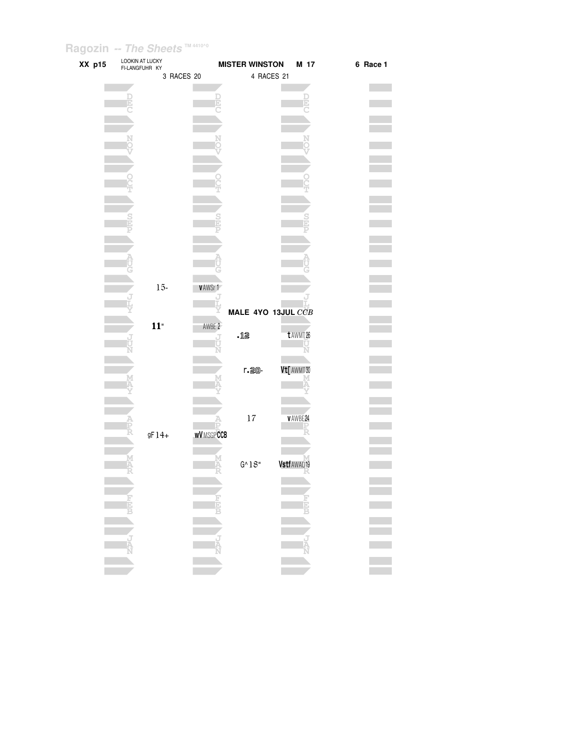| XX p15 | LOOKIN AT LUCKY<br>FI-LANGFUHR KY |         |            |                  | <b>MISTER WINSTON</b> | M 17           | 6 Race 1   |  |
|--------|-----------------------------------|---------|------------|------------------|-----------------------|----------------|------------|--|
|        |                                   |         | 3 RACES 20 |                  | 4 RACES 21            |                |            |  |
|        |                                   |         |            |                  |                       |                |            |  |
|        |                                   |         |            |                  |                       |                |            |  |
|        |                                   |         |            |                  |                       |                |            |  |
|        |                                   |         |            |                  |                       |                |            |  |
|        |                                   |         |            |                  |                       |                |            |  |
|        |                                   |         |            |                  |                       |                |            |  |
|        |                                   |         |            |                  |                       |                |            |  |
|        |                                   |         |            |                  |                       |                |            |  |
|        |                                   |         |            |                  |                       |                |            |  |
|        |                                   |         |            |                  |                       |                |            |  |
|        |                                   |         |            |                  |                       |                |            |  |
|        |                                   |         |            |                  |                       |                |            |  |
|        |                                   |         |            |                  |                       |                |            |  |
|        |                                   |         |            |                  |                       |                |            |  |
|        |                                   |         |            |                  |                       |                |            |  |
|        |                                   | $15 -$  |            | <b>VAWSr1</b>    |                       |                |            |  |
|        |                                   |         |            |                  |                       |                |            |  |
|        |                                   |         |            |                  | MALE 4YO 13JUL CCB    |                |            |  |
|        |                                   | $11"$   |            | AWBE 2           |                       |                |            |  |
|        |                                   |         |            |                  | .12                   | t AWMT 26      |            |  |
|        |                                   |         |            |                  |                       |                |            |  |
|        |                                   |         |            |                  |                       |                |            |  |
|        |                                   |         |            |                  | r. 20-                | Vt[ AWMT 30    |            |  |
|        |                                   |         |            |                  |                       |                |            |  |
|        |                                   |         |            |                  |                       |                |            |  |
|        |                                   |         |            |                  | 17                    | <b>VAWBE24</b> |            |  |
|        |                                   |         |            |                  |                       |                |            |  |
|        |                                   | $gF14+$ |            | <b>WVMSGPCCB</b> |                       |                |            |  |
|        |                                   |         |            |                  |                       |                |            |  |
|        |                                   |         |            |                  | $G^{\wedge}1S''$      | Vstf AWAQ19    |            |  |
|        |                                   |         |            |                  |                       |                |            |  |
|        |                                   |         |            |                  |                       |                |            |  |
|        |                                   |         |            |                  |                       |                |            |  |
|        |                                   |         |            |                  |                       |                | i<br>Die b |  |
|        |                                   |         |            |                  |                       |                |            |  |
|        |                                   |         |            | $\frac{1}{N}$    |                       |                |            |  |
|        |                                   |         |            |                  |                       |                |            |  |
|        |                                   |         |            |                  |                       |                |            |  |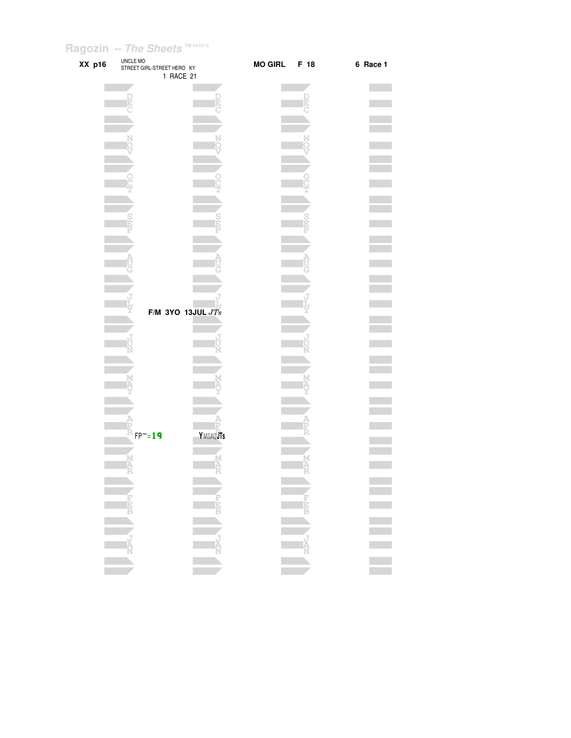| XX p16 | UNCLE MO | STREET GIRL-STREET HERO KY<br>1 RACE 21 | <b>MO GIRL</b> | F 18 | 6 Race 1         |
|--------|----------|-----------------------------------------|----------------|------|------------------|
|        |          |                                         |                |      |                  |
|        |          |                                         |                |      |                  |
|        |          |                                         |                |      |                  |
|        |          |                                         |                |      |                  |
|        |          |                                         |                |      |                  |
|        |          |                                         |                |      |                  |
|        |          |                                         |                |      |                  |
|        |          |                                         |                |      |                  |
|        |          |                                         |                |      |                  |
|        |          |                                         |                |      |                  |
|        |          |                                         |                |      |                  |
|        |          |                                         |                |      |                  |
|        |          | F/M 3YO 13JUL $JTs$                     |                |      |                  |
|        |          |                                         |                |      |                  |
|        |          |                                         |                |      |                  |
|        |          |                                         |                |      |                  |
|        |          |                                         |                |      |                  |
|        |          |                                         |                |      |                  |
|        |          |                                         |                |      |                  |
|        |          | YMSAQJTs<br>$FP^{\sim}=19$              |                |      |                  |
|        |          |                                         |                |      |                  |
|        |          |                                         |                |      |                  |
|        |          |                                         |                |      |                  |
|        |          |                                         |                |      | E<br>E<br>E<br>E |
|        |          |                                         |                |      |                  |
|        |          |                                         |                |      |                  |
|        |          |                                         |                |      |                  |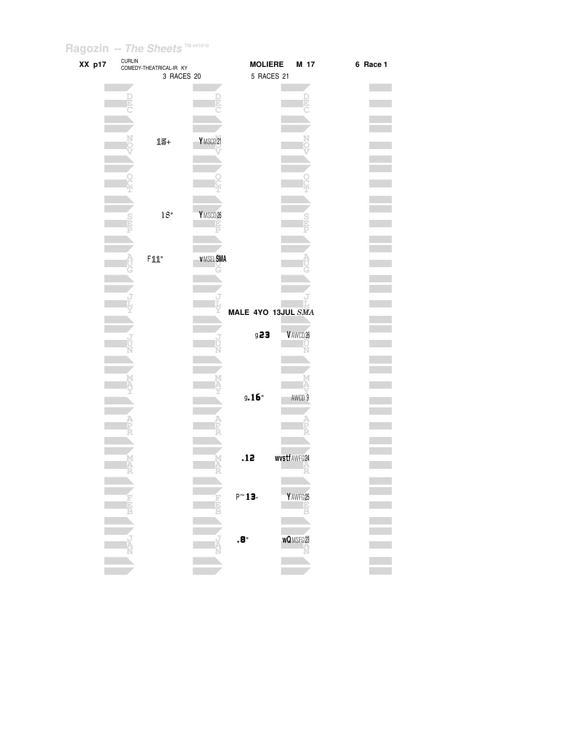| XX p17 | $\textsf{CURL}{}$ | COMEDY-THEATRICAL-IR KY |                     | <b>MOLIERE</b>     |             | M 17                | 6 Race 1 |  |
|--------|-------------------|-------------------------|---------------------|--------------------|-------------|---------------------|----------|--|
|        |                   | 3 RACES 20              |                     | 5 RACES 21         |             |                     |          |  |
|        |                   |                         |                     |                    |             |                     |          |  |
|        |                   |                         |                     |                    |             |                     |          |  |
|        |                   |                         |                     |                    |             |                     |          |  |
|        |                   |                         |                     |                    |             |                     |          |  |
|        |                   |                         |                     |                    |             |                     |          |  |
|        |                   | 15+                     | YMSCD21             |                    |             |                     |          |  |
|        |                   |                         |                     |                    |             |                     |          |  |
|        |                   |                         |                     |                    |             |                     |          |  |
|        |                   |                         |                     |                    |             |                     |          |  |
|        |                   |                         |                     |                    |             |                     |          |  |
|        |                   |                         |                     |                    |             |                     |          |  |
|        |                   |                         |                     |                    |             |                     |          |  |
|        |                   | $18"$                   | YMSCD <sub>26</sub> |                    |             |                     |          |  |
|        |                   |                         |                     |                    |             |                     |          |  |
|        |                   |                         |                     |                    |             |                     |          |  |
|        |                   |                         | <b>V MSEL SMA</b>   |                    |             |                     |          |  |
|        |                   | $F111"$                 |                     |                    |             |                     |          |  |
|        |                   |                         |                     |                    |             |                     |          |  |
|        |                   |                         |                     |                    |             |                     |          |  |
|        |                   |                         |                     |                    |             |                     |          |  |
|        |                   |                         |                     | MALE 4YO 13JUL SMA |             |                     |          |  |
|        |                   |                         |                     |                    |             |                     |          |  |
|        |                   |                         |                     | g23                |             | VAWCD <sub>26</sub> |          |  |
|        |                   |                         |                     |                    |             |                     |          |  |
|        |                   |                         |                     |                    |             |                     |          |  |
|        |                   |                         |                     |                    |             |                     |          |  |
|        |                   |                         |                     |                    |             |                     |          |  |
|        |                   |                         |                     |                    |             |                     |          |  |
|        |                   |                         |                     | $9.16$ "           |             | AWCD <sub>9</sub>   |          |  |
|        |                   |                         |                     |                    |             |                     |          |  |
|        |                   |                         |                     |                    |             |                     |          |  |
|        |                   |                         |                     |                    |             |                     |          |  |
|        |                   |                         |                     |                    |             |                     |          |  |
|        |                   |                         |                     | .12                | wystfAWFG24 |                     |          |  |
|        |                   |                         |                     |                    |             |                     |          |  |
|        |                   |                         |                     |                    |             |                     |          |  |
|        |                   |                         |                     | $P^{\sim}$ 13-     |             | YAWFG25             |          |  |
|        |                   |                         |                     |                    |             |                     |          |  |
|        |                   |                         |                     |                    |             |                     |          |  |
|        |                   |                         |                     |                    |             |                     |          |  |
|        |                   |                         |                     | $\cdot$ 8.         |             | <b>wQMSFG23</b>     |          |  |
|        |                   |                         |                     |                    |             |                     |          |  |
|        |                   |                         |                     |                    |             |                     |          |  |
|        |                   |                         |                     |                    |             |                     |          |  |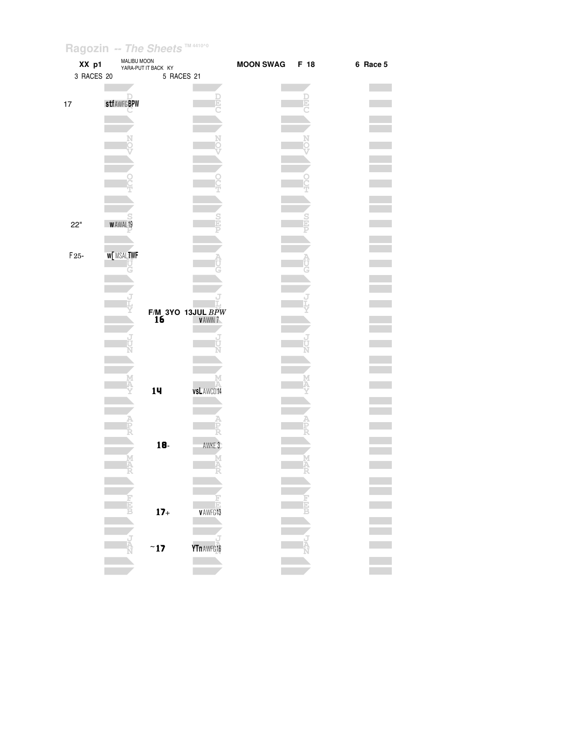| XX p1          | MALIBU MOON       | YARA-PUT IT BACK KY                 |             | <b>MOON SWAG</b> | F 18 | 6 Race 5 |
|----------------|-------------------|-------------------------------------|-------------|------------------|------|----------|
| 3 RACES 20     |                   | 5 RACES 21                          |             |                  |      |          |
|                |                   |                                     | D           |                  |      |          |
| $17$           | <b>stfAWFGBPW</b> |                                     | Ŀ           |                  |      |          |
|                |                   |                                     |             |                  |      |          |
|                |                   |                                     |             |                  |      |          |
|                |                   |                                     |             |                  |      |          |
|                |                   |                                     |             |                  |      |          |
|                |                   |                                     |             |                  |      |          |
|                |                   |                                     |             |                  |      |          |
|                |                   |                                     |             |                  |      |          |
| 22"            | WAWAL19           |                                     |             |                  |      |          |
|                |                   |                                     |             |                  |      |          |
| $\mathsf{F}25$ | <b>W[MSALTWF</b>  |                                     |             |                  |      |          |
|                | G                 |                                     |             |                  |      |          |
|                |                   |                                     |             |                  |      |          |
|                |                   |                                     |             |                  |      |          |
|                |                   | $F/M$ 3YO 13JUL $BPW$<br>16 VAWIN 7 |             |                  |      |          |
|                | J<br>Ù            |                                     |             |                  |      |          |
|                |                   |                                     |             |                  |      |          |
|                |                   |                                     |             |                  |      |          |
|                | M                 | 14                                  | vsL AWCD 14 |                  |      |          |
|                |                   |                                     |             |                  |      |          |
|                |                   |                                     |             |                  |      |          |
|                |                   |                                     |             |                  |      |          |
|                |                   | $18-$                               | AWKE 3      |                  |      |          |
|                | M<br>A            |                                     | М<br>Ā      |                  | Α    |          |
|                |                   |                                     |             |                  |      |          |
|                |                   |                                     |             |                  |      |          |
|                |                   | $17+$                               | VAWFG13     |                  |      |          |
|                |                   |                                     |             |                  |      |          |
|                |                   |                                     |             |                  |      |          |
|                |                   | $~\tilde{}$ 17                      | YTn AWFG 16 |                  |      |          |
|                |                   |                                     |             |                  |      |          |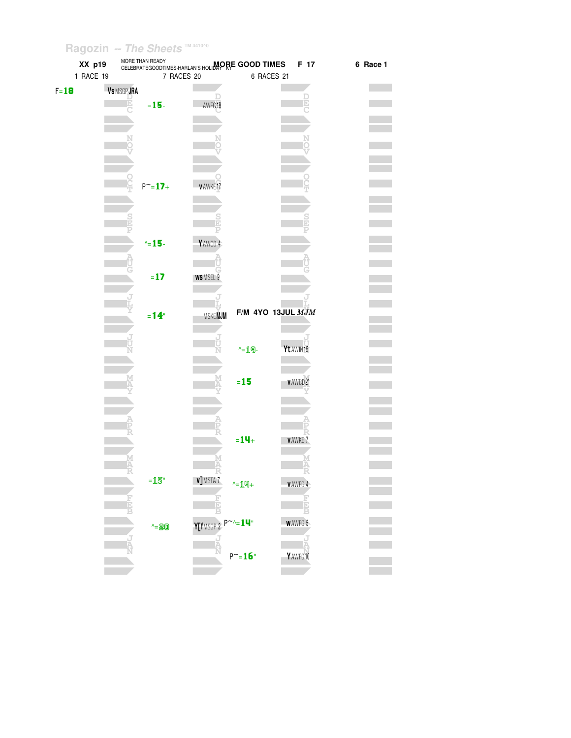| XX p19    | MORE THAN READY   | CELEBRATEGOODTIMES-HARLAN'S HOLIDAP RE GOOD TIMES | F 17                  | 6 Race 1 |
|-----------|-------------------|---------------------------------------------------|-----------------------|----------|
| 1 RACE 19 | 7 RACES 20        | 6 RACES 21                                        |                       |          |
| $F = 18$  | VS MSGP JRA       |                                                   |                       |          |
|           | $= 15 -$          | AWFG18                                            |                       |          |
|           |                   |                                                   |                       |          |
|           |                   |                                                   |                       |          |
|           |                   |                                                   |                       |          |
|           |                   |                                                   |                       |          |
|           |                   |                                                   |                       |          |
|           | $P^{\sim} = 17 +$ | v AWKE17                                          |                       |          |
|           |                   |                                                   |                       |          |
|           |                   |                                                   |                       |          |
|           |                   |                                                   |                       |          |
|           |                   |                                                   |                       |          |
|           | $\sim$ 15-        | Y AWCD 4                                          |                       |          |
|           |                   |                                                   |                       |          |
|           | $= 17$            | WSMSEL 9                                          |                       |          |
|           |                   |                                                   |                       |          |
|           |                   |                                                   |                       |          |
|           | $= 14$            | <b>MSKEMJM</b>                                    | $F/M$ 4YO 13JUL $MJM$ |          |
|           |                   |                                                   |                       |          |
|           |                   | J                                                 |                       |          |
|           |                   | $-19-$                                            | Yt AWIN15             |          |
|           |                   |                                                   |                       |          |
|           |                   | $=15$                                             | v AWCD 21             |          |
|           |                   |                                                   |                       |          |
|           |                   |                                                   |                       |          |
|           |                   |                                                   |                       |          |
|           |                   |                                                   |                       |          |
|           |                   | $= 14 +$                                          | <b>VAWKE7</b>         |          |
|           |                   |                                                   |                       |          |
|           |                   |                                                   |                       |          |
|           | $=$ $15"$         | <b>v</b> ] MSTA 7<br>$-14$                        | <b>VAWFG4</b>         |          |
|           | Б                 |                                                   | Ē                     |          |
|           |                   | Ė                                                 | R                     |          |
|           | $-20$             | $Y[$ fMSGP 2 $P^{\sim}$ - 14"                     | <b>WAWFG 5</b>        |          |
|           | Ŕ                 | <b>UNITE</b>                                      |                       |          |
|           |                   | $\mathsf{P}^\thicksim=\!\!\mathbf{16}^\circ$      | YAWFG10               |          |
|           |                   |                                                   |                       |          |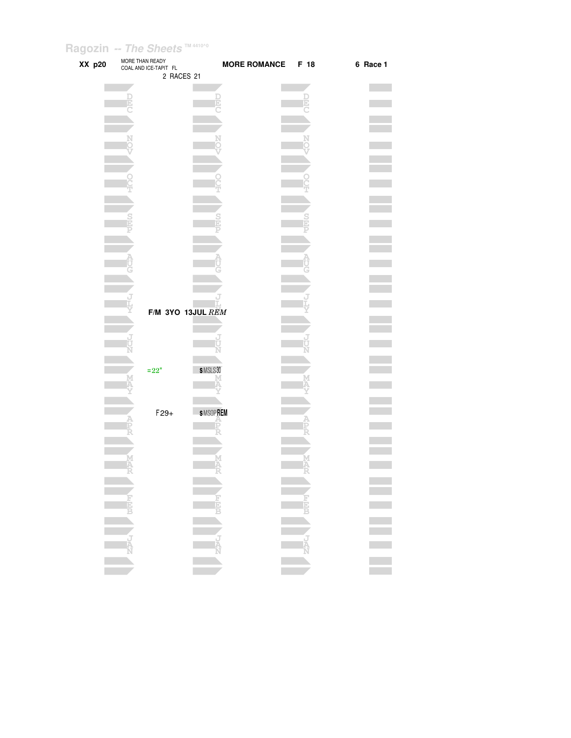| XX p20 | MORE THAN READY<br>COAL AND ICE-TAPIT FL | 2 RACES 21        | MORE ROMANCE F 18 |   | 6 Race 1 |
|--------|------------------------------------------|-------------------|-------------------|---|----------|
|        |                                          |                   |                   |   |          |
|        |                                          |                   |                   |   |          |
|        |                                          | F                 |                   |   |          |
|        |                                          |                   |                   |   |          |
|        |                                          |                   |                   |   |          |
|        |                                          |                   |                   |   |          |
|        |                                          |                   |                   |   |          |
|        |                                          |                   |                   |   |          |
|        |                                          |                   |                   |   |          |
|        |                                          |                   |                   |   |          |
|        |                                          |                   |                   |   |          |
|        |                                          |                   |                   |   |          |
|        |                                          |                   |                   |   |          |
|        |                                          |                   |                   |   |          |
|        |                                          |                   |                   |   |          |
|        |                                          |                   |                   |   |          |
|        |                                          |                   |                   |   |          |
|        |                                          |                   |                   |   |          |
|        |                                          |                   |                   |   |          |
|        |                                          |                   |                   |   |          |
|        |                                          |                   |                   |   |          |
|        |                                          |                   |                   |   |          |
|        |                                          | F/M 3YO 13JUL REM |                   |   |          |
|        |                                          |                   |                   |   |          |
|        |                                          |                   |                   |   |          |
|        |                                          |                   |                   |   |          |
|        |                                          |                   |                   |   |          |
|        |                                          |                   |                   |   |          |
|        | $=22"$                                   | SMSLS30           |                   |   |          |
|        |                                          |                   |                   |   |          |
|        |                                          |                   |                   |   |          |
|        |                                          |                   |                   |   |          |
|        | $F29+$                                   | <b>SMSOPREM</b>   |                   |   |          |
|        |                                          |                   |                   |   |          |
|        |                                          |                   |                   |   |          |
|        |                                          |                   |                   |   |          |
|        |                                          |                   |                   | M |          |
|        |                                          |                   |                   |   |          |
|        | ÷                                        | 57                |                   | ÷ |          |
|        |                                          |                   |                   |   |          |
|        |                                          |                   |                   |   |          |
|        |                                          |                   |                   |   |          |
|        |                                          |                   |                   |   | Ē        |
|        |                                          |                   |                   |   |          |
|        |                                          |                   |                   |   |          |
|        |                                          |                   |                   |   |          |
|        |                                          |                   |                   |   |          |
|        |                                          |                   |                   |   | Ξ        |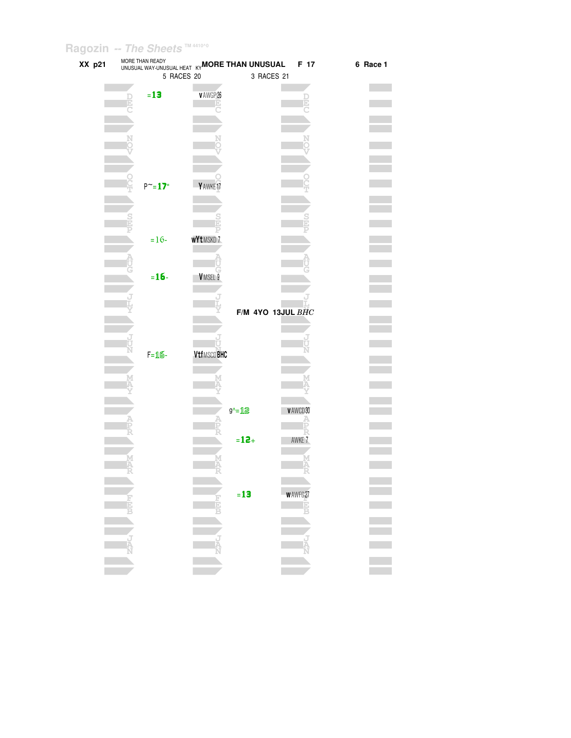| XX p21 | MORE THAN READY<br>UNUSUAL MAY DEADT KY <b>MORE THAN UNUSUAL</b> |                      |          |                   | F 17           | 6 Race 1 |
|--------|------------------------------------------------------------------|----------------------|----------|-------------------|----------------|----------|
|        | 5 RACES 20                                                       |                      |          | 3 RACES 21        |                |          |
|        | $= 13$                                                           | v AWGP 26            |          |                   |                |          |
|        |                                                                  |                      |          |                   |                |          |
|        |                                                                  |                      |          |                   |                |          |
|        |                                                                  |                      |          |                   |                |          |
|        |                                                                  |                      |          |                   |                |          |
|        |                                                                  |                      |          |                   |                |          |
|        | $P^{\sim} = 17$ "                                                | Y AWKE <sub>17</sub> |          |                   |                |          |
|        |                                                                  |                      |          |                   |                |          |
|        |                                                                  |                      |          |                   |                |          |
|        |                                                                  |                      |          |                   |                |          |
|        | $=16-$                                                           | <b>wYtMSKD7</b>      |          |                   |                |          |
|        |                                                                  |                      |          |                   |                |          |
|        | $= 16 -$                                                         | VMSEL 9              |          |                   |                |          |
|        |                                                                  |                      |          |                   |                |          |
|        |                                                                  |                      |          |                   |                |          |
|        |                                                                  |                      |          | F/M 4YO 13JUL BHC |                |          |
|        |                                                                  |                      |          |                   |                |          |
|        | $F = 16$                                                         | <b>VtfMSCDBHC</b>    |          |                   |                |          |
|        |                                                                  |                      |          |                   |                |          |
|        |                                                                  |                      |          |                   |                |          |
|        |                                                                  |                      |          |                   |                |          |
|        |                                                                  |                      | g^=12    |                   | VAWCD30        |          |
|        |                                                                  |                      |          |                   |                |          |
|        |                                                                  |                      | $= 12 +$ |                   | AWKE 7         |          |
|        |                                                                  |                      |          |                   |                |          |
|        |                                                                  |                      |          |                   |                |          |
|        |                                                                  |                      |          |                   |                |          |
|        |                                                                  | iajaja)<br>Eliajaj   | $=13$    |                   | <b>WAWFG27</b> |          |
|        |                                                                  |                      |          |                   | R              |          |
|        |                                                                  |                      |          |                   |                |          |
|        |                                                                  | J<br>A               |          |                   | J<br>A         |          |
|        |                                                                  |                      |          |                   |                |          |
|        |                                                                  |                      |          |                   |                |          |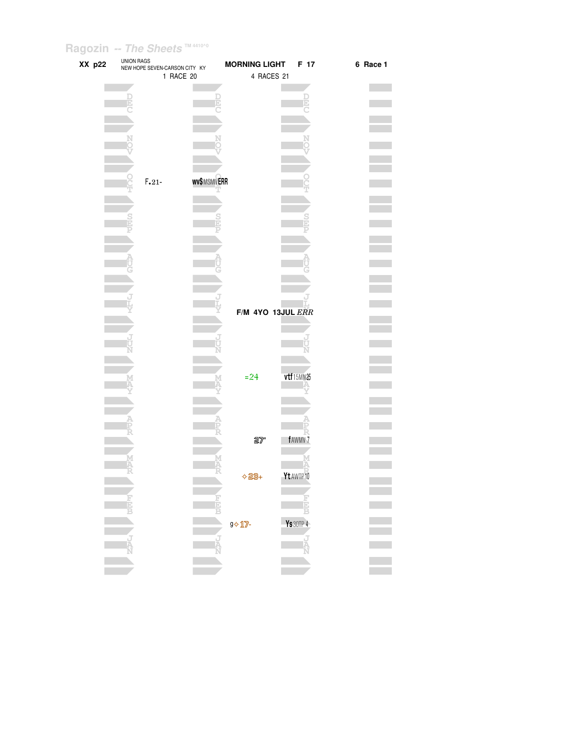| XX p22 | <b>UNION RAGS</b> | NEW HOPE SEVEN-CARSON CITY KY | 1 RACE 20        | <b>MORNING LIGHT</b><br>4 RACES 21  | F 17               | 6 Race 1 |
|--------|-------------------|-------------------------------|------------------|-------------------------------------|--------------------|----------|
|        |                   |                               |                  |                                     |                    |          |
|        |                   |                               |                  |                                     |                    |          |
|        |                   |                               |                  |                                     |                    |          |
|        |                   |                               |                  |                                     |                    |          |
|        |                   |                               |                  |                                     |                    |          |
|        |                   | $F.21 -$                      | wv\$MSMNERR<br>т |                                     |                    |          |
|        |                   |                               |                  |                                     |                    |          |
|        |                   |                               |                  |                                     |                    |          |
|        |                   |                               |                  |                                     |                    |          |
|        |                   |                               |                  |                                     |                    |          |
|        |                   |                               |                  |                                     |                    |          |
|        |                   |                               |                  | F/M 4YO 13JUL ERR                   |                    |          |
|        |                   |                               |                  |                                     |                    |          |
|        |                   |                               |                  |                                     |                    |          |
|        |                   |                               |                  |                                     |                    |          |
|        |                   |                               |                  | $= 24$                              | vtf15MN25          |          |
|        |                   |                               |                  |                                     |                    |          |
|        |                   |                               |                  |                                     |                    |          |
|        |                   |                               |                  | $2\%$                               | fAWMV <sub>7</sub> |          |
|        |                   |                               |                  |                                     |                    |          |
|        |                   |                               |                  | $\Diamond$ 23+                      | Yt AWTP 10         |          |
|        |                   |                               | i<br>B           |                                     |                    |          |
|        |                   |                               |                  | $9 \Leftrightarrow 11$ $\sqrt{2}$ - | <b>Ys</b> 30TP 4   |          |
|        | é                 |                               |                  |                                     | ı<br>R             |          |
|        |                   |                               |                  |                                     |                    |          |
|        |                   |                               |                  |                                     |                    |          |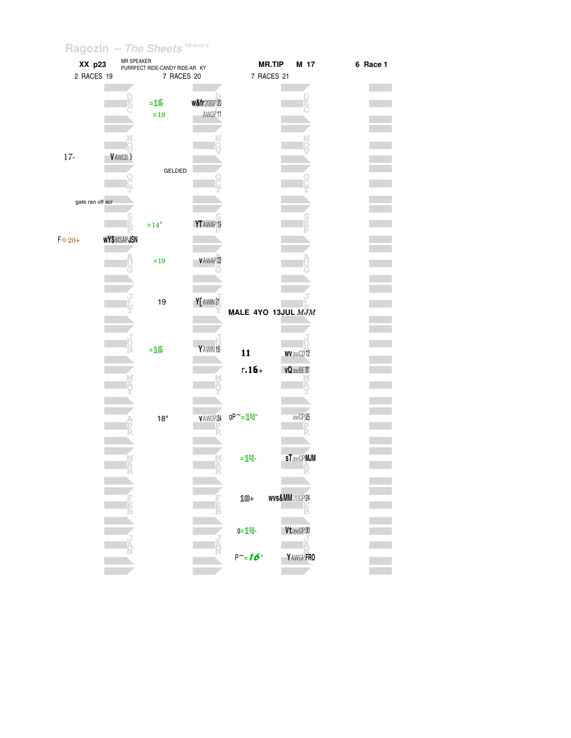| XX p23           | MR SPEAKER  | PURRFECT RIDE-CANDY RIDE-AR KY |            |                    | <b>MR.TIP</b>             | M 17             | 6 Race 1 |
|------------------|-------------|--------------------------------|------------|--------------------|---------------------------|------------------|----------|
| 2 RACES 19       |             | 7 RACES 20                     |            |                    | 7 RACES 21                |                  |          |
|                  |             |                                |            |                    |                           |                  |          |
|                  |             |                                |            |                    |                           |                  |          |
|                  |             | $=16$                          | w&fr20GP20 |                    |                           |                  |          |
|                  |             | $=19$                          | AWGP11     |                    |                           |                  |          |
|                  |             |                                |            |                    |                           |                  |          |
|                  |             |                                |            |                    |                           |                  |          |
|                  |             |                                |            |                    |                           |                  |          |
| $17 -$           | VAWCD 9     |                                |            |                    |                           |                  |          |
|                  |             |                                |            |                    |                           |                  |          |
|                  |             | GELDED                         |            |                    |                           |                  |          |
|                  |             |                                |            |                    |                           |                  |          |
|                  |             |                                |            |                    |                           |                  |          |
| gate ran off scr |             |                                |            |                    |                           |                  |          |
|                  |             |                                |            |                    |                           |                  |          |
|                  |             | $=14"$                         | YT AWAP 19 |                    |                           |                  |          |
|                  |             |                                |            |                    |                           |                  |          |
| $F \diamond 20+$ | wY\$MSAPJSN |                                |            |                    |                           |                  |          |
|                  |             |                                |            |                    |                           |                  |          |
|                  |             | $=19$                          | v AWAP 22  |                    |                           |                  |          |
|                  |             |                                |            |                    |                           |                  |          |
|                  |             |                                |            |                    |                           |                  |          |
|                  |             |                                |            |                    |                           |                  |          |
|                  |             | 19                             | Y[ AWIN 21 |                    |                           |                  |          |
|                  |             |                                |            | MALE 4YO 13JUL MJM |                           |                  |          |
|                  |             |                                |            |                    |                           |                  |          |
|                  |             |                                |            |                    |                           |                  |          |
|                  |             |                                | YAWIN15    |                    |                           |                  |          |
|                  | Ν           | $=$ 16 $\,$                    |            | 11                 |                           | <b>WV awCD12</b> |          |
|                  |             |                                |            | $r.16 +$           |                           |                  |          |
|                  |             |                                |            |                    |                           | vQ awBE30        |          |
|                  |             |                                |            |                    |                           |                  |          |
|                  |             |                                |            |                    |                           |                  |          |
|                  |             |                                |            |                    |                           |                  |          |
|                  |             | 18"                            | VAWOP24    | gP~=10"            |                           | awGP25           |          |
|                  |             |                                |            |                    |                           |                  |          |
|                  |             |                                |            |                    |                           |                  |          |
|                  |             |                                |            |                    |                           |                  |          |
|                  |             |                                |            | $=$ 14-            |                           | <b>sTawGPMJM</b> |          |
|                  |             |                                |            |                    |                           |                  |          |
|                  |             |                                |            |                    |                           |                  |          |
|                  |             |                                |            |                    |                           |                  |          |
|                  |             |                                |            | $10+$              | <b>wvs&amp;MM</b> 20GP 24 |                  |          |
|                  |             |                                |            |                    |                           |                  |          |
|                  |             |                                |            |                    |                           |                  |          |
|                  |             |                                |            | g=14-              |                           | Vt awGP 30       |          |
|                  |             |                                |            |                    |                           |                  |          |
|                  |             |                                |            |                    |                           |                  |          |
|                  |             |                                |            | $P^{\sim} = 16$    |                           | Y AWGP FRO       |          |
|                  |             |                                |            |                    |                           |                  |          |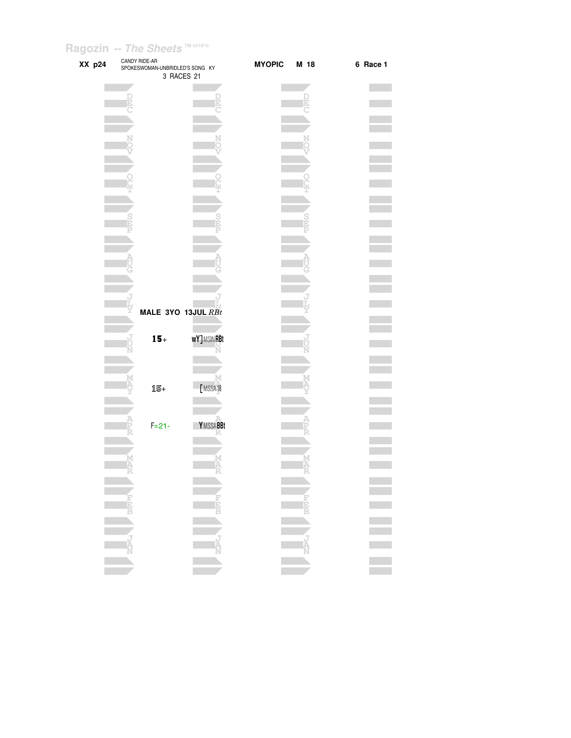| XX p24 | CANDY RIDE-AR<br>SPOKESWOMAN-UNBRIDLED'S SONG KY | 3 RACES 21         | <b>MYOPIC</b> | M 18 | 6 Race 1 |
|--------|--------------------------------------------------|--------------------|---------------|------|----------|
|        |                                                  |                    |               |      |          |
|        |                                                  |                    |               |      |          |
|        |                                                  |                    |               |      |          |
|        |                                                  |                    |               |      |          |
|        |                                                  |                    |               |      |          |
|        |                                                  |                    |               |      |          |
|        |                                                  |                    |               |      |          |
|        |                                                  |                    |               |      |          |
|        |                                                  |                    |               |      |          |
|        |                                                  |                    |               |      |          |
|        |                                                  |                    |               |      |          |
|        |                                                  |                    |               |      |          |
|        |                                                  | MALE 3YO 13JUL RBt |               |      |          |
|        | $15+$                                            | <b>wY]MSINRBt</b>  |               |      |          |
|        |                                                  |                    |               |      |          |
|        |                                                  |                    |               |      |          |
|        | 15+                                              | [MSSA16            |               |      |          |
|        |                                                  |                    |               |      |          |
|        | $F = 21 -$                                       | <b>YMSSABBt</b>    |               |      |          |
|        |                                                  |                    |               |      |          |
|        | Ā<br>- 47                                        | -7                 |               | -7   |          |
|        |                                                  |                    |               |      |          |
|        |                                                  |                    |               |      |          |
|        |                                                  |                    |               |      |          |
|        |                                                  |                    |               |      |          |
|        |                                                  |                    |               |      |          |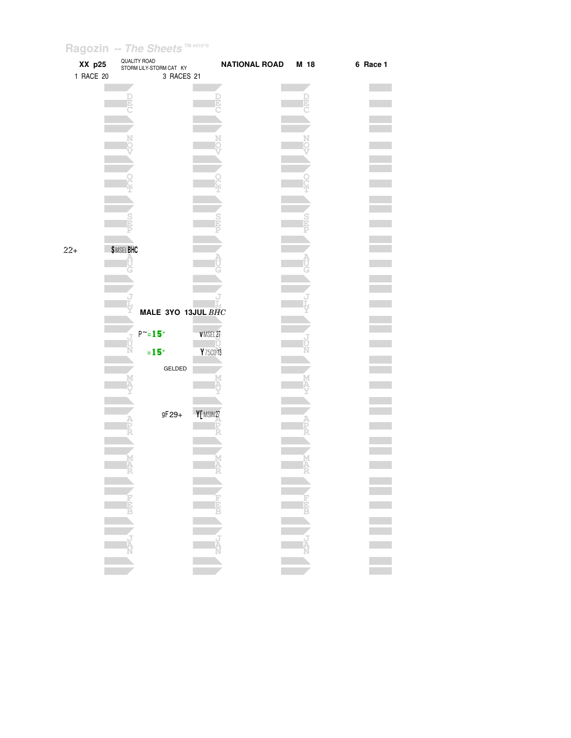| QUALITY ROAD<br>XX p25<br><b>NATIONAL ROAD</b><br>M 18<br>STORM LILY-STORM CAT KY<br>1 RACE 20<br>3 RACES 21 | 6 Race 1 |
|--------------------------------------------------------------------------------------------------------------|----------|
|                                                                                                              |          |
|                                                                                                              |          |
|                                                                                                              |          |
|                                                                                                              |          |
|                                                                                                              |          |
| <b>\$MSELBHC</b><br>$22 +$                                                                                   |          |
|                                                                                                              |          |
| MALE 3YO 13JUL BHC                                                                                           |          |
| $P^{\sim} = 15$ "<br>VMSEL27<br>ψŬ<br>$=15°$<br>Y 75CD 13                                                    |          |
| GELDED                                                                                                       |          |
| Y[MSIN27<br>gF 29+                                                                                           |          |
|                                                                                                              |          |
|                                                                                                              |          |
| <b>FEED</b><br><b>REPLACE</b>                                                                                |          |
| 一五点<br>大型人<br><b>NAN</b>                                                                                     |          |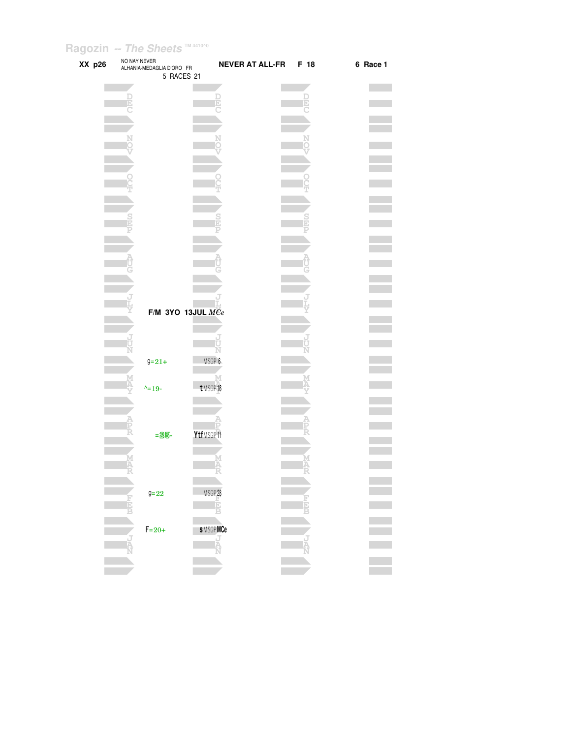| XX p26 | NO NAY NEVER | ALHANIA-MEDAGLIA D'ORO FR<br>5 RACES 21 | <b>NEVER AT ALL-FR</b> | F 18   | 6 Race 1 |
|--------|--------------|-----------------------------------------|------------------------|--------|----------|
|        |              |                                         |                        |        |          |
|        | D            |                                         |                        |        |          |
|        |              |                                         |                        |        |          |
|        |              |                                         |                        |        |          |
|        |              |                                         |                        |        |          |
|        |              |                                         |                        |        |          |
|        |              |                                         |                        |        |          |
|        |              |                                         |                        |        |          |
|        |              |                                         |                        |        |          |
|        |              |                                         |                        |        |          |
|        |              |                                         |                        |        |          |
|        |              |                                         |                        |        |          |
|        |              |                                         |                        |        |          |
|        |              |                                         |                        |        |          |
|        |              |                                         |                        |        |          |
|        |              |                                         |                        |        |          |
|        |              |                                         |                        |        |          |
|        |              |                                         |                        |        |          |
|        |              |                                         |                        |        |          |
|        |              | F/M 3YO 13JUL $MCe$                     |                        |        |          |
|        |              |                                         |                        |        |          |
|        |              |                                         |                        |        |          |
|        |              |                                         | N                      |        |          |
|        |              | $9 = 21 +$                              | MSGP 6                 |        |          |
|        |              |                                         | M                      |        |          |
|        |              | $\lambda = 19 -$                        | t MSGP 16              |        |          |
|        |              |                                         |                        |        |          |
|        |              |                                         |                        |        |          |
|        |              |                                         |                        |        |          |
|        |              | $=25-$                                  | YtfMSGP11              |        |          |
|        |              |                                         |                        |        |          |
|        | Ķ            |                                         |                        | Ņ<br>A |          |
|        |              |                                         |                        |        |          |
|        |              |                                         |                        |        |          |
|        |              | $9 = 22$                                | MSGP <sub>28</sub>     |        |          |
|        | E            |                                         | E                      |        |          |
|        |              |                                         |                        |        |          |
|        |              | $F = 20 +$                              | <b>sMSGPMCe</b>        |        |          |
|        |              |                                         | i.<br>Iz               |        |          |
|        |              |                                         |                        |        |          |
|        |              |                                         |                        |        |          |
|        |              |                                         |                        |        |          |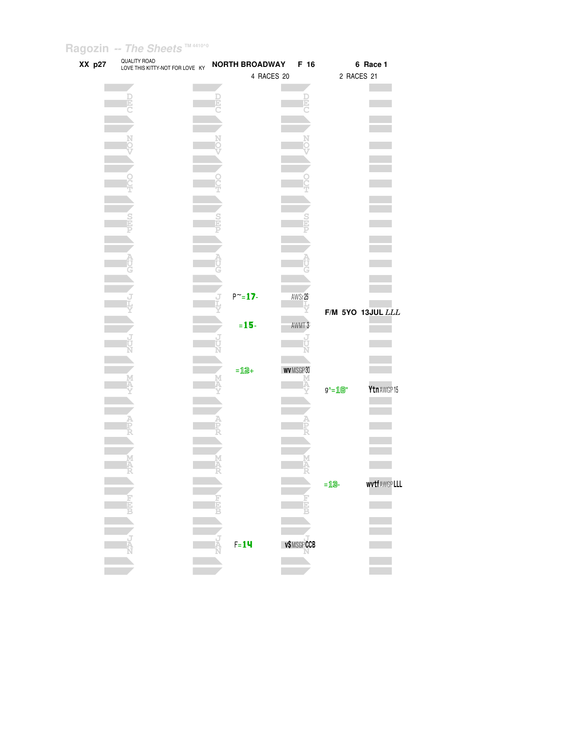| XX p27 | QUALITY ROAD<br>LOVE THIS KITTY-NOT FOR LOVE KY |   | <b>NORTH BROADWAY</b> | F 16       |                                                   | 6 Race 1           |  |
|--------|-------------------------------------------------|---|-----------------------|------------|---------------------------------------------------|--------------------|--|
|        |                                                 |   | 4 RACES 20            |            | 2 RACES 21                                        |                    |  |
|        |                                                 |   |                       |            |                                                   |                    |  |
|        |                                                 | Đ |                       |            |                                                   |                    |  |
|        |                                                 |   |                       | Þ          |                                                   |                    |  |
|        |                                                 |   |                       |            |                                                   |                    |  |
|        |                                                 |   |                       |            |                                                   |                    |  |
|        |                                                 | N |                       |            |                                                   |                    |  |
|        |                                                 |   |                       |            |                                                   |                    |  |
|        |                                                 |   |                       |            |                                                   |                    |  |
|        |                                                 |   |                       |            |                                                   |                    |  |
|        |                                                 |   |                       |            |                                                   |                    |  |
|        |                                                 |   |                       |            |                                                   |                    |  |
|        |                                                 |   |                       |            |                                                   |                    |  |
|        |                                                 |   |                       | S<br>E     |                                                   |                    |  |
|        |                                                 |   |                       |            |                                                   |                    |  |
|        |                                                 |   |                       |            |                                                   |                    |  |
|        |                                                 |   |                       |            |                                                   |                    |  |
|        |                                                 |   |                       |            |                                                   |                    |  |
|        |                                                 |   |                       |            |                                                   |                    |  |
|        |                                                 |   |                       |            |                                                   |                    |  |
|        |                                                 |   | $P^{\sim} = 17 -$     | AWSr25     |                                                   |                    |  |
|        |                                                 |   |                       |            |                                                   | F/M 5YO 13JUL LLL  |  |
|        |                                                 |   | $= 15 -$              | AWMT 3     |                                                   |                    |  |
|        |                                                 |   |                       | J          |                                                   |                    |  |
|        |                                                 |   |                       |            |                                                   |                    |  |
|        |                                                 |   |                       |            |                                                   |                    |  |
|        |                                                 |   | $=12+$                | WVMSGP30   |                                                   |                    |  |
|        |                                                 |   |                       | М          |                                                   |                    |  |
|        |                                                 |   |                       |            | $g^{\wedge} = \mathbf{1} \mathbf{B}^{\mathsf{u}}$ | Ytn AWGP 15        |  |
|        |                                                 |   |                       |            |                                                   |                    |  |
|        |                                                 |   |                       |            |                                                   |                    |  |
|        |                                                 |   |                       |            |                                                   |                    |  |
|        |                                                 |   |                       |            |                                                   |                    |  |
|        |                                                 |   |                       |            |                                                   |                    |  |
|        |                                                 |   |                       |            |                                                   |                    |  |
|        | A<br>R                                          |   |                       |            |                                                   |                    |  |
|        |                                                 |   |                       |            | $=$ 13-                                           | <b>wvtfAWGPLLL</b> |  |
|        |                                                 |   |                       |            |                                                   |                    |  |
|        |                                                 | Ē |                       | 古          |                                                   |                    |  |
|        |                                                 |   |                       |            |                                                   |                    |  |
|        |                                                 |   |                       |            |                                                   |                    |  |
|        |                                                 | ź | $F = 14$              |            |                                                   |                    |  |
|        |                                                 |   |                       | v\$MSGPCCB |                                                   |                    |  |
|        |                                                 |   |                       |            |                                                   |                    |  |
|        |                                                 |   |                       |            |                                                   |                    |  |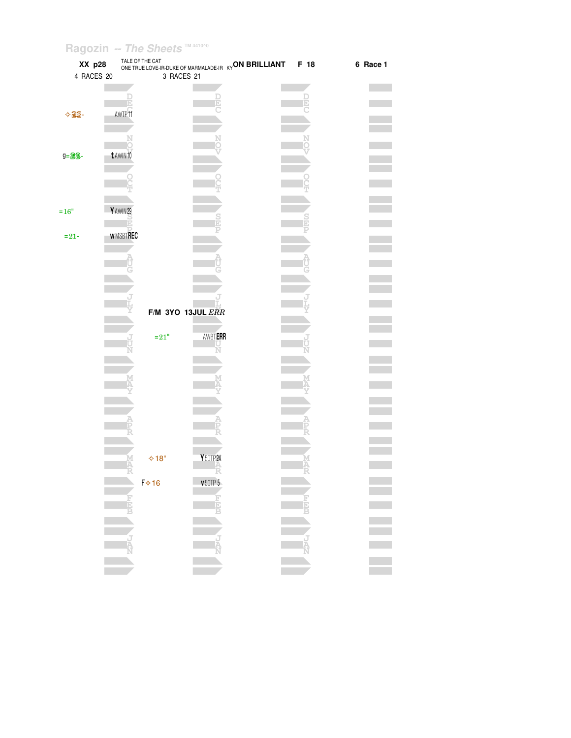| XX p28<br>4 RACES 20 |           | TALE OF THE CAT   | 3 RACES 21        | ONE TRUE LOVE-IR-DUKE OF MARMALADE-IR KY ON BRILLIANT | F 18        | 6 Race 1 |
|----------------------|-----------|-------------------|-------------------|-------------------------------------------------------|-------------|----------|
|                      |           |                   |                   |                                                       |             |          |
|                      |           | ū                 |                   |                                                       | þ           |          |
| $\lozenge$ 29-       |           | AWTP11            |                   |                                                       |             |          |
|                      |           |                   |                   |                                                       |             |          |
|                      |           |                   |                   |                                                       |             |          |
| g=22-                | t AWIN 10 |                   |                   |                                                       |             |          |
|                      |           |                   |                   |                                                       |             |          |
|                      |           |                   |                   |                                                       |             |          |
|                      |           |                   |                   |                                                       |             |          |
|                      |           |                   |                   |                                                       |             |          |
| $=16"$               | Y AWIN 29 | Ĕ                 |                   |                                                       |             |          |
|                      |           | <b>WMSBTREC</b>   |                   |                                                       |             |          |
| $= 21 -$             |           |                   |                   |                                                       |             |          |
|                      |           |                   |                   |                                                       |             |          |
|                      |           |                   |                   |                                                       |             |          |
|                      |           |                   |                   |                                                       |             |          |
|                      |           |                   |                   |                                                       |             |          |
|                      |           |                   | F/M 3YO 13JUL ERR |                                                       |             |          |
|                      |           |                   |                   |                                                       |             |          |
|                      |           | $=21"$            | <b>AWBTERR</b>    |                                                       |             |          |
|                      |           |                   |                   |                                                       |             |          |
|                      |           |                   |                   |                                                       |             |          |
|                      |           |                   |                   |                                                       |             |          |
|                      |           |                   |                   |                                                       |             |          |
|                      |           |                   |                   |                                                       |             |          |
|                      |           |                   |                   |                                                       |             |          |
|                      |           |                   |                   |                                                       |             |          |
|                      |           |                   |                   |                                                       |             |          |
|                      |           | $\diamond$ 18"    | Y 50TP 24         |                                                       |             |          |
|                      |           |                   |                   |                                                       |             |          |
|                      |           | $F$ $\diamond$ 16 | V50TP5            |                                                       |             |          |
|                      |           | <b>REAR</b>       | <b>HELP</b>       |                                                       | First B     |          |
|                      |           |                   |                   |                                                       |             |          |
|                      |           |                   |                   |                                                       |             |          |
|                      |           | נ<br>אג           | <b>THAN</b>       |                                                       | J<br>A<br>N |          |
|                      |           |                   |                   |                                                       |             |          |
|                      |           |                   |                   |                                                       |             |          |
|                      |           |                   |                   |                                                       |             |          |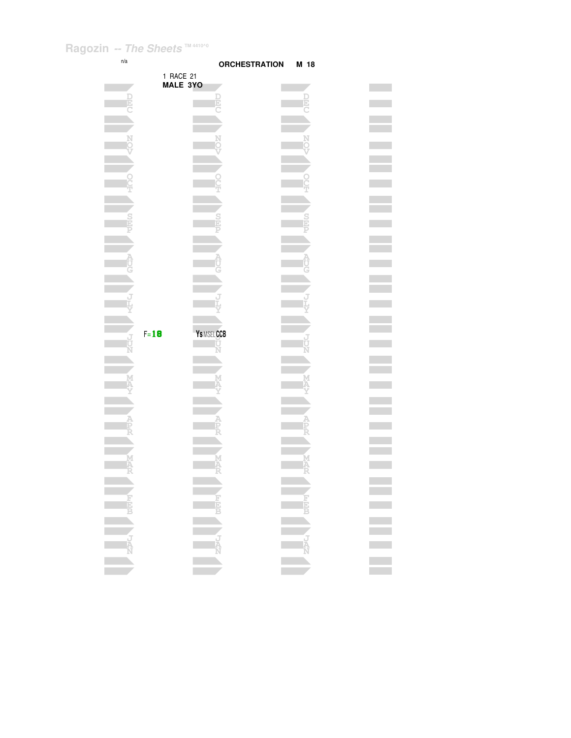| n/a                    |           | <b>ORCHESTRATION</b> | M 18      |  |
|------------------------|-----------|----------------------|-----------|--|
|                        | 1 RACE 21 |                      |           |  |
|                        | MALE 3YO  |                      |           |  |
| þ                      |           |                      |           |  |
|                        |           |                      |           |  |
|                        |           |                      |           |  |
|                        |           |                      |           |  |
|                        |           |                      |           |  |
|                        |           |                      |           |  |
|                        |           |                      |           |  |
|                        |           |                      |           |  |
|                        |           |                      |           |  |
|                        |           |                      |           |  |
|                        |           |                      |           |  |
|                        |           |                      |           |  |
|                        |           |                      |           |  |
|                        |           |                      |           |  |
|                        |           |                      |           |  |
|                        |           |                      |           |  |
|                        |           |                      |           |  |
|                        |           |                      |           |  |
|                        | $F = 18$  | YS MSEL CCB          |           |  |
|                        |           |                      |           |  |
|                        |           |                      |           |  |
|                        |           |                      |           |  |
|                        |           |                      |           |  |
|                        |           |                      |           |  |
|                        |           |                      |           |  |
|                        |           |                      |           |  |
|                        |           |                      |           |  |
| A                      |           | M                    |           |  |
|                        |           |                      |           |  |
|                        |           |                      |           |  |
|                        |           |                      |           |  |
|                        |           |                      |           |  |
|                        |           |                      |           |  |
|                        |           |                      |           |  |
|                        |           |                      |           |  |
| <b>ANGELA PRESERVE</b> |           |                      | ENCY DEEP |  |
|                        |           |                      |           |  |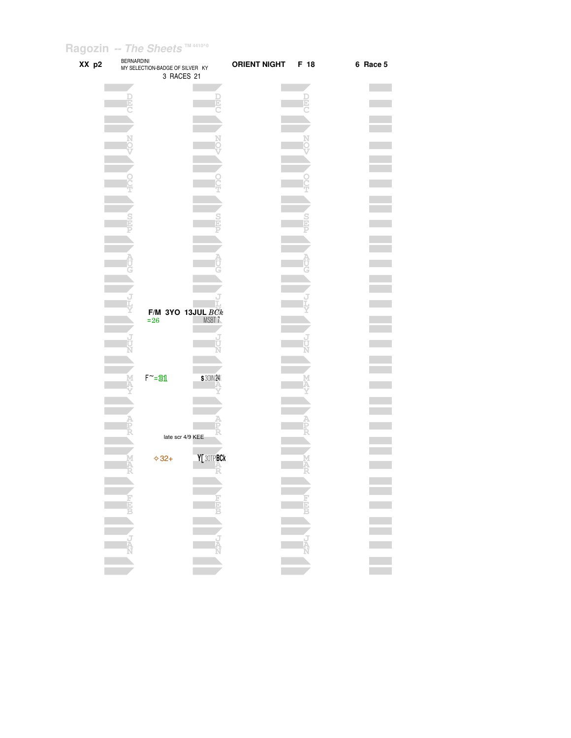| XX p2 | <b>BERNARDINI</b><br>MY SELECTION-BADGE OF SILVER KY | 3 RACES 21            | <b>ORIENT NIGHT</b> | F 18 | 6 Race 5 |
|-------|------------------------------------------------------|-----------------------|---------------------|------|----------|
|       |                                                      |                       |                     |      |          |
|       |                                                      |                       |                     |      |          |
|       |                                                      |                       |                     |      |          |
|       |                                                      |                       |                     |      |          |
|       |                                                      |                       |                     |      |          |
|       |                                                      |                       |                     |      |          |
|       |                                                      |                       |                     |      |          |
|       |                                                      |                       |                     |      |          |
|       |                                                      |                       |                     |      |          |
|       |                                                      |                       |                     |      |          |
|       |                                                      |                       |                     |      |          |
|       |                                                      |                       |                     |      |          |
|       |                                                      |                       |                     |      |          |
|       |                                                      |                       |                     |      |          |
|       |                                                      |                       |                     |      |          |
|       |                                                      |                       |                     |      |          |
|       |                                                      | F/M 3YO 13JUL $B C k$ |                     |      |          |
|       | $= 26$                                               | MSBT <sub>7</sub>     |                     |      |          |
|       |                                                      |                       |                     |      |          |
|       |                                                      |                       |                     |      |          |
|       |                                                      |                       |                     |      |          |
|       | $F^{\sim} = 31$                                      | <b>S30IN24</b>        |                     |      |          |
|       |                                                      |                       |                     |      |          |
|       |                                                      |                       |                     |      |          |
|       |                                                      |                       |                     |      |          |
|       |                                                      | late scr 4/9 KEE      |                     |      |          |
|       | $*32+$                                               | Y[ 30TPBCk            |                     |      |          |
|       |                                                      |                       |                     |      |          |
|       |                                                      |                       |                     |      |          |
|       |                                                      |                       |                     |      |          |
|       |                                                      |                       |                     |      |          |
|       |                                                      |                       |                     |      |          |
|       |                                                      |                       |                     |      |          |
|       |                                                      |                       |                     |      |          |
|       |                                                      |                       |                     |      |          |
|       |                                                      |                       |                     |      |          |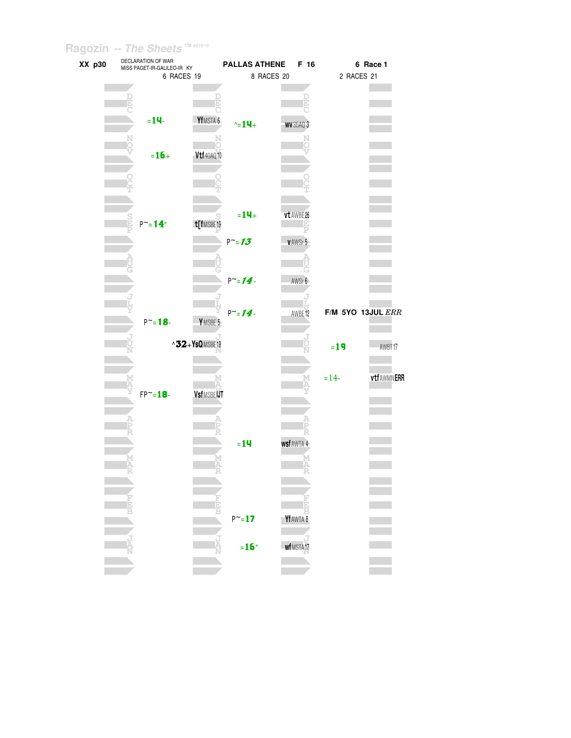| XX p30 |   | DECLARATION OF WAR<br>MISS PAGET-IR-GALILEO-IR KY |                      |                   | <b>PALLAS ATHENE</b> | F 16             |            | 6 Race 1              |
|--------|---|---------------------------------------------------|----------------------|-------------------|----------------------|------------------|------------|-----------------------|
|        |   | 6 RACES 19                                        |                      |                   | 8 RACES 20           |                  | 2 RACES 21 |                       |
|        |   |                                                   |                      |                   |                      |                  |            |                       |
|        | ē |                                                   | Þ                    |                   |                      |                  |            |                       |
|        |   |                                                   |                      |                   |                      |                  |            |                       |
|        |   | $= 14$                                            | YfMSTA 6             | $\text{A} = 14 +$ |                      | <b>WV 35AQ 3</b> |            |                       |
|        |   |                                                   |                      |                   |                      |                  |            |                       |
|        |   |                                                   |                      |                   |                      |                  |            |                       |
|        |   | $= 16 +$                                          | Vtf40AQ10            |                   |                      |                  |            |                       |
|        |   |                                                   |                      |                   |                      |                  |            |                       |
|        |   |                                                   |                      |                   |                      |                  |            |                       |
|        |   |                                                   |                      |                   |                      |                  |            |                       |
|        |   |                                                   |                      | $= 14 +$          |                      |                  |            |                       |
|        |   | $P^{\sim} = 14^{\circ}$                           | t[fMSBE19            |                   |                      | vt AWBE 26       |            |                       |
|        |   |                                                   |                      |                   |                      |                  |            |                       |
|        |   |                                                   |                      | $P^{\sim} = 13$   |                      | VAWSr 5          |            |                       |
|        |   |                                                   |                      |                   |                      |                  |            |                       |
|        |   |                                                   |                      |                   |                      |                  |            |                       |
|        |   |                                                   |                      | $P^{\sim} = 14$   |                      | AWSr 6           |            |                       |
|        |   |                                                   |                      |                   |                      |                  |            |                       |
|        |   |                                                   |                      |                   |                      |                  |            |                       |
|        |   | $P^{\sim} = 18 -$                                 |                      | $P^{\sim} = 14$   |                      | AWBE12           |            | $F/M$ 5YO 13JUL $ERR$ |
|        |   |                                                   | YMSBE 5              |                   |                      |                  |            |                       |
|        |   |                                                   | $\land$ 32+YsQMSBE19 |                   |                      |                  |            |                       |
|        |   |                                                   |                      |                   |                      |                  | $=19$      | AWBT17                |
|        |   |                                                   |                      |                   |                      |                  |            |                       |
|        |   |                                                   |                      |                   |                      |                  | $= 14-$    | <b>vtfAWMNERR</b>     |
|        |   | $FP^{\sim} = 18$                                  | VsfMSBEIJT           |                   |                      |                  |            |                       |
|        |   |                                                   |                      |                   |                      |                  |            |                       |
|        |   |                                                   |                      |                   |                      |                  |            |                       |
|        |   |                                                   |                      |                   |                      |                  |            |                       |
|        |   |                                                   |                      |                   |                      |                  |            |                       |
|        |   |                                                   |                      | $=14$             |                      | wsf AWTA 4       |            |                       |
|        |   |                                                   |                      |                   |                      |                  |            |                       |
|        |   |                                                   |                      |                   |                      |                  |            |                       |
|        |   |                                                   |                      |                   |                      |                  |            |                       |
|        |   |                                                   |                      |                   |                      |                  |            |                       |
|        |   |                                                   |                      |                   |                      |                  |            |                       |
|        |   |                                                   |                      | $P^{\sim} = 17$   |                      | YfAWTA 8         |            |                       |
|        |   |                                                   |                      |                   |                      |                  |            |                       |
|        |   |                                                   |                      | $=16"$            |                      | wfMSTA17         |            |                       |
|        |   |                                                   |                      |                   |                      |                  |            |                       |
|        |   |                                                   |                      |                   |                      |                  |            |                       |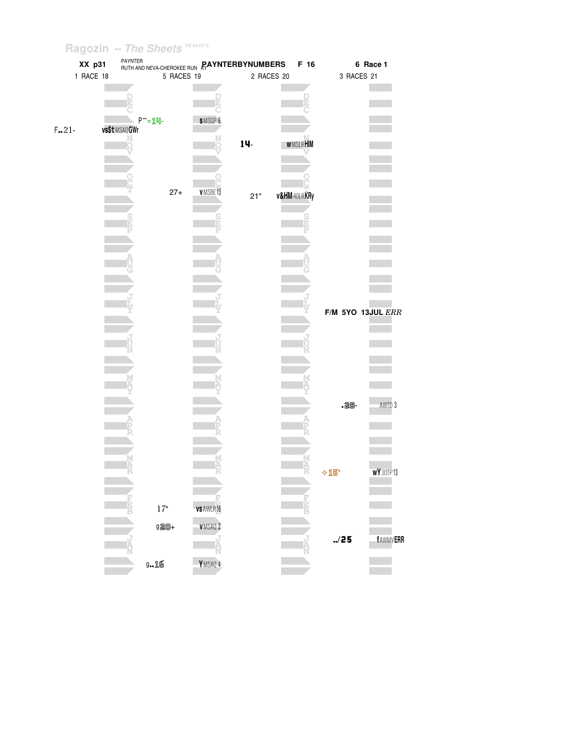# Ragozin -- The Sheets  $\frac{1}{2}$  M4410^0

|         | XX p31    | <b>RUTH AND NEVA-CHEROKEE RUN RAYNTERBYNUMBERS</b> |                  |            | F 16                    |                       | 6 Race 1        |
|---------|-----------|----------------------------------------------------|------------------|------------|-------------------------|-----------------------|-----------------|
|         | 1 RACE 18 | 5 RACES 19                                         |                  | 2 RACES 20 |                         | 3 RACES 21            |                 |
|         |           |                                                    |                  |            |                         |                       |                 |
|         |           | E                                                  |                  |            | b                       |                       |                 |
|         |           | $P^{\sim} = \underline{1}$ $\Psi$ -                | SMSGP 6          |            |                         |                       |                 |
| $F.21-$ |           | vs\$t MSAQ GWr                                     |                  |            |                         |                       |                 |
|         |           |                                                    | N<br>O           | 14-        | <b>WMSLRHIM</b>         |                       |                 |
|         |           |                                                    |                  |            |                         |                       |                 |
|         |           |                                                    |                  |            |                         |                       |                 |
|         |           | $27 +$                                             | VMSBE13          |            |                         |                       |                 |
|         |           |                                                    |                  | $21"$      | <b>v&amp;HM</b> 40LRKRy |                       |                 |
|         |           |                                                    |                  |            |                         |                       |                 |
|         |           |                                                    |                  |            |                         |                       |                 |
|         |           |                                                    |                  |            |                         |                       |                 |
|         |           |                                                    |                  |            |                         |                       |                 |
|         |           |                                                    |                  |            |                         |                       |                 |
|         |           |                                                    |                  |            |                         |                       |                 |
|         |           |                                                    |                  |            |                         |                       |                 |
|         |           |                                                    |                  |            |                         | $F/M$ 5YO 13JUL $ERR$ |                 |
|         |           |                                                    |                  |            |                         |                       |                 |
|         |           |                                                    |                  |            |                         |                       |                 |
|         |           |                                                    |                  |            |                         |                       |                 |
|         |           |                                                    |                  |            |                         |                       |                 |
|         |           |                                                    |                  |            |                         |                       |                 |
|         |           |                                                    |                  |            |                         |                       |                 |
|         |           |                                                    |                  |            |                         | $.28 -$               | AWTD 3          |
|         |           |                                                    |                  |            |                         |                       |                 |
|         |           |                                                    |                  |            |                         |                       |                 |
|         |           |                                                    |                  |            |                         |                       |                 |
|         |           |                                                    |                  |            |                         |                       |                 |
|         |           |                                                    |                  |            |                         | $\lozenge$ 15"        | WY30TP13        |
|         |           |                                                    |                  |            |                         |                       |                 |
|         |           | $17"$                                              | <b>VS AWLR16</b> |            |                         |                       |                 |
|         |           |                                                    |                  |            |                         |                       |                 |
|         |           | 920+                                               | <b>VMSAQ 2</b>   |            |                         |                       |                 |
|         |           |                                                    |                  |            |                         | ./25                  | <b>fAWMVERR</b> |
|         |           | $9 - 16$                                           | YMSAQ 4          |            |                         |                       |                 |
|         |           |                                                    |                  |            |                         |                       |                 |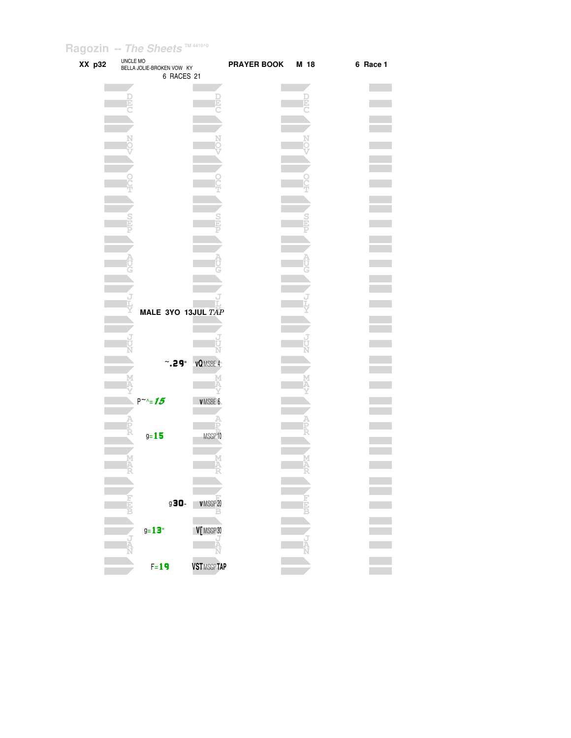| XX p32 | UNCLE MO | BELLA JOLIE-BROKEN VOW KY<br>6 RACES 21 |                   | PRAYER BOOK M 18 |    | 6 Race 1 |
|--------|----------|-----------------------------------------|-------------------|------------------|----|----------|
|        | Đ        |                                         |                   |                  | b) |          |
|        |          |                                         |                   |                  |    |          |
|        |          |                                         |                   |                  |    |          |
|        |          |                                         |                   |                  |    |          |
|        |          |                                         |                   |                  |    |          |
|        |          |                                         |                   |                  |    |          |
|        |          |                                         |                   |                  |    |          |
|        |          | MALE 3YO 13JUL TAP                      |                   |                  |    |          |
|        |          |                                         |                   |                  |    |          |
|        |          | $^{\circ}$ .29"                         | <b>vQ</b> MSBE 4  |                  |    |          |
|        |          | $P^{\sim}\mathcal{L} = 15$              | VMSBE 6           |                  |    |          |
|        |          | $9 - 15$                                | MSGP 10           |                  |    |          |
|        | M<br>Ä   |                                         | M<br>Δ            |                  |    |          |
|        |          |                                         |                   |                  |    |          |
|        |          | g30-<br>$g = 13$                        | VMSGP20           |                  |    |          |
|        |          |                                         | V [MSGP 30        |                  |    |          |
|        |          | $F = 19$                                | <b>VSTMSGPTAP</b> |                  |    |          |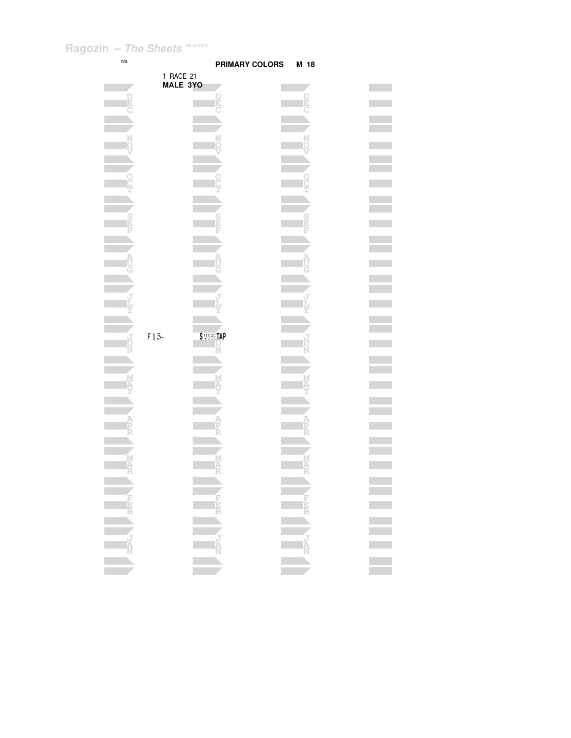| n/a |           | <b>PRIMARY COLORS</b>    | M 18      |  |
|-----|-----------|--------------------------|-----------|--|
|     | 1 RACE 21 |                          |           |  |
|     | MALE 3YO  |                          |           |  |
| b   |           |                          |           |  |
|     |           |                          |           |  |
|     |           |                          |           |  |
|     |           |                          |           |  |
|     |           |                          |           |  |
|     |           |                          |           |  |
|     |           |                          |           |  |
|     |           |                          |           |  |
|     |           |                          |           |  |
|     |           |                          |           |  |
|     |           |                          |           |  |
|     |           |                          |           |  |
|     |           |                          |           |  |
|     |           |                          |           |  |
|     |           |                          |           |  |
|     |           |                          |           |  |
|     |           |                          |           |  |
|     |           |                          |           |  |
|     | $F15-$    | \$MSBETAP                |           |  |
|     |           |                          |           |  |
|     |           |                          |           |  |
|     |           |                          |           |  |
|     |           |                          |           |  |
|     |           |                          |           |  |
|     |           |                          |           |  |
|     |           |                          |           |  |
|     |           |                          |           |  |
|     |           |                          |           |  |
|     |           |                          |           |  |
|     |           |                          |           |  |
|     |           |                          |           |  |
|     |           |                          |           |  |
|     |           |                          |           |  |
|     |           |                          |           |  |
|     |           |                          |           |  |
|     |           | <b>ENSURING AND REAL</b> | ENCY DEEP |  |
|     |           |                          |           |  |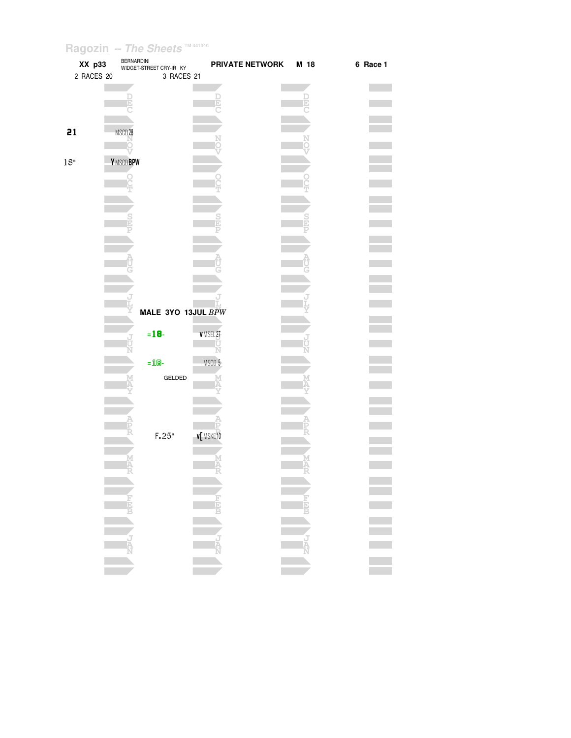| XX p33     | <b>BERNARDINI</b>  | WIDGET-STREET CRY-IR KY | PRIVATE NETWORK | M 18 | 6 Race 1 |
|------------|--------------------|-------------------------|-----------------|------|----------|
| 2 RACES 20 |                    | 3 RACES 21              |                 |      |          |
|            |                    |                         |                 |      |          |
|            |                    |                         |                 |      |          |
|            |                    |                         |                 |      |          |
| 21         | MSCD <sub>28</sub> |                         |                 |      |          |
|            |                    |                         |                 |      |          |
| 18"        | <b>Y</b> MSCD BPW  |                         |                 |      |          |
|            |                    |                         |                 |      |          |
|            |                    |                         |                 |      |          |
|            |                    |                         |                 |      |          |
|            |                    |                         |                 |      |          |
|            |                    |                         |                 |      |          |
|            |                    |                         |                 |      |          |
|            |                    |                         |                 |      |          |
|            |                    |                         |                 |      |          |
|            |                    |                         |                 |      |          |
|            |                    |                         |                 |      |          |
|            |                    |                         |                 |      |          |
|            |                    | MALE 3YO 13JUL BPW      |                 |      |          |
|            |                    | $= 18 -$                | VMSEL27         |      |          |
|            |                    |                         |                 |      |          |
|            |                    | $=$ 18-                 | MSCD 5          |      |          |
|            |                    | GELDED                  |                 |      |          |
|            |                    |                         |                 |      |          |
|            |                    |                         |                 |      |          |
|            |                    |                         |                 |      |          |
|            |                    |                         |                 |      |          |
|            |                    | F.25"                   | <b>v[MSKE10</b> |      |          |
|            |                    |                         |                 |      |          |
|            |                    |                         |                 |      |          |
|            |                    |                         |                 |      |          |
|            |                    |                         |                 |      |          |
|            |                    |                         |                 |      |          |
|            |                    |                         |                 |      |          |
|            |                    |                         |                 |      |          |
|            |                    |                         |                 |      |          |
|            |                    |                         |                 |      |          |
|            |                    |                         |                 |      |          |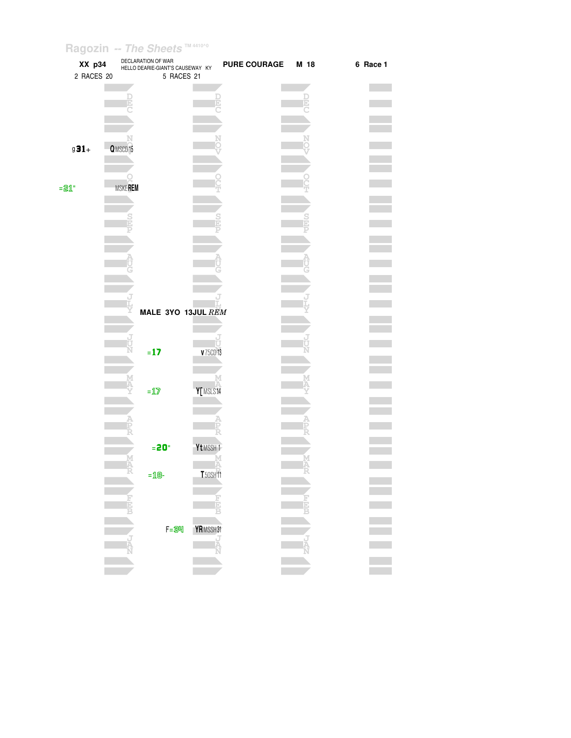| XX p34<br>2 RACES 20 |                | DECLARATION OF WAR<br>HELLO DEARIE-GIANT'S CAUSEWAY KY<br>5 RACES 21 |                      | <b>PURE COURAGE</b> | M 18 | 6 Race 1 |
|----------------------|----------------|----------------------------------------------------------------------|----------------------|---------------------|------|----------|
|                      |                |                                                                      |                      |                     | Ε    |          |
|                      |                |                                                                      |                      |                     |      |          |
| $g31+$               | Q MSCD 15      |                                                                      |                      |                     |      |          |
| $= 21$               | <b>MSKEREM</b> |                                                                      |                      |                     |      |          |
|                      |                |                                                                      |                      |                     |      |          |
|                      |                |                                                                      |                      |                     |      |          |
|                      |                |                                                                      |                      |                     |      |          |
|                      |                | MALE 3YO 13JUL REM                                                   |                      |                     |      |          |
|                      |                | $= 17$                                                               | U<br><b>v</b> 75CD13 |                     |      |          |
|                      |                | $=\underline{\mathbf{1}}\overline{\mathbf{Z}}$                       | Y[MSLS14             |                     |      |          |
|                      |                |                                                                      |                      |                     |      |          |
|                      | M<br>A         | $= 20$                                                               | Yt MSSH <sub>1</sub> |                     |      |          |
|                      |                | $=$ 18-                                                              | <b>T</b> 50SH11      |                     |      |          |
|                      |                |                                                                      | F<br>EEB             |                     |      |          |
|                      |                | $F = 34$                                                             | YRMSSH31<br>Ä        |                     |      |          |
|                      |                |                                                                      |                      |                     |      |          |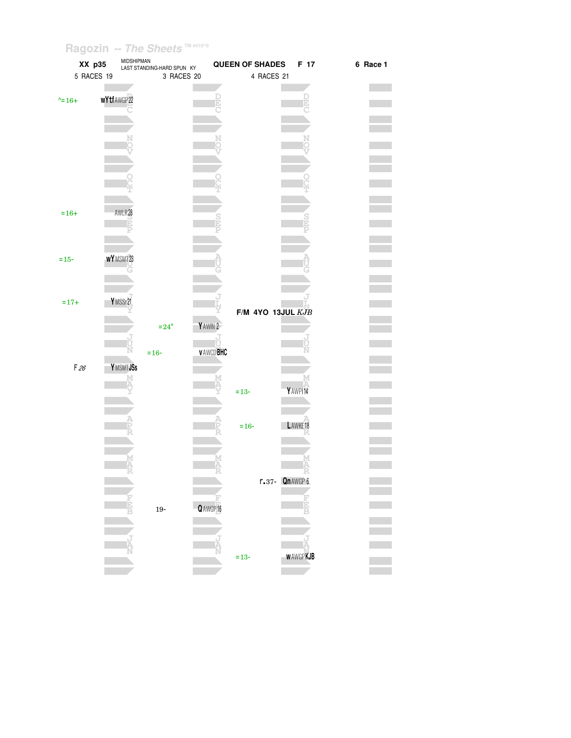| XX p35           | MIDSHIPMAN | LAST STANDING-HARD SPUN KY |                 | <b>QUEEN OF SHADES</b> | F 17                | 6 Race 1 |
|------------------|------------|----------------------------|-----------------|------------------------|---------------------|----------|
| 5 RACES 19       |            | 3 RACES 20                 |                 | 4 RACES 21             |                     |          |
|                  |            |                            |                 |                        |                     |          |
| $\lambda = 16 +$ | wYtfAWGP22 |                            |                 |                        |                     |          |
|                  |            |                            |                 |                        |                     |          |
|                  |            |                            |                 |                        |                     |          |
|                  |            |                            |                 |                        |                     |          |
|                  |            |                            |                 |                        |                     |          |
|                  |            |                            |                 |                        |                     |          |
|                  |            |                            |                 |                        |                     |          |
|                  |            |                            |                 |                        |                     |          |
|                  |            |                            |                 |                        |                     |          |
|                  |            |                            |                 |                        |                     |          |
| $=16+$           | AWLR28     |                            |                 |                        |                     |          |
|                  | E          |                            |                 |                        |                     |          |
|                  |            |                            |                 |                        |                     |          |
|                  |            |                            |                 |                        |                     |          |
| $=15-$           | WYMSMT23   |                            |                 |                        |                     |          |
|                  |            |                            |                 |                        |                     |          |
|                  |            |                            |                 |                        |                     |          |
|                  |            |                            |                 |                        |                     |          |
| $=17+$           | YMSSr21    |                            |                 |                        |                     |          |
|                  |            |                            |                 | $F/M$ 4YO 13JUL $KJB$  |                     |          |
|                  |            | $= 24"$                    | YAWIN 2         |                        |                     |          |
|                  |            |                            | J<br>Ü          |                        |                     |          |
|                  |            | $= 16 -$                   | <b>VAWCDBHC</b> |                        |                     |          |
| F26              | Y MSMT JSs |                            |                 |                        |                     |          |
|                  |            |                            |                 |                        |                     |          |
|                  |            |                            |                 | $= 13 -$               | YAWPI14             |          |
|                  |            |                            |                 |                        |                     |          |
|                  |            |                            |                 |                        |                     |          |
|                  |            |                            |                 | $=16-$                 | LAWKE <sub>18</sub> |          |
|                  |            |                            |                 |                        |                     |          |
|                  |            |                            |                 |                        |                     |          |
|                  |            |                            |                 |                        |                     |          |
|                  |            |                            |                 |                        |                     |          |
|                  |            |                            |                 |                        | $r.37 - Qn$ AWGP 6  |          |
|                  |            |                            |                 |                        |                     |          |
|                  |            |                            | $Q$ AWGP 16     |                        |                     |          |
|                  |            | $19-$                      |                 |                        |                     |          |
|                  |            |                            |                 |                        |                     |          |
|                  |            |                            |                 |                        |                     |          |
|                  |            |                            |                 |                        | <b>WAWGPKJB</b>     |          |
|                  |            |                            |                 | $= 13 -$               |                     |          |
|                  |            |                            |                 |                        |                     |          |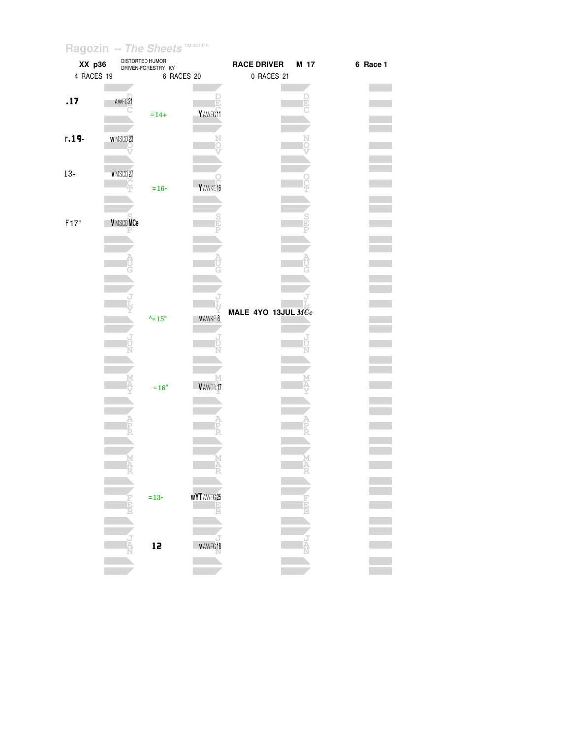| XX p36     |                 | DISTORTED HUMOR<br>DRIVEN-FORESTRY KY |                  | <b>RACE DRIVER</b> | M 17 | 6 Race 1 |
|------------|-----------------|---------------------------------------|------------------|--------------------|------|----------|
| 4 RACES 19 |                 |                                       | 6 RACES 20       | 0 RACES 21         |      |          |
|            |                 |                                       |                  |                    |      |          |
| .17        | AWFG 21         |                                       |                  |                    |      |          |
|            |                 |                                       |                  |                    | Đ    |          |
|            |                 | $=14+$                                | Y AWFG 11        |                    |      |          |
|            |                 |                                       |                  |                    |      |          |
| $r.19 -$   | <b>WMSCD23</b>  |                                       |                  |                    |      |          |
|            |                 |                                       |                  |                    |      |          |
|            |                 |                                       |                  |                    |      |          |
| $13-$      | VMSCD27         |                                       |                  |                    |      |          |
|            |                 | $= 16 -$                              | Y AWKE 16        |                    |      |          |
|            |                 |                                       |                  |                    |      |          |
|            |                 |                                       |                  |                    |      |          |
|            |                 |                                       |                  |                    |      |          |
| F17"       | <b>VMSCDMCe</b> |                                       |                  |                    |      |          |
|            |                 |                                       |                  |                    |      |          |
|            |                 |                                       |                  |                    |      |          |
|            |                 |                                       |                  |                    |      |          |
|            |                 |                                       |                  |                    |      |          |
|            |                 |                                       |                  |                    |      |          |
|            |                 |                                       |                  |                    |      |          |
|            |                 |                                       |                  |                    |      |          |
|            |                 | $^{\wedge}$ =15"                      | V AWKE 8         | MALE 4YO 13JUL MCe |      |          |
|            |                 |                                       |                  |                    |      |          |
|            |                 |                                       |                  |                    |      |          |
|            |                 |                                       |                  |                    |      |          |
|            |                 |                                       |                  |                    |      |          |
|            |                 |                                       |                  |                    |      |          |
|            |                 | $=16"$                                | VAWCD17          |                    |      |          |
|            |                 |                                       |                  |                    |      |          |
|            |                 |                                       |                  |                    |      |          |
|            |                 |                                       |                  |                    |      |          |
|            |                 |                                       |                  |                    |      |          |
|            |                 |                                       |                  |                    |      |          |
|            |                 |                                       |                  |                    |      |          |
|            |                 |                                       |                  |                    |      |          |
|            |                 |                                       |                  |                    |      |          |
|            |                 |                                       |                  |                    |      |          |
|            |                 | $= 13 -$                              | <b>WYTAWFG25</b> |                    |      |          |
|            |                 |                                       |                  |                    |      |          |
|            |                 |                                       |                  |                    |      |          |
|            |                 |                                       |                  |                    |      |          |
|            |                 |                                       |                  |                    |      |          |
|            |                 | 12                                    | v AWFG 18        |                    |      |          |
|            |                 |                                       |                  |                    |      |          |
|            |                 |                                       |                  |                    |      |          |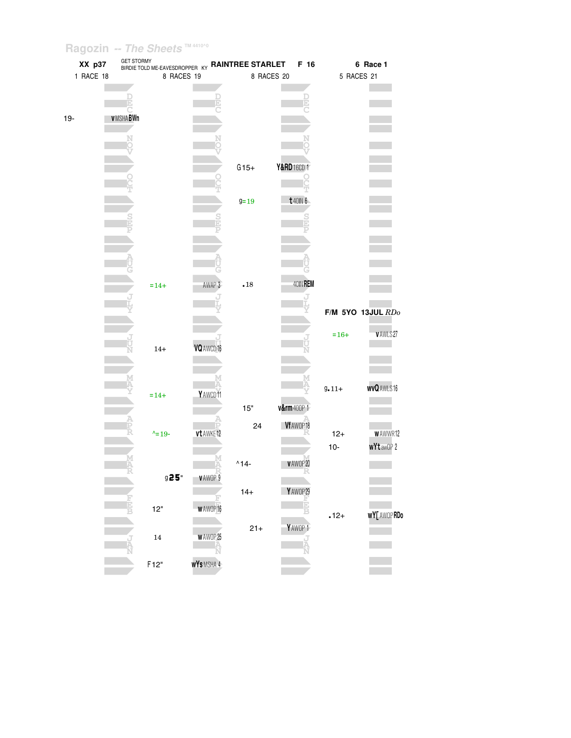|           | XX p37          | BIRDIE TOLD ME-EAVESDROPPER KY <b>RAINTREE STARLET</b> |                     |                    | F 16          |            | 6 Race 1              |
|-----------|-----------------|--------------------------------------------------------|---------------------|--------------------|---------------|------------|-----------------------|
| 1 RACE 18 |                 | 8 RACES 19                                             |                     |                    | 8 RACES 20    |            | 5 RACES 21            |
|           |                 |                                                        |                     |                    |               |            |                       |
|           |                 |                                                        |                     |                    |               |            |                       |
| $19 -$    | <b>VMSHABWn</b> |                                                        |                     |                    |               |            |                       |
|           |                 |                                                        |                     |                    |               |            |                       |
|           |                 |                                                        |                     |                    |               |            |                       |
|           |                 |                                                        |                     | $G15+$             | Y&RD 16CD 1   |            |                       |
|           |                 |                                                        |                     |                    |               |            |                       |
|           |                 |                                                        |                     | $9 = 19$           | t 40IN 6      |            |                       |
|           |                 |                                                        |                     |                    | $\frac{S}{D}$ |            |                       |
|           |                 |                                                        |                     |                    |               |            |                       |
|           |                 |                                                        |                     |                    |               |            |                       |
|           |                 |                                                        |                     |                    |               |            |                       |
|           |                 |                                                        | AWAP 3              | $\boldsymbol{.18}$ | 40IN REM      |            |                       |
|           |                 | $=14+$                                                 |                     |                    |               |            |                       |
|           |                 |                                                        |                     |                    |               |            | $F/M$ 5YO 13JUL $RDo$ |
|           |                 |                                                        |                     |                    |               |            |                       |
|           |                 |                                                        | VQ AWCD 16          |                    |               | $=16+$     | <b>VAWLS27</b>        |
|           |                 | $14+$                                                  |                     |                    |               |            |                       |
|           |                 |                                                        |                     |                    |               |            |                       |
|           |                 | $=14+$                                                 | YAWCD11             |                    |               | $9 - 11 +$ | <b>wvQAWLS16</b>      |
|           |                 |                                                        |                     | 15"                | v&rm400P1     |            |                       |
|           |                 |                                                        |                     | 24                 | Vf AWOP 18    |            |                       |
|           |                 | $^{\wedge}$ = 19 -                                     | vt AWKE12           |                    |               | $12+$      | <b>WAWWR12</b>        |
|           |                 |                                                        |                     |                    |               | $10-$      | <b>wYt</b> awOP 2     |
|           |                 |                                                        |                     | $^{\wedge}14-$     | VAWOP20<br>R  |            |                       |
|           |                 | $925$ "                                                | <b>VAWOP 9</b>      |                    |               |            |                       |
|           |                 |                                                        |                     | $14 +$             | YAWOP29<br>E  |            |                       |
|           |                 | $12"$                                                  | <b>WAWOP16</b>      |                    |               | $.12+$     | <b>WY</b> [ AWOP RDo  |
|           |                 |                                                        |                     | $21 +$             | YAW0P1        |            |                       |
|           |                 | $14\,$                                                 | <b>WAWOP25</b><br>Ń |                    |               |            |                       |
|           |                 | F12"                                                   | WYSMSHA 4           |                    |               |            |                       |
|           |                 |                                                        |                     |                    |               |            |                       |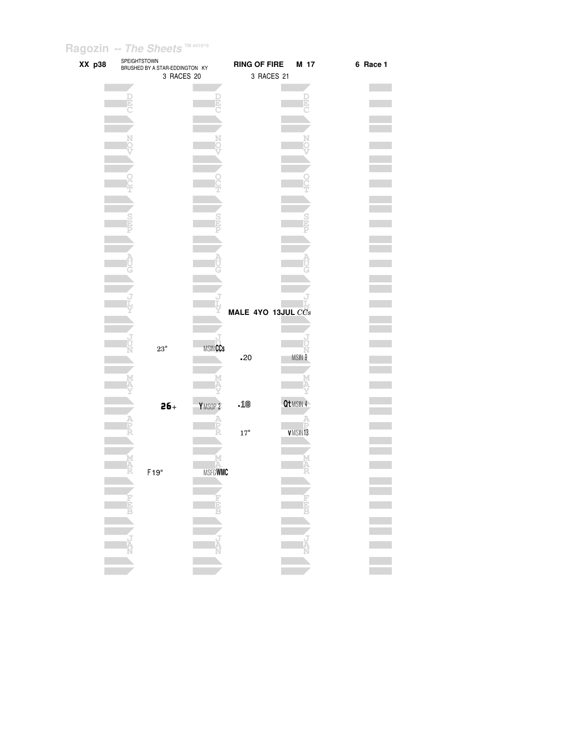| XX p38 | SPEIGHTSTOWN                                                                                                                                                                                                                                                                                                                                      | BRUSHED BY A STAR-EDDINGTON KY<br>3 RACES 20 |                    | <b>RING OF FIRE</b> | 3 RACES 21 | M 17      | 6 Race 1 |
|--------|---------------------------------------------------------------------------------------------------------------------------------------------------------------------------------------------------------------------------------------------------------------------------------------------------------------------------------------------------|----------------------------------------------|--------------------|---------------------|------------|-----------|----------|
|        |                                                                                                                                                                                                                                                                                                                                                   |                                              |                    |                     |            |           |          |
|        |                                                                                                                                                                                                                                                                                                                                                   |                                              |                    |                     |            |           |          |
|        |                                                                                                                                                                                                                                                                                                                                                   |                                              |                    |                     |            |           |          |
|        |                                                                                                                                                                                                                                                                                                                                                   |                                              |                    |                     |            |           |          |
|        |                                                                                                                                                                                                                                                                                                                                                   |                                              |                    |                     |            |           |          |
|        |                                                                                                                                                                                                                                                                                                                                                   |                                              |                    |                     |            |           |          |
|        |                                                                                                                                                                                                                                                                                                                                                   |                                              |                    |                     |            |           |          |
|        |                                                                                                                                                                                                                                                                                                                                                   |                                              |                    |                     |            |           |          |
|        |                                                                                                                                                                                                                                                                                                                                                   |                                              |                    |                     |            |           |          |
|        |                                                                                                                                                                                                                                                                                                                                                   |                                              |                    |                     |            |           |          |
|        |                                                                                                                                                                                                                                                                                                                                                   |                                              |                    |                     |            |           |          |
|        |                                                                                                                                                                                                                                                                                                                                                   |                                              |                    |                     |            |           |          |
|        |                                                                                                                                                                                                                                                                                                                                                   |                                              |                    |                     |            |           |          |
|        |                                                                                                                                                                                                                                                                                                                                                   |                                              |                    |                     |            |           |          |
|        |                                                                                                                                                                                                                                                                                                                                                   |                                              |                    |                     |            |           |          |
|        |                                                                                                                                                                                                                                                                                                                                                   |                                              |                    |                     |            |           |          |
|        |                                                                                                                                                                                                                                                                                                                                                   |                                              |                    | MALE 4YO 13JUL CCs  |            |           |          |
|        |                                                                                                                                                                                                                                                                                                                                                   |                                              |                    |                     |            |           |          |
|        |                                                                                                                                                                                                                                                                                                                                                   |                                              |                    |                     |            |           |          |
|        |                                                                                                                                                                                                                                                                                                                                                   | $23"$                                        | <b>MSINCCs</b>     |                     |            |           |          |
|        |                                                                                                                                                                                                                                                                                                                                                   |                                              |                    | .20                 |            | MSIN 9    |          |
|        |                                                                                                                                                                                                                                                                                                                                                   |                                              |                    |                     |            |           |          |
|        |                                                                                                                                                                                                                                                                                                                                                   |                                              |                    |                     |            |           |          |
|        |                                                                                                                                                                                                                                                                                                                                                   | $26 +$                                       | YMSOP <sub>2</sub> | .18                 |            | Qt MSIN 4 |          |
|        |                                                                                                                                                                                                                                                                                                                                                   |                                              |                    |                     |            |           |          |
|        |                                                                                                                                                                                                                                                                                                                                                   |                                              |                    | $17"$               |            | VMSIN13   |          |
|        |                                                                                                                                                                                                                                                                                                                                                   |                                              |                    |                     |            |           |          |
|        |                                                                                                                                                                                                                                                                                                                                                   |                                              | М                  |                     |            |           |          |
|        |                                                                                                                                                                                                                                                                                                                                                   | F <sub>19"</sub>                             | <b>MSFGWMC</b>     |                     |            |           |          |
|        |                                                                                                                                                                                                                                                                                                                                                   |                                              |                    |                     |            |           |          |
|        |                                                                                                                                                                                                                                                                                                                                                   |                                              | <b>U</b> WEIT      |                     |            |           |          |
|        |                                                                                                                                                                                                                                                                                                                                                   |                                              |                    |                     |            |           |          |
|        |                                                                                                                                                                                                                                                                                                                                                   |                                              |                    |                     |            |           |          |
|        | $\begin{picture}(180,170)(-10,-10) \put(0,0){\line(1,0){15}} \put(10,0){\line(1,0){15}} \put(10,0){\line(1,0){15}} \put(10,0){\line(1,0){15}} \put(10,0){\line(1,0){15}} \put(10,0){\line(1,0){15}} \put(10,0){\line(1,0){15}} \put(10,0){\line(1,0){15}} \put(10,0){\line(1,0){15}} \put(10,0){\line(1,0){15}} \put(10,0){\line(1,0){15}} \put($ |                                              | <b>NATION</b>      |                     |            | NANCE I   |          |
|        |                                                                                                                                                                                                                                                                                                                                                   |                                              |                    |                     |            |           |          |
|        |                                                                                                                                                                                                                                                                                                                                                   |                                              |                    |                     |            |           |          |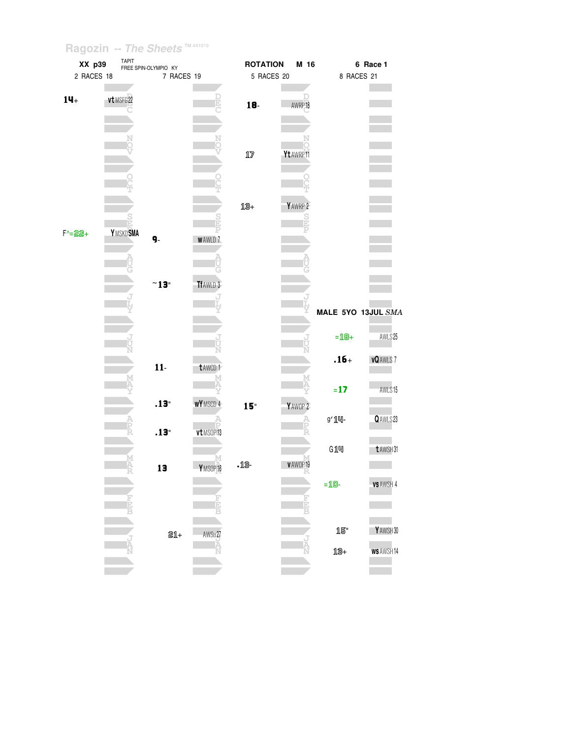| XX p39     | <b>TAPIT</b><br>FREE SPIN-OLYMPIO KY |                      |               | <b>ROTATION</b> | M 16               |                    | 6 Race 1         |  |
|------------|--------------------------------------|----------------------|---------------|-----------------|--------------------|--------------------|------------------|--|
| 2 RACES 18 |                                      | 7 RACES 19           |               | 5 RACES 20      |                    | 8 RACES 21         |                  |  |
|            |                                      |                      |               |                 |                    |                    |                  |  |
| $14+$      | vt MSFG 22                           |                      | E             |                 |                    |                    |                  |  |
|            |                                      |                      |               | 18              | AWRP <sub>18</sub> |                    |                  |  |
|            |                                      |                      |               |                 |                    |                    |                  |  |
|            |                                      |                      |               |                 |                    |                    |                  |  |
|            |                                      |                      |               |                 |                    |                    |                  |  |
|            |                                      |                      |               | $1\!\!1\!$      | Yt AWRP 11         |                    |                  |  |
|            |                                      |                      |               |                 |                    |                    |                  |  |
|            |                                      |                      |               |                 |                    |                    |                  |  |
|            |                                      |                      |               |                 |                    |                    |                  |  |
|            |                                      |                      |               |                 |                    |                    |                  |  |
|            |                                      |                      |               | 13+             | YAWRP 2            |                    |                  |  |
|            | <u>is</u>                            |                      |               |                 | $\frac{5}{1}$      |                    |                  |  |
|            | Y MSKD SMA                           |                      |               |                 |                    |                    |                  |  |
| $F - 22 +$ |                                      | 9.                   | <b>WAWLD7</b> |                 |                    |                    |                  |  |
|            |                                      |                      |               |                 |                    |                    |                  |  |
|            |                                      |                      |               |                 |                    |                    |                  |  |
|            |                                      |                      |               |                 |                    |                    |                  |  |
|            |                                      | $~^{\sim}13^{\circ}$ | Tf AWLD 3     |                 |                    |                    |                  |  |
|            |                                      |                      |               |                 |                    |                    |                  |  |
|            |                                      |                      |               |                 |                    |                    |                  |  |
|            |                                      |                      |               |                 |                    | MALE 5YO 13JUL SMA |                  |  |
|            |                                      |                      |               |                 |                    |                    |                  |  |
|            |                                      |                      |               |                 |                    | $= 18 +$           | AWLS25           |  |
|            |                                      |                      |               |                 |                    |                    |                  |  |
|            |                                      |                      |               |                 |                    | $.16+$             | <b>vQAWLS7</b>   |  |
|            |                                      | $11-$                | t AWCD 1      |                 |                    |                    |                  |  |
|            |                                      |                      |               |                 |                    |                    |                  |  |
|            |                                      |                      |               |                 |                    | $= 17$             | AWLS15           |  |
|            |                                      | .13"                 | WYMSCD 4      | 15 <sup>°</sup> | YAWOP <sub>2</sub> |                    |                  |  |
|            |                                      |                      |               |                 |                    | g' 14-             | QAWLS23          |  |
|            |                                      |                      |               |                 | P                  |                    |                  |  |
|            |                                      | .13"                 | vt MSOP13     |                 |                    |                    |                  |  |
|            |                                      |                      |               |                 |                    | G14                | t AWSH31         |  |
|            |                                      |                      |               |                 |                    |                    |                  |  |
|            |                                      | 13                   | YMSOP16       | $-15-$          | V AWOP 19<br>ĸ     |                    |                  |  |
|            |                                      |                      |               |                 |                    | $=$ 10-            | <b>VS AWSH 4</b> |  |
|            |                                      |                      |               |                 |                    |                    |                  |  |
|            |                                      |                      |               |                 |                    |                    |                  |  |
|            |                                      |                      |               |                 |                    |                    |                  |  |
|            |                                      |                      |               |                 |                    | 15"                |                  |  |
|            |                                      | 21+                  | AWSu27        |                 |                    |                    | YAWSH30          |  |
|            |                                      |                      | ۹Ā            |                 |                    | 13+                | <b>WS AWSH14</b> |  |
|            |                                      |                      |               |                 |                    |                    |                  |  |
|            |                                      |                      |               |                 |                    |                    |                  |  |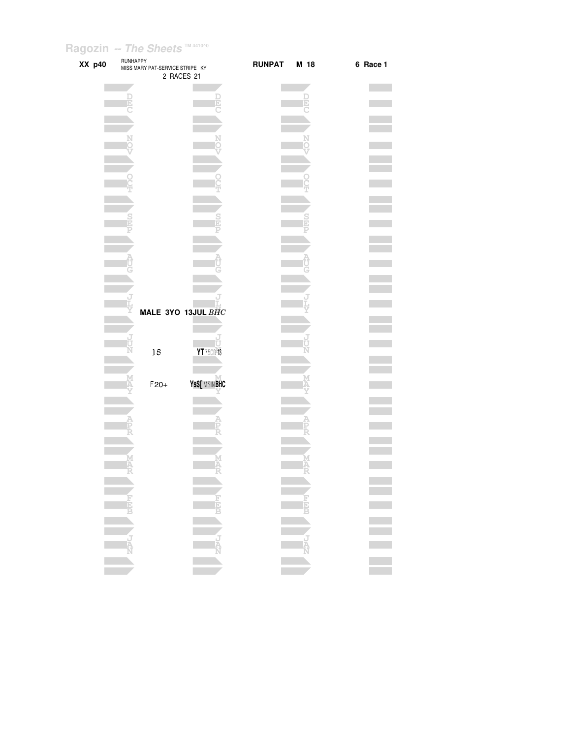| XX p40 | <b>RUNHAPPY</b> | MISS MARY PAT-SERVICE STRIPE KY | 2 RACES 21         | <b>RUNPAT</b> | M 18 | 6 Race 1                    |
|--------|-----------------|---------------------------------|--------------------|---------------|------|-----------------------------|
|        |                 |                                 |                    |               |      |                             |
|        |                 |                                 |                    |               |      |                             |
|        |                 |                                 |                    |               |      |                             |
|        |                 |                                 |                    |               |      |                             |
|        |                 |                                 |                    |               |      |                             |
|        |                 |                                 |                    |               |      |                             |
|        |                 |                                 |                    |               |      |                             |
|        |                 |                                 |                    |               |      |                             |
|        |                 |                                 |                    |               |      |                             |
|        |                 |                                 |                    |               |      |                             |
|        |                 |                                 |                    |               |      |                             |
|        |                 |                                 |                    |               |      |                             |
|        |                 |                                 |                    |               |      |                             |
|        |                 |                                 |                    |               |      |                             |
|        |                 |                                 |                    |               |      |                             |
|        |                 |                                 |                    |               |      |                             |
|        |                 |                                 |                    |               |      |                             |
|        |                 |                                 |                    |               |      |                             |
|        |                 |                                 |                    |               |      |                             |
|        |                 |                                 |                    |               |      |                             |
|        |                 |                                 |                    |               |      |                             |
|        |                 |                                 |                    |               |      |                             |
|        |                 |                                 |                    |               |      |                             |
|        |                 |                                 | MALE 3YO 13JUL BHC |               |      |                             |
|        |                 |                                 |                    |               |      |                             |
|        |                 |                                 |                    |               |      |                             |
|        |                 |                                 | τ                  |               |      |                             |
|        |                 | 18                              | YT 75CD 13         |               |      |                             |
|        |                 |                                 |                    |               |      |                             |
|        |                 |                                 |                    |               |      |                             |
|        |                 | $F20+$                          | Ys\$[ MSIN BHC     |               |      |                             |
|        |                 |                                 |                    |               |      |                             |
|        |                 |                                 |                    |               |      |                             |
|        |                 |                                 |                    |               |      |                             |
|        |                 |                                 |                    |               |      |                             |
|        |                 |                                 |                    |               |      |                             |
|        |                 |                                 |                    |               |      |                             |
|        |                 |                                 |                    |               |      |                             |
|        |                 |                                 | Α                  |               |      |                             |
|        |                 |                                 |                    |               |      |                             |
|        |                 |                                 |                    |               |      |                             |
|        |                 |                                 |                    |               |      |                             |
|        |                 |                                 |                    |               |      |                             |
|        |                 |                                 |                    |               |      |                             |
|        |                 |                                 |                    |               |      |                             |
|        |                 |                                 |                    |               |      |                             |
|        |                 |                                 |                    |               |      | $\mathcal{L}_{\mathcal{A}}$ |
|        |                 |                                 |                    |               |      |                             |
|        |                 |                                 |                    |               |      |                             |
|        |                 |                                 |                    |               |      |                             |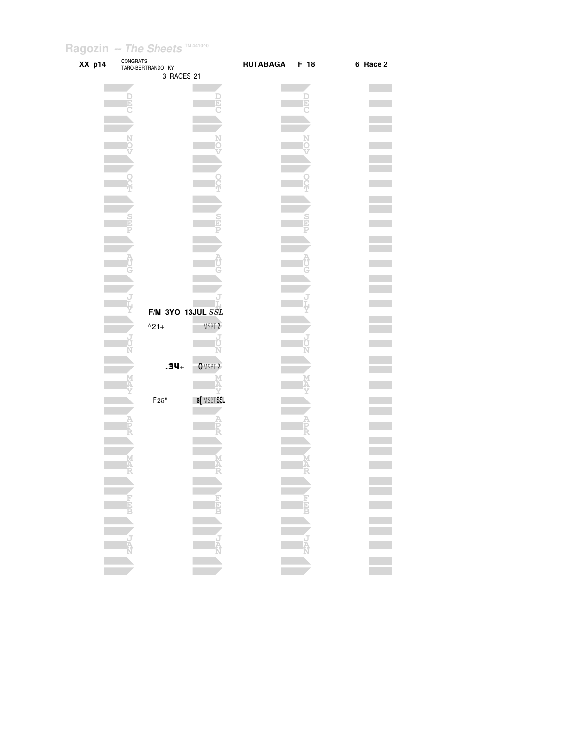| XX p14 | CONGRATS | TARO-BERTRANDO KY<br>3 RACES 21 |                   | RUTABAGA F 18 | 6 Race 2 |
|--------|----------|---------------------------------|-------------------|---------------|----------|
|        |          |                                 |                   |               |          |
|        |          |                                 |                   |               |          |
|        |          |                                 |                   |               |          |
|        |          |                                 |                   |               |          |
|        |          |                                 |                   |               |          |
|        |          |                                 |                   |               |          |
|        |          |                                 |                   |               |          |
|        |          |                                 |                   |               |          |
|        |          |                                 |                   |               |          |
|        |          |                                 |                   |               |          |
|        |          |                                 |                   |               |          |
|        |          |                                 |                   |               |          |
|        |          |                                 |                   |               |          |
|        |          |                                 |                   |               |          |
|        |          |                                 |                   |               |          |
|        |          |                                 |                   |               |          |
|        |          |                                 |                   |               |          |
|        |          |                                 |                   |               |          |
|        |          |                                 |                   |               |          |
|        |          |                                 |                   |               |          |
|        |          |                                 |                   |               |          |
|        |          |                                 |                   |               |          |
|        |          |                                 |                   |               |          |
|        |          |                                 |                   |               |          |
|        |          | F/M 3YO 13JUL SSL               |                   |               |          |
|        |          |                                 |                   |               |          |
|        |          | $^{\wedge}21+$                  | MSBT <sub>2</sub> |               |          |
|        |          |                                 |                   |               |          |
|        |          |                                 |                   |               |          |
|        |          |                                 |                   |               |          |
|        |          | $.34 +$                         | QMSBT 2           |               |          |
|        |          |                                 |                   |               |          |
|        |          |                                 |                   |               |          |
|        |          | $\mathsf{F} \, 25$ "            | <b>s[MSBTSSL</b>  |               |          |
|        |          |                                 |                   |               |          |
|        |          |                                 |                   |               |          |
|        |          |                                 |                   |               |          |
|        |          |                                 |                   |               |          |
|        |          |                                 |                   |               |          |
|        |          |                                 |                   |               |          |
|        |          |                                 |                   |               |          |
|        |          |                                 |                   |               |          |
|        |          |                                 |                   |               |          |
|        |          |                                 |                   |               |          |
|        |          |                                 |                   |               |          |
|        |          |                                 |                   |               |          |
|        |          |                                 |                   |               |          |
|        |          |                                 |                   |               |          |
|        |          |                                 |                   |               |          |
|        |          |                                 |                   |               |          |
|        |          |                                 |                   |               |          |
|        |          |                                 |                   |               |          |
|        |          |                                 |                   |               |          |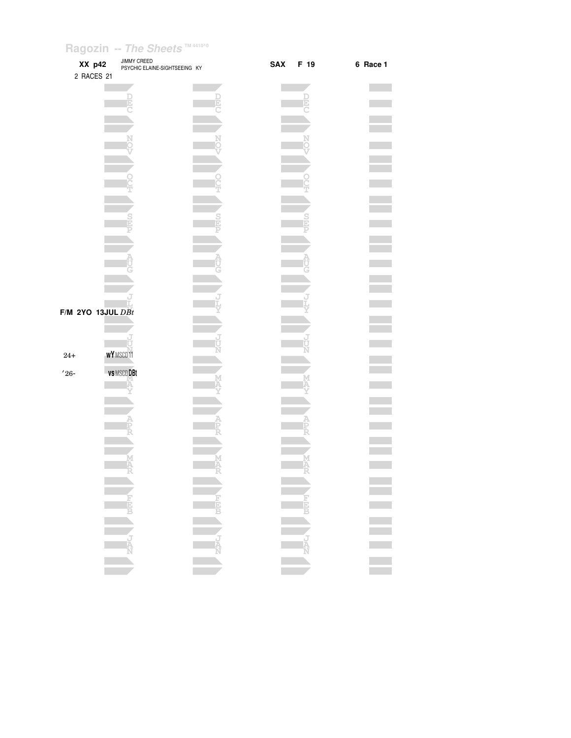| XX p42<br>2 RACES 21 | <b>JIMMY CREED</b><br>PSYCHIC ELAINE-SIGHTSEEING KY | <b>SAX</b><br>F 19 | 6 Race 1                                                                                                            |
|----------------------|-----------------------------------------------------|--------------------|---------------------------------------------------------------------------------------------------------------------|
|                      |                                                     |                    |                                                                                                                     |
|                      |                                                     |                    |                                                                                                                     |
|                      |                                                     |                    |                                                                                                                     |
|                      |                                                     |                    |                                                                                                                     |
|                      |                                                     |                    |                                                                                                                     |
|                      |                                                     |                    |                                                                                                                     |
|                      |                                                     |                    |                                                                                                                     |
|                      |                                                     |                    |                                                                                                                     |
|                      |                                                     |                    |                                                                                                                     |
|                      |                                                     |                    |                                                                                                                     |
|                      |                                                     |                    |                                                                                                                     |
|                      |                                                     |                    |                                                                                                                     |
|                      |                                                     |                    |                                                                                                                     |
|                      |                                                     |                    |                                                                                                                     |
|                      |                                                     |                    |                                                                                                                     |
|                      | $F/M$ 2YO 13JUL $DBt$                               |                    |                                                                                                                     |
|                      |                                                     |                    |                                                                                                                     |
|                      |                                                     |                    |                                                                                                                     |
| $24+$                | <b>WY</b> MSCD11                                    |                    |                                                                                                                     |
| $'26 -$              | vs MSCD DBt                                         |                    |                                                                                                                     |
|                      |                                                     |                    |                                                                                                                     |
|                      |                                                     |                    |                                                                                                                     |
|                      |                                                     |                    |                                                                                                                     |
|                      |                                                     |                    |                                                                                                                     |
|                      |                                                     |                    |                                                                                                                     |
|                      |                                                     |                    |                                                                                                                     |
|                      |                                                     |                    |                                                                                                                     |
|                      |                                                     |                    |                                                                                                                     |
|                      |                                                     |                    |                                                                                                                     |
|                      |                                                     |                    | i<br>Sidana da Santa Cara da Santa Cara da Santa Cara da Santa Cara da Santa Cara da Santa Cara da Santa Cara da Sa |
|                      |                                                     |                    |                                                                                                                     |
|                      |                                                     |                    |                                                                                                                     |
|                      |                                                     |                    |                                                                                                                     |
|                      |                                                     |                    |                                                                                                                     |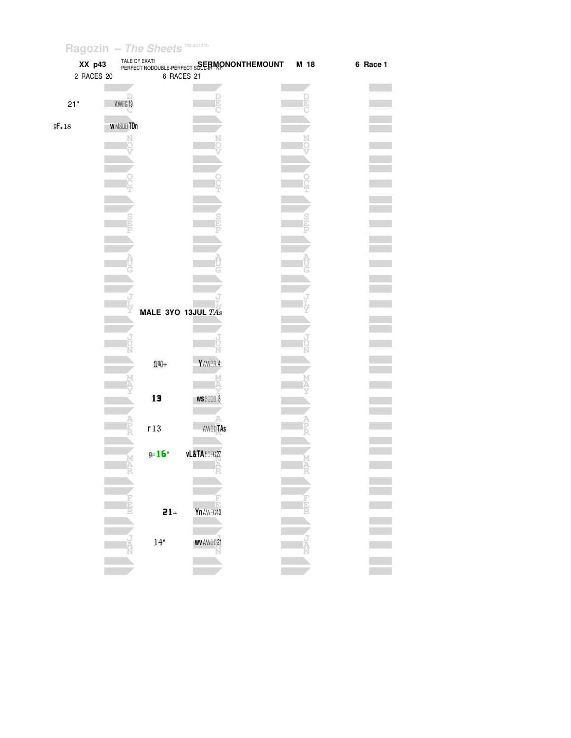| XX p43     |                 |                    | TALE OF EKATI<br>PERFECT NODOUBLE-PERFECT S <b>SEERMONONTHEMOUNT</b> | M 18 | 6 Race 1 |
|------------|-----------------|--------------------|----------------------------------------------------------------------|------|----------|
| 2 RACES 20 |                 | 6 RACES 21         |                                                                      |      |          |
|            |                 |                    |                                                                      |      |          |
|            |                 |                    |                                                                      |      |          |
| 21"        | AWFG19          |                    |                                                                      |      |          |
|            |                 |                    |                                                                      |      |          |
| 9F.18      | <b>WMSDDTDn</b> |                    |                                                                      |      |          |
|            | N               |                    |                                                                      |      |          |
|            |                 |                    |                                                                      |      |          |
|            |                 |                    |                                                                      |      |          |
|            |                 |                    |                                                                      |      |          |
|            |                 |                    |                                                                      |      |          |
|            |                 |                    |                                                                      |      |          |
|            |                 |                    |                                                                      |      |          |
|            |                 |                    |                                                                      |      |          |
|            |                 |                    |                                                                      |      |          |
|            |                 |                    |                                                                      |      |          |
|            |                 |                    |                                                                      |      |          |
|            |                 |                    |                                                                      |      |          |
|            |                 |                    |                                                                      |      |          |
|            |                 |                    |                                                                      |      |          |
|            |                 |                    |                                                                      |      |          |
|            |                 | MALE 3YO 13JUL TAs |                                                                      |      |          |
|            |                 |                    |                                                                      |      |          |
|            |                 |                    |                                                                      |      |          |
|            |                 |                    | Ù                                                                    |      |          |
|            |                 |                    | Ň                                                                    |      |          |
|            |                 | $1 -$              | YAWPR 4                                                              |      |          |
|            |                 |                    |                                                                      |      |          |
|            |                 |                    |                                                                      |      |          |
|            |                 | 13                 | <b>WS 30CD 8</b>                                                     |      |          |
|            |                 |                    |                                                                      |      |          |
|            |                 | r13                | <b>AWDDTAS</b>                                                       |      |          |
|            |                 |                    |                                                                      |      |          |
|            |                 |                    |                                                                      |      |          |
|            |                 | $g = 16$           | <b>vL&amp;TA</b> 50FG27                                              |      |          |
|            |                 |                    |                                                                      |      |          |
|            |                 |                    |                                                                      |      |          |
|            |                 |                    |                                                                      |      |          |
|            |                 |                    |                                                                      |      |          |
|            |                 | $21+$              | Yn AWFG 13                                                           |      |          |
|            |                 |                    |                                                                      |      |          |
|            |                 | $14"$              | <b>WV AWDD 21</b>                                                    |      |          |
|            |                 |                    |                                                                      |      |          |
|            |                 |                    |                                                                      |      |          |
|            |                 |                    |                                                                      |      |          |
|            |                 |                    |                                                                      |      |          |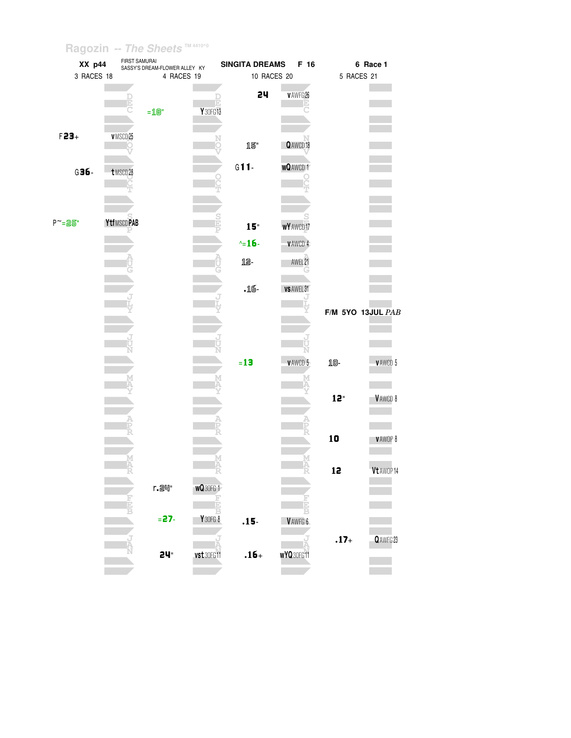| XX p44     | FIRST SAMURAI | SASSY'S DREAM-FLOWER ALLEY KY |                | <b>SINGITA DREAMS</b> | F 16             |            | 6 Race 1          |
|------------|---------------|-------------------------------|----------------|-----------------------|------------------|------------|-------------------|
| 3 RACES 18 |               | 4 RACES 19                    |                | 10 RACES 20           |                  | 5 RACES 21 |                   |
|            | E             | $=$ 18"                       | т<br>Y 30FG 13 | 24                    | v AWFG 26        |            |                   |
| $F23+$     | v MSCD 25     |                               |                | 15"                   | Q AWCD 18        |            |                   |
| $G36 -$    | t MSCD 28     |                               |                | $G11-$                | <b>WQAWCD1</b>   |            |                   |
|            |               |                               |                |                       |                  |            |                   |
| P~=25"     | YtfMSCDPAB    |                               | $\frac{5}{1}$  | $15 -$                | <b>wY</b> AWCD17 |            |                   |
|            |               |                               |                | $\sim$ -16-           | VAWCD 4          |            |                   |
|            |               |                               |                | 12-                   | AWEL 21          |            |                   |
|            |               |                               |                | $.16-$                | VS AWEL 31       |            |                   |
|            |               |                               |                |                       |                  |            | F/M 5YO 13JUL PAB |
|            |               |                               |                |                       |                  |            |                   |
|            |               |                               |                | $=13$                 | <b>VAWCD 5</b>   | 10-        | <b>VAWCD 5</b>    |
|            |               |                               |                |                       |                  | 12"        | VAWCD 8           |
|            |               |                               |                |                       |                  | 10         | VAWOP 8           |
|            |               |                               |                |                       |                  | 12         | Vt AWOP 14        |
|            |               | r. 24"                        | <b>wQ30FG1</b> |                       |                  |            |                   |
|            |               | $= 27$                        | Y30FG8         | $.15 -$               | VAWFG 6          |            |                   |
|            |               | 24 <sup>"</sup>               | vst 30FG11     | $.16+$                | WYQ30FG11        | $.17+$     | Q AWFG 23         |
|            |               |                               |                |                       |                  |            |                   |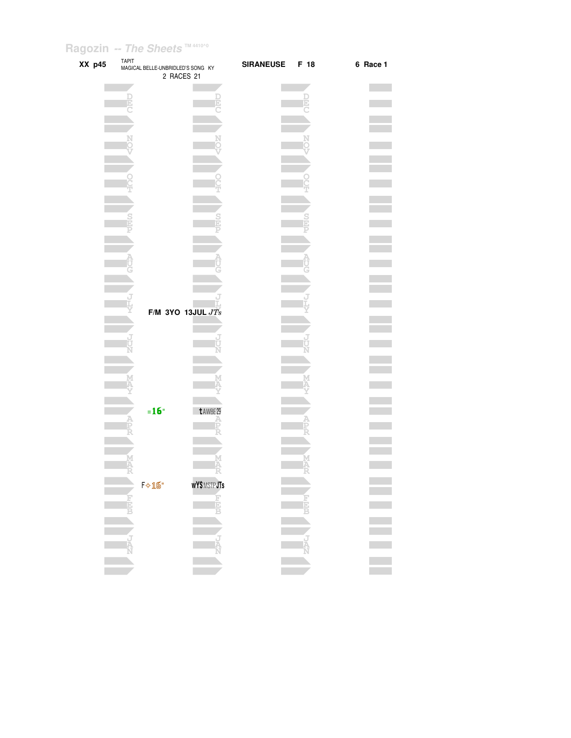| XX p45 |            | TAPIT<br>MAGICAL BELLE-UNBRIDLED'S SONG KY | 2 RACES 21                     | <b>SIRANEUSE</b> | F 18   | 6 Race 1 |
|--------|------------|--------------------------------------------|--------------------------------|------------------|--------|----------|
|        |            |                                            |                                |                  | Ð      |          |
|        |            |                                            |                                |                  |        |          |
|        |            |                                            |                                |                  |        |          |
|        |            |                                            |                                |                  |        |          |
|        |            |                                            |                                |                  |        |          |
|        |            |                                            |                                |                  |        |          |
|        |            |                                            |                                |                  |        |          |
|        |            |                                            | F/M 3YO 13JUL $JTs$            |                  |        |          |
|        |            |                                            |                                |                  |        |          |
|        |            |                                            |                                |                  |        |          |
|        |            | $=16"$                                     | t AWBE 29                      |                  |        |          |
|        |            |                                            | D                              |                  |        |          |
|        | M<br>4     |                                            | M<br>A                         |                  | M<br>A |          |
|        | <b>Hap</b> | $F \diamond 16"$                           | <b>wY\$MSTPJTs</b><br>F<br>EEB |                  | 可回口    |          |
|        |            |                                            |                                |                  |        |          |
|        | J<br>A     |                                            | Ą                              |                  | J<br>Ā |          |
|        |            |                                            |                                |                  |        |          |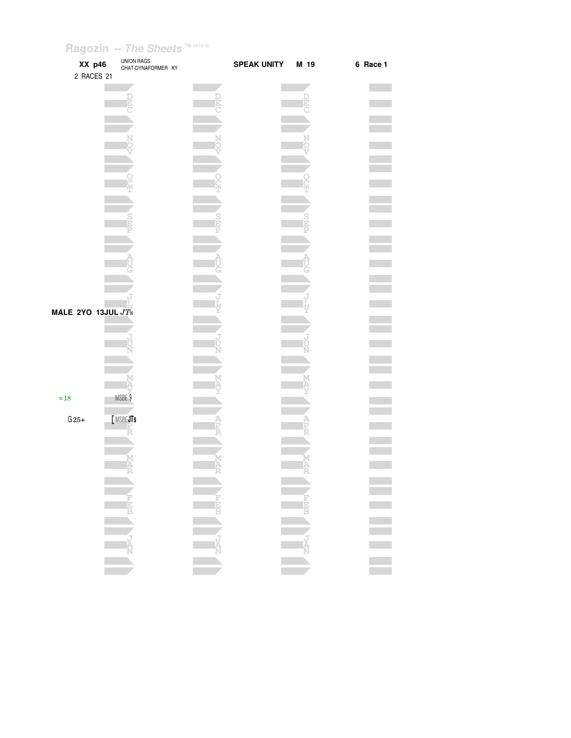| XX p46<br>2 RACES 21            |                            | UNION RAGS<br>CHAT-DYNAFORMER KY |                                               | <b>SPEAK UNITY</b> | M 19               | 6 Race 1 |
|---------------------------------|----------------------------|----------------------------------|-----------------------------------------------|--------------------|--------------------|----------|
|                                 |                            |                                  |                                               |                    |                    |          |
|                                 |                            |                                  |                                               |                    |                    |          |
|                                 |                            |                                  |                                               |                    |                    |          |
|                                 |                            |                                  |                                               |                    |                    |          |
|                                 |                            |                                  |                                               |                    |                    |          |
|                                 |                            |                                  |                                               |                    |                    |          |
|                                 |                            |                                  |                                               |                    |                    |          |
|                                 |                            |                                  |                                               |                    |                    |          |
|                                 |                            |                                  |                                               |                    |                    |          |
|                                 |                            |                                  |                                               |                    |                    |          |
|                                 |                            |                                  |                                               |                    |                    |          |
|                                 |                            |                                  |                                               |                    |                    |          |
|                                 |                            |                                  |                                               |                    |                    |          |
| MALE 2YO 13JUL $J\overline{T}s$ |                            |                                  |                                               |                    |                    |          |
|                                 |                            |                                  |                                               |                    |                    |          |
|                                 |                            |                                  |                                               |                    |                    |          |
|                                 |                            |                                  |                                               |                    |                    |          |
|                                 |                            |                                  |                                               |                    |                    |          |
| $=18$                           | MSBE <sub>9</sub>          |                                  |                                               |                    |                    |          |
| $G25+$                          | [MSBEJTs                   |                                  |                                               |                    |                    |          |
|                                 |                            |                                  |                                               |                    |                    |          |
|                                 |                            | M<br>IA                          |                                               |                    |                    |          |
|                                 |                            |                                  | Ê                                             |                    | $\hat{\mathbf{r}}$ |          |
|                                 |                            | $\mathbf{L}$                     |                                               |                    |                    |          |
|                                 |                            |                                  |                                               |                    |                    |          |
|                                 | NEW WEE                    |                                  |                                               |                    |                    |          |
|                                 |                            |                                  |                                               |                    |                    |          |
|                                 |                            |                                  |                                               |                    |                    | Ξ        |
|                                 | $\mathcal{L}(\mathcal{A})$ |                                  | $\mathcal{L}_{\mathcal{A}}$<br><b>College</b> |                    |                    |          |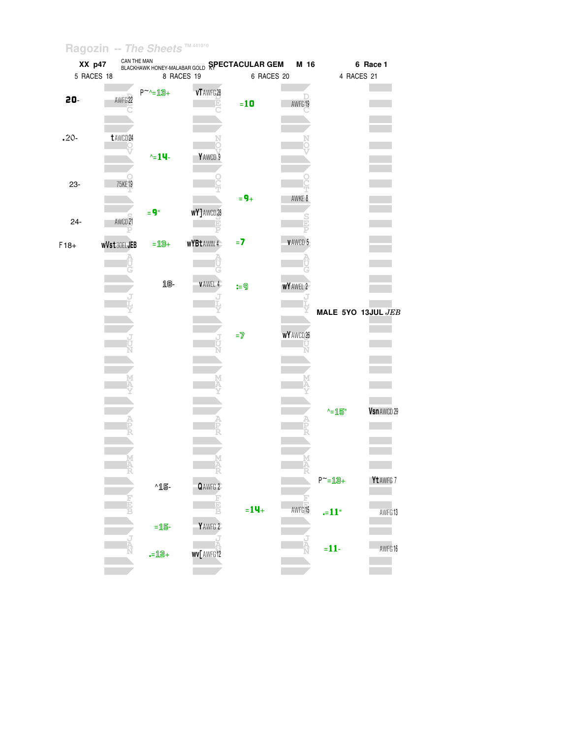|         | XX p47     |                     |                 | CAN THE MAN <b>BLACKHAWK HONEY-MALABAR GOLD SPECTACULAR GEM</b> |                                   | M 16              |                    | 6 Race 1         |
|---------|------------|---------------------|-----------------|-----------------------------------------------------------------|-----------------------------------|-------------------|--------------------|------------------|
|         | 5 RACES 18 |                     |                 | 8 RACES 19                                                      | 6 RACES 20                        |                   | 4 RACES 21         |                  |
| 20-     |            | AWFG <sub>22</sub>  | $P^{\sim}$ -13+ | vT AWFG 28                                                      | $=10$                             | AWFG19            |                    |                  |
| $.20 -$ |            | t AWCD 24           | $\sim 14$ -     | YAWCD 9                                                         |                                   |                   |                    |                  |
| 23-     |            | 75KE19              | $= 9"$          | wY]AWCD28                                                       | $= 9 +$                           | AWKE 8            |                    |                  |
| $24 -$  |            | AWCD <sub>21</sub>  |                 |                                                                 |                                   |                   |                    |                  |
| $F18+$  |            | <b>wVst 30ELJEB</b> | $= 13 +$        | <b>WYBtAWIN4</b>                                                | $=7$                              | VAWCD 5           |                    |                  |
|         |            |                     |                 |                                                                 |                                   |                   |                    |                  |
|         |            |                     | 18-             | <b>VAWEL 4</b>                                                  | $:= 9$                            | WY AWEL 2         |                    |                  |
|         |            |                     |                 |                                                                 | $\mathbf{=}\overline{\mathbf{Z}}$ | <b>WY</b> AWCD 26 | MALE 5YO 13JUL JEB |                  |
|         |            |                     |                 |                                                                 |                                   |                   |                    |                  |
|         |            |                     |                 |                                                                 |                                   |                   |                    |                  |
|         |            |                     |                 |                                                                 |                                   |                   | ^=15"              | Vsn AWCD 29      |
|         |            |                     |                 |                                                                 |                                   |                   | $P^{\sim} = 19 +$  | <b>Yt</b> AWFG 7 |
|         |            |                     | ^15-            | QAWFG 2                                                         |                                   |                   |                    |                  |
|         |            |                     | $=15-$          | YAWFG <sub>2</sub>                                              | $= 14 +$                          | AWFG15            | $-11$              | AWFG13           |
|         |            |                     |                 |                                                                 |                                   |                   |                    |                  |
|         |            |                     | $= 12 +$        | <b>WV</b> AWFG12                                                |                                   |                   | $= 11$             | AWFG16           |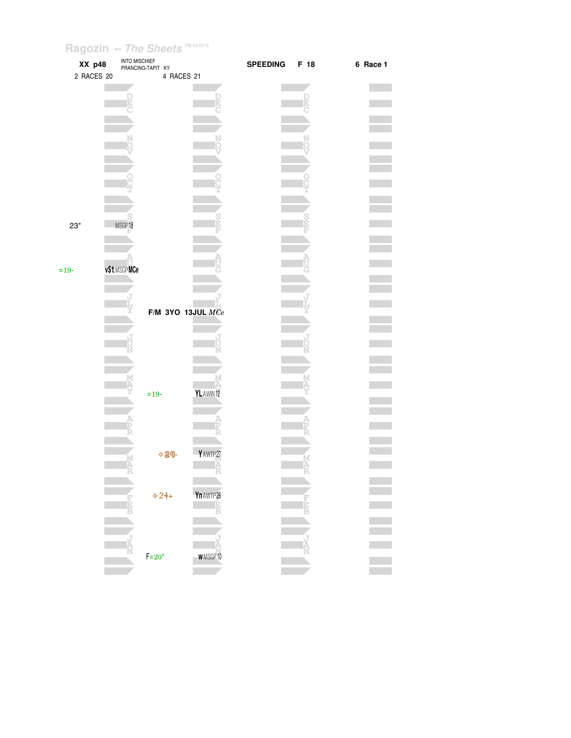| XX p48     | <b>INTO MISCHIEF</b><br>PRANCING-TAPIT KY |                       |                      | <b>SPEEDING</b> | F 18 | 6 Race 1 |
|------------|-------------------------------------------|-----------------------|----------------------|-----------------|------|----------|
| 2 RACES 20 |                                           | 4 RACES 21            |                      |                 |      |          |
|            |                                           |                       |                      |                 |      |          |
|            |                                           |                       | E                    |                 | D    |          |
|            |                                           |                       |                      |                 |      |          |
|            |                                           |                       |                      |                 |      |          |
|            |                                           |                       |                      |                 |      |          |
|            |                                           |                       |                      |                 |      |          |
|            |                                           |                       |                      |                 |      |          |
|            |                                           |                       |                      |                 |      |          |
|            |                                           |                       |                      |                 |      |          |
|            |                                           |                       |                      |                 |      |          |
| 23"        | MSGP18                                    |                       |                      |                 |      |          |
|            |                                           |                       |                      |                 |      |          |
|            |                                           |                       |                      |                 |      |          |
|            | v\$t MSGPMCe                              |                       |                      |                 |      |          |
| $=19-$     |                                           |                       |                      |                 |      |          |
|            |                                           |                       |                      |                 |      |          |
|            |                                           |                       |                      |                 |      |          |
|            |                                           | $F/M$ 3YO 13JUL $MCe$ |                      |                 |      |          |
|            |                                           |                       |                      |                 |      |          |
|            |                                           |                       |                      |                 |      |          |
|            |                                           |                       |                      |                 |      |          |
|            |                                           |                       |                      |                 |      |          |
|            |                                           |                       |                      |                 |      |          |
|            | $= 19 -$                                  |                       | YLAWIN <sup>12</sup> |                 |      |          |
|            |                                           |                       |                      |                 |      |          |
|            |                                           |                       |                      |                 |      |          |
|            |                                           |                       |                      |                 |      |          |
|            |                                           | $\diamond$ 29-        | YAWTP27              |                 |      |          |
|            |                                           |                       | Ά                    |                 | Ā    |          |
|            |                                           |                       |                      |                 |      |          |
|            |                                           |                       |                      |                 |      |          |
|            |                                           | $\div 24 +$           | Yn AWTP 26<br>E      |                 |      |          |
|            |                                           |                       | R                    |                 |      |          |
|            |                                           |                       |                      |                 |      |          |
|            |                                           |                       |                      |                 |      |          |
|            | $F=20$ "                                  |                       | <b>WMSGP10</b>       |                 |      |          |
|            |                                           |                       |                      |                 |      |          |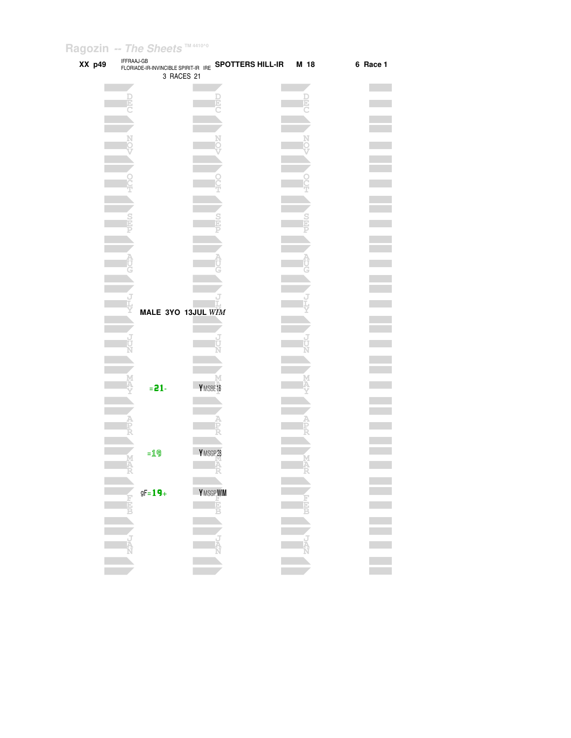| XX p49 |                 | IFFRAAJ-GB<br>FLORIADE-IR-INVINCIBLE SPIRIT-IR IRE <b>SPOTTERS HILL-IR M 18</b><br>3 RACES 21 |        | 6 Race 1 |
|--------|-----------------|-----------------------------------------------------------------------------------------------|--------|----------|
|        | E               |                                                                                               |        |          |
|        |                 |                                                                                               |        |          |
|        |                 |                                                                                               |        |          |
|        |                 |                                                                                               |        |          |
|        |                 |                                                                                               |        |          |
|        |                 |                                                                                               |        |          |
|        |                 |                                                                                               |        |          |
|        |                 | MALE 3YO 13JUL WIM                                                                            |        |          |
|        |                 |                                                                                               |        |          |
|        |                 |                                                                                               |        |          |
|        | $= 21 -$        | YMSBE16                                                                                       |        |          |
|        |                 |                                                                                               |        |          |
|        | $=19$<br>M<br>A | YMSGP28<br>Ā                                                                                  | M<br>A |          |
|        | $gF = 19 +$     | Y MSGP WIM                                                                                    |        |          |
|        | 同国              | Ė                                                                                             |        |          |
|        |                 |                                                                                               |        |          |
|        |                 |                                                                                               |        |          |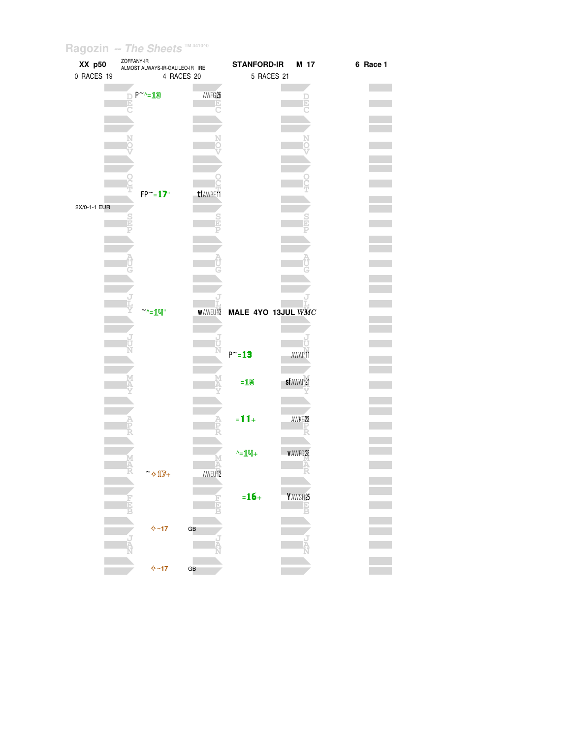| XX p50       | ZOFFANY-IR<br>ALMOST ALWAYS-IR-GALILEO-IR IRE |                        | <b>STANFORD-IR</b> | M 17       | 6 Race 1 |
|--------------|-----------------------------------------------|------------------------|--------------------|------------|----------|
| 0 RACES 19   | 4 RACES 20                                    |                        | 5 RACES 21         |            |          |
|              |                                               |                        |                    |            |          |
|              | P~~13                                         | AWFG <sub>26</sub>     |                    |            |          |
|              |                                               |                        |                    |            |          |
|              |                                               |                        |                    |            |          |
|              |                                               |                        |                    |            |          |
|              |                                               |                        |                    |            |          |
|              |                                               |                        |                    |            |          |
|              |                                               |                        |                    |            |          |
|              |                                               |                        |                    |            |          |
|              |                                               |                        |                    |            |          |
|              | $FP^{\sim}=17"$                               | tf AWBE11              |                    |            |          |
| 2X/0-1-1 EUR |                                               |                        |                    |            |          |
|              |                                               |                        |                    |            |          |
|              |                                               |                        |                    |            |          |
|              |                                               |                        |                    |            |          |
|              |                                               |                        |                    |            |          |
|              |                                               |                        |                    |            |          |
|              |                                               |                        |                    |            |          |
|              |                                               |                        |                    |            |          |
|              |                                               |                        |                    |            |          |
|              |                                               |                        |                    |            |          |
|              | $\sim_{\text{min}}$                           | <b>WAWEU13</b>         | MALE 4YO 13JUL WMC |            |          |
|              |                                               |                        |                    |            |          |
|              |                                               |                        |                    |            |          |
|              |                                               |                        |                    |            |          |
|              |                                               |                        | $P^{\sim} = 13$    | AWAP11     |          |
|              |                                               |                        |                    |            |          |
|              |                                               |                        |                    |            |          |
|              |                                               |                        | $=15$              | sf AWAP 21 |          |
|              |                                               |                        |                    |            |          |
|              |                                               |                        |                    |            |          |
|              |                                               |                        | $= 11 +$           | AWKE23     |          |
|              |                                               |                        |                    |            |          |
|              |                                               |                        |                    |            |          |
|              |                                               |                        | $-14$              | v AWFG 28  |          |
|              |                                               |                        |                    |            |          |
|              | ~ 17+                                         | AWEU 12                |                    |            |          |
|              |                                               |                        |                    |            |          |
|              |                                               |                        | $= 16 +$           | Y AWSH25   |          |
|              |                                               | i<br>E                 |                    |            |          |
|              |                                               |                        |                    |            |          |
|              | $\Leftrightarrow$ ~17                         | $\mathsf{G}\mathsf{B}$ |                    |            |          |
|              |                                               |                        |                    |            |          |
|              |                                               |                        |                    |            |          |
|              |                                               |                        |                    |            |          |
|              | $\Leftrightarrow$ ~17                         | GB                     |                    |            |          |
|              |                                               |                        |                    |            |          |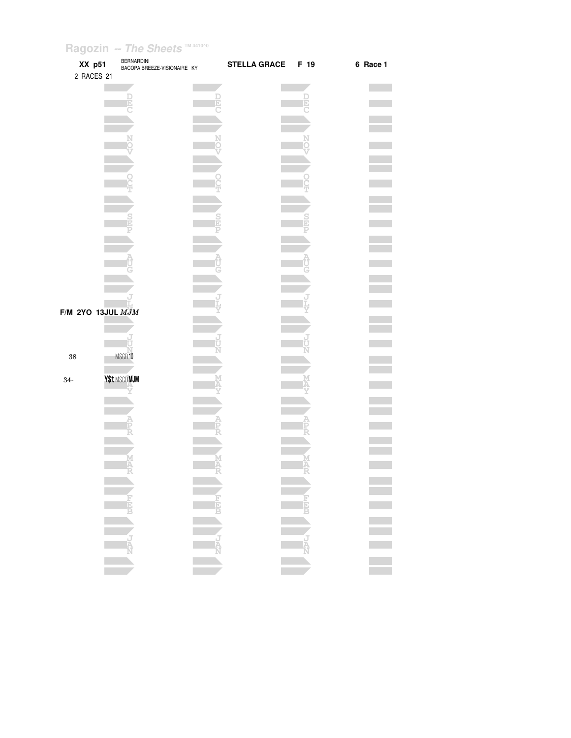| XX p51                   | <b>BERNARDINI</b><br>BACOPA BREEZE-VISIONAIRE KY |   | <b>STELLA GRACE</b> | F 19   | 6 Race 1 |
|--------------------------|--------------------------------------------------|---|---------------------|--------|----------|
| 2 RACES 21               |                                                  |   |                     |        |          |
|                          |                                                  |   |                     |        |          |
|                          | E                                                |   |                     | Ð      |          |
|                          |                                                  |   |                     |        |          |
|                          |                                                  |   |                     |        |          |
|                          |                                                  |   |                     |        |          |
|                          |                                                  |   |                     |        |          |
|                          |                                                  |   |                     |        |          |
|                          |                                                  |   |                     |        |          |
|                          |                                                  |   |                     |        |          |
|                          |                                                  |   |                     |        |          |
|                          |                                                  |   |                     |        |          |
|                          |                                                  |   |                     |        |          |
|                          |                                                  |   |                     |        |          |
|                          |                                                  |   |                     |        |          |
|                          |                                                  |   |                     |        |          |
| <b>F/M 2YO 13JUL MJM</b> |                                                  |   |                     |        |          |
|                          |                                                  |   |                     |        |          |
|                          |                                                  |   |                     |        |          |
| 38                       | MSCD10                                           |   |                     |        |          |
|                          |                                                  |   |                     |        |          |
| $34-$                    | Y\$t MSCD MJM                                    |   |                     |        |          |
|                          |                                                  |   |                     |        |          |
|                          |                                                  |   |                     |        |          |
|                          |                                                  |   |                     |        |          |
|                          |                                                  |   |                     |        |          |
|                          |                                                  |   |                     |        |          |
|                          | M                                                | M |                     | М<br>A |          |
|                          | ÷,                                               | Ñ |                     | Ñ      |          |
|                          |                                                  |   |                     |        |          |
|                          |                                                  |   |                     |        |          |
|                          |                                                  |   |                     |        |          |
|                          |                                                  |   |                     |        |          |
|                          |                                                  |   |                     |        |          |
|                          |                                                  |   |                     |        |          |
|                          |                                                  |   |                     |        |          |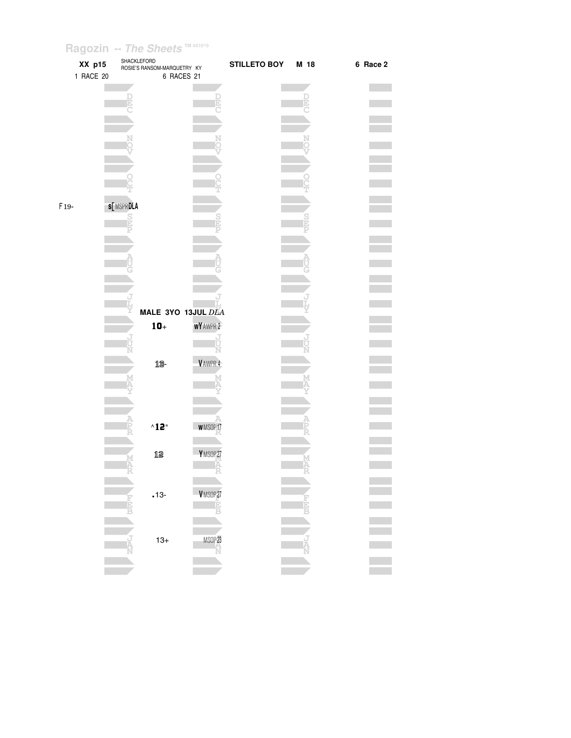|        | XX p15<br>1 RACE 20 | SHACKLEFORD<br>ROSIE'S RANSOM-MARQUETRY KY | 6 RACES 21          | <b>STILLETO BOY</b> | M 18 | 6 Race 2 |
|--------|---------------------|--------------------------------------------|---------------------|---------------------|------|----------|
|        |                     |                                            |                     |                     |      |          |
|        |                     |                                            |                     |                     |      |          |
|        |                     |                                            |                     |                     |      |          |
|        |                     |                                            |                     |                     |      |          |
| $F19-$ |                     | s[MSPRDEA                                  |                     |                     |      |          |
|        |                     | $\frac{S}{E}$                              |                     |                     |      |          |
|        |                     |                                            |                     |                     |      |          |
|        |                     |                                            |                     |                     |      |          |
|        |                     |                                            | MALE 3YO 13JUL DLA  |                     |      |          |
|        |                     | $10+$                                      | WY AWPR 2           |                     |      |          |
|        |                     | 13-                                        | Ū<br>Ń<br>VAWPR 4   |                     |      |          |
|        |                     |                                            |                     |                     |      |          |
|        |                     |                                            |                     |                     |      |          |
|        |                     | $^{\wedge}12$ "                            | <b>WMSOP17</b>      |                     |      |          |
|        |                     | 12                                         | YMSOP27             |                     |      |          |
|        |                     | $.13 -$                                    | VMSOP <sub>27</sub> |                     |      |          |
|        |                     |                                            | TĖ<br>B             |                     |      |          |
|        |                     | $13+$                                      | MSOP <sub>23</sub>  |                     |      |          |
|        |                     |                                            |                     |                     |      |          |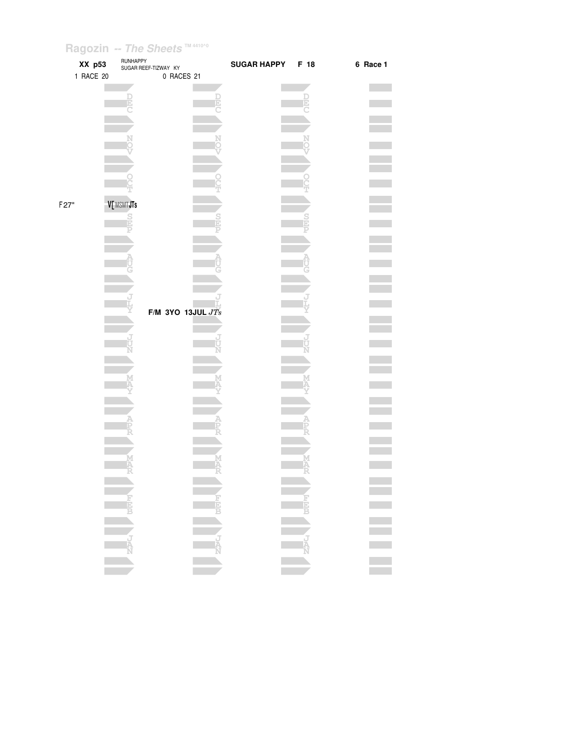|      | XX p53<br>1 RACE 20 | RUNHAPPY      | SUGAR REEF-TIZWAY KY<br>0 RACES 21 |                  | <b>SUGAR HAPPY</b> | F 18          | 6 Race 1 |
|------|---------------------|---------------|------------------------------------|------------------|--------------------|---------------|----------|
|      |                     |               |                                    |                  |                    |               |          |
|      |                     |               |                                    |                  |                    |               |          |
|      |                     |               |                                    |                  |                    |               |          |
|      |                     |               |                                    |                  |                    |               |          |
|      |                     |               |                                    |                  |                    |               |          |
|      |                     |               |                                    |                  |                    |               |          |
|      |                     |               |                                    |                  |                    |               |          |
|      |                     |               |                                    |                  |                    |               |          |
|      |                     |               |                                    |                  |                    |               |          |
| F27" |                     | V[MSMTJTs     |                                    |                  |                    |               |          |
|      |                     | $\frac{S}{E}$ |                                    |                  |                    |               |          |
|      |                     |               |                                    |                  |                    |               |          |
|      |                     |               |                                    |                  |                    |               |          |
|      |                     |               |                                    |                  |                    |               |          |
|      |                     |               |                                    |                  |                    |               |          |
|      |                     |               |                                    |                  |                    |               |          |
|      |                     |               |                                    |                  |                    |               |          |
|      |                     |               | F/M 3YO 13JUL $JTs$                |                  |                    |               |          |
|      |                     |               |                                    |                  |                    |               |          |
|      |                     |               |                                    |                  |                    |               |          |
|      |                     |               |                                    |                  |                    |               |          |
|      |                     |               |                                    |                  |                    |               |          |
|      |                     |               |                                    |                  |                    |               |          |
|      |                     |               |                                    |                  |                    |               |          |
|      |                     |               |                                    |                  |                    |               |          |
|      |                     |               |                                    |                  |                    |               |          |
|      |                     |               |                                    |                  |                    |               |          |
|      |                     |               |                                    |                  |                    |               |          |
|      |                     |               |                                    |                  |                    |               |          |
|      |                     |               |                                    |                  |                    |               |          |
|      |                     |               |                                    |                  |                    |               |          |
|      |                     |               |                                    |                  |                    |               |          |
|      |                     |               |                                    |                  |                    |               |          |
|      |                     |               |                                    | N<br>N<br>N<br>N |                    | <b>TANGER</b> |          |
|      |                     |               |                                    |                  |                    |               |          |
|      |                     |               |                                    |                  |                    |               |          |
|      |                     |               |                                    |                  |                    |               |          |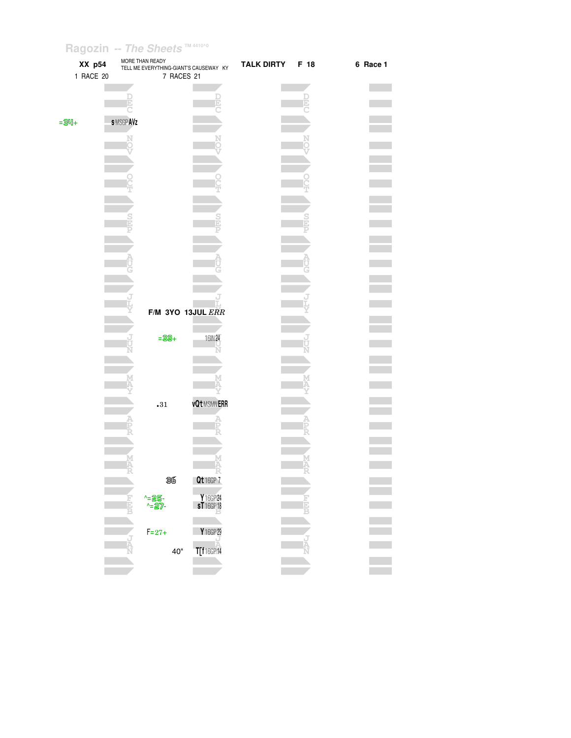| XX p54<br>1 RACE 20 | MORE THAN READY<br>TELL ME EVERYTHING-GIANT'S CAUSEWAY KY<br>7 RACES 21 |                                      | <b>TALK DIRTY</b> | F 18   | 6 Race 1 |
|---------------------|-------------------------------------------------------------------------|--------------------------------------|-------------------|--------|----------|
|                     |                                                                         |                                      |                   | D<br>D |          |
| $= 34 +$            | <b>SMSGPAVZ</b>                                                         |                                      |                   |        |          |
|                     | N                                                                       |                                      |                   | Ņ      |          |
|                     |                                                                         |                                      |                   |        |          |
|                     |                                                                         |                                      |                   |        |          |
|                     |                                                                         |                                      |                   |        |          |
|                     |                                                                         |                                      |                   |        |          |
|                     |                                                                         |                                      |                   |        |          |
|                     |                                                                         |                                      |                   |        |          |
|                     |                                                                         | F/M 3YO 13JUL ERR                    |                   |        |          |
|                     | $=33+$                                                                  | 16IN 24                              |                   |        |          |
|                     | ı.<br>U                                                                 |                                      |                   |        |          |
|                     |                                                                         |                                      |                   |        |          |
|                     | $\boldsymbol{.}31$                                                      | <b>vQt</b> MSMNERR                   |                   |        |          |
|                     |                                                                         |                                      |                   |        |          |
|                     |                                                                         |                                      |                   |        |          |
|                     |                                                                         |                                      |                   |        |          |
|                     | 36<br>^=25-<br>^=27-<br>E                                               | Qt 16GP 7<br>Y 16GP 24<br>ST 16GP 18 |                   |        |          |
|                     |                                                                         |                                      |                   | D<br>B |          |
|                     | $F = 27 +$                                                              | Y 16GP 29<br>T[f16GP14               |                   | A      |          |
|                     | 40"                                                                     |                                      |                   |        |          |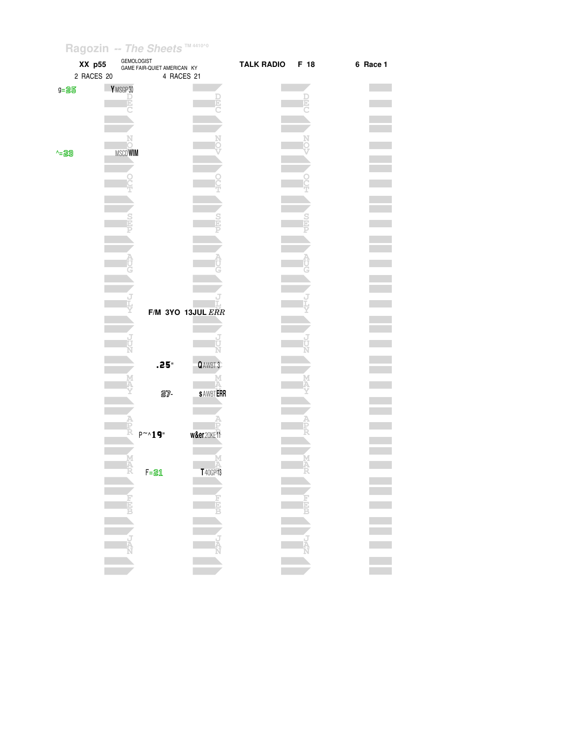|       | XX p55<br>2 RACES 20 | GEMOLOGIST<br>GAME FAIR-QUIET AMERICAN KY<br>4 RACES 21 |                   | TALK RADIO F 18 |                      | 6 Race 1 |
|-------|----------------------|---------------------------------------------------------|-------------------|-----------------|----------------------|----------|
| g=25  | YMSGP30              |                                                         |                   |                 |                      |          |
|       |                      |                                                         |                   |                 | D                    |          |
|       |                      |                                                         |                   |                 |                      |          |
|       |                      |                                                         |                   |                 |                      |          |
|       |                      |                                                         |                   |                 |                      |          |
| $-23$ | <b>MSCDWIM</b>       |                                                         |                   |                 |                      |          |
|       |                      |                                                         |                   |                 |                      |          |
|       |                      |                                                         |                   |                 |                      |          |
|       |                      |                                                         |                   |                 |                      |          |
|       |                      |                                                         |                   |                 |                      |          |
|       |                      |                                                         |                   |                 |                      |          |
|       |                      |                                                         |                   |                 |                      |          |
|       |                      |                                                         |                   |                 |                      |          |
|       |                      |                                                         |                   |                 |                      |          |
|       |                      |                                                         |                   |                 |                      |          |
|       |                      |                                                         |                   |                 |                      |          |
|       |                      |                                                         |                   |                 |                      |          |
|       |                      |                                                         | F/M 3YO 13JUL ERR |                 |                      |          |
|       |                      |                                                         |                   |                 |                      |          |
|       |                      |                                                         |                   |                 |                      |          |
|       |                      |                                                         |                   |                 |                      |          |
|       |                      | $.25^{\circ}$                                           | QAWBT 3           |                 |                      |          |
|       |                      |                                                         |                   |                 |                      |          |
|       |                      | 27-                                                     | <b>SAWBTERR</b>   |                 |                      |          |
|       |                      |                                                         |                   |                 |                      |          |
|       |                      |                                                         |                   |                 |                      |          |
|       | A<br>FR              | $P^{\sim_{\Lambda}}19$ "                                | w&er20KE11        |                 |                      |          |
|       |                      |                                                         |                   |                 |                      |          |
|       | M<br>A               |                                                         |                   |                 |                      |          |
|       | -7                   | $F = 21$                                                | T 40GP 13         |                 | Ā                    |          |
|       |                      |                                                         |                   |                 |                      |          |
|       |                      |                                                         |                   |                 |                      |          |
|       | $\frac{1}{2}$        |                                                         |                   |                 | $\frac{1}{\sqrt{2}}$ |          |
|       |                      |                                                         |                   |                 |                      |          |
|       |                      |                                                         |                   |                 |                      |          |
|       | $\frac{1}{N}$        |                                                         |                   |                 | <b>TAN</b>           |          |
|       | <b>COL</b>           |                                                         | <b>The State</b>  |                 |                      |          |
|       |                      |                                                         |                   |                 |                      |          |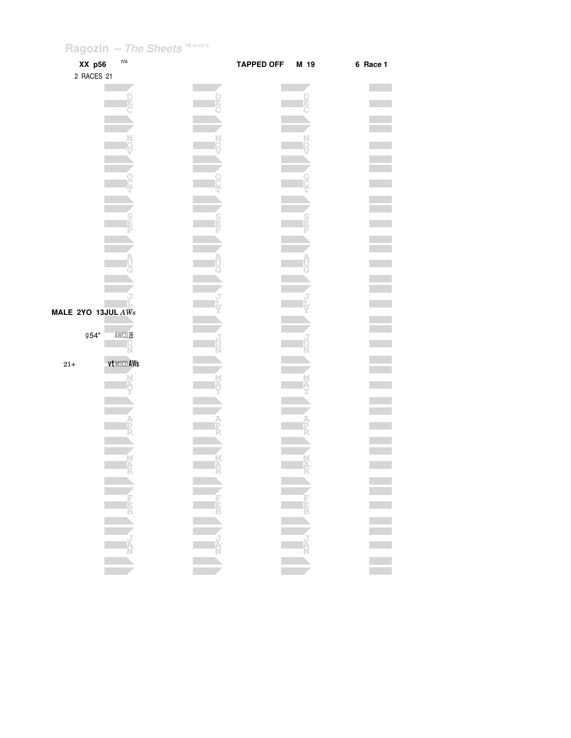| XX p56                          | n/a         | <b>TAPPED OFF</b> | M 19 | 6 Race 1         |
|---------------------------------|-------------|-------------------|------|------------------|
| 2 RACES 21                      |             |                   |      |                  |
|                                 |             |                   |      |                  |
|                                 |             |                   |      |                  |
|                                 |             |                   |      |                  |
|                                 |             |                   |      |                  |
|                                 |             |                   |      |                  |
|                                 |             |                   |      |                  |
|                                 |             |                   |      |                  |
|                                 |             |                   |      |                  |
|                                 |             |                   |      |                  |
|                                 |             |                   |      |                  |
|                                 |             |                   |      |                  |
|                                 |             |                   |      |                  |
|                                 |             |                   |      |                  |
|                                 |             |                   |      |                  |
|                                 |             |                   |      |                  |
| MALE 2YO 13JUL $\overline{AWs}$ |             |                   |      |                  |
|                                 |             |                   |      |                  |
| 954"                            | AWCD 26     |                   |      |                  |
|                                 | Ń           |                   |      |                  |
| $21+$                           | vt MSCD AWs |                   |      |                  |
|                                 |             |                   |      |                  |
|                                 |             |                   |      |                  |
|                                 |             |                   |      |                  |
|                                 |             |                   |      |                  |
|                                 |             |                   |      |                  |
|                                 |             |                   |      |                  |
|                                 |             |                   |      |                  |
|                                 |             |                   |      |                  |
|                                 |             |                   |      |                  |
|                                 |             |                   |      | E<br>E<br>E<br>E |
|                                 |             |                   |      |                  |
|                                 |             |                   |      |                  |
|                                 |             |                   |      |                  |
|                                 |             |                   |      |                  |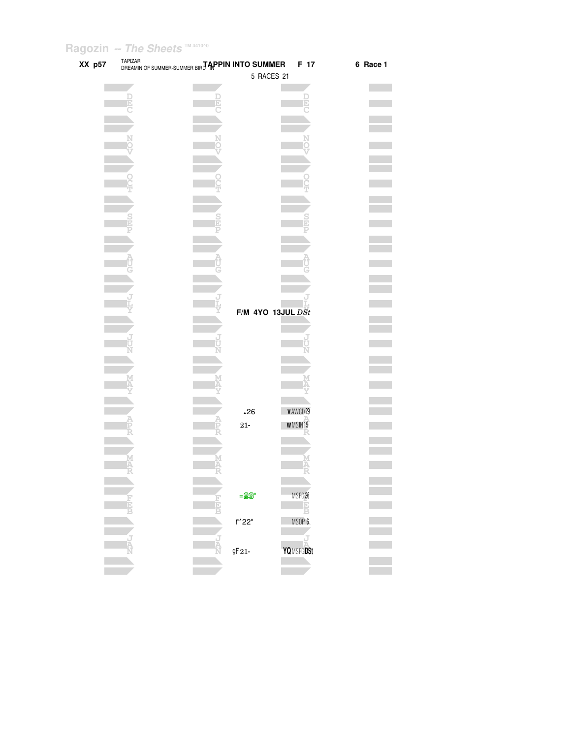| XX p57 | TAPIZAR<br>DREAMIN OF SUMMER-SUMMER BIRT APPIN INTO SUMMER |                                | F 17               | 6 Race 1 |
|--------|------------------------------------------------------------|--------------------------------|--------------------|----------|
|        |                                                            | 5 RACES 21                     |                    |          |
|        |                                                            |                                |                    |          |
|        |                                                            |                                |                    |          |
|        |                                                            |                                |                    |          |
|        |                                                            |                                |                    |          |
|        |                                                            |                                |                    |          |
|        |                                                            |                                |                    |          |
|        |                                                            |                                |                    |          |
|        |                                                            |                                |                    |          |
|        |                                                            |                                |                    |          |
|        |                                                            |                                |                    |          |
|        |                                                            |                                |                    |          |
|        |                                                            |                                |                    |          |
|        |                                                            |                                |                    |          |
|        |                                                            |                                |                    |          |
|        |                                                            |                                |                    |          |
|        |                                                            |                                |                    |          |
|        |                                                            |                                |                    |          |
|        |                                                            |                                |                    |          |
|        |                                                            |                                |                    |          |
|        |                                                            | F/M 4YO 13JUL $\overline{DSt}$ |                    |          |
|        |                                                            |                                |                    |          |
|        |                                                            |                                |                    |          |
|        |                                                            |                                |                    |          |
|        |                                                            |                                |                    |          |
|        |                                                            |                                |                    |          |
|        |                                                            |                                |                    |          |
|        |                                                            |                                |                    |          |
|        |                                                            | $\boldsymbol{\mathsf{0}}26$    | VAWCD29            |          |
|        |                                                            | $21-$                          | <b>WMSIN19</b>     |          |
|        |                                                            |                                |                    |          |
|        |                                                            |                                |                    |          |
|        |                                                            |                                |                    |          |
|        |                                                            |                                |                    |          |
|        |                                                            |                                |                    |          |
|        |                                                            | $=23$                          | MSFG <sub>26</sub> |          |
|        |                                                            |                                | Œ,                 |          |
|        |                                                            |                                | B<br>MSOP 6        |          |
|        |                                                            | r'22"                          |                    |          |
|        |                                                            |                                |                    |          |
|        |                                                            | $9F21-$                        | YQMSFGDSt          |          |
|        |                                                            |                                |                    |          |
|        |                                                            |                                |                    |          |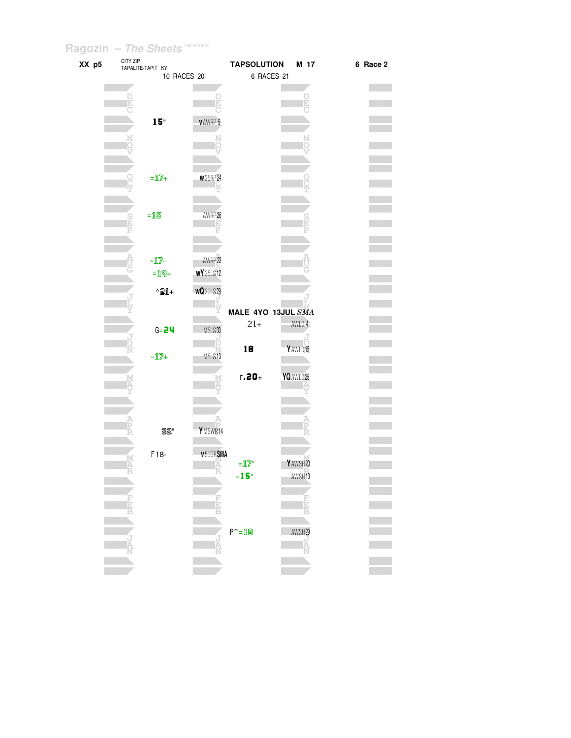| XX p5 | CITY ZIP<br>TAPALITE-TAPIT KY | <b>TAPSOLUTION</b><br>M 17                   | 6 Race 2 |
|-------|-------------------------------|----------------------------------------------|----------|
|       | 10 RACES 20                   | 6 RACES 21                                   |          |
|       |                               |                                              |          |
|       |                               |                                              |          |
|       |                               |                                              |          |
|       | 15"                           | <b>VAWRP 5</b>                               |          |
|       |                               |                                              |          |
|       |                               |                                              |          |
|       |                               |                                              |          |
|       |                               |                                              |          |
|       | $=\mathbb{1}\mathbb{Z}+$      | <b>W25RP24</b>                               |          |
|       |                               |                                              |          |
|       |                               |                                              |          |
|       | $=15$                         | AWRP 26                                      |          |
|       |                               |                                              |          |
|       |                               |                                              |          |
|       |                               |                                              |          |
|       | $=$ 17-                       | AWRP 22                                      |          |
|       | $=19+$                        | <b>WY</b> 25LS12                             |          |
|       | $\triangle 21 +$              | WQ20LS29                                     |          |
|       |                               |                                              |          |
|       |                               | MALE 4YO 13JUL SMA                           |          |
|       | $G = 24$                      | $21+$<br>AWLD 4<br>MSLS30                    |          |
|       |                               |                                              |          |
|       |                               | 18<br>Y AWLD 15                              |          |
|       | $=\mathbf{1}\mathbf{7} +$     | MSLS10                                       |          |
|       |                               | $r.20 +$<br>YQ AWLD 25                       |          |
|       |                               |                                              |          |
|       |                               |                                              |          |
|       |                               |                                              |          |
|       |                               |                                              |          |
|       | 22"                           | YMSWR14                                      |          |
|       |                               |                                              |          |
|       | F18-                          | v 500PSMA<br>YAWSH20                         |          |
|       |                               | $=\underline{1}\overline{2}$ "               |          |
|       |                               | AWSH <sub>10</sub><br>$= 15$ "               |          |
|       |                               |                                              |          |
|       |                               | $\frac{1}{3}$<br>Ė                           |          |
|       |                               |                                              |          |
|       |                               | $P^{\sim} = \mathbf{1} \mathbf{B}$<br>AWSH29 |          |
|       |                               | Ř                                            |          |
|       |                               |                                              |          |
|       |                               |                                              |          |
|       |                               |                                              |          |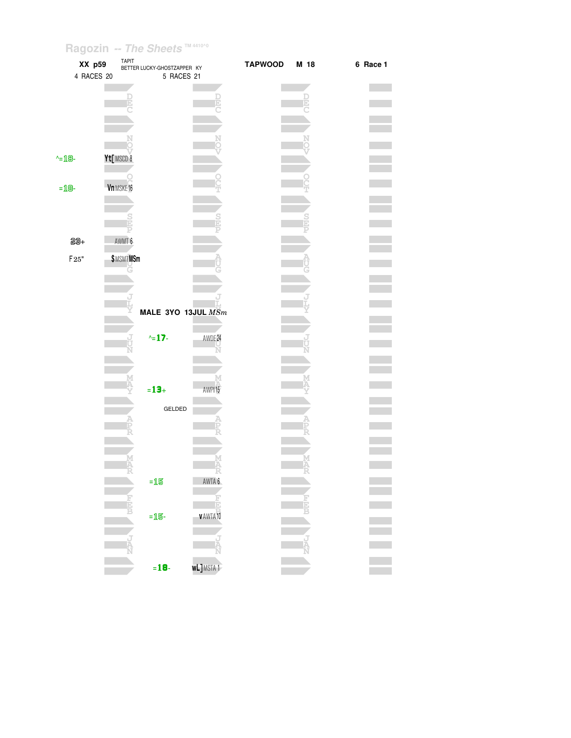| XX p59<br>4 RACES 20           | TAPIT            | BETTER LUCKY-GHOSTZAPPER KY<br>5 RACES 21 |                              | <b>TAPWOOD</b> | M 18 | 6 Race 1 |
|--------------------------------|------------------|-------------------------------------------|------------------------------|----------------|------|----------|
|                                |                  |                                           |                              |                |      |          |
|                                |                  |                                           |                              |                |      |          |
| $\text{L} = \text{L} \text{B}$ | Yt[MSCD 8        |                                           |                              |                |      |          |
| $=$ 18-                        | Vn MSKE16        |                                           |                              |                |      |          |
|                                |                  |                                           |                              |                |      |          |
| 23+                            | AWMT 6           |                                           |                              |                |      |          |
| $\mathsf{F}25"$                | <b>\$MSMTMSm</b> |                                           |                              |                |      |          |
|                                |                  |                                           |                              |                |      |          |
|                                |                  | MALE 3YO 13JUL $MSm$                      |                              |                |      |          |
|                                |                  | $\sim$ 17-                                | AWDE 24                      |                |      |          |
|                                |                  | $= 13 +$                                  | AWPI15                       |                |      |          |
|                                |                  | GELDED                                    |                              |                |      |          |
|                                |                  |                                           |                              |                |      |          |
|                                |                  |                                           |                              |                |      |          |
|                                |                  | $=15$                                     | AWTA 6<br>Ŀ                  |                |      |          |
|                                |                  | $=$ 15-                                   | VAWTA 10                     |                |      |          |
|                                | i<br>A           |                                           | Ă                            |                |      |          |
|                                |                  | $= 18$                                    | <b>wL]</b> MSTA <sup>1</sup> |                |      |          |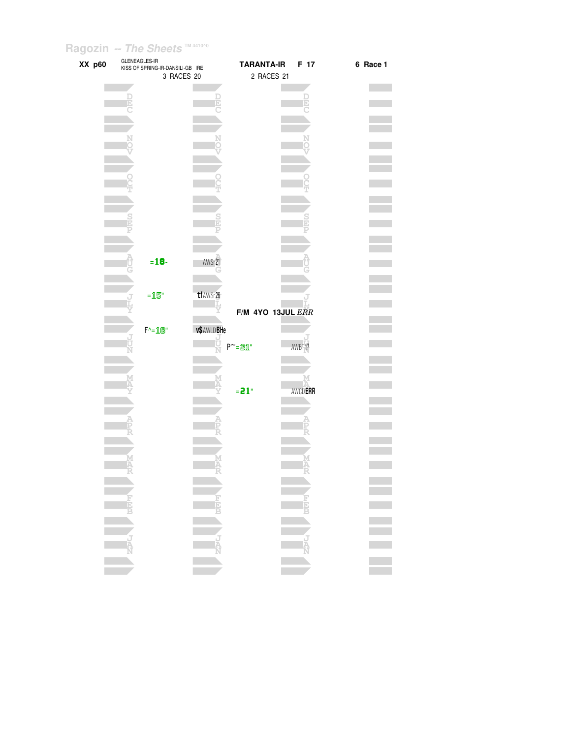| XX p60 | GLENEAGLES-IR | KISS OF SPRING-IR-DANSILI-GB IRE                  |              | <b>TARANTA-IR</b> | F 17           | 6 Race 1 |
|--------|---------------|---------------------------------------------------|--------------|-------------------|----------------|----------|
|        |               | 3 RACES 20                                        |              | 2 RACES 21        |                |          |
|        |               |                                                   |              |                   |                |          |
|        |               |                                                   |              |                   | þ              |          |
|        |               |                                                   |              |                   |                |          |
|        |               |                                                   |              |                   |                |          |
|        |               |                                                   |              |                   |                |          |
|        |               |                                                   |              |                   |                |          |
|        |               |                                                   |              |                   |                |          |
|        |               |                                                   |              |                   |                |          |
|        |               |                                                   |              |                   |                |          |
|        |               |                                                   |              |                   |                |          |
|        |               |                                                   |              |                   |                |          |
|        |               |                                                   |              |                   |                |          |
|        |               |                                                   |              |                   |                |          |
|        |               |                                                   |              |                   |                |          |
|        |               |                                                   |              |                   |                |          |
|        |               | $= 18 -$                                          | AWSr21       |                   |                |          |
|        |               |                                                   |              |                   |                |          |
|        |               |                                                   | tf AWSr26    |                   |                |          |
|        |               | $=15"$                                            |              |                   |                |          |
|        |               |                                                   |              | F/M 4YO 13JUL ERR |                |          |
|        |               | $F^{\wedge} = \mathbf{1} \mathbf{B}^{\mathsf{u}}$ | v\$ AWLD BHe |                   |                |          |
|        |               |                                                   |              |                   |                |          |
|        |               |                                                   |              | $P^{\sim}$ =21"   | AWBT17         |          |
|        |               |                                                   |              |                   |                |          |
|        |               |                                                   |              |                   |                |          |
|        |               |                                                   |              | $= 21$ "          | <b>AWCDERR</b> |          |
|        |               |                                                   |              |                   |                |          |
|        |               |                                                   |              |                   |                |          |
|        |               |                                                   |              |                   |                |          |
|        |               |                                                   |              |                   |                |          |
|        |               |                                                   |              |                   |                |          |
|        |               |                                                   |              |                   |                |          |
|        |               |                                                   |              |                   |                |          |
|        |               |                                                   |              |                   |                |          |
|        |               |                                                   |              |                   |                |          |
|        |               |                                                   |              |                   |                |          |
|        |               |                                                   |              |                   | NEW WEE        |          |
|        |               |                                                   | NAPL I       |                   |                |          |
|        |               |                                                   |              |                   |                |          |
|        |               |                                                   |              |                   |                |          |
|        |               |                                                   |              |                   |                |          |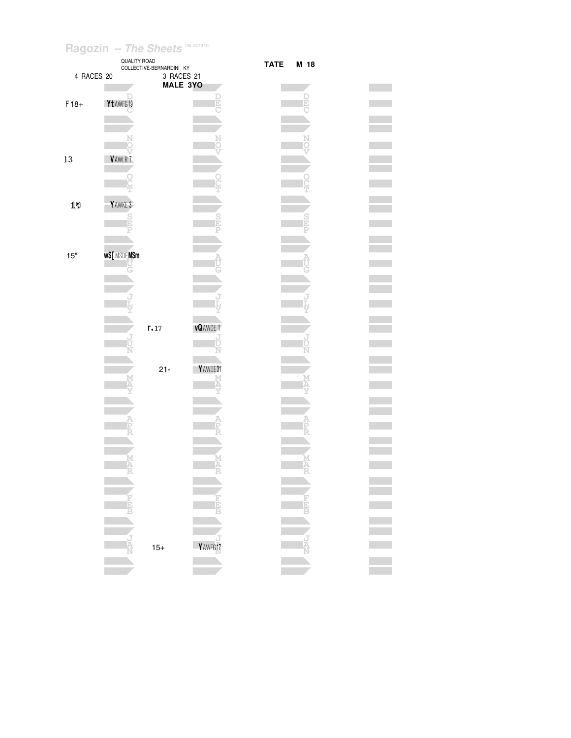|            |                    | <b>QUALITY ROAD</b><br>COLLECTIVE-BERNARDINI KY |                |
|------------|--------------------|-------------------------------------------------|----------------|
| 4 RACES 20 |                    | 3 RACES 21                                      |                |
|            |                    | <b>MALE 3YO</b>                                 |                |
|            |                    |                                                 |                |
| $F18+$     | Yt AWFG 19         |                                                 |                |
|            |                    |                                                 |                |
|            |                    |                                                 |                |
|            |                    |                                                 |                |
|            |                    |                                                 |                |
| 13         | VAWLR7             |                                                 |                |
|            |                    |                                                 |                |
|            |                    |                                                 |                |
|            |                    |                                                 |                |
| 19         | YAWKE 3            |                                                 |                |
|            |                    |                                                 |                |
|            |                    |                                                 |                |
|            |                    |                                                 |                |
|            |                    |                                                 |                |
| 15"        | <b>w\$[MSDEMSm</b> |                                                 |                |
|            |                    |                                                 |                |
|            |                    |                                                 |                |
|            |                    |                                                 |                |
|            |                    |                                                 |                |
|            |                    |                                                 |                |
|            |                    |                                                 |                |
|            |                    |                                                 |                |
|            |                    | r.17                                            | <b>vQAWDE1</b> |
|            |                    |                                                 |                |
|            |                    |                                                 |                |
|            |                    |                                                 |                |
|            |                    | $21 -$                                          | YAWDE31        |
|            |                    |                                                 |                |
|            |                    |                                                 |                |
|            |                    |                                                 |                |
|            |                    |                                                 |                |
|            |                    |                                                 |                |
|            |                    |                                                 |                |
|            |                    |                                                 |                |
|            |                    |                                                 |                |
|            |                    |                                                 |                |
|            |                    |                                                 |                |
|            |                    |                                                 |                |
|            |                    |                                                 |                |
|            |                    |                                                 |                |
|            |                    |                                                 |                |
|            |                    |                                                 |                |
|            |                    | $15+$                                           | Y AWFG 17      |
|            |                    |                                                 |                |

#### TATE **M** 18 **The State D E C** m. m. **N O V O T College S P College A**  $\mathcal{L}^{\text{max}}$ **J L Y J U N** e i **M A Y A P** ger<br>Sta **R M A R F E B J A N**

#### **Contract Contract Tara Contract**  $\mathcal{L}^{\text{max}}_{\text{max}}$  $\mathcal{L}^{\text{max}}_{\text{max}}$  $\sim 10^{-10}$  $\mathcal{L}^{\text{max}}_{\text{max}}$ **Contract Contract Contract**  $\mathcal{L}^{\text{max}}$ **Contract**  $\mathcal{O}(\mathbb{R}^d)$ **Contract**  $\mathcal{L}^{\text{max}}_{\text{max}}$  $\mathcal{L}^{\text{max}}_{\text{max}}$  $\mathcal{L}^{\text{max}}$  $\mathcal{L}^{\text{max}}_{\text{max}}$  $\mathcal{L}^{\text{max}}_{\text{max}}$  $\mathcal{L}^{\text{max}}$ **Contract**  $\mathcal{L}^{\text{max}}_{\text{max}}$  $\mathcal{L}^{\text{max}}_{\text{max}}$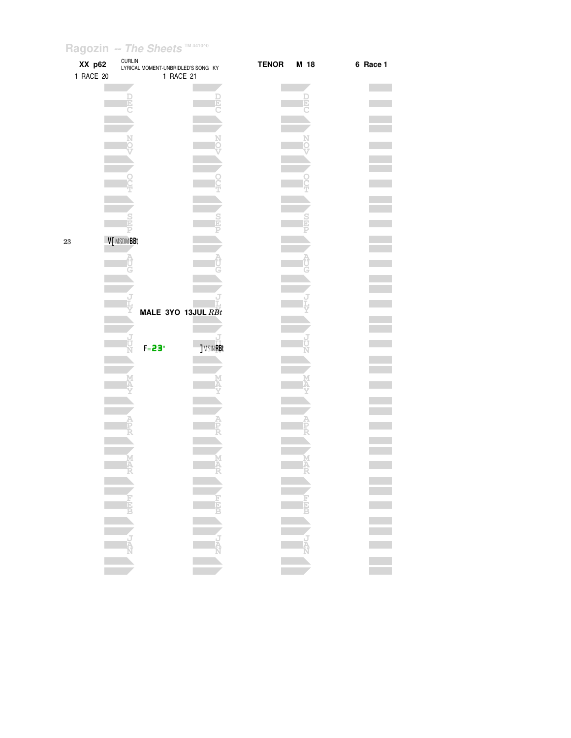| XX p62<br>1 RACE 20 | <b>CURLIN</b><br>LYRICAL MOMENT-UNBRIDLED'S SONG KY | 1 RACE 21          | <b>TENOR</b> | M 18     | 6 Race 1    |
|---------------------|-----------------------------------------------------|--------------------|--------------|----------|-------------|
|                     |                                                     |                    |              |          |             |
|                     |                                                     |                    |              |          |             |
|                     | Ŀ                                                   |                    |              | Þ        |             |
|                     |                                                     |                    |              |          |             |
|                     |                                                     |                    |              |          |             |
|                     |                                                     |                    |              |          |             |
|                     |                                                     |                    |              |          |             |
|                     |                                                     |                    |              |          |             |
|                     |                                                     |                    |              |          |             |
|                     |                                                     |                    |              |          |             |
|                     |                                                     |                    |              |          |             |
|                     |                                                     |                    |              |          |             |
|                     |                                                     |                    |              |          |             |
|                     |                                                     |                    |              |          |             |
|                     | V[ MSDMBBt                                          |                    |              |          |             |
|                     |                                                     |                    |              |          |             |
|                     |                                                     |                    |              |          |             |
|                     |                                                     |                    |              |          |             |
|                     |                                                     |                    |              |          |             |
|                     |                                                     |                    |              |          |             |
|                     |                                                     |                    |              |          |             |
|                     |                                                     | MALE 3YO 13JUL RBt |              |          |             |
|                     |                                                     |                    |              |          |             |
|                     | J                                                   |                    |              |          |             |
|                     | $F = 23"$                                           | <b>JMSINRBt</b>    |              |          |             |
|                     |                                                     |                    |              |          |             |
|                     |                                                     |                    |              |          |             |
|                     |                                                     |                    |              |          |             |
|                     |                                                     |                    |              |          |             |
|                     |                                                     |                    |              |          |             |
|                     |                                                     |                    |              |          |             |
|                     |                                                     |                    |              |          |             |
|                     |                                                     |                    |              |          |             |
|                     |                                                     |                    |              |          |             |
|                     |                                                     |                    |              |          |             |
|                     |                                                     |                    |              |          |             |
|                     |                                                     |                    |              |          |             |
|                     |                                                     |                    |              |          |             |
|                     |                                                     |                    |              |          |             |
|                     |                                                     |                    |              |          |             |
|                     | <b>AND CONTROL</b>                                  |                    |              | NEW WEEK | i<br>I<br>I |
|                     |                                                     |                    |              |          |             |
|                     |                                                     |                    |              |          |             |
|                     |                                                     |                    |              |          |             |
|                     |                                                     |                    |              |          |             |

 $23$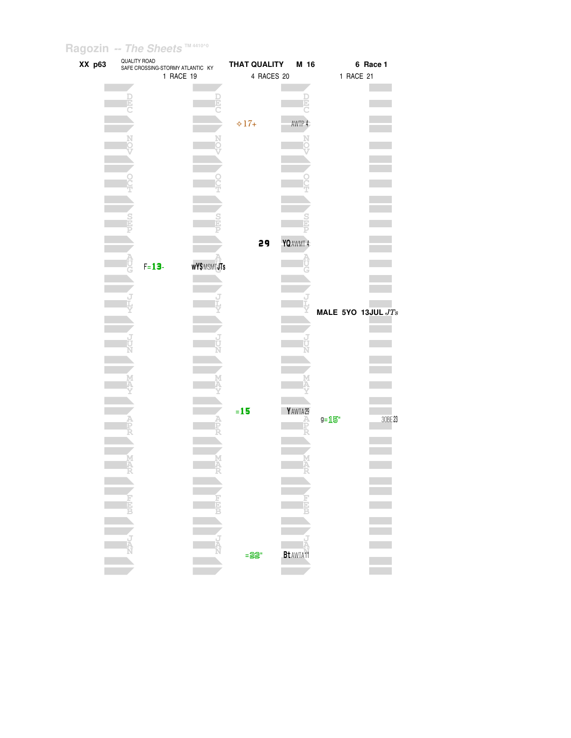| XX p63 | QUALITY ROAD | SAFE CROSSING-STORMY ATLANTIC KY |             | <b>THAT QUALITY</b> | M 16                         |       | 6 Race 1             |
|--------|--------------|----------------------------------|-------------|---------------------|------------------------------|-------|----------------------|
|        |              |                                  | 1 RACE 19   | 4 RACES 20          |                              |       | 1 RACE 21            |
|        |              |                                  |             |                     |                              |       |                      |
|        |              |                                  |             |                     | D                            |       |                      |
|        |              |                                  |             |                     |                              |       |                      |
|        |              |                                  |             | $\diamond 17+$      | AWTP 4                       |       |                      |
|        |              |                                  |             |                     |                              |       |                      |
|        |              |                                  |             |                     |                              |       |                      |
|        |              |                                  |             |                     |                              |       |                      |
|        |              |                                  |             |                     |                              |       |                      |
|        |              |                                  |             |                     |                              |       |                      |
|        |              |                                  |             |                     |                              |       |                      |
|        |              |                                  |             |                     |                              |       |                      |
|        |              |                                  |             |                     |                              |       |                      |
|        |              |                                  |             |                     |                              |       |                      |
|        |              |                                  |             |                     |                              |       |                      |
|        |              |                                  |             | 29                  | YQ AWMT 4                    |       |                      |
|        |              |                                  |             |                     |                              |       |                      |
|        |              | $F = 13 -$                       | WY\$MSMTJTs |                     |                              |       |                      |
|        |              |                                  |             |                     |                              |       |                      |
|        |              |                                  |             |                     |                              |       |                      |
|        |              |                                  |             |                     |                              |       |                      |
|        |              |                                  |             |                     |                              |       | MALE 5YO 13JUL $JTs$ |
|        |              |                                  |             |                     |                              |       |                      |
|        |              |                                  |             |                     |                              |       |                      |
|        |              |                                  |             |                     |                              |       |                      |
|        |              |                                  |             |                     |                              |       |                      |
|        |              |                                  |             |                     |                              |       |                      |
|        |              |                                  |             |                     |                              |       |                      |
|        |              |                                  |             |                     |                              |       |                      |
|        |              |                                  |             |                     |                              |       |                      |
|        |              |                                  |             | $=15$               | YAWTA29                      |       |                      |
|        |              |                                  |             |                     |                              | g=15" | 30BE 23              |
|        |              |                                  |             |                     |                              |       |                      |
|        |              |                                  |             |                     |                              |       |                      |
|        |              |                                  |             |                     |                              |       |                      |
|        |              |                                  |             |                     |                              |       |                      |
|        |              |                                  |             |                     |                              |       |                      |
|        |              |                                  |             |                     |                              |       |                      |
|        |              |                                  |             |                     |                              |       |                      |
|        | 青            |                                  |             |                     | D                            |       |                      |
|        |              |                                  |             |                     |                              |       |                      |
|        |              |                                  |             |                     |                              |       |                      |
|        | i<br>R       |                                  |             |                     |                              |       |                      |
|        |              |                                  |             | $= 22$              | <b>Bt</b> AWTA <sup>11</sup> |       |                      |
|        |              |                                  |             |                     |                              |       |                      |
|        |              |                                  |             |                     |                              |       |                      |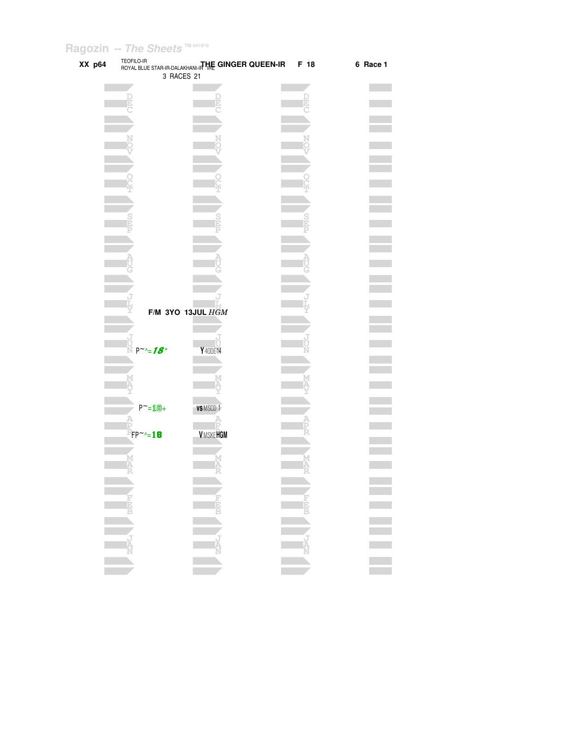| XX p64 | TEOFILO-IR             | ROYAL BLUE STAR-IR-DALAKHANI-ITHE GINGER QUEEN-IR | F 18 | 6 Race 1 |
|--------|------------------------|---------------------------------------------------|------|----------|
|        |                        | 3 RACES 21                                        |      |          |
|        |                        |                                                   |      |          |
|        |                        |                                                   |      |          |
|        |                        |                                                   |      |          |
|        |                        |                                                   |      |          |
|        |                        |                                                   |      |          |
|        |                        |                                                   |      |          |
|        |                        |                                                   |      |          |
|        |                        |                                                   |      |          |
|        |                        |                                                   |      |          |
|        |                        |                                                   |      |          |
|        |                        |                                                   |      |          |
|        |                        |                                                   |      |          |
|        |                        |                                                   |      |          |
|        |                        |                                                   |      |          |
|        |                        |                                                   |      |          |
|        |                        |                                                   |      |          |
|        |                        |                                                   |      |          |
|        |                        |                                                   |      |          |
|        |                        |                                                   |      |          |
|        |                        |                                                   |      |          |
|        |                        | F/M 3YO 13JUL HGM                                 |      |          |
|        |                        |                                                   |      |          |
|        |                        |                                                   |      |          |
|        | $P^{\sim}$ $\sim$ $18$ | Y40DE14                                           |      |          |
|        |                        |                                                   |      |          |
|        |                        |                                                   |      |          |
|        |                        |                                                   |      |          |
|        |                        |                                                   |      |          |
|        | $P^{\sim} = 10 +$      | <b>VSMSCD1</b>                                    |      |          |
|        |                        |                                                   |      |          |
|        | $FP^{\sim}$ -18        | <b>VMSKEHGM</b>                                   |      |          |
|        |                        |                                                   |      |          |
|        |                        |                                                   |      |          |
|        |                        |                                                   |      |          |
|        |                        |                                                   |      |          |
|        |                        |                                                   |      |          |
|        |                        |                                                   |      |          |
|        |                        |                                                   |      |          |
|        |                        |                                                   |      |          |
|        |                        |                                                   |      |          |
|        |                        |                                                   |      |          |
|        |                        |                                                   |      |          |
|        |                        |                                                   |      |          |
|        |                        |                                                   |      |          |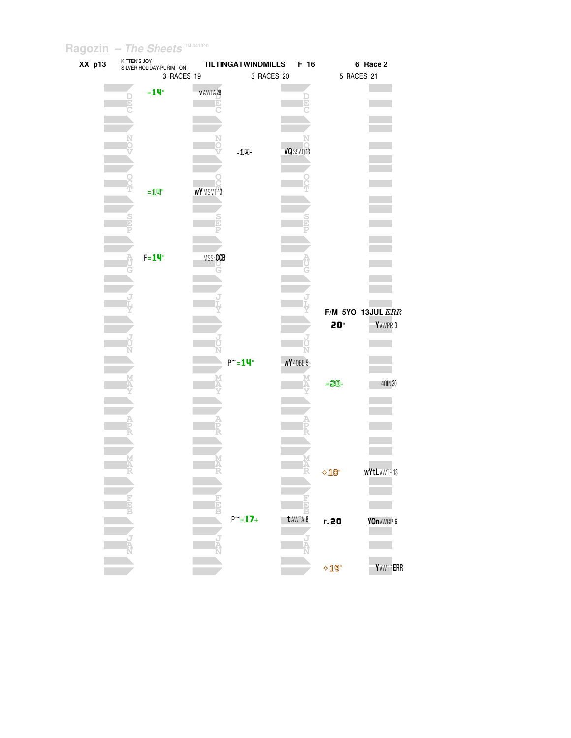| XX p13 | KITTEN'S JOY<br>SILVER HOLIDAY-PURIM ON | <b>TILTINGATWINDMILLS</b> |            | F 16             |                          | 6 Race 2              |
|--------|-----------------------------------------|---------------------------|------------|------------------|--------------------------|-----------------------|
|        | 3 RACES 19                              |                           | 3 RACES 20 |                  | 5 RACES 21               |                       |
|        | $=14$ "                                 | VAWTA28                   |            |                  |                          |                       |
|        | Þ                                       |                           |            | Þ                |                          |                       |
|        |                                         |                           |            |                  |                          |                       |
|        |                                         |                           |            |                  |                          |                       |
|        |                                         |                           |            |                  |                          |                       |
|        |                                         | $.14-$                    |            | VQ 35AQ 13       |                          |                       |
|        |                                         |                           |            |                  |                          |                       |
|        |                                         |                           |            |                  |                          |                       |
|        | $=$ $1$ $=$ $1$                         | WYMSMT13                  |            |                  |                          |                       |
|        |                                         |                           |            |                  |                          |                       |
|        |                                         |                           |            |                  |                          |                       |
|        |                                         |                           |            |                  |                          |                       |
|        |                                         |                           |            |                  |                          |                       |
|        | $F = 14$                                | <b>MSSrCCB</b>            |            |                  |                          |                       |
|        |                                         |                           |            |                  |                          |                       |
|        |                                         |                           |            |                  |                          |                       |
|        |                                         |                           |            |                  |                          |                       |
|        |                                         |                           |            |                  |                          | $F/M$ 5YO 13JUL $ERR$ |
|        |                                         |                           |            |                  | 20"                      | YAWPR 3               |
|        |                                         |                           |            |                  |                          |                       |
|        |                                         | U<br>N                    |            |                  |                          |                       |
|        |                                         | $P^{\sim} = 14$ "         |            | <b>WY</b> 40BE 5 |                          |                       |
|        |                                         |                           |            |                  |                          |                       |
|        |                                         |                           |            |                  | $= 20 -$                 | 40IN 20               |
|        |                                         |                           |            |                  |                          |                       |
|        |                                         |                           |            |                  |                          |                       |
|        |                                         |                           |            |                  |                          |                       |
|        |                                         |                           |            |                  |                          |                       |
|        |                                         |                           |            |                  |                          |                       |
|        |                                         |                           |            |                  |                          |                       |
|        |                                         |                           |            |                  | $\div 10$ "              | <b>wYtLAWTP13</b>     |
|        |                                         |                           |            |                  |                          |                       |
|        |                                         |                           |            |                  |                          |                       |
|        |                                         | $P^{\sim} = 17 +$         |            | Β<br>t AWTA 8    | r.20                     | YQn AWGP 6            |
|        |                                         |                           |            |                  |                          |                       |
|        |                                         |                           |            |                  |                          |                       |
|        |                                         |                           |            |                  |                          |                       |
|        |                                         |                           |            |                  | $\lozenge \mathbb{1}$ 9" | Y AWTP ERR            |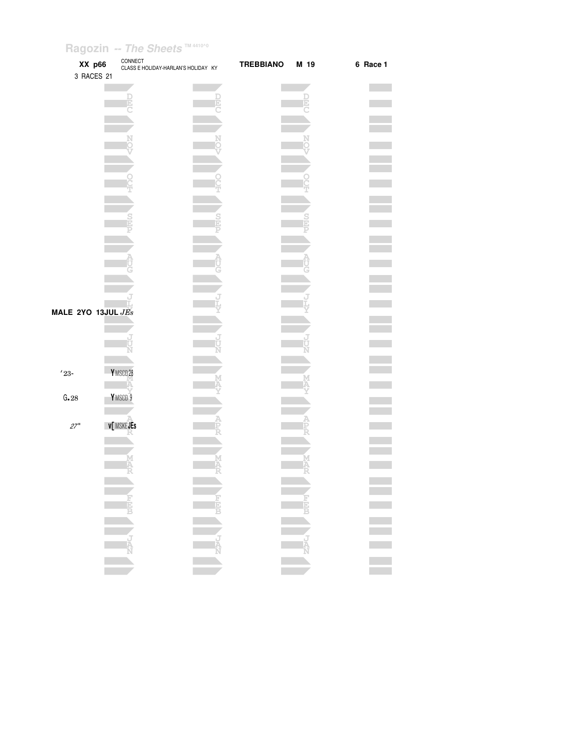|                    | XX p66<br>3 RACES 21 | CONNECT<br>CLASS E HOLIDAY-HARLAN'S HOLIDAY KY |      | <b>TREBBIANO</b> | M 19 | 6 Race 1 |
|--------------------|----------------------|------------------------------------------------|------|------------------|------|----------|
|                    |                      |                                                |      |                  |      |          |
|                    |                      |                                                |      |                  |      |          |
|                    |                      |                                                |      |                  |      |          |
|                    |                      |                                                |      |                  |      |          |
|                    |                      |                                                |      |                  |      |          |
|                    |                      |                                                |      |                  |      |          |
|                    |                      |                                                |      |                  |      |          |
|                    |                      |                                                |      |                  |      |          |
|                    |                      |                                                |      |                  |      |          |
|                    |                      |                                                |      |                  |      |          |
| MALE 2YO 13JUL JEs |                      |                                                |      |                  |      |          |
|                    |                      |                                                |      |                  |      |          |
|                    |                      |                                                |      |                  |      |          |
| $^\prime 23$ -     | YMSCD28              |                                                |      |                  |      |          |
| G.28               | YMSCD <sub>9</sub>   |                                                |      |                  |      |          |
|                    |                      |                                                |      |                  |      |          |
| $27^{\circ}$       | <b>v[MSKEJEs</b>     |                                                |      |                  |      |          |
|                    |                      | Ą                                              |      |                  |      |          |
|                    |                      | and the New                                    | $-1$ |                  | $-1$ |          |
|                    |                      |                                                |      |                  |      |          |
|                    |                      |                                                |      |                  |      |          |
|                    |                      |                                                |      |                  |      | Ξ        |
|                    |                      |                                                |      |                  |      |          |
|                    |                      |                                                |      |                  |      |          |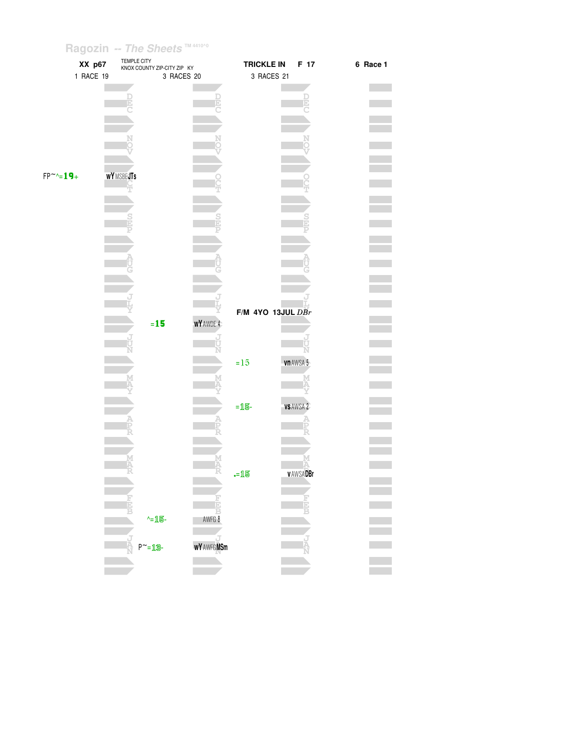| XX p67             | TEMPLE CITY<br>KNOX COUNTY ZIP-CITY ZIP KY |                          | <b>TRICKLE IN</b>   | F 17            | 6 Race 1 |
|--------------------|--------------------------------------------|--------------------------|---------------------|-----------------|----------|
| 1 RACE 19          | 3 RACES 20                                 |                          | 3 RACES 21          |                 |          |
|                    |                                            |                          |                     |                 |          |
|                    | E                                          |                          |                     |                 |          |
|                    |                                            |                          |                     |                 |          |
|                    |                                            |                          |                     |                 |          |
|                    |                                            |                          |                     |                 |          |
|                    |                                            |                          |                     |                 |          |
|                    |                                            |                          |                     |                 |          |
| $FP^{\sim} = 19 +$ | <b>WYMSBEJTs</b>                           |                          |                     |                 |          |
|                    | ₩                                          |                          |                     |                 |          |
|                    |                                            |                          |                     |                 |          |
|                    | $\frac{S}{E}$                              | $\frac{S}{D}$            |                     |                 |          |
|                    |                                            |                          |                     |                 |          |
|                    |                                            |                          |                     |                 |          |
|                    | Ù                                          |                          |                     |                 |          |
|                    |                                            |                          |                     |                 |          |
|                    |                                            |                          |                     |                 |          |
|                    |                                            |                          |                     |                 |          |
|                    |                                            |                          | F/M 4YO 13JUL $DBr$ |                 |          |
|                    | $=15$                                      | WY AWDE 4                |                     |                 |          |
|                    |                                            |                          |                     |                 |          |
|                    |                                            |                          |                     |                 |          |
|                    |                                            |                          | $=15$               | vn AWSA 5       |          |
|                    | M                                          |                          |                     |                 |          |
|                    |                                            |                          |                     |                 |          |
|                    |                                            |                          | $=$ 15-             | <b>VSAWSA 2</b> |          |
|                    |                                            |                          |                     |                 |          |
|                    |                                            |                          |                     |                 |          |
|                    |                                            |                          |                     |                 |          |
|                    | M<br>Ä                                     | M<br>A<br>R              |                     | м               |          |
|                    |                                            |                          | $-15$               | <b>vAWSADBr</b> |          |
|                    |                                            |                          |                     |                 |          |
|                    | F                                          |                          |                     |                 |          |
|                    | ^=15-                                      | $\overline{A}$<br>8 AWFG |                     |                 |          |
|                    |                                            |                          |                     |                 |          |
|                    | Ta<br>A<br>$P^{\sim} = 13 -$               | <b>WY AWFGMSm</b>        |                     |                 |          |
|                    |                                            |                          |                     |                 |          |
|                    |                                            |                          |                     |                 |          |
|                    |                                            |                          |                     |                 |          |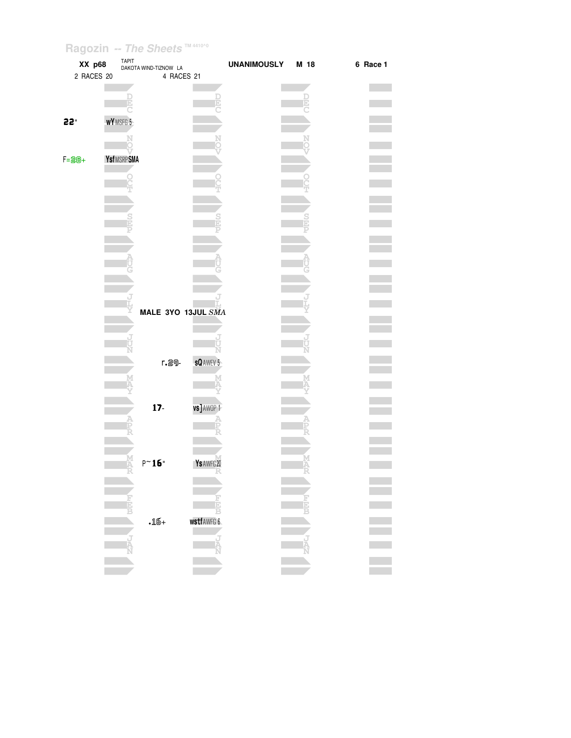| XX p68<br>2 RACES 20 |            | TAPIT<br>DAKOTA WIND-TIZNOW LA<br>4 RACES 21 |                   | <b>UNANIMOUSLY</b> | M 18 | 6 Race 1 |
|----------------------|------------|----------------------------------------------|-------------------|--------------------|------|----------|
|                      |            |                                              |                   |                    |      |          |
| 55.                  | WYMSFG 5   |                                              |                   |                    |      |          |
|                      |            |                                              |                   |                    |      |          |
| $F = 20 +$           | YsfMSRPSMA |                                              |                   |                    |      |          |
|                      |            |                                              |                   |                    |      |          |
|                      |            |                                              |                   |                    |      |          |
|                      |            |                                              |                   |                    |      |          |
|                      |            |                                              |                   |                    |      |          |
|                      |            |                                              |                   |                    |      |          |
|                      |            |                                              |                   |                    |      |          |
|                      |            | MALE 3YO 13JUL SMA                           |                   |                    |      |          |
|                      |            |                                              |                   |                    |      |          |
|                      |            | r.29-                                        | <b>sQAWEV 5</b>   |                    |      |          |
|                      |            |                                              |                   |                    |      |          |
|                      |            | $17-$                                        | vs] AWOP 1        |                    |      |          |
|                      |            |                                              |                   |                    |      |          |
|                      |            |                                              |                   |                    |      |          |
|                      |            | $\mathsf{P}^\sim\mathbf{16}$ "               | Ys AWFG 20        |                    |      |          |
|                      |            |                                              |                   |                    |      |          |
|                      |            |                                              |                   |                    |      |          |
|                      |            | $\boldsymbol{.16+}$                          | <b>wstfAWFG 6</b> |                    |      |          |
|                      |            |                                              |                   |                    |      |          |
|                      |            |                                              |                   |                    |      |          |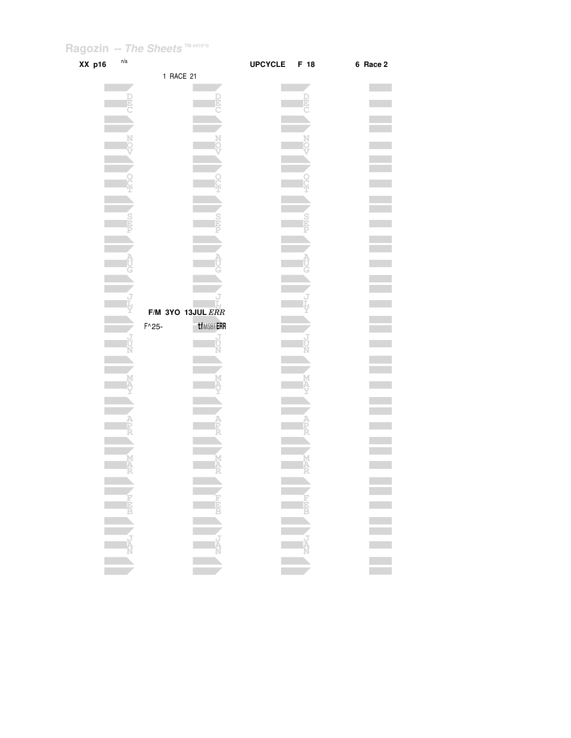| XX p16 | n/a                                                                                                                                                                                                                                                                                                                                                 |                        | <b>UPCYCLE</b> | F 18   | 6 Race 2 |
|--------|-----------------------------------------------------------------------------------------------------------------------------------------------------------------------------------------------------------------------------------------------------------------------------------------------------------------------------------------------------|------------------------|----------------|--------|----------|
|        |                                                                                                                                                                                                                                                                                                                                                     | 1 RACE 21              |                |        |          |
|        |                                                                                                                                                                                                                                                                                                                                                     |                        |                |        |          |
|        | E                                                                                                                                                                                                                                                                                                                                                   | E                      |                |        |          |
|        |                                                                                                                                                                                                                                                                                                                                                     |                        |                |        |          |
|        |                                                                                                                                                                                                                                                                                                                                                     |                        |                |        |          |
|        |                                                                                                                                                                                                                                                                                                                                                     |                        |                |        |          |
|        |                                                                                                                                                                                                                                                                                                                                                     |                        |                |        |          |
|        |                                                                                                                                                                                                                                                                                                                                                     |                        |                |        |          |
|        |                                                                                                                                                                                                                                                                                                                                                     |                        |                |        |          |
|        |                                                                                                                                                                                                                                                                                                                                                     |                        |                |        |          |
|        |                                                                                                                                                                                                                                                                                                                                                     |                        |                |        |          |
|        |                                                                                                                                                                                                                                                                                                                                                     |                        |                |        |          |
|        |                                                                                                                                                                                                                                                                                                                                                     |                        |                |        |          |
|        |                                                                                                                                                                                                                                                                                                                                                     |                        |                |        |          |
|        |                                                                                                                                                                                                                                                                                                                                                     |                        |                |        |          |
|        |                                                                                                                                                                                                                                                                                                                                                     |                        |                |        |          |
|        |                                                                                                                                                                                                                                                                                                                                                     |                        |                |        |          |
|        |                                                                                                                                                                                                                                                                                                                                                     |                        |                |        |          |
|        |                                                                                                                                                                                                                                                                                                                                                     | F/M 3YO 13JUL ERR      |                |        |          |
|        |                                                                                                                                                                                                                                                                                                                                                     | tfMSBTERR<br>$F^0$ 25- |                |        |          |
|        |                                                                                                                                                                                                                                                                                                                                                     | ป<br>ป                 |                |        |          |
|        |                                                                                                                                                                                                                                                                                                                                                     |                        |                |        |          |
|        |                                                                                                                                                                                                                                                                                                                                                     |                        |                |        |          |
|        |                                                                                                                                                                                                                                                                                                                                                     |                        |                |        |          |
|        |                                                                                                                                                                                                                                                                                                                                                     |                        |                |        |          |
|        |                                                                                                                                                                                                                                                                                                                                                     |                        |                |        |          |
|        |                                                                                                                                                                                                                                                                                                                                                     |                        |                |        |          |
|        |                                                                                                                                                                                                                                                                                                                                                     |                        |                |        |          |
|        |                                                                                                                                                                                                                                                                                                                                                     |                        |                |        |          |
|        | M<br>A                                                                                                                                                                                                                                                                                                                                              | Ķ                      |                |        |          |
|        |                                                                                                                                                                                                                                                                                                                                                     |                        |                |        |          |
|        |                                                                                                                                                                                                                                                                                                                                                     |                        |                |        |          |
|        |                                                                                                                                                                                                                                                                                                                                                     |                        |                |        |          |
|        |                                                                                                                                                                                                                                                                                                                                                     |                        |                |        |          |
|        | $\begin{picture}(180,170) \put(0,0){\line(1,0){10}} \put(10,0){\line(1,0){10}} \put(10,0){\line(1,0){10}} \put(10,0){\line(1,0){10}} \put(10,0){\line(1,0){10}} \put(10,0){\line(1,0){10}} \put(10,0){\line(1,0){10}} \put(10,0){\line(1,0){10}} \put(10,0){\line(1,0){10}} \put(10,0){\line(1,0){10}} \put(10,0){\line(1,0){10}} \put(10,0){\line$ |                        |                |        |          |
|        |                                                                                                                                                                                                                                                                                                                                                     |                        |                | NAN NA |          |
|        |                                                                                                                                                                                                                                                                                                                                                     |                        |                |        |          |
|        |                                                                                                                                                                                                                                                                                                                                                     |                        |                |        |          |
|        |                                                                                                                                                                                                                                                                                                                                                     |                        |                |        |          |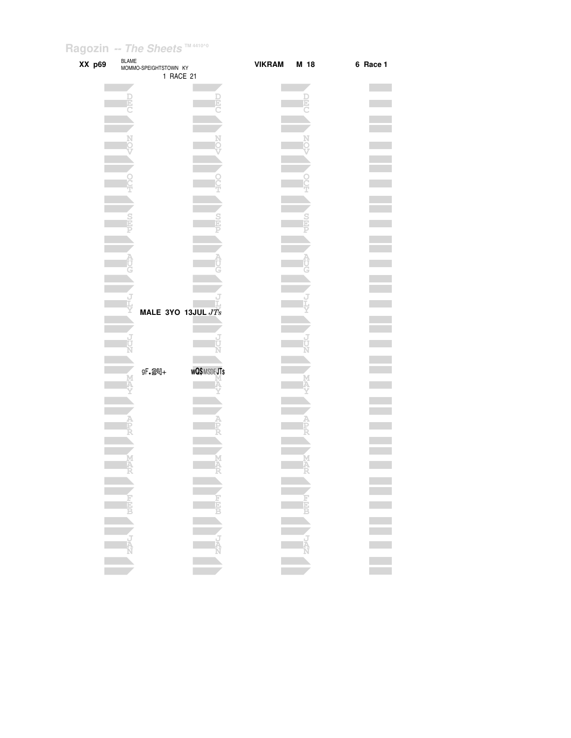| XX p69 | <b>BLAME</b><br>MOMMO-SPEIGHTSTOWN KY | 1 RACE 21          | <b>VIKRAM</b> | M 18   | 6 Race 1 |
|--------|---------------------------------------|--------------------|---------------|--------|----------|
|        |                                       |                    |               |        |          |
|        | Ð                                     |                    |               |        |          |
|        |                                       |                    |               |        |          |
|        |                                       |                    |               |        |          |
|        |                                       |                    |               |        |          |
|        |                                       |                    |               |        |          |
|        |                                       |                    |               |        |          |
|        |                                       |                    |               |        |          |
|        |                                       |                    |               |        |          |
|        |                                       |                    |               |        |          |
|        |                                       |                    |               |        |          |
|        |                                       |                    |               |        |          |
|        |                                       |                    |               |        |          |
|        |                                       |                    |               |        |          |
|        |                                       |                    |               |        |          |
|        |                                       |                    |               |        |          |
|        |                                       | MALE 3YO 13JUL JTs |               |        |          |
|        |                                       |                    |               |        |          |
|        |                                       |                    |               |        |          |
|        |                                       |                    |               |        |          |
|        | gF. 24+                               | <b>WQ\$MSDEJTs</b> |               |        |          |
|        |                                       |                    |               |        |          |
|        |                                       |                    |               |        |          |
|        |                                       |                    |               |        |          |
|        |                                       |                    |               |        |          |
|        |                                       |                    |               |        |          |
|        | M<br>A                                |                    |               | M<br>A |          |
|        |                                       | Ā                  |               |        |          |
|        |                                       |                    |               |        |          |
|        |                                       |                    |               |        | Ξ        |
|        |                                       |                    |               |        |          |
|        |                                       |                    |               |        |          |
|        |                                       |                    |               |        |          |
|        |                                       |                    |               |        |          |
|        |                                       |                    |               |        | $\equiv$ |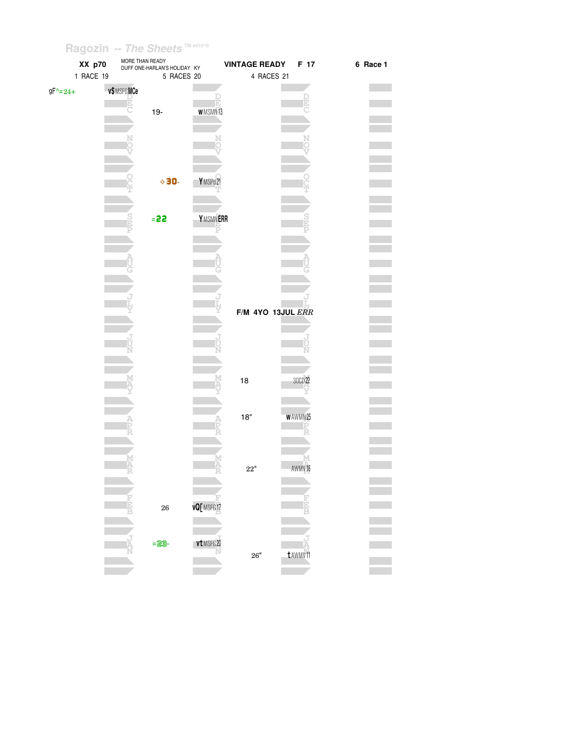| XX p70            | MORE THAN READY | DUFF ONE-HARLAN'S HOLIDAY KY |                | <b>VINTAGE READY</b> | F 17               | 6 Race 1 |
|-------------------|-----------------|------------------------------|----------------|----------------------|--------------------|----------|
| 1 RACE 19         |                 | 5 RACES 20                   |                | 4 RACES 21           |                    |          |
| $9F^{\wedge}=24+$ | v\$MSFGMCe      |                              |                |                      |                    |          |
|                   |                 |                              |                |                      |                    |          |
|                   |                 | $19 -$                       | <b>WMSMN13</b> |                      |                    |          |
|                   |                 |                              |                |                      |                    |          |
|                   |                 |                              |                |                      |                    |          |
|                   |                 |                              |                |                      |                    |          |
|                   |                 |                              |                |                      |                    |          |
|                   |                 | $\diamond$ 30-               | YMSPd21        |                      |                    |          |
|                   |                 |                              |                |                      |                    |          |
|                   |                 |                              |                |                      |                    |          |
|                   |                 | $= 22$                       | YMSMNERR       |                      |                    |          |
|                   |                 |                              |                |                      |                    |          |
|                   |                 |                              |                |                      |                    |          |
|                   |                 |                              |                |                      |                    |          |
|                   |                 |                              |                |                      |                    |          |
|                   |                 |                              |                |                      |                    |          |
|                   |                 |                              |                |                      |                    |          |
|                   |                 |                              |                | F/M 4YO 13JUL ERR    |                    |          |
|                   |                 |                              |                |                      |                    |          |
|                   |                 |                              |                |                      |                    |          |
|                   |                 |                              |                |                      |                    |          |
|                   |                 |                              |                |                      |                    |          |
|                   |                 |                              |                | 18                   | 30CD 22            |          |
|                   |                 |                              |                |                      |                    |          |
|                   |                 |                              |                |                      |                    |          |
|                   |                 |                              |                | $18"$                | w AWMN 25          |          |
|                   |                 |                              |                |                      |                    |          |
|                   |                 |                              |                |                      |                    |          |
|                   |                 |                              |                |                      |                    |          |
|                   |                 |                              |                | $22^{\circ}$         | AWMV <sub>16</sub> |          |
|                   |                 |                              |                |                      |                    |          |
|                   |                 |                              |                |                      |                    |          |
|                   |                 | $\bf{26}$                    | vQ[ MSFG17     |                      |                    |          |
|                   |                 |                              |                |                      |                    |          |
|                   |                 | $=23$                        | vt MSFG 20     |                      |                    |          |
|                   |                 |                              |                | $26"$                | t AWMV11           |          |
|                   |                 |                              |                |                      |                    |          |
|                   |                 |                              |                |                      |                    |          |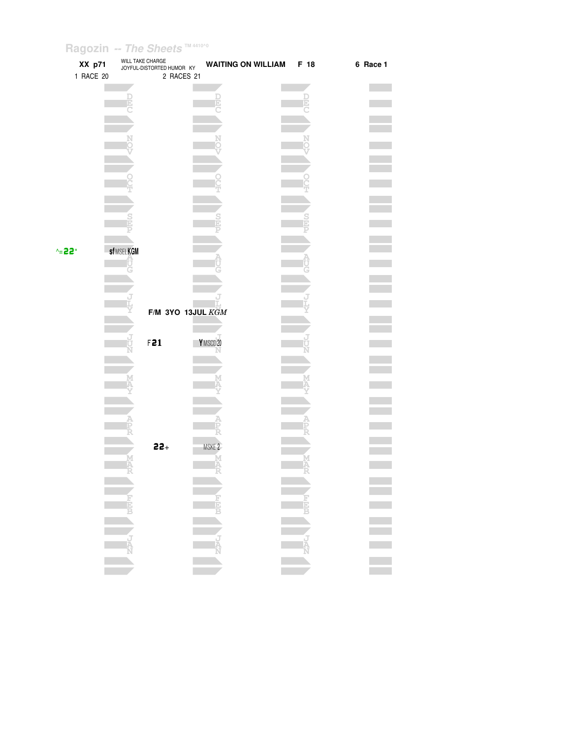| XX p71<br>1 RACE 20        | WILL TAKE CHARGE<br>JOYFUL-DISTORTED HUMOR KY<br>2 RACES 21 | <b>WAITING ON WILLIAM</b> | F 18             | 6 Race 1 |
|----------------------------|-------------------------------------------------------------|---------------------------|------------------|----------|
|                            |                                                             |                           |                  |          |
|                            |                                                             |                           |                  |          |
|                            |                                                             |                           |                  |          |
|                            |                                                             |                           |                  |          |
|                            |                                                             |                           |                  |          |
| <b>sfMSELKGM</b><br>$-22"$ |                                                             |                           |                  |          |
|                            |                                                             |                           |                  |          |
|                            |                                                             | F/M 3YO 13JUL KGM         |                  |          |
|                            | F21                                                         | YMSCD20                   |                  |          |
|                            |                                                             |                           |                  |          |
|                            |                                                             |                           |                  |          |
|                            | $22+$                                                       | MSKE <sub>2</sub>         |                  |          |
| M<br>A                     |                                                             |                           |                  |          |
|                            |                                                             |                           |                  |          |
|                            |                                                             |                           |                  |          |
| NAN NA                     |                                                             | N<br>N<br>N<br>N          | <b>THE STATE</b> |          |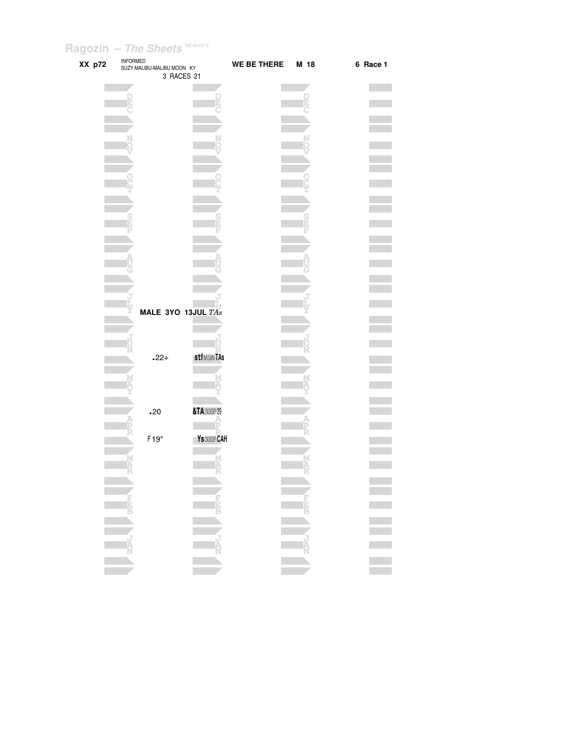|        | <b>INFORMED</b> |                                          |                   |                    |               |          |  |
|--------|-----------------|------------------------------------------|-------------------|--------------------|---------------|----------|--|
| XX p72 |                 | SUZY MALIBU-MALIBU MOON KY<br>3 RACES 21 |                   | <b>WE BE THERE</b> | M 18          | 6 Race 1 |  |
|        |                 |                                          |                   |                    |               |          |  |
|        |                 |                                          |                   |                    |               |          |  |
|        |                 |                                          |                   |                    |               |          |  |
|        |                 |                                          |                   |                    |               |          |  |
|        |                 |                                          |                   |                    |               |          |  |
|        |                 |                                          |                   |                    |               |          |  |
|        |                 |                                          |                   |                    |               |          |  |
|        |                 |                                          |                   |                    |               |          |  |
|        |                 |                                          |                   |                    |               |          |  |
|        |                 |                                          |                   |                    |               |          |  |
|        |                 |                                          |                   |                    |               |          |  |
|        |                 |                                          |                   |                    |               |          |  |
|        |                 |                                          |                   |                    |               |          |  |
|        |                 |                                          |                   |                    |               |          |  |
|        |                 |                                          |                   |                    |               |          |  |
|        |                 |                                          |                   |                    |               |          |  |
|        |                 |                                          |                   |                    |               |          |  |
|        |                 |                                          |                   |                    |               |          |  |
|        |                 | MALE 3YO 13JUL TAs                       |                   |                    |               |          |  |
|        |                 |                                          |                   |                    |               |          |  |
|        |                 |                                          |                   |                    |               |          |  |
|        |                 |                                          | <b>stfMSINTAs</b> |                    |               |          |  |
|        |                 | $.22+$                                   |                   |                    |               |          |  |
|        |                 |                                          |                   |                    |               |          |  |
|        |                 |                                          |                   |                    |               |          |  |
|        |                 |                                          |                   |                    |               |          |  |
|        |                 | .20                                      | &TA 300P29        |                    |               |          |  |
|        |                 |                                          |                   |                    |               |          |  |
|        |                 | F <sub>19"</sub>                         | Ys 300P CAH       |                    |               |          |  |
|        |                 |                                          |                   |                    |               |          |  |
|        |                 |                                          |                   |                    |               |          |  |
|        |                 |                                          |                   |                    |               |          |  |
|        |                 |                                          |                   |                    |               |          |  |
|        |                 |                                          |                   |                    |               |          |  |
|        |                 |                                          |                   |                    |               |          |  |
|        |                 |                                          |                   |                    | ENCLES DEEP X |          |  |
|        |                 |                                          |                   |                    |               |          |  |
|        |                 |                                          |                   |                    |               |          |  |
|        |                 |                                          |                   |                    |               |          |  |
|        |                 |                                          |                   |                    |               |          |  |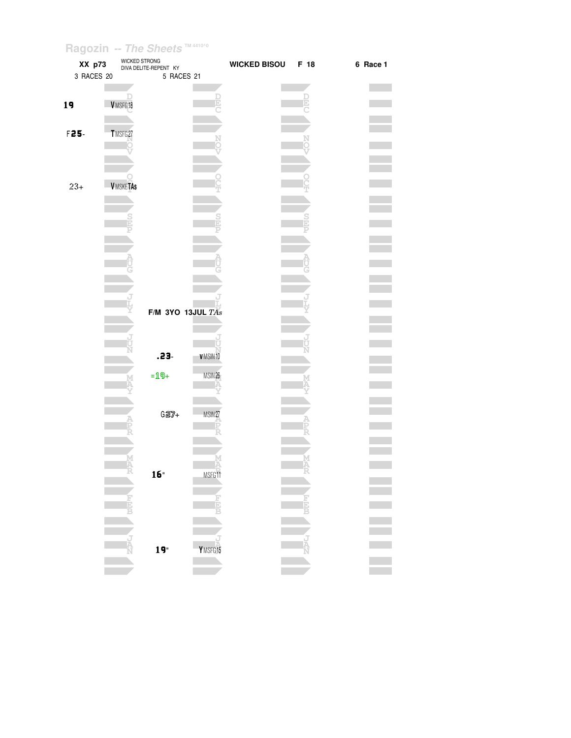| XX p73     | WICKED STRONG   | DIVA DELITE-REPENT KY |                    | <b>WICKED BISOU</b> | F 18 | 6 Race 1 |
|------------|-----------------|-----------------------|--------------------|---------------------|------|----------|
| 3 RACES 20 |                 | 5 RACES 21            |                    |                     |      |          |
|            |                 |                       |                    |                     |      |          |
| 19         | VMSFG18         |                       |                    |                     |      |          |
|            |                 |                       |                    |                     |      |          |
|            |                 |                       |                    |                     |      |          |
| F25-       | TMSFG27         |                       |                    |                     |      |          |
|            |                 |                       |                    |                     |      |          |
|            |                 |                       |                    |                     |      |          |
|            |                 |                       |                    |                     |      |          |
| $23+$      | <b>VMSKETAs</b> |                       |                    |                     |      |          |
|            |                 |                       |                    |                     |      |          |
|            |                 |                       |                    |                     |      |          |
|            |                 |                       |                    |                     |      |          |
|            |                 |                       |                    |                     |      |          |
|            |                 |                       |                    |                     |      |          |
|            |                 |                       |                    |                     |      |          |
|            |                 |                       |                    |                     |      |          |
|            |                 |                       |                    |                     |      |          |
|            |                 |                       |                    |                     |      |          |
|            |                 | F/M 3YO 13JUL $TAs$   |                    |                     |      |          |
|            |                 |                       |                    |                     |      |          |
|            |                 |                       |                    |                     |      |          |
|            |                 |                       |                    |                     |      |          |
|            |                 | .23.                  | V MSIN 10          |                     |      |          |
|            |                 |                       |                    |                     |      |          |
|            |                 | $=19+$                | MSIN 26            |                     |      |          |
|            |                 |                       |                    |                     |      |          |
|            |                 |                       |                    |                     |      |          |
|            |                 | $G27+$                | MSIN <sub>27</sub> |                     |      |          |
|            |                 |                       |                    |                     |      |          |
|            |                 |                       |                    |                     |      |          |
|            |                 |                       |                    |                     |      |          |
|            |                 |                       |                    |                     |      |          |
|            |                 | 16                    | MSFG11             |                     |      |          |
|            |                 |                       |                    |                     |      |          |
|            | 国语官             |                       | Ŀ<br>Ì             |                     | Ē    |          |
|            |                 |                       |                    |                     |      |          |
|            |                 |                       |                    |                     |      |          |
|            | ğ               |                       |                    |                     |      |          |
|            |                 | 19"                   | Y MSFG 15          |                     |      |          |
|            |                 |                       |                    |                     |      |          |
|            |                 |                       |                    |                     |      |          |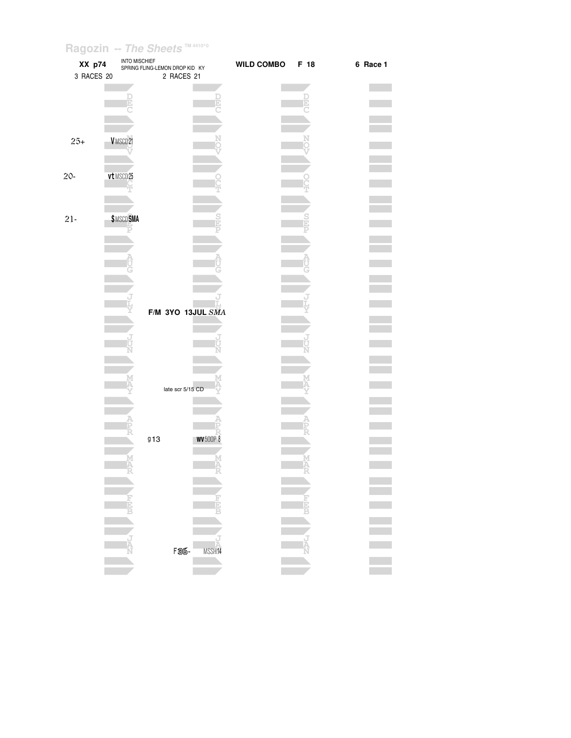| $\tilde{\phantom{a}}$<br>XX p74<br>3 RACES 20 | <b>INTO MISCHIEF</b> | SPRING FLING-LEMON DROP KID KY<br>2 RACES 21 | <b>WILD COMBO</b> | F 18   | 6 Race 1 |
|-----------------------------------------------|----------------------|----------------------------------------------|-------------------|--------|----------|
|                                               |                      | Ŀ                                            |                   | b)     |          |
|                                               |                      |                                              |                   |        |          |
| $25+$                                         | VMSCD21              |                                              |                   |        |          |
| $20 -$                                        | vt MSCD25            |                                              |                   |        |          |
| $21 -$                                        | <b>\$MSCDSMA</b>     |                                              |                   |        |          |
|                                               |                      |                                              |                   |        |          |
|                                               |                      |                                              |                   |        |          |
|                                               |                      | F/M 3YO 13JUL SMA                            |                   |        |          |
|                                               |                      |                                              |                   |        |          |
|                                               |                      |                                              |                   |        |          |
|                                               |                      | late scr 5/15 CD                             |                   |        |          |
|                                               |                      | <b>WV</b> 500P 8<br>913                      |                   |        |          |
|                                               |                      | Δ                                            |                   | M<br>A |          |
|                                               |                      |                                              |                   |        |          |
|                                               |                      |                                              |                   |        |          |
|                                               |                      | <b>F<sub>36</sub></b> -<br>MSSH14            |                   |        |          |
|                                               |                      |                                              |                   |        |          |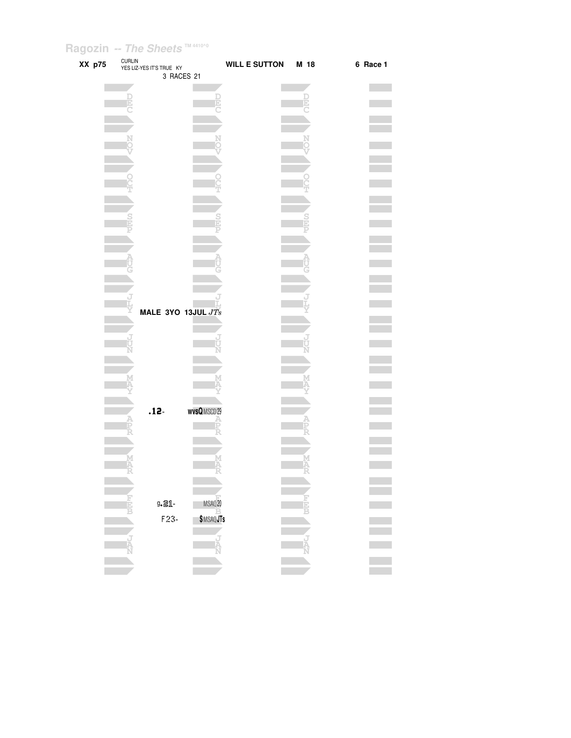| XX p75 |        | CURLIN<br>YES LIZ-YES IT'S TRUE KY<br>3 RACES 21 |                   | WILL E SUTTON M 18 |        | 6 Race 1 |
|--------|--------|--------------------------------------------------|-------------------|--------------------|--------|----------|
|        |        |                                                  |                   |                    |        |          |
|        | Ð      |                                                  |                   |                    |        |          |
|        |        |                                                  |                   |                    |        |          |
|        |        |                                                  |                   |                    |        |          |
|        |        |                                                  |                   |                    |        |          |
|        |        |                                                  |                   |                    |        |          |
|        |        |                                                  |                   |                    |        |          |
|        |        |                                                  |                   |                    |        |          |
|        |        |                                                  |                   |                    |        |          |
|        |        |                                                  |                   |                    |        |          |
|        |        |                                                  |                   |                    |        |          |
|        |        |                                                  |                   |                    |        |          |
|        |        |                                                  |                   |                    |        |          |
|        |        |                                                  |                   |                    |        |          |
|        |        |                                                  |                   |                    |        |          |
|        |        |                                                  |                   |                    |        |          |
|        |        |                                                  |                   |                    |        |          |
|        |        | MALE 3YO 13JUL $JTs$                             |                   |                    |        |          |
|        |        |                                                  |                   |                    |        |          |
|        |        |                                                  |                   |                    |        |          |
|        |        |                                                  |                   |                    |        |          |
|        |        |                                                  |                   |                    |        |          |
|        |        |                                                  |                   |                    |        |          |
|        |        |                                                  |                   |                    |        |          |
|        |        |                                                  |                   |                    |        |          |
|        |        | $.12 -$                                          | <b>wvsQMSCD29</b> |                    |        |          |
|        |        |                                                  |                   |                    |        |          |
|        |        |                                                  |                   |                    |        |          |
|        |        |                                                  |                   |                    |        |          |
|        | M<br>A |                                                  | M<br>A            |                    | M<br>A |          |
|        |        |                                                  |                   |                    |        |          |
|        |        |                                                  |                   |                    |        |          |
|        |        | 9.21-                                            | MSAQ20            |                    |        |          |
|        |        | $F23-$                                           | \$MSAQJTs         |                    |        |          |
|        |        |                                                  |                   |                    |        |          |
|        |        |                                                  |                   |                    |        |          |
|        |        |                                                  |                   |                    |        |          |
|        |        |                                                  |                   |                    |        |          |
|        |        |                                                  |                   |                    |        |          |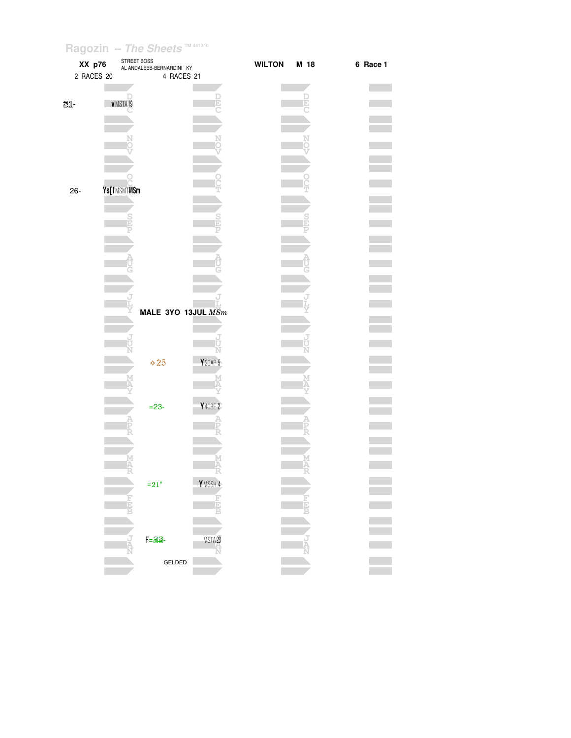| STREET BOSS<br>XX p76<br>2 RACES 20 | AL ANDALEEB-BERNARDINI KY<br>4 RACES 21 |          | <b>WILTON</b> | M 18   | 6 Race 1 |
|-------------------------------------|-----------------------------------------|----------|---------------|--------|----------|
| 21-<br>VMSTA19                      |                                         | D        |               | Þ      |          |
|                                     |                                         |          |               |        |          |
|                                     |                                         |          |               |        |          |
|                                     |                                         |          |               |        |          |
| Ys[fMSMTMSm<br>26-                  |                                         |          |               |        |          |
|                                     |                                         |          |               |        |          |
|                                     |                                         |          |               |        |          |
|                                     |                                         |          |               |        |          |
|                                     |                                         |          |               |        |          |
|                                     | MALE 3YO 13JUL $MSm$                    |          |               |        |          |
|                                     |                                         | N        |               |        |          |
|                                     | $\diamond$ 25                           | Y 20AP 5 |               |        |          |
|                                     | $= 23 -$                                | Y 40BE 2 |               |        |          |
|                                     |                                         |          |               |        |          |
| Ā                                   |                                         | M<br>A   |               | M<br>A |          |
|                                     | $\mathbf{=}21"$                         | YMSSH 4  |               |        |          |
|                                     |                                         | þ        |               |        |          |
|                                     | $F = 23 -$                              | MSTA23   |               |        |          |
|                                     | GELDED                                  |          |               |        |          |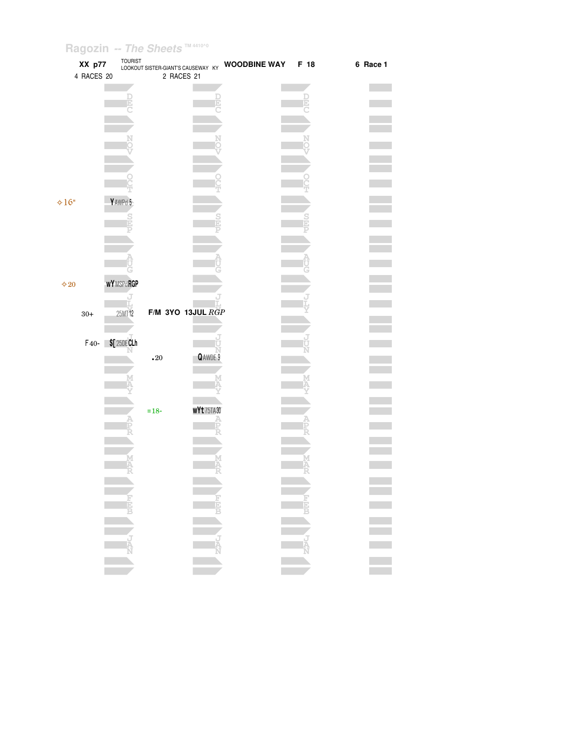| XX p77        | <b>TOURIST</b>   | LOOKOUT SISTER-GIANT'S CAUSEWAY KY |              | <b>WOODBINE WAY</b> | F 18      | 6 Race 1 |
|---------------|------------------|------------------------------------|--------------|---------------------|-----------|----------|
| 4 RACES 20    |                  | 2 RACES 21                         |              |                     |           |          |
|               |                  |                                    |              |                     |           |          |
|               |                  |                                    |              |                     |           |          |
|               |                  |                                    |              |                     |           |          |
|               |                  |                                    |              |                     |           |          |
|               |                  |                                    |              |                     |           |          |
|               |                  |                                    |              |                     |           |          |
|               |                  |                                    |              |                     |           |          |
|               |                  |                                    |              |                     |           |          |
|               |                  |                                    |              |                     |           |          |
|               |                  |                                    |              |                     |           |          |
|               |                  |                                    |              |                     |           |          |
| $\div 16"$    | YAWPd 5          |                                    |              |                     |           |          |
|               |                  |                                    |              |                     |           |          |
|               |                  |                                    |              |                     |           |          |
|               |                  |                                    |              |                     |           |          |
|               |                  |                                    |              |                     |           |          |
|               |                  |                                    |              |                     |           |          |
|               |                  |                                    |              |                     |           |          |
|               |                  |                                    |              |                     |           |          |
| $\diamond 20$ | <b>WYMSPdRGP</b> |                                    |              |                     |           |          |
|               |                  |                                    |              |                     |           |          |
|               |                  |                                    |              |                     |           |          |
| $30+$         | 25MT12           | F/M 3YO 13JUL $R\ddot{G}P$         |              |                     |           |          |
|               |                  |                                    |              |                     |           |          |
|               | F40- \$[25DECLh  |                                    |              |                     |           |          |
|               |                  |                                    |              |                     |           |          |
|               |                  | $\boldsymbol{.}20$                 | QAWDE 9      |                     |           |          |
|               |                  |                                    |              |                     |           |          |
|               |                  |                                    |              |                     |           |          |
|               |                  |                                    |              |                     |           |          |
|               |                  |                                    |              |                     |           |          |
|               |                  | $= 18 -$                           | $wYt$ 75TA30 |                     |           |          |
|               |                  |                                    |              |                     |           |          |
|               |                  |                                    |              |                     |           |          |
|               |                  |                                    |              |                     |           |          |
|               |                  |                                    |              |                     |           |          |
|               |                  |                                    |              |                     |           |          |
|               |                  |                                    |              |                     |           |          |
|               |                  |                                    |              |                     |           |          |
|               |                  |                                    |              |                     |           |          |
|               |                  |                                    |              |                     | FEET FEET |          |
|               |                  |                                    |              |                     |           |          |
|               |                  |                                    |              |                     |           |          |
|               |                  |                                    |              |                     |           |          |
|               |                  |                                    |              |                     |           |          |
|               |                  |                                    |              |                     |           |          |
|               |                  |                                    |              |                     |           |          |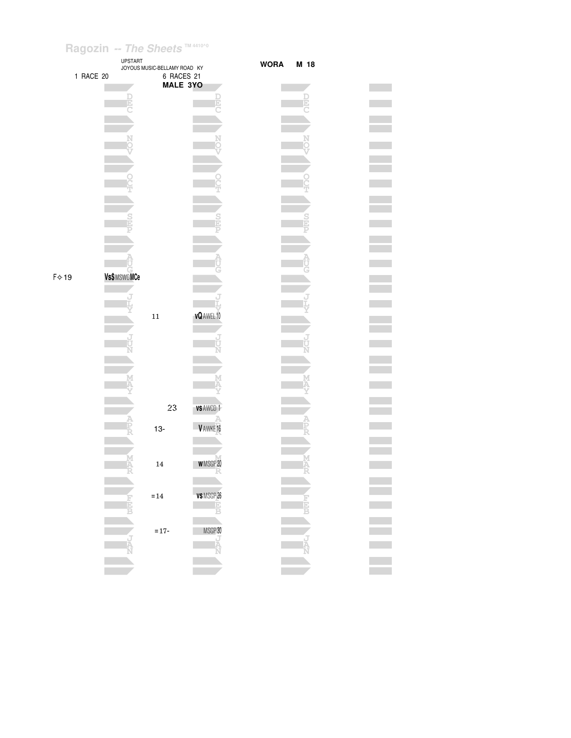



**Contract** 

**Contract** 

**The Co** 

**Contract** 

**The Co** 

**The Company** 

**The Company** 

**Contract The Co** 

**The State**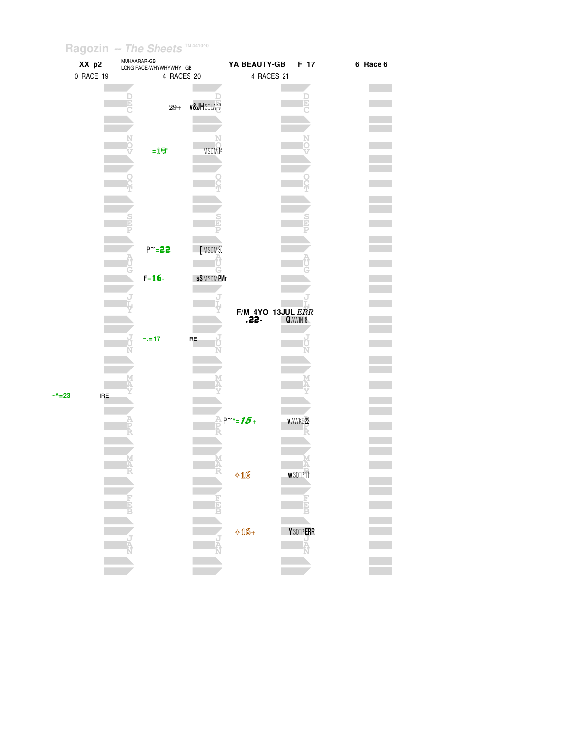| XX p2<br>0 RACE 19         | MUHAARAR-GB<br>LONG FACE-WHYWHYWHY GB<br>4 RACES 20 |                             |                                          | F 17                   | 6 Race 6 |  |  |
|----------------------------|-----------------------------------------------------|-----------------------------|------------------------------------------|------------------------|----------|--|--|
|                            |                                                     |                             | 4 RACES 21                               | D                      |          |  |  |
|                            | $29+$                                               | <b>v&amp;JH</b> 30LA17      |                                          |                        |          |  |  |
|                            | $=19"$                                              | MSDM14                      |                                          |                        |          |  |  |
|                            |                                                     |                             |                                          |                        |          |  |  |
|                            |                                                     |                             |                                          |                        |          |  |  |
|                            |                                                     |                             |                                          |                        |          |  |  |
|                            | $P^{\sim} = 22$                                     | [MSDM30                     |                                          |                        |          |  |  |
|                            | $F = 16 -$                                          | <b>s\$MSDMPMr</b>           |                                          |                        |          |  |  |
|                            |                                                     |                             |                                          |                        |          |  |  |
|                            |                                                     |                             | $F/M$ 4YO 13JUL $ERR$<br>$.22 - QANIN 8$ |                        |          |  |  |
|                            | $\approx 17$                                        | $\ensuremath{\mathsf{IRE}}$ |                                          |                        |          |  |  |
|                            |                                                     |                             |                                          |                        |          |  |  |
| <b>IRE</b><br>$~\sim$ ^=23 |                                                     |                             |                                          |                        |          |  |  |
|                            |                                                     |                             | $P^{\sim}$ -15+                          | <b>VAWKE22</b>         |          |  |  |
|                            |                                                     |                             |                                          |                        |          |  |  |
|                            |                                                     |                             | $+16$                                    | W30TP11                |          |  |  |
|                            | 青<br>B                                              | Fig<br>B                    |                                          | <b>Field</b>           |          |  |  |
|                            | J<br>A<br>N                                         |                             | $\triangle$ 16+                          | <b>Y</b> 30TP ERR<br>A |          |  |  |
|                            |                                                     | Ř                           |                                          |                        |          |  |  |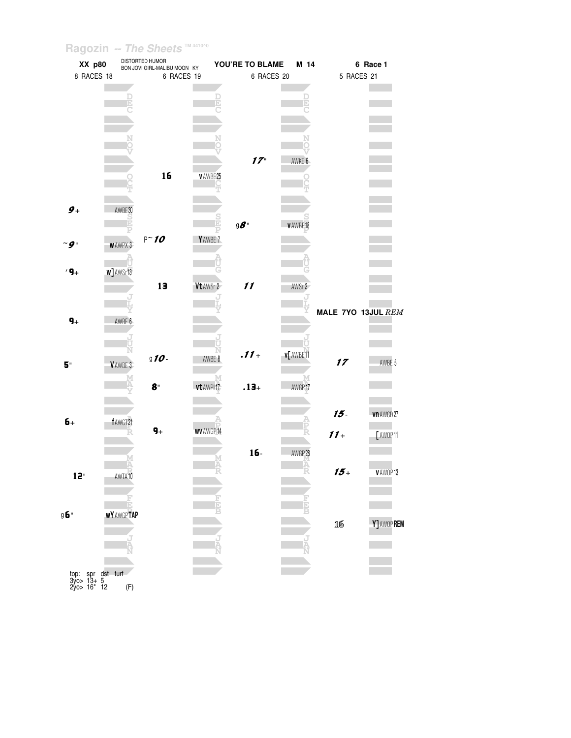| XX p80             |                   | DISTORTED HUMOR<br>BON JOVI GIRL-MALIBU MOON KY |                    | YOU'RE TO BLAME                             | M 14      |            | 6 Race 1           |
|--------------------|-------------------|-------------------------------------------------|--------------------|---------------------------------------------|-----------|------------|--------------------|
| 8 RACES 18         |                   | 6 RACES 19                                      |                    | 6 RACES 20                                  |           | 5 RACES 21 |                    |
|                    |                   |                                                 |                    |                                             |           |            |                    |
|                    |                   |                                                 |                    |                                             |           |            |                    |
|                    |                   |                                                 |                    |                                             |           |            |                    |
|                    |                   |                                                 |                    |                                             |           |            |                    |
|                    |                   |                                                 |                    |                                             |           |            |                    |
|                    |                   |                                                 |                    |                                             |           |            |                    |
|                    |                   |                                                 |                    | $17 -$                                      | AWKE 6    |            |                    |
|                    |                   |                                                 |                    |                                             |           |            |                    |
|                    |                   | 16                                              | <b>VAWBE25</b>     |                                             |           |            |                    |
|                    |                   |                                                 |                    |                                             |           |            |                    |
| $\boldsymbol{g}_+$ | AWBE 30           |                                                 |                    |                                             |           |            |                    |
|                    |                   |                                                 |                    |                                             |           |            |                    |
|                    |                   |                                                 |                    | $\mathfrak{g}$ $\boldsymbol{\mathscr{S}}$ " | v AWBE 18 |            |                    |
| $\sim$ 9           | <b>WAWPX3</b>     | $P \sim 10$                                     | YAWBE <sub>7</sub> |                                             |           |            |                    |
|                    |                   |                                                 |                    |                                             |           |            |                    |
|                    |                   |                                                 |                    |                                             |           |            |                    |
| $'9_+$             | w] AWSr13         |                                                 |                    |                                             |           |            |                    |
|                    |                   | 13                                              | Vt AWSr 2          | 11                                          | AWSr 2    |            |                    |
|                    |                   |                                                 |                    |                                             |           |            |                    |
|                    |                   |                                                 |                    |                                             |           |            | MALE 7YO 13JUL REM |
| $9+$               | AWBE 6            |                                                 |                    |                                             |           |            |                    |
|                    |                   |                                                 |                    |                                             |           |            |                    |
|                    |                   |                                                 |                    |                                             |           |            |                    |
| 5"                 | VAWBE 3           | $910 -$                                         | AWBE 8             | $.11 +$                                     | v[ AWBE11 | 17         | AWBE 5             |
|                    |                   |                                                 |                    |                                             |           |            |                    |
|                    |                   | $8^{\circ}$                                     | М<br>vt AWPI17     | $.13 +$                                     | AWGP17    |            |                    |
|                    |                   |                                                 |                    |                                             |           |            |                    |
|                    |                   |                                                 |                    |                                             |           | $15 -$     |                    |
| $6+$               | fAWCT21           |                                                 |                    |                                             |           |            | vn AWCD 27         |
|                    |                   | $\pmb{q}_+$                                     | WV AWGP1           |                                             |           | $11 +$     | [ AWOP 11          |
|                    |                   |                                                 |                    |                                             |           |            |                    |
|                    |                   |                                                 |                    | 16-                                         | AWGP 28   |            |                    |
|                    |                   |                                                 |                    |                                             |           | $15+$      | V AWOP 13          |
| 12"                | AWTA10            |                                                 |                    |                                             |           |            |                    |
|                    |                   |                                                 |                    |                                             |           |            |                    |
|                    | E                 |                                                 |                    |                                             |           |            |                    |
| g <b>б</b> "       | <b>WY AWGPTAP</b> |                                                 |                    |                                             |           |            |                    |
|                    |                   |                                                 |                    |                                             |           | 16         | Y] AWOP REM        |
|                    |                   |                                                 |                    |                                             |           |            |                    |
|                    |                   |                                                 |                    |                                             |           |            |                    |
|                    |                   |                                                 |                    |                                             |           |            |                    |
| top:               | spr dst turf      |                                                 |                    |                                             |           |            |                    |

 $3y0 > 13+ 5$ <br>  $2y0 > 16$ " 12 (F)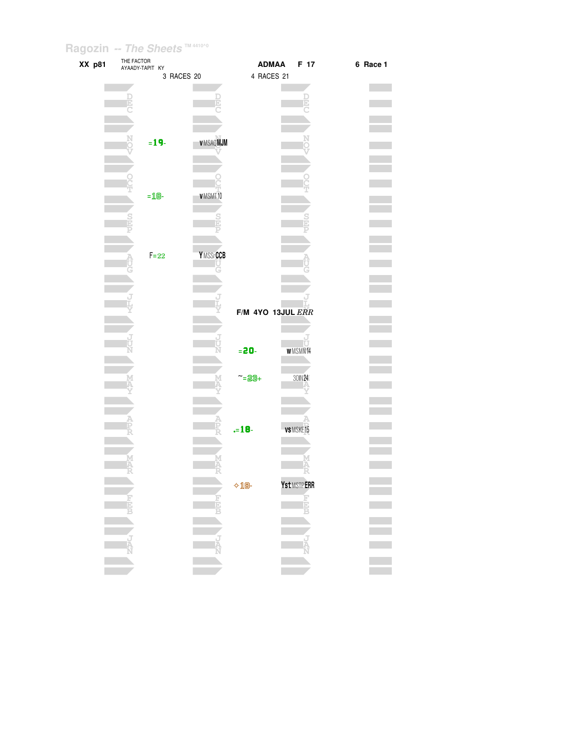| XX p81 | THE FACTOR<br>AYAADY-TAPIT KY |          |            |                  |                | ADMAA             | F 17           | 6 Race 1 |
|--------|-------------------------------|----------|------------|------------------|----------------|-------------------|----------------|----------|
|        |                               |          | 3 RACES 20 |                  |                | 4 RACES 21        |                |          |
|        |                               |          |            |                  |                |                   |                |          |
|        |                               |          |            |                  |                |                   |                |          |
|        |                               |          |            |                  |                |                   |                |          |
|        |                               |          |            |                  |                |                   |                |          |
|        |                               |          |            |                  |                |                   |                |          |
|        |                               | $= 19 -$ |            | <b>VMSAQMJM</b>  |                |                   |                |          |
|        |                               |          |            |                  |                |                   |                |          |
|        |                               |          |            |                  |                |                   |                |          |
|        |                               |          |            |                  |                |                   |                |          |
|        |                               |          |            | VMSMT10          |                |                   |                |          |
|        |                               | $=$ 18-  |            |                  |                |                   |                |          |
|        |                               |          |            |                  |                |                   |                |          |
|        |                               |          |            |                  |                |                   |                |          |
|        |                               |          |            |                  |                |                   |                |          |
|        |                               |          |            |                  |                |                   |                |          |
|        |                               | $F = 22$ |            | <b>YMSSrCCB</b>  |                |                   |                |          |
|        |                               |          |            |                  |                |                   |                |          |
|        |                               |          |            |                  |                |                   |                |          |
|        |                               |          |            |                  |                |                   |                |          |
|        |                               |          |            |                  |                | F/M 4YO 13JUL ERR |                |          |
|        |                               |          |            |                  |                |                   |                |          |
|        |                               |          |            |                  |                |                   |                |          |
|        |                               |          |            |                  |                |                   | ΤI             |          |
|        |                               |          |            |                  | $= 20 -$       |                   | <b>WMSMN14</b> |          |
|        |                               |          |            |                  |                |                   |                |          |
|        |                               |          |            |                  | $-23 +$        |                   | 30IN 24        |          |
|        |                               |          |            |                  |                |                   |                |          |
|        |                               |          |            |                  |                |                   |                |          |
|        |                               |          |            |                  |                |                   |                |          |
|        |                               |          |            |                  | $-18-$         |                   | VS MSKE15      |          |
|        |                               |          |            |                  |                |                   |                |          |
|        |                               |          |            |                  |                |                   |                |          |
|        |                               |          |            |                  |                |                   |                |          |
|        |                               |          |            |                  |                |                   |                |          |
|        |                               |          |            |                  | $\lozenge$ 18- |                   | Yst MSTPERR    |          |
|        |                               |          |            |                  |                |                   |                |          |
|        | H                             |          |            | <b>Fight</b>     |                |                   | <b>HER</b>     |          |
|        |                               |          |            |                  |                |                   |                |          |
|        |                               |          |            |                  |                |                   |                |          |
|        | i.<br>Ta                      |          |            | <b>נולן</b><br>א |                |                   | 랐              |          |
|        |                               |          |            |                  |                |                   |                |          |
|        |                               |          |            |                  |                |                   |                |          |
|        |                               |          |            |                  |                |                   |                |          |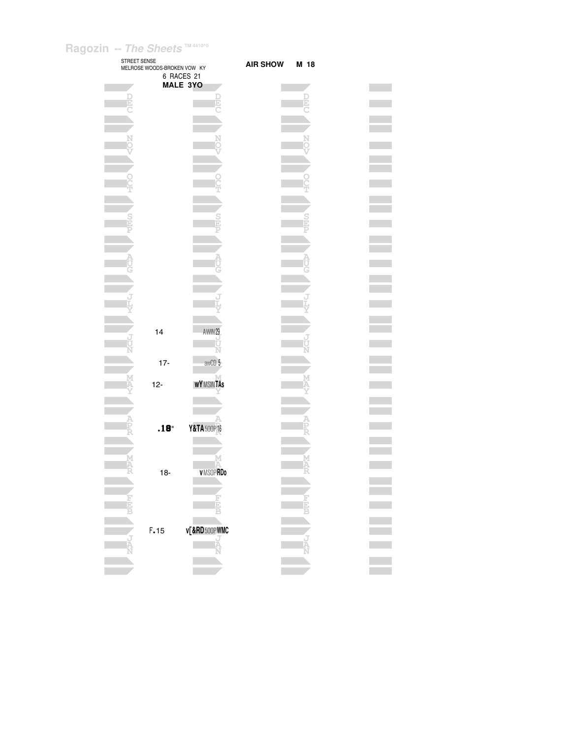| STREET SENSE | MELROSE WOODS-BROKEN VOW KY |                               | <b>AIR SHOW</b> | M 18 |
|--------------|-----------------------------|-------------------------------|-----------------|------|
|              |                             | 6 RACES 21<br><b>MALE 3YO</b> |                 |      |
|              |                             |                               |                 |      |
|              |                             | Ē                             |                 |      |
|              |                             |                               |                 |      |
|              |                             |                               |                 |      |
|              |                             |                               |                 |      |
|              |                             |                               |                 |      |
|              |                             |                               |                 |      |
|              |                             |                               |                 |      |
|              |                             |                               |                 |      |
|              |                             |                               |                 |      |
|              |                             |                               |                 |      |
|              |                             |                               |                 |      |
|              |                             |                               |                 |      |
|              |                             |                               |                 |      |
|              |                             |                               |                 |      |
|              |                             |                               |                 |      |
|              |                             |                               |                 |      |
|              | 14                          | AWIN 29                       |                 |      |
|              |                             | Ù<br>Ń                        |                 |      |
|              | $17 -$                      | awCD 5                        |                 |      |
|              |                             | <b>WYMSINTAS</b>              |                 |      |
|              | $12-$                       |                               |                 |      |
|              |                             |                               |                 |      |
|              |                             |                               |                 |      |
|              | .18                         | Y&TA 500P16                   |                 |      |
|              |                             |                               |                 |      |
|              |                             | M                             |                 |      |
|              | $18 -$                      | <b>VMSOPRDo</b>               |                 |      |
|              |                             |                               |                 |      |
|              |                             |                               |                 |      |
|              |                             |                               |                 |      |
|              | F.15                        | v[&RD500PWMC<br>J<br>A        |                 |      |
|              |                             |                               |                 |      |
|              |                             |                               |                 |      |
|              |                             |                               |                 |      |

 $\mathcal{L}^{\text{max}}_{\text{max}}$  $\mathcal{L}^{\mathcal{L}}$  $\overline{\phantom{a}}$  $\mathcal{L}^{\text{max}}_{\text{max}}$  $\equiv$  $\mathcal{L}^{\mathcal{L}}$  $\overline{\phantom{a}}$  $\mathcal{L}^{\mathcal{L}}$  $\equiv$  $\mathcal{L}^{\text{max}}$  $\equiv$  $\mathcal{L}^{\text{max}}$  $\overline{\phantom{a}}$  $\mathcal{L}^{\text{max}}$  $\frac{1}{\sqrt{2}}$  $\mathcal{L}^{\text{max}}_{\text{max}}$  $\overline{\phantom{a}}$  $\mathcal{L}_{\mathcal{A}}$  $\overline{\phantom{a}}$  $\mathcal{L}_{\mathcal{A}}$  $\frac{1}{\sqrt{2}}$  $\mathcal{L}^{\mathcal{L}}$  $\overline{\phantom{a}}$  $\mathcal{L}^{\text{max}}$ Ξ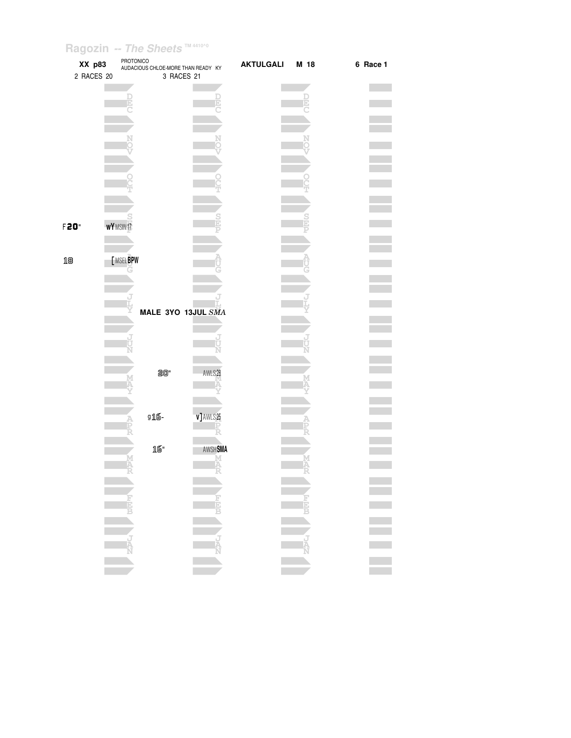| XX p83           |                  | PROTONICO<br>AUDACIOUS CHLOE-MORE THAN READY KY |          | <b>AKTULGALI</b> | M 18 | 6 Race 1 |
|------------------|------------------|-------------------------------------------------|----------|------------------|------|----------|
| 2 RACES 20       |                  | 3 RACES 21                                      |          |                  |      |          |
|                  |                  |                                                 |          |                  |      |          |
|                  |                  |                                                 | þ        |                  |      |          |
|                  |                  |                                                 |          |                  |      |          |
|                  |                  |                                                 |          |                  |      |          |
|                  |                  |                                                 |          |                  |      |          |
|                  |                  |                                                 |          |                  |      |          |
|                  |                  |                                                 |          |                  |      |          |
|                  |                  |                                                 |          |                  |      |          |
|                  |                  |                                                 |          |                  |      |          |
|                  |                  |                                                 |          |                  |      |          |
|                  |                  |                                                 |          |                  |      |          |
| F20 <sup>*</sup> | <b>WY</b> MSIN17 |                                                 |          |                  |      |          |
|                  |                  |                                                 |          |                  |      |          |
| 18               | [MSELBPW         |                                                 |          |                  |      |          |
|                  |                  |                                                 |          |                  |      |          |
|                  |                  |                                                 |          |                  |      |          |
|                  |                  |                                                 |          |                  |      |          |
|                  |                  | MALE 3YO 13JUL SMA                              |          |                  |      |          |
|                  |                  |                                                 |          |                  |      |          |
|                  |                  |                                                 |          |                  |      |          |
|                  |                  |                                                 |          |                  |      |          |
|                  |                  |                                                 |          |                  |      |          |
|                  |                  | 20"                                             | AWLS28   |                  |      |          |
|                  |                  |                                                 |          |                  |      |          |
|                  |                  |                                                 |          |                  |      |          |
|                  |                  | g16-                                            | v]AWLS25 |                  |      |          |
|                  |                  |                                                 |          |                  |      |          |
|                  |                  |                                                 |          |                  |      |          |
|                  |                  | 16"                                             | AWSHSMA  |                  |      |          |
|                  |                  |                                                 |          |                  |      |          |
|                  |                  |                                                 |          |                  |      |          |
|                  |                  |                                                 |          |                  |      |          |
|                  |                  |                                                 |          |                  |      |          |
|                  |                  |                                                 |          |                  |      |          |
|                  |                  |                                                 |          |                  |      |          |
|                  |                  |                                                 |          |                  |      |          |
|                  |                  |                                                 |          |                  |      |          |
|                  |                  |                                                 |          |                  |      |          |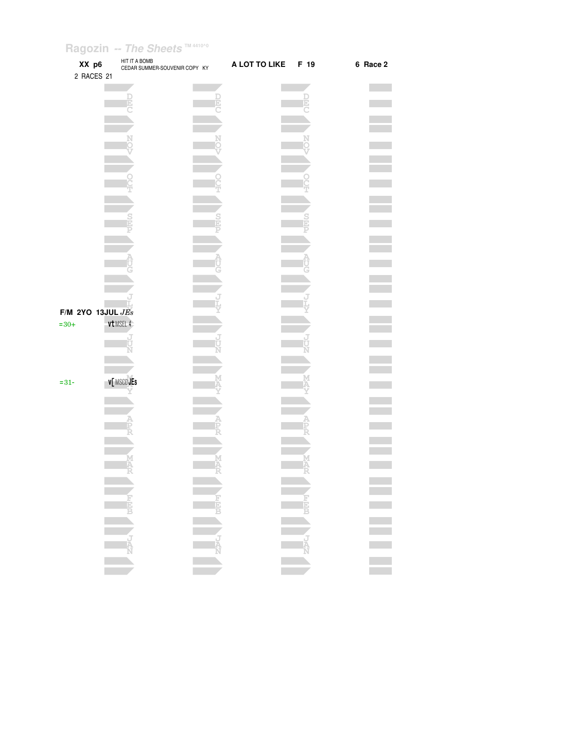| XX p6<br>2 RACES 21            |            | HIT IT A BOMB<br>CEDAR SUMMER-SOUVENIR COPY KY | A LOT TO LIKE | F 19           | 6 Race 2 |
|--------------------------------|------------|------------------------------------------------|---------------|----------------|----------|
|                                |            |                                                |               |                |          |
|                                |            |                                                |               | E              |          |
|                                |            |                                                |               |                |          |
|                                |            |                                                |               |                |          |
|                                |            |                                                |               |                |          |
|                                |            |                                                |               |                |          |
|                                |            |                                                |               |                |          |
|                                |            |                                                |               |                |          |
|                                |            |                                                |               |                |          |
|                                |            |                                                |               |                |          |
|                                |            |                                                |               |                |          |
|                                |            |                                                |               |                |          |
| F/M 2YO 13JUL $JEs$<br>$= 30+$ | vt MSEL 4  |                                                |               |                |          |
|                                |            |                                                |               |                |          |
|                                |            |                                                |               |                |          |
| $= 31 -$                       | V MSCD JEs |                                                |               |                |          |
|                                |            |                                                |               |                |          |
|                                |            |                                                |               |                |          |
|                                |            |                                                |               |                |          |
|                                |            |                                                |               |                |          |
|                                |            |                                                |               |                |          |
|                                |            |                                                |               |                |          |
|                                |            |                                                |               | <b>ANG ANG</b> |          |
|                                |            |                                                |               |                |          |
|                                |            |                                                |               |                |          |
|                                |            |                                                |               |                |          |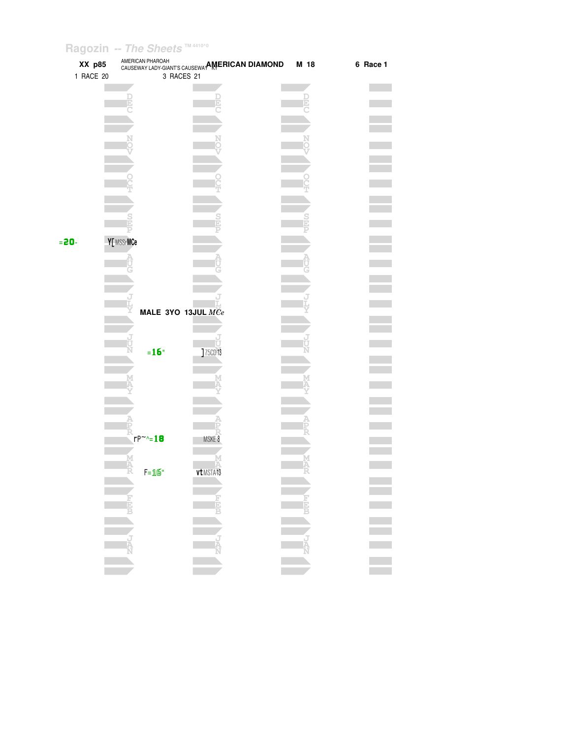|          | XX p85    | AMERICAN PHAROAH | CAULE INCOUNT ET PARTURET SOUSEWAY AMERICAN DIAMOND | M 18 | 6 Race 1 |
|----------|-----------|------------------|-----------------------------------------------------|------|----------|
|          | 1 RACE 20 |                  | 3 RACES 21                                          |      |          |
|          |           |                  |                                                     |      |          |
|          |           |                  |                                                     | D    |          |
|          |           |                  |                                                     |      |          |
|          |           |                  |                                                     |      |          |
|          |           |                  |                                                     |      |          |
|          |           |                  |                                                     |      |          |
|          |           |                  |                                                     |      |          |
|          |           |                  |                                                     |      |          |
|          |           |                  |                                                     |      |          |
|          |           |                  |                                                     |      |          |
|          |           |                  |                                                     |      |          |
|          |           |                  |                                                     |      |          |
|          |           |                  |                                                     |      |          |
| $= 20 -$ |           | Y[ MSSrMCe       |                                                     |      |          |
|          |           |                  |                                                     |      |          |
|          |           |                  |                                                     |      |          |
|          |           |                  |                                                     |      |          |
|          |           |                  |                                                     |      |          |
|          |           |                  | MALE 3YO 13JUL MCe                                  |      |          |
|          |           |                  |                                                     |      |          |
|          |           |                  |                                                     |      |          |
|          |           |                  |                                                     |      |          |
|          |           | $=16"$           | ]75CD13                                             |      |          |
|          |           |                  |                                                     |      |          |
|          |           |                  |                                                     |      |          |
|          |           |                  |                                                     |      |          |
|          |           |                  |                                                     |      |          |
|          |           |                  |                                                     |      |          |
|          |           |                  |                                                     |      |          |
|          |           | $rP^{\sim}$ -18  | MSKE 8                                              |      |          |
|          |           |                  |                                                     |      |          |
|          |           | $F = 16$         | vt MSTA13                                           |      |          |
|          |           |                  |                                                     |      |          |
|          |           |                  |                                                     |      |          |
|          |           |                  | NEW CLASS WEEK                                      |      |          |
|          |           |                  |                                                     |      | ÷        |
|          |           |                  |                                                     | LAND |          |
|          |           |                  |                                                     |      |          |
|          |           |                  |                                                     |      |          |
|          |           |                  |                                                     |      |          |
|          |           |                  |                                                     |      |          |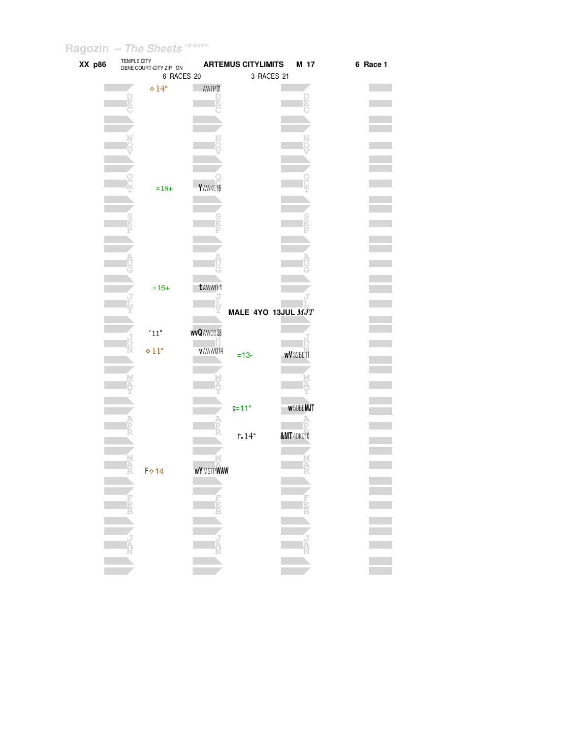| XX p86 | TEMPLE CITY | DENE COURT-CITY ZIP ON |                  | <b>ARTEMUS CITYLIMITS</b> |                       | M 17             | 6 Race 1 |
|--------|-------------|------------------------|------------------|---------------------------|-----------------------|------------------|----------|
|        |             | 6 RACES 20             |                  | 3 RACES 21                |                       |                  |          |
|        |             | $\div 14"$             | AWTP31           |                           |                       |                  |          |
|        |             |                        | D                |                           |                       |                  |          |
|        |             |                        |                  |                           |                       |                  |          |
|        |             |                        |                  |                           |                       |                  |          |
|        |             |                        |                  |                           |                       |                  |          |
|        |             |                        |                  |                           |                       |                  |          |
|        |             |                        |                  |                           |                       |                  |          |
|        |             |                        |                  |                           |                       |                  |          |
|        |             | $=18+$                 | Y AWKE 16        |                           |                       |                  |          |
|        |             |                        |                  |                           |                       |                  |          |
|        |             |                        |                  |                           |                       |                  |          |
|        |             |                        |                  |                           |                       |                  |          |
|        |             |                        |                  |                           |                       |                  |          |
|        |             |                        |                  |                           |                       |                  |          |
|        |             |                        |                  |                           |                       |                  |          |
|        |             |                        |                  |                           |                       |                  |          |
|        |             | $=15+$                 | t AWWO 1         |                           |                       |                  |          |
|        |             |                        |                  |                           |                       |                  |          |
|        |             |                        |                  | MALE 4YO 13JUL MJT        |                       |                  |          |
|        |             | $^{\prime}11^{\circ}$  | <b>wvQAWCD28</b> |                           |                       |                  |          |
|        |             |                        |                  |                           |                       |                  |          |
|        |             | $+11"$                 | v AWW014         | $= 13 -$                  | <b>wV</b> 32BE11      |                  |          |
|        |             |                        |                  |                           |                       |                  |          |
|        |             |                        |                  |                           |                       |                  |          |
|        |             |                        |                  |                           |                       |                  |          |
|        |             |                        |                  | $9 = 11"$                 |                       | <b>w</b> 50BEMJT |          |
|        |             |                        |                  |                           |                       |                  |          |
|        |             |                        |                  | r.14"                     | <b>&amp;MT</b> 40KE10 |                  |          |
|        |             |                        |                  |                           |                       |                  |          |
|        |             |                        | М                |                           |                       |                  |          |
|        |             | Г  14                  | <b>WYMSTPWAW</b> |                           |                       |                  |          |
|        |             |                        |                  |                           |                       |                  |          |
|        |             |                        |                  |                           |                       |                  |          |
|        |             |                        | <b>REA</b>       |                           |                       |                  |          |
|        |             |                        |                  |                           |                       |                  |          |
|        |             |                        |                  |                           |                       |                  |          |
|        |             |                        | NAPLE            |                           |                       | NANCE I          |          |
|        |             |                        |                  |                           |                       |                  |          |
|        |             |                        |                  |                           |                       |                  |          |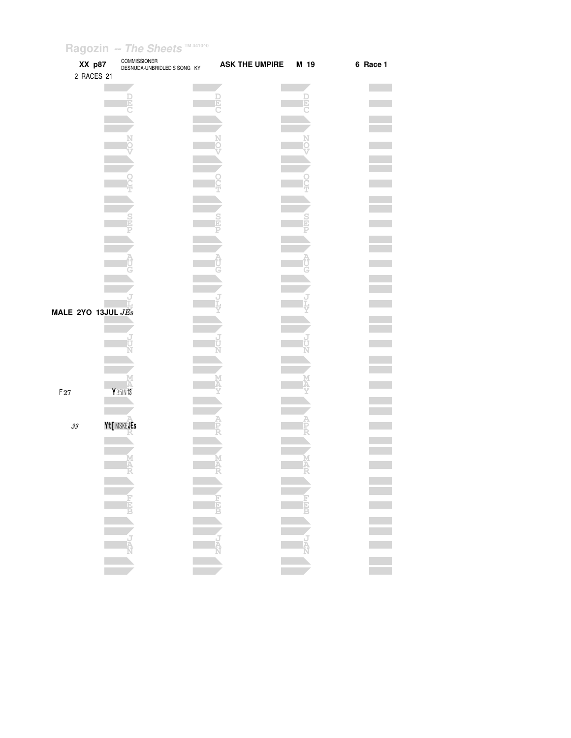| XX p87                     | <b>COMMISSIONER</b><br>DESNUDA-UNBRIDLED'S SONG KY | <b>ASK THE UMPIRE</b> | M 19 | 6 Race 1 |
|----------------------------|----------------------------------------------------|-----------------------|------|----------|
| 2 RACES 21                 |                                                    |                       |      |          |
|                            |                                                    |                       |      |          |
|                            |                                                    |                       |      |          |
|                            |                                                    |                       |      |          |
|                            |                                                    |                       |      |          |
|                            |                                                    |                       |      |          |
|                            |                                                    |                       |      |          |
|                            |                                                    |                       |      |          |
|                            |                                                    |                       |      |          |
|                            |                                                    |                       |      |          |
|                            |                                                    |                       |      |          |
|                            |                                                    |                       |      |          |
| MALE 2YO 13JUL $JEs$       |                                                    |                       |      |          |
|                            |                                                    |                       |      |          |
|                            |                                                    |                       |      |          |
|                            |                                                    |                       |      |          |
|                            |                                                    |                       |      |          |
| $\mathsf{F}27$             | Y 35IN 13                                          |                       |      |          |
| $\mathcal{Z}\!\mathcal{Z}$ | Yt[MSKEJEs                                         |                       |      |          |
|                            |                                                    |                       |      |          |
|                            |                                                    |                       |      |          |
|                            |                                                    |                       |      |          |
|                            |                                                    |                       |      |          |
|                            |                                                    |                       |      |          |
|                            |                                                    |                       |      |          |
|                            |                                                    |                       |      |          |
|                            |                                                    |                       |      |          |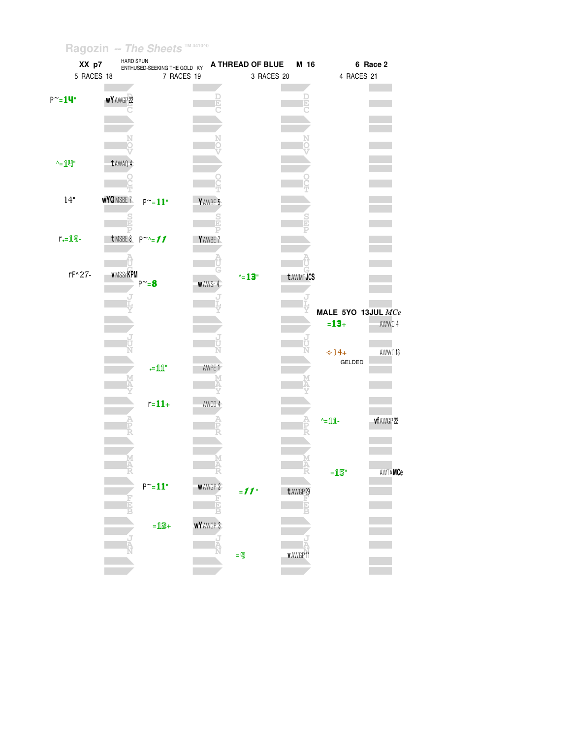| XX p7             |                   | HARD SPUN<br>ENTHUSED-SEEKING THE GOLD KY |                  | A THREAD OF BLUE | M 16            |                    | 6 Race 2   |
|-------------------|-------------------|-------------------------------------------|------------------|------------------|-----------------|--------------------|------------|
| 5 RACES 18        |                   | 7 RACES 19                                |                  | 3 RACES 20       |                 | 4 RACES 21         |            |
|                   |                   |                                           |                  |                  |                 |                    |            |
| $P^{\sim} = 14$ " | <b>WY</b> AWGP 22 |                                           |                  |                  |                 |                    |            |
|                   |                   |                                           |                  |                  |                 |                    |            |
|                   |                   |                                           |                  |                  |                 |                    |            |
|                   |                   |                                           |                  |                  |                 |                    |            |
|                   |                   |                                           |                  |                  |                 |                    |            |
|                   |                   |                                           |                  |                  |                 |                    |            |
| $^{\wedge}$ =1凹"  | t AWAQ 4          |                                           |                  |                  |                 |                    |            |
|                   |                   |                                           |                  |                  |                 |                    |            |
|                   |                   |                                           |                  |                  |                 |                    |            |
| 14"               | WYQMSBE 7         | $P^{\sim} = 11$ "                         | YAWBE 5          |                  |                 |                    |            |
|                   |                   |                                           |                  |                  |                 |                    |            |
|                   |                   |                                           |                  |                  |                 |                    |            |
| $r = 19 -$        |                   | tMSBE8 $P^{\sim}$ -11                     | Y AWBE 7         |                  |                 |                    |            |
|                   |                   |                                           |                  |                  |                 |                    |            |
|                   |                   |                                           |                  |                  |                 |                    |            |
| rF^27-            | <b>VMSSrKPM</b>   |                                           |                  |                  |                 |                    |            |
|                   |                   | $P^{\sim}=8$                              | <b>WAWSr4</b>    | $\text{A} = 13$  | <b>tAWMTJCS</b> |                    |            |
|                   |                   |                                           |                  |                  |                 |                    |            |
|                   |                   |                                           |                  |                  |                 |                    |            |
|                   |                   |                                           |                  |                  |                 | MALE 5YO 13JUL MCe |            |
|                   |                   |                                           |                  |                  |                 | $= 13 +$           | AWW0 4     |
|                   |                   |                                           |                  |                  |                 |                    |            |
|                   |                   |                                           |                  |                  |                 | $\div 14+$         | AWWO13     |
|                   |                   |                                           |                  |                  |                 | GELDED             |            |
|                   |                   | $\mathbf{=}\mathbb{1}\mathbb{1}^n$        | AWPE 1           |                  |                 |                    |            |
|                   |                   |                                           |                  |                  |                 |                    |            |
|                   |                   |                                           |                  |                  |                 |                    |            |
|                   |                   | $r = 11 +$                                | AWCD 4           |                  |                 |                    |            |
|                   |                   |                                           |                  |                  |                 | $-11$              | vf AWGP 22 |
|                   |                   |                                           |                  |                  |                 |                    |            |
|                   |                   |                                           |                  |                  |                 |                    |            |
|                   |                   |                                           |                  |                  |                 |                    |            |
|                   |                   |                                           | M<br>A<br>R      |                  | A<br>R          |                    |            |
|                   |                   |                                           |                  |                  |                 | $=15"$             | AWTAMCe    |
|                   |                   | $P^{\sim}=11"$                            | <b>WAWGP 2</b>   | $=11$            | t AWGP 29       |                    |            |
|                   |                   |                                           |                  |                  |                 |                    |            |
|                   |                   |                                           |                  |                  |                 |                    |            |
|                   |                   | $=12+$                                    | <b>WY</b> AWGP 3 |                  |                 |                    |            |
|                   |                   |                                           |                  |                  |                 |                    |            |
|                   |                   |                                           |                  |                  |                 |                    |            |
|                   |                   |                                           |                  | $= 9$            | v AWGP11        |                    |            |
|                   |                   |                                           |                  |                  |                 |                    |            |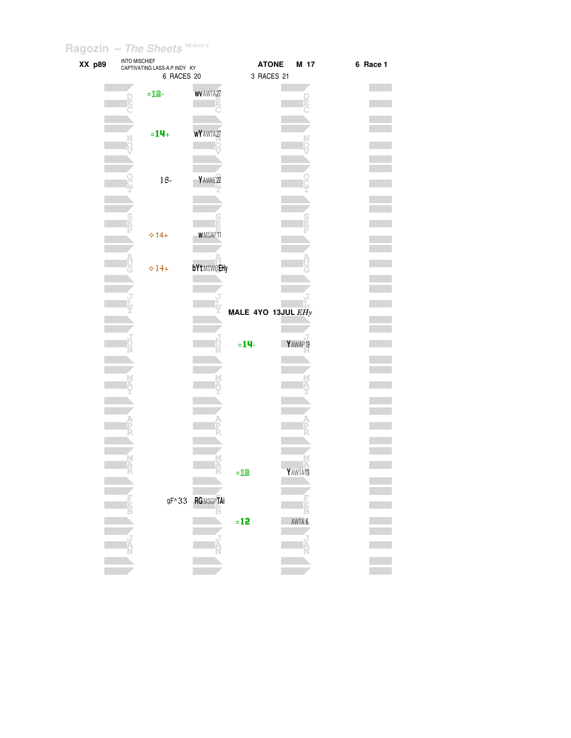| XX p89 | INTO MISCHIEF | CAPTIVATING LASS-A.P.INDY KY |                   |                    | <b>ATONE</b> | M 17      | 6 Race 1 |
|--------|---------------|------------------------------|-------------------|--------------------|--------------|-----------|----------|
|        |               | 6 RACES 20                   |                   |                    | 3 RACES 21   |           |          |
|        |               |                              |                   |                    |              |           |          |
|        |               | $=12$                        | <b>WV AWTA27</b>  |                    |              |           |          |
|        |               |                              |                   |                    |              |           |          |
|        |               |                              |                   |                    |              |           |          |
|        |               |                              |                   |                    |              |           |          |
|        |               | $= 14 +$                     | <b>WY</b> AWTA27  |                    |              |           |          |
|        |               |                              |                   |                    |              |           |          |
|        |               |                              |                   |                    |              |           |          |
|        |               |                              |                   |                    |              |           |          |
|        |               |                              |                   |                    |              |           |          |
|        |               | $18-$                        | Y AWKE 22         |                    |              |           |          |
|        |               |                              |                   |                    |              |           |          |
|        |               |                              |                   |                    |              |           |          |
|        |               |                              |                   |                    |              |           |          |
|        |               |                              |                   |                    |              |           |          |
|        |               | $\Leftrightarrow$ 14+        | <b>WMSAP11</b>    |                    |              |           |          |
|        |               |                              |                   |                    |              |           |          |
|        |               |                              |                   |                    |              |           |          |
|        |               |                              |                   |                    |              |           |          |
|        |               | $\div 14+$                   | <b>bYtMSWOEHy</b> |                    |              |           |          |
|        |               |                              |                   |                    |              |           |          |
|        |               |                              |                   |                    |              |           |          |
|        |               |                              |                   |                    |              |           |          |
|        |               |                              |                   | MALE 4YO 13JUL EHy |              |           |          |
|        |               |                              |                   |                    |              |           |          |
|        |               |                              |                   |                    |              |           |          |
|        |               |                              |                   | $= 14$             |              | Y AWAP 19 |          |
|        |               |                              |                   |                    |              |           |          |
|        |               |                              |                   |                    |              |           |          |
|        |               |                              |                   |                    |              |           |          |
|        |               |                              |                   |                    |              |           |          |
|        |               |                              |                   |                    |              |           |          |
|        |               |                              |                   |                    |              |           |          |
|        |               |                              |                   |                    |              |           |          |
|        |               |                              |                   |                    |              |           |          |
|        |               |                              |                   |                    |              |           |          |
|        |               |                              |                   |                    |              |           |          |
|        |               |                              |                   |                    |              |           |          |
|        |               |                              |                   |                    |              |           |          |
|        |               |                              |                   | $=12$              |              | Y AWTA13  |          |
|        |               |                              |                   |                    |              |           |          |
|        |               |                              |                   |                    |              |           |          |
|        |               | $gF^{\wedge}33$              | <b>RGMSGPTAi</b>  |                    |              |           |          |
|        |               |                              |                   |                    |              |           |          |
|        |               |                              |                   | $=12$              |              | AWTA 6    |          |
|        |               |                              |                   |                    |              |           |          |
|        |               |                              |                   |                    |              |           |          |
|        |               |                              |                   |                    |              |           |          |
|        |               |                              |                   |                    |              |           |          |
|        |               |                              |                   |                    |              |           |          |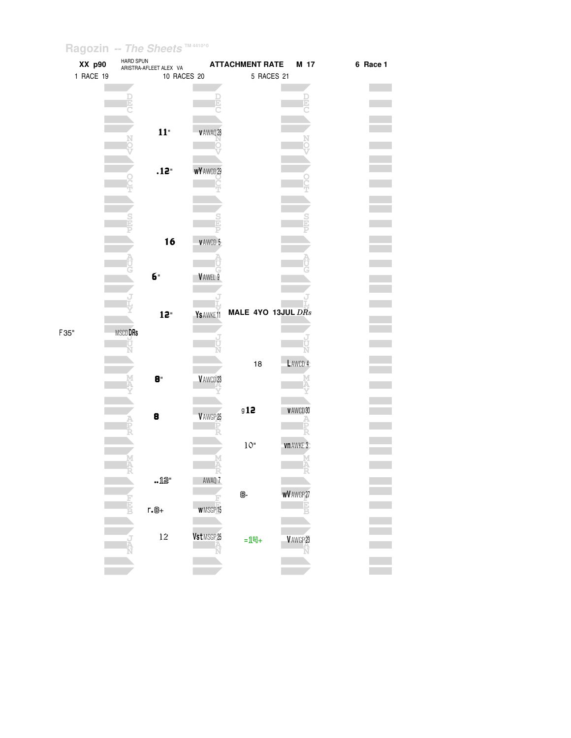| XX p90    | HARD SPUN      | ARISTRA-AFLEET ALEX VA |                   | <b>ATTACHMENT RATE</b> | M 17              | 6 Race 1 |
|-----------|----------------|------------------------|-------------------|------------------------|-------------------|----------|
| 1 RACE 19 |                | 10 RACES 20            |                   | 5 RACES 21             |                   |          |
|           |                |                        |                   |                        |                   |          |
|           |                |                        |                   |                        |                   |          |
|           |                |                        |                   |                        |                   |          |
|           |                | 11"                    |                   |                        |                   |          |
|           |                |                        | v AWAQ 28         |                        |                   |          |
|           |                |                        |                   |                        |                   |          |
|           |                |                        |                   |                        |                   |          |
|           |                | .12"                   | <b>wY</b> AWCD 29 |                        |                   |          |
|           |                |                        |                   |                        |                   |          |
|           |                |                        |                   |                        |                   |          |
|           |                |                        |                   |                        |                   |          |
|           |                |                        |                   |                        |                   |          |
|           |                | 16                     | <b>VAWCD 5</b>    |                        |                   |          |
|           |                |                        |                   |                        |                   |          |
|           |                |                        |                   |                        |                   |          |
|           |                | б"                     | VAWEL 9           |                        |                   |          |
|           |                |                        |                   |                        |                   |          |
|           |                |                        |                   |                        |                   |          |
|           |                | 12"                    | Ys AWKE11         | MALE 4YO 13JUL DRs     |                   |          |
| F35"      | <b>MSCDDRs</b> |                        |                   |                        |                   |          |
|           |                |                        |                   |                        |                   |          |
|           |                |                        |                   |                        |                   |          |
|           |                |                        |                   | 18                     | LAWCD 4           |          |
|           |                | 8"                     | VAWCD23           |                        |                   |          |
|           |                |                        |                   |                        |                   |          |
|           |                |                        |                   | 912                    | VAWCD30           |          |
|           |                | 8                      | V AWGP 25         |                        |                   |          |
|           |                |                        |                   |                        |                   |          |
|           |                |                        |                   | $10"$                  | vn AWKE 3         |          |
|           |                |                        |                   |                        |                   |          |
|           |                |                        |                   |                        |                   |          |
|           |                | .12"                   | AWAQ 7            |                        |                   |          |
|           |                |                        |                   | 8-                     | <b>WV</b> AWGP 27 |          |
|           | Ē              | $r.\mathbb{B}+$        | <b>WMSGP15</b>    |                        |                   |          |
|           |                |                        |                   |                        |                   |          |
|           |                | 12                     | Vst MSGP 25       | $=$ 14+                | VAWGP23           |          |
|           |                |                        |                   |                        |                   |          |
|           |                |                        |                   |                        |                   |          |
|           |                |                        |                   |                        |                   |          |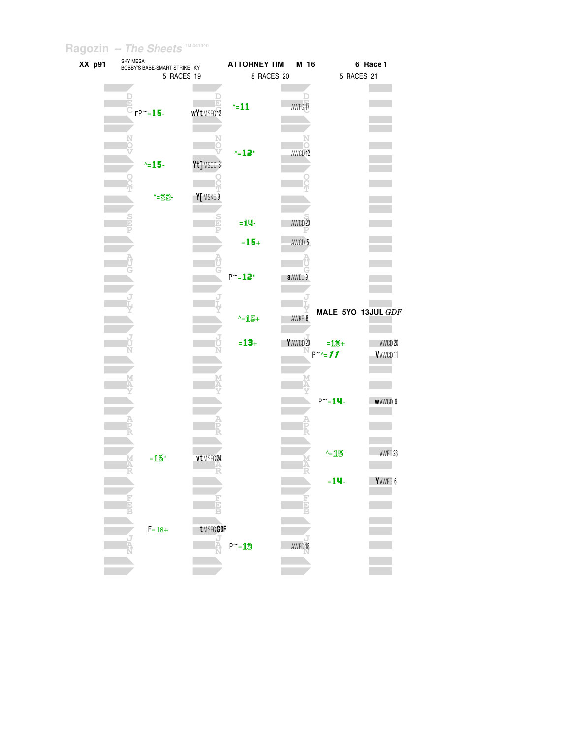| XX p91 | SKY MESA<br>BOBBY'S BABE-SMART STRIKE KY |                    | <b>ATTORNEY TIM</b> | M 16               |                            | 6 Race 1             |
|--------|------------------------------------------|--------------------|---------------------|--------------------|----------------------------|----------------------|
|        |                                          | 5 RACES 19         |                     | 8 RACES 20         | 5 RACES 21                 |                      |
|        | $\mathbb{E}$<br>C <sub>rP</sub> ~=15-    | wYtMSFG12          | $\sim 11$           | AWFG17             |                            |                      |
|        | $\sim$ 15-                               | Yt]MSCD 3          | $^{\wedge} = 12$ "  | AWCD <sub>12</sub> |                            |                      |
|        | $-22 -$                                  | Y[MSKE 9           |                     |                    |                            |                      |
|        |                                          | D                  | $=$ $1$ $-$         | AWCD <sub>20</sub> |                            |                      |
|        |                                          |                    | $= 15 +$            | AWCD 5             |                            |                      |
|        |                                          |                    | $P^{\sim} = 12$ "   | <b>SAWEL 9</b>     |                            |                      |
|        |                                          |                    | $-15+$              | AWKE 8             |                            | MALE 5YO 13JUL GDF   |
|        |                                          |                    | $= 13 +$            | Y AWCD 20          | $=$ 13+<br>$P^{\sim} = 11$ | AWCD 20<br>V AWCD 11 |
|        |                                          |                    |                     |                    | $P^{\sim} = 14$            | <b>WAWCD 6</b>       |
|        |                                          |                    |                     |                    |                            |                      |
|        | $=16"$                                   | vt MSFG24          |                     |                    | $-15$                      | AWFG 28              |
|        |                                          |                    |                     |                    | $= 14$                     | YAWFG 6              |
|        | $F = 18 +$                               | tMSFGGDF<br>J<br>A | $P^{\sim} = 13$     | AWFG18             |                            |                      |
|        |                                          |                    |                     |                    |                            |                      |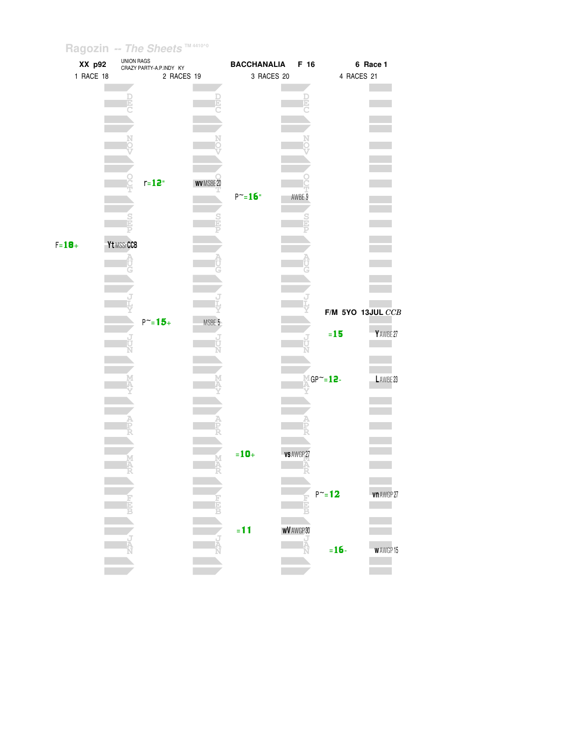|            | XX p92    |            | UNION RAGS<br>CRAZY PARTY-A.P.INDY KY |             | <b>BACCHANALIA</b> |                   | F 16        |                       | 6 Race 1            |  |
|------------|-----------|------------|---------------------------------------|-------------|--------------------|-------------------|-------------|-----------------------|---------------------|--|
|            | 1 RACE 18 |            | 2 RACES 19                            |             | 3 RACES 20         |                   |             | 4 RACES 21            |                     |  |
|            |           |            |                                       |             |                    |                   |             |                       |                     |  |
|            |           |            |                                       | E           |                    |                   | D           |                       |                     |  |
|            |           |            |                                       |             |                    |                   |             |                       |                     |  |
|            |           |            |                                       |             |                    |                   |             |                       |                     |  |
|            |           |            |                                       |             |                    |                   |             |                       |                     |  |
|            |           |            |                                       |             |                    |                   |             |                       |                     |  |
|            |           |            |                                       |             |                    |                   |             |                       |                     |  |
|            |           |            | $r = 12$                              | WV MSBE 20  |                    |                   |             |                       |                     |  |
|            |           |            |                                       |             | $P^{\sim} = 16$ "  | AWBE 9            |             |                       |                     |  |
|            |           |            |                                       |             |                    |                   |             |                       |                     |  |
|            |           |            |                                       | $rac{S}{D}$ |                    |                   | $rac{S}{D}$ |                       |                     |  |
|            |           |            |                                       |             |                    |                   | Þ           |                       |                     |  |
| $F = 18 +$ |           | Yt MSSrCCB |                                       |             |                    |                   |             |                       |                     |  |
|            |           |            |                                       |             |                    |                   |             |                       |                     |  |
|            |           |            |                                       |             |                    |                   |             |                       |                     |  |
|            |           |            |                                       |             |                    |                   |             |                       |                     |  |
|            |           |            |                                       |             |                    |                   |             |                       |                     |  |
|            |           |            |                                       |             |                    |                   |             | $F/M$ 5YO 13JUL $CCB$ |                     |  |
|            |           |            | $P^{\sim} = 15 +$                     | MSBE 5      |                    |                   |             |                       |                     |  |
|            |           |            |                                       | J           |                    |                   |             | $= 15$                | Y AWBE 27           |  |
|            |           |            |                                       |             |                    |                   |             |                       |                     |  |
|            |           |            |                                       |             |                    |                   |             |                       |                     |  |
|            |           |            |                                       |             |                    |                   |             |                       |                     |  |
|            |           |            |                                       |             |                    |                   |             | $MGP^{\sim} = 12 -$   | LAWBE <sub>23</sub> |  |
|            |           |            |                                       |             |                    |                   |             |                       |                     |  |
|            |           |            |                                       |             |                    |                   |             |                       |                     |  |
|            |           |            |                                       |             |                    |                   |             |                       |                     |  |
|            |           |            |                                       |             |                    |                   |             |                       |                     |  |
|            |           |            |                                       |             | $=10+$             | vs AWGP 27        |             |                       |                     |  |
|            |           |            |                                       |             |                    |                   |             |                       |                     |  |
|            |           |            |                                       |             |                    |                   |             |                       |                     |  |
|            |           |            |                                       |             |                    |                   |             | $P^{\sim} = 12$       | vn AWGP 27          |  |
|            |           |            |                                       |             |                    | ť                 |             |                       |                     |  |
|            |           |            |                                       |             |                    |                   |             |                       |                     |  |
|            |           |            |                                       |             | $= 11$             | <b>WV AWGP 30</b> |             |                       |                     |  |
|            |           |            |                                       |             |                    | Ř                 |             |                       |                     |  |
|            |           |            |                                       |             |                    |                   |             | $= 16 -$              | <b>WAWGP15</b>      |  |
|            |           |            |                                       |             |                    |                   |             |                       |                     |  |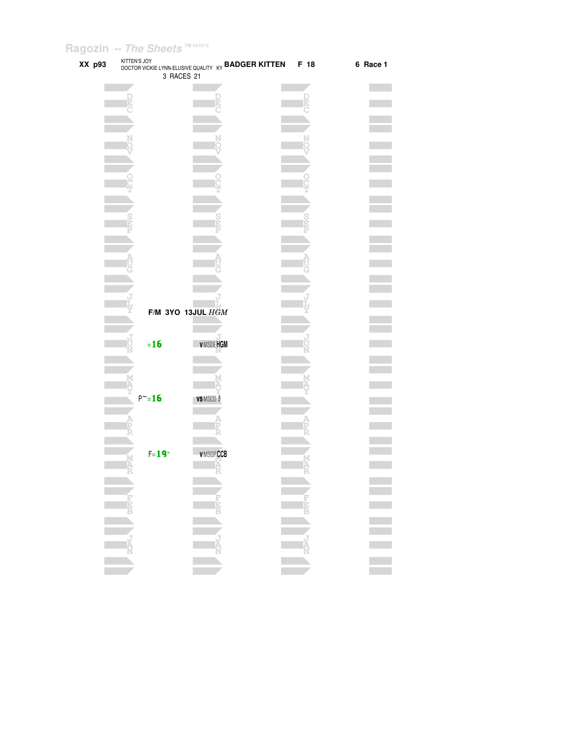| XX p93 | KITTEN'S JOY | DOCTOR VICKIE LYNN-ELUSIVE QUALITY KY BADGER KITTEN |          |                 | F 18 | 6 Race 1 |
|--------|--------------|-----------------------------------------------------|----------|-----------------|------|----------|
|        |              | 3 RACES 21                                          |          |                 |      |          |
|        |              |                                                     |          |                 |      |          |
|        |              |                                                     |          |                 |      |          |
|        |              |                                                     |          |                 |      |          |
|        |              |                                                     |          |                 |      |          |
|        |              |                                                     |          |                 |      |          |
|        |              |                                                     |          |                 |      |          |
|        |              |                                                     |          |                 |      |          |
|        |              |                                                     |          |                 |      |          |
|        |              |                                                     |          |                 |      |          |
|        |              |                                                     |          |                 |      |          |
|        |              |                                                     |          |                 |      |          |
|        |              |                                                     |          |                 |      |          |
|        |              |                                                     |          |                 |      |          |
|        |              |                                                     |          |                 |      |          |
|        |              |                                                     |          |                 |      |          |
|        |              |                                                     |          |                 |      |          |
|        |              |                                                     |          |                 |      |          |
|        |              |                                                     |          |                 |      |          |
|        |              |                                                     |          |                 |      |          |
|        |              |                                                     |          |                 |      |          |
|        |              |                                                     |          |                 |      |          |
|        |              | F/M 3YO 13JUL HGM                                   |          |                 |      |          |
|        |              |                                                     |          |                 |      |          |
|        |              |                                                     |          |                 |      |          |
|        |              | $=16$                                               |          | <b>VMSDEHGM</b> |      |          |
|        |              |                                                     |          |                 |      |          |
|        |              |                                                     |          |                 |      |          |
|        |              |                                                     |          |                 |      |          |
|        |              |                                                     |          |                 |      |          |
|        |              | $P^{\sim} = 16$                                     | VSMSCD 8 |                 |      |          |
|        |              |                                                     |          |                 |      |          |
|        |              |                                                     |          |                 |      |          |
|        |              |                                                     |          |                 |      |          |
|        |              |                                                     |          |                 |      |          |
|        |              | $F = 19"$                                           |          | <b>VMSGPCCB</b> |      |          |
|        |              |                                                     |          |                 |      |          |
|        |              |                                                     |          |                 |      |          |
|        |              |                                                     |          |                 |      |          |
|        |              |                                                     |          |                 |      |          |
|        | ENC DEEP     |                                                     |          |                 |      |          |
|        |              |                                                     |          |                 |      |          |
|        |              |                                                     |          |                 |      |          |
|        |              |                                                     |          |                 |      |          |
|        |              |                                                     |          |                 |      |          |
|        |              |                                                     |          |                 |      |          |
|        |              |                                                     |          |                 |      |          |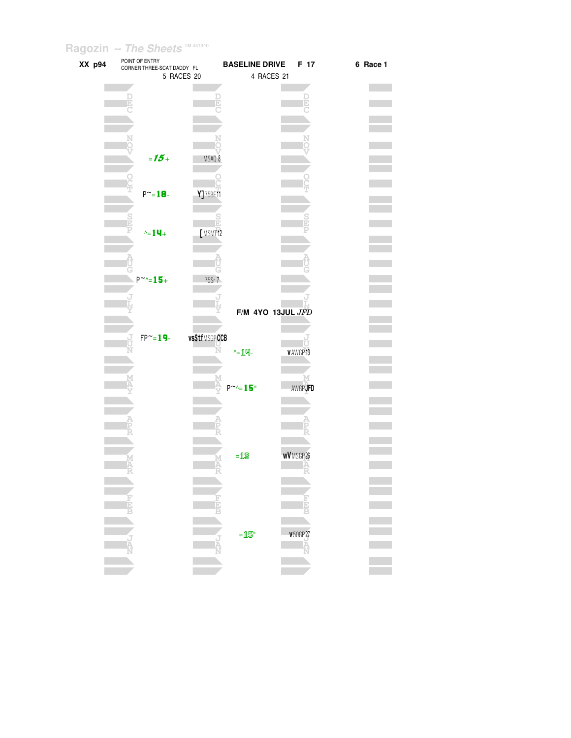| XX p94 | POINT OF ENTRY<br>CORNER THREE-SCAT DADDY FL<br>5 RACES 20 | <b>BASELINE DRIVE</b> | F 17<br>4 RACES 21  | 6 Race 1 |
|--------|------------------------------------------------------------|-----------------------|---------------------|----------|
|        |                                                            |                       |                     |          |
|        |                                                            |                       |                     |          |
|        | $= 15 +$                                                   | MSAQ 8                |                     |          |
|        |                                                            |                       |                     |          |
|        | $P^{\sim} = 18 -$                                          | Y]75BE11              |                     |          |
|        | $\text{A} = 14 +$                                          | ħ<br>[MSMT12          |                     |          |
|        |                                                            |                       |                     |          |
|        | $P^{\sim}$ -15+                                            | 75Sr 7                |                     |          |
|        |                                                            |                       | F/M 4YO 13JUL JFD   |          |
|        | $FP^{\sim} = 19$ -                                         | vs\$tfMSGPCCB         |                     |          |
|        | R                                                          | $-14$                 | VAWGP13             |          |
|        |                                                            | $P^{\sim}$ -15"       | м<br><b>AWGPJFD</b> |          |
|        |                                                            |                       |                     |          |
|        |                                                            |                       |                     |          |
|        |                                                            | $=$ $13$              | <b>wV</b> MSGP 26   |          |
|        |                                                            |                       |                     |          |
|        | 青月                                                         | E                     |                     |          |
|        |                                                            | $=$ 15"<br>Ŕ          | <b>v</b> 50GP 27    |          |
|        |                                                            |                       | Ř                   |          |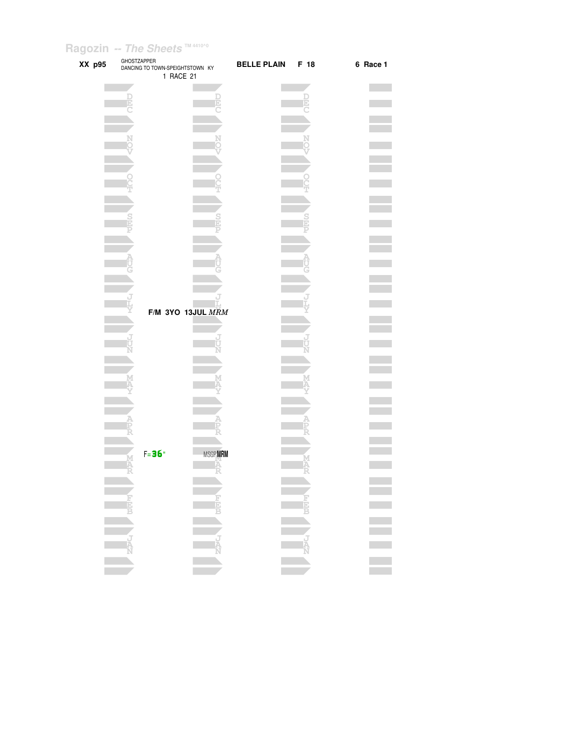| XX p95 | <b>GHOSTZAPPER</b><br>DANCING TO TOWN-SPEIGHTSTOWN KY<br>1 RACE 21 |                | <b>BELLE PLAIN</b> | F 18 | 6 Race 1         |
|--------|--------------------------------------------------------------------|----------------|--------------------|------|------------------|
|        |                                                                    |                |                    |      |                  |
|        |                                                                    |                |                    |      |                  |
|        |                                                                    |                |                    |      |                  |
|        |                                                                    |                |                    |      |                  |
|        |                                                                    |                |                    |      |                  |
|        |                                                                    |                |                    |      |                  |
|        |                                                                    |                |                    |      |                  |
|        |                                                                    |                |                    |      |                  |
|        |                                                                    |                |                    |      |                  |
|        |                                                                    |                |                    |      |                  |
|        |                                                                    |                |                    |      |                  |
|        |                                                                    |                |                    |      |                  |
|        | F/M 3YO 13JUL MRM                                                  |                |                    |      |                  |
|        |                                                                    |                |                    |      |                  |
|        |                                                                    |                |                    |      |                  |
|        |                                                                    |                |                    |      |                  |
|        |                                                                    |                |                    |      |                  |
|        |                                                                    |                |                    |      |                  |
|        |                                                                    |                |                    |      |                  |
|        |                                                                    |                |                    |      |                  |
|        | $F = 36"$                                                          | <b>MSGPMRM</b> |                    |      |                  |
|        | $\frac{\mathbf{M}}{\mathbf{A}}$                                    | Ä              |                    |      |                  |
|        |                                                                    |                |                    |      |                  |
|        |                                                                    |                |                    |      |                  |
|        |                                                                    |                |                    |      |                  |
|        |                                                                    |                |                    |      | E<br>E<br>E<br>E |
|        |                                                                    |                |                    |      |                  |
|        |                                                                    |                |                    |      |                  |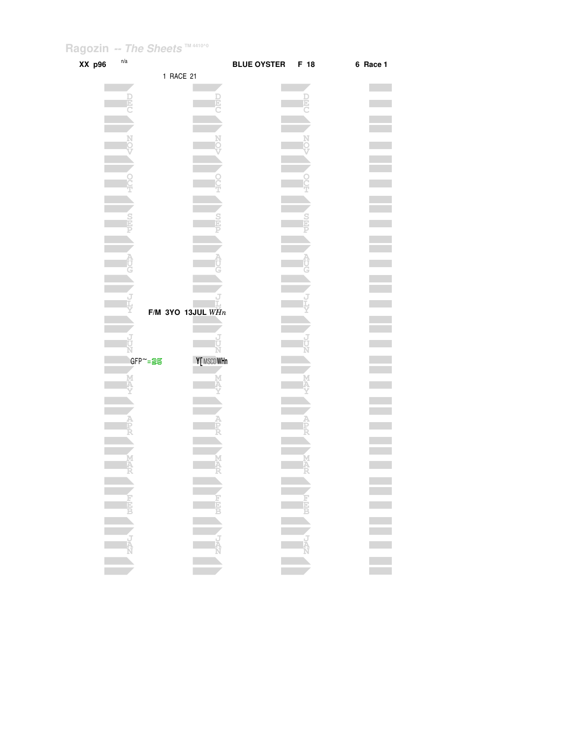| XX p96 | n/a |                        |            | <b>BLUE OYSTER</b> | F 18 | 6 Race 1         |
|--------|-----|------------------------|------------|--------------------|------|------------------|
|        |     | 1 RACE 21              |            |                    |      |                  |
|        |     |                        |            |                    |      |                  |
|        |     |                        |            |                    |      |                  |
|        |     |                        |            |                    |      |                  |
|        |     |                        |            |                    |      |                  |
|        |     |                        |            |                    |      |                  |
|        |     |                        |            |                    |      |                  |
|        |     |                        |            |                    |      |                  |
|        |     |                        |            |                    |      |                  |
|        |     |                        |            |                    |      |                  |
|        |     |                        |            |                    |      |                  |
|        |     |                        |            |                    |      |                  |
|        |     |                        |            |                    |      |                  |
|        |     |                        |            |                    |      |                  |
|        |     |                        |            |                    |      |                  |
|        |     |                        |            |                    |      |                  |
|        |     |                        |            |                    |      |                  |
|        |     |                        |            |                    |      |                  |
|        |     | F/M 3YO 13JUL $WHn$    |            |                    |      |                  |
|        |     |                        |            |                    |      |                  |
|        |     |                        |            |                    |      |                  |
|        |     |                        |            |                    |      |                  |
|        |     | GFP~= <mark>2</mark> 写 | Y[ MSCDWHn |                    |      |                  |
|        |     |                        |            |                    |      |                  |
|        |     |                        |            |                    |      |                  |
|        |     |                        |            |                    |      |                  |
|        |     |                        |            |                    |      |                  |
|        |     |                        |            |                    |      |                  |
|        |     |                        |            |                    |      |                  |
|        |     |                        |            |                    |      |                  |
|        | Ą   |                        |            |                    |      |                  |
|        |     |                        |            |                    |      |                  |
|        |     |                        |            |                    |      |                  |
|        |     |                        |            |                    |      |                  |
|        |     |                        |            |                    |      | E<br>E<br>E<br>E |
|        |     |                        |            |                    |      |                  |
|        |     |                        |            |                    |      |                  |
|        |     |                        |            |                    |      |                  |
|        |     |                        |            |                    |      |                  |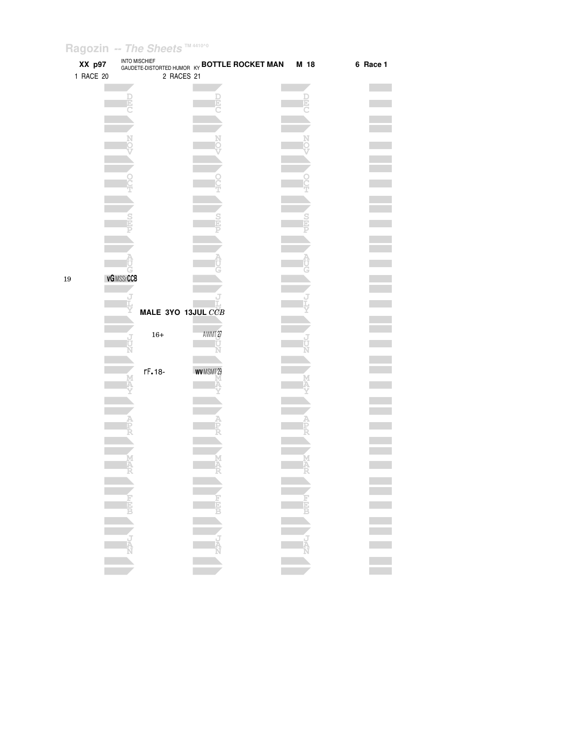| XX p97<br>1 RACE 20 |                  | <b>INTO MISCHIEF</b><br>2 RACES 21 | GAUDETE-DISTORTED HUMOR KY <b>BOTTLE ROCKET MAN</b> | M 18 | 6 Race 1         |
|---------------------|------------------|------------------------------------|-----------------------------------------------------|------|------------------|
|                     |                  |                                    |                                                     |      |                  |
|                     |                  |                                    |                                                     |      |                  |
|                     |                  |                                    |                                                     |      |                  |
|                     |                  |                                    |                                                     |      |                  |
|                     |                  |                                    |                                                     |      |                  |
|                     |                  |                                    |                                                     |      |                  |
|                     |                  |                                    |                                                     |      |                  |
|                     |                  |                                    |                                                     |      |                  |
|                     |                  |                                    |                                                     |      |                  |
|                     |                  |                                    |                                                     |      |                  |
|                     |                  |                                    |                                                     |      |                  |
|                     |                  |                                    |                                                     |      |                  |
|                     |                  |                                    |                                                     |      |                  |
|                     |                  |                                    |                                                     |      |                  |
|                     |                  |                                    |                                                     |      |                  |
| 19                  | <b>vGMSSrCCB</b> |                                    |                                                     |      |                  |
|                     |                  |                                    |                                                     |      |                  |
|                     |                  |                                    |                                                     |      |                  |
|                     |                  | MALE 3YO 13JUL CCB                 |                                                     |      |                  |
|                     |                  | $16+$                              | AWMT <sub>27</sub>                                  |      |                  |
|                     |                  |                                    |                                                     |      |                  |
|                     |                  |                                    |                                                     |      |                  |
|                     |                  | rF.18-                             | WVMSMT29                                            |      |                  |
|                     |                  |                                    |                                                     |      |                  |
|                     |                  |                                    |                                                     |      |                  |
|                     |                  |                                    |                                                     |      |                  |
|                     |                  |                                    |                                                     |      |                  |
|                     |                  |                                    |                                                     |      |                  |
|                     |                  |                                    |                                                     |      |                  |
|                     |                  |                                    |                                                     |      |                  |
|                     |                  |                                    |                                                     |      |                  |
|                     |                  |                                    |                                                     |      |                  |
|                     |                  |                                    |                                                     |      |                  |
|                     |                  |                                    |                                                     |      |                  |
|                     |                  |                                    |                                                     |      |                  |
|                     |                  |                                    |                                                     |      |                  |
|                     |                  |                                    |                                                     |      |                  |
|                     |                  |                                    |                                                     |      | E<br>E<br>E<br>E |
|                     |                  |                                    |                                                     |      |                  |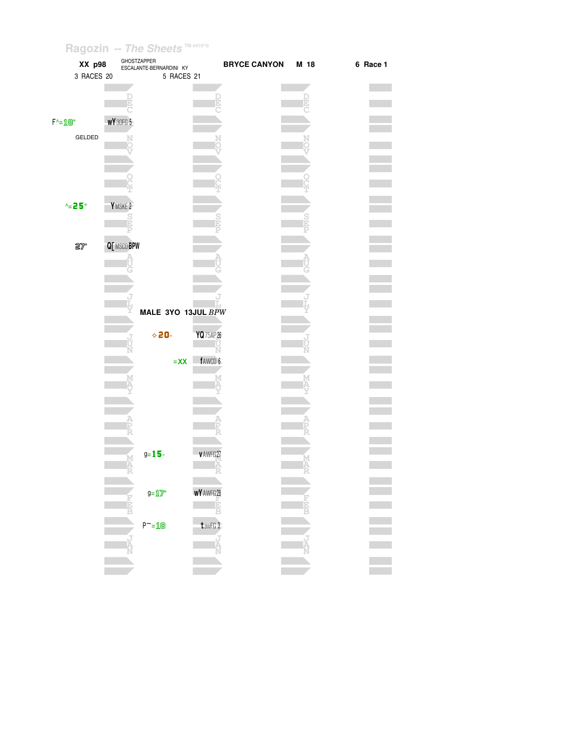| XX p98<br>3 RACES 20                   |                         | GHOSTZAPPER<br>ESCALANTE-BERNARDINI KY<br>5 RACES 21 |                   | <b>BRYCE CANYON</b> | M 18 | 6 Race 1 |
|----------------------------------------|-------------------------|------------------------------------------------------|-------------------|---------------------|------|----------|
|                                        |                         |                                                      | Đ                 |                     |      |          |
| $F^{\wedge} = \mathbb{1} \mathbb{B}^n$ | <b>WY</b> 30FG 5        |                                                      |                   |                     |      |          |
| GELDED                                 |                         |                                                      |                   |                     |      |          |
|                                        |                         |                                                      |                   |                     |      |          |
|                                        |                         |                                                      |                   |                     |      |          |
| $^{\circ}$ = 25"                       | YMSKE <sub>2</sub><br>S |                                                      |                   |                     |      |          |
|                                        |                         |                                                      |                   |                     |      |          |
| 27"                                    | Q[ MSCD BPW             |                                                      |                   |                     |      |          |
|                                        |                         |                                                      |                   |                     |      |          |
|                                        |                         |                                                      |                   |                     |      |          |
|                                        |                         | MALE 3YO 13JUL BPW                                   |                   |                     |      |          |
|                                        |                         | $\diamond$ 20-                                       | YQ 75AP 26        |                     |      |          |
|                                        |                         | $= XX$                                               | fAWCD 6           |                     |      |          |
|                                        |                         |                                                      |                   |                     |      |          |
|                                        |                         |                                                      |                   |                     |      |          |
|                                        |                         |                                                      |                   |                     |      |          |
|                                        | M<br>A                  | $g = 15 -$                                           | v AWFG 27<br>A    |                     | Ä    |          |
|                                        |                         | $g = \frac{1}{2}$                                    | <b>WY</b> AWFG 28 |                     |      |          |
|                                        |                         |                                                      | Ē<br>B            |                     |      |          |
|                                        |                         | $P^{\sim} = 18$                                      | $t$ awFG $3$      |                     |      |          |
|                                        |                         |                                                      |                   |                     |      |          |
|                                        |                         |                                                      |                   |                     |      |          |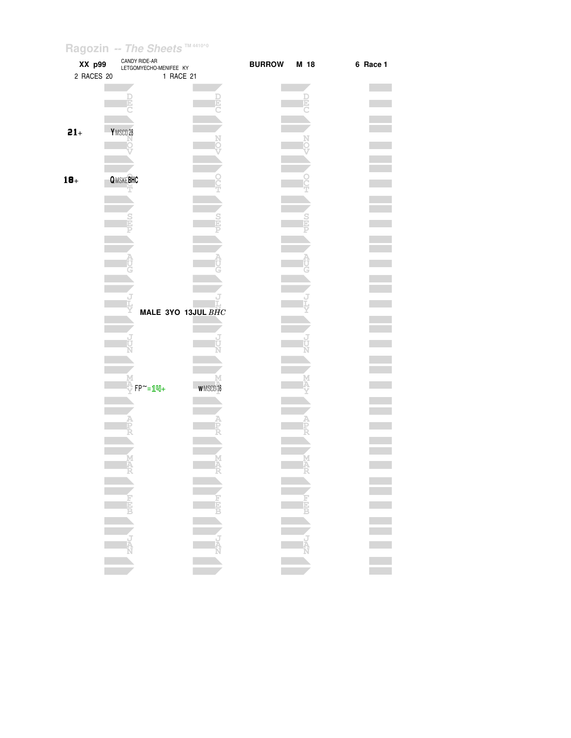| XX p99     | CANDY RIDE-AR<br>LETGOMYECHO-MENIFEE KY |                    | <b>BURROW</b> | M 18           | 6 Race 1 |
|------------|-----------------------------------------|--------------------|---------------|----------------|----------|
| 2 RACES 20 |                                         | 1 RACE 21          |               |                |          |
|            |                                         |                    |               |                |          |
|            |                                         |                    |               |                |          |
|            |                                         |                    |               |                |          |
| $21+$      | Y MSCD 28                               |                    |               |                |          |
|            |                                         |                    |               |                |          |
|            |                                         |                    |               |                |          |
| $18+$      | <b>QMSKEBHC</b>                         |                    |               |                |          |
|            |                                         |                    |               |                |          |
|            |                                         |                    |               |                |          |
|            |                                         |                    |               |                |          |
|            |                                         |                    |               |                |          |
|            |                                         |                    |               |                |          |
|            |                                         |                    |               |                |          |
|            |                                         |                    |               |                |          |
|            |                                         |                    |               |                |          |
|            |                                         | MALE 3YO 13JUL BHC |               |                |          |
|            |                                         |                    |               |                |          |
|            |                                         |                    |               |                |          |
|            |                                         |                    |               |                |          |
|            |                                         |                    |               |                |          |
|            | $FP^{\sim} = 1$ $N +$                   | <b>WMSCD16</b>     |               |                |          |
|            |                                         |                    |               |                |          |
|            |                                         |                    |               |                |          |
|            |                                         |                    |               |                |          |
|            |                                         |                    |               |                |          |
|            |                                         |                    |               |                |          |
|            | and the state                           |                    |               | and the second |          |
|            |                                         |                    |               |                |          |
|            |                                         |                    |               |                |          |
|            |                                         |                    |               |                |          |
|            |                                         |                    |               |                |          |
|            |                                         |                    |               |                |          |
|            |                                         |                    |               |                |          |
|            |                                         |                    |               |                | E E E E  |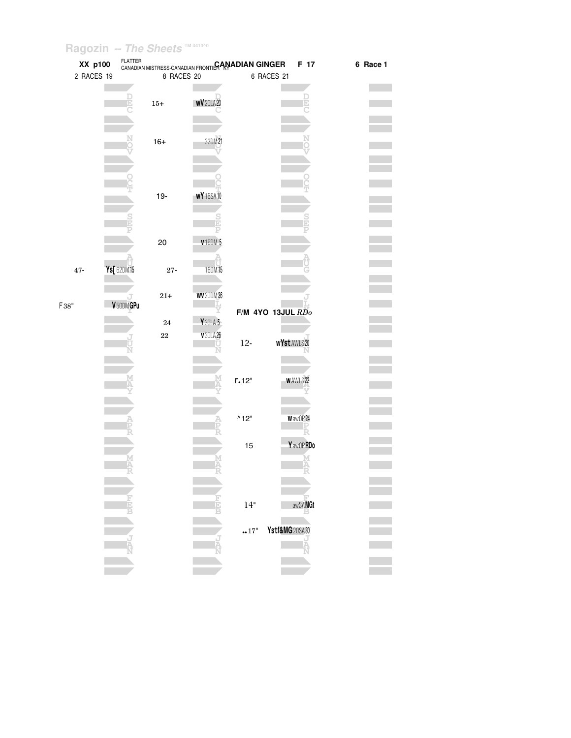| XX p100      |                       | FLATTER<br>CANADIAN MISTRESS-CANADIAN FRONTILRAN <b>ADIAN GINGER</b> |                      |                       | F 17                  | 6 Race 1 |
|--------------|-----------------------|----------------------------------------------------------------------|----------------------|-----------------------|-----------------------|----------|
| 2 RACES 19   |                       | 8 RACES 20                                                           |                      |                       | 6 RACES 21            |          |
|              |                       |                                                                      |                      |                       |                       |          |
|              |                       | $15+$                                                                | WV <sub>20LA20</sub> |                       |                       |          |
|              |                       |                                                                      |                      |                       |                       |          |
|              |                       |                                                                      |                      |                       |                       |          |
|              |                       | $16+$                                                                | 32DM21               |                       |                       |          |
|              |                       |                                                                      |                      |                       |                       |          |
|              |                       |                                                                      |                      |                       |                       |          |
|              |                       |                                                                      |                      |                       |                       |          |
|              |                       | $19-$                                                                | <b>WY</b> 16SA 10    |                       |                       |          |
|              |                       |                                                                      |                      |                       |                       |          |
|              |                       |                                                                      |                      |                       |                       |          |
|              |                       | 20                                                                   | <b>v</b> 16DM 5      |                       |                       |          |
|              |                       |                                                                      |                      |                       |                       |          |
| $47\mbox{-}$ | Ys[62DM15             | $27\mbox{-}$                                                         | 16DM15               |                       |                       |          |
|              |                       |                                                                      |                      |                       |                       |          |
|              |                       | $21 +$                                                               | <b>WV</b> 20DM 26    |                       |                       |          |
| F38"         | V <sub>50DM</sub> GPu |                                                                      |                      |                       |                       |          |
|              |                       | $\bf 24$                                                             | Y 30LA 5             |                       | $F/M$ 4YO 13JUL $RDo$ |          |
|              |                       | $22\,$                                                               | V30LA26              |                       |                       |          |
|              |                       |                                                                      |                      | $12-$                 | <b>wYstAWLS20</b>     |          |
|              |                       |                                                                      |                      |                       |                       |          |
|              |                       |                                                                      |                      |                       |                       |          |
|              |                       |                                                                      |                      | r.12"                 | <b>WAWLS22</b>        |          |
|              |                       |                                                                      |                      |                       |                       |          |
|              |                       |                                                                      |                      | $^{\wedge}12^{\circ}$ | WawOP24               |          |
|              |                       |                                                                      |                      |                       |                       |          |
|              |                       |                                                                      |                      | 15                    | Y awOP RDo            |          |
|              |                       |                                                                      |                      |                       | М                     |          |
|              |                       |                                                                      |                      |                       | Ą                     |          |
|              |                       |                                                                      |                      |                       |                       |          |
|              |                       |                                                                      |                      |                       |                       |          |
|              |                       |                                                                      |                      | 14"                   | awSAMGt               |          |
|              |                       |                                                                      |                      |                       | Ystf&MG20SA30         |          |
|              |                       |                                                                      |                      | 17"                   |                       |          |
|              |                       |                                                                      |                      |                       |                       |          |
|              |                       |                                                                      |                      |                       |                       |          |
|              |                       |                                                                      |                      |                       |                       |          |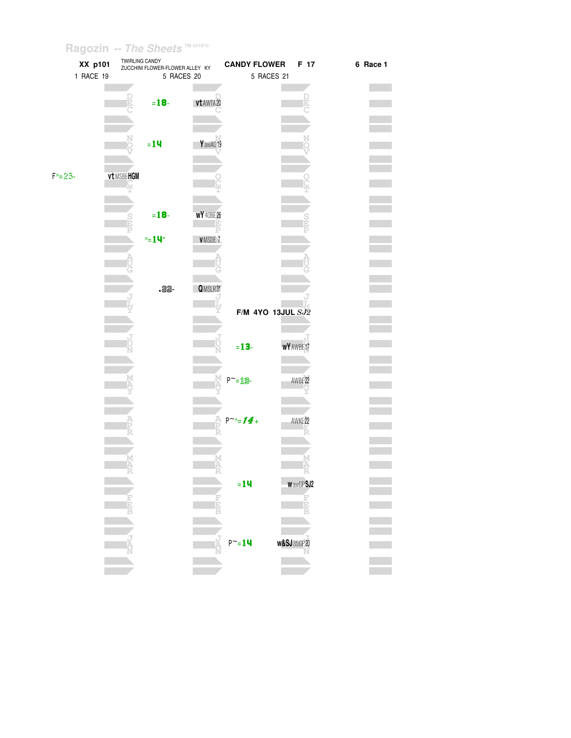| XX p101    |            | TWIRLING CANDY<br>ZUCCHINI FLOWER-FLOWER ALLEY KY |                   | <b>CANDY FLOWER</b> | F 17                   | 6 Race 1 |
|------------|------------|---------------------------------------------------|-------------------|---------------------|------------------------|----------|
| 1 RACE 19  |            | 5 RACES 20                                        |                   | 5 RACES 21          |                        |          |
|            |            |                                                   |                   |                     |                        |          |
|            |            |                                                   |                   |                     |                        |          |
|            |            | $= 18 -$                                          | vt AWTA20         |                     |                        |          |
|            |            |                                                   |                   |                     |                        |          |
|            |            |                                                   |                   |                     |                        |          |
|            |            |                                                   |                   |                     |                        |          |
|            |            | $= 14$                                            | YawAQ19           |                     |                        |          |
|            |            |                                                   |                   |                     |                        |          |
|            |            |                                                   |                   |                     |                        |          |
| $F = 25 -$ | vt MSBEHGM |                                                   |                   |                     |                        |          |
|            |            |                                                   |                   |                     |                        |          |
|            |            |                                                   |                   |                     |                        |          |
|            |            | $= 18 -$                                          | <b>WY</b> 40BE 26 |                     |                        |          |
|            |            |                                                   |                   |                     |                        |          |
|            |            |                                                   |                   |                     |                        |          |
|            |            | $\sim$ =14"                                       | VMSDE 7           |                     |                        |          |
|            |            |                                                   |                   |                     |                        |          |
|            |            |                                                   |                   |                     |                        |          |
|            |            |                                                   |                   |                     |                        |          |
|            |            | $-22 -$                                           | QMSLR31           |                     |                        |          |
|            |            |                                                   |                   |                     |                        |          |
|            |            |                                                   |                   |                     |                        |          |
|            |            |                                                   |                   | F/M 4YO 13JUL SJ2   |                        |          |
|            |            |                                                   |                   |                     |                        |          |
|            |            |                                                   |                   |                     |                        |          |
|            |            |                                                   |                   | $= 13 -$            | WY AWBE 17             |          |
|            |            |                                                   |                   |                     |                        |          |
|            |            |                                                   |                   |                     |                        |          |
|            |            |                                                   |                   | $P^{\sim} = 19$     | AWBE 22                |          |
|            |            |                                                   |                   |                     |                        |          |
|            |            |                                                   |                   |                     |                        |          |
|            |            |                                                   |                   |                     |                        |          |
|            |            |                                                   |                   | $P^{\sim} = 14 +$   | AWKE <sub>22</sub>     |          |
|            |            |                                                   |                   |                     |                        |          |
|            |            |                                                   |                   |                     |                        |          |
|            |            |                                                   |                   |                     |                        |          |
|            | M<br>FR    |                                                   |                   |                     |                        |          |
|            |            |                                                   |                   |                     |                        |          |
|            |            |                                                   |                   | $= 14$              | WawGPSJ2               |          |
|            |            |                                                   |                   |                     | E                      |          |
|            | ĸ          |                                                   |                   |                     |                        |          |
|            |            |                                                   |                   |                     |                        |          |
|            |            |                                                   |                   |                     |                        |          |
|            |            |                                                   |                   | $P^{\sim} = 14$     | <b>w&amp;SJ</b> 35GP20 |          |
|            |            |                                                   |                   |                     |                        |          |
|            |            |                                                   |                   |                     |                        |          |
|            |            |                                                   |                   |                     |                        |          |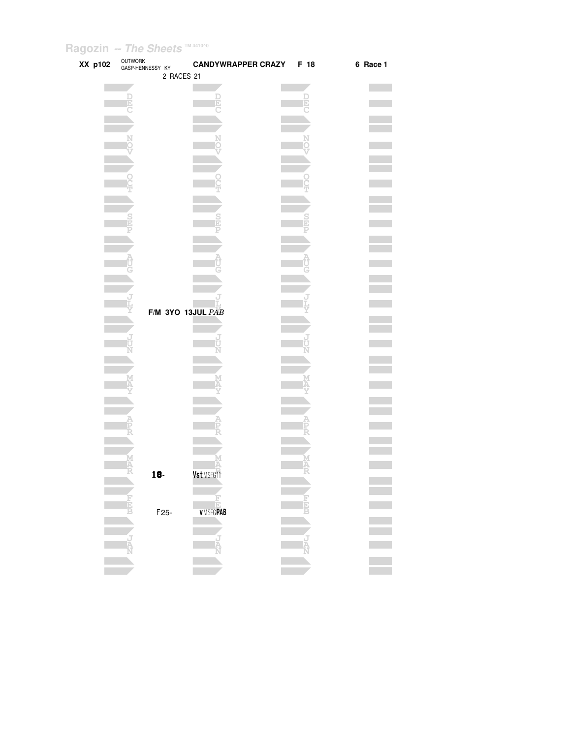| XX p102 | OUTWORK<br>GASP-HENNESSY KY |                   | <b>CANDYWRAPPER CRAZY</b> | F 18 | 6 Race 1 |
|---------|-----------------------------|-------------------|---------------------------|------|----------|
|         |                             | 2 RACES 21        |                           |      |          |
|         |                             |                   |                           |      |          |
|         | D<br>E                      |                   |                           | Ē    |          |
|         |                             |                   |                           |      |          |
|         |                             |                   |                           |      |          |
|         |                             |                   |                           |      |          |
|         |                             |                   |                           |      |          |
|         |                             |                   |                           |      |          |
|         |                             |                   |                           |      |          |
|         |                             |                   |                           |      |          |
|         |                             |                   |                           |      |          |
|         |                             |                   |                           |      |          |
|         |                             |                   |                           |      |          |
|         |                             |                   |                           |      |          |
|         |                             |                   |                           |      |          |
|         |                             |                   |                           |      |          |
|         |                             |                   |                           |      |          |
|         |                             |                   |                           |      |          |
|         |                             |                   |                           |      |          |
|         |                             |                   |                           |      |          |
|         |                             |                   | F/M 3YO 13JUL PAB         |      |          |
|         |                             |                   |                           |      |          |
|         |                             |                   |                           |      |          |
|         |                             |                   |                           |      |          |
|         |                             |                   |                           |      |          |
|         |                             |                   |                           |      |          |
|         |                             |                   |                           |      |          |
|         |                             |                   |                           |      |          |
|         |                             |                   |                           |      |          |
|         |                             |                   |                           |      |          |
|         |                             |                   |                           |      |          |
|         |                             |                   |                           |      |          |
|         |                             |                   |                           |      |          |
|         | To-                         |                   | Vst MSFG11                |      |          |
|         |                             |                   |                           |      |          |
|         |                             |                   |                           |      |          |
|         |                             | F <sub>25</sub> - | Ē<br><b>VMSFGPAB</b>      |      |          |
|         |                             |                   |                           |      |          |
|         |                             |                   |                           |      |          |
|         |                             |                   | Ā                         |      |          |
|         |                             |                   |                           |      |          |
|         |                             |                   |                           |      |          |
|         |                             |                   |                           |      |          |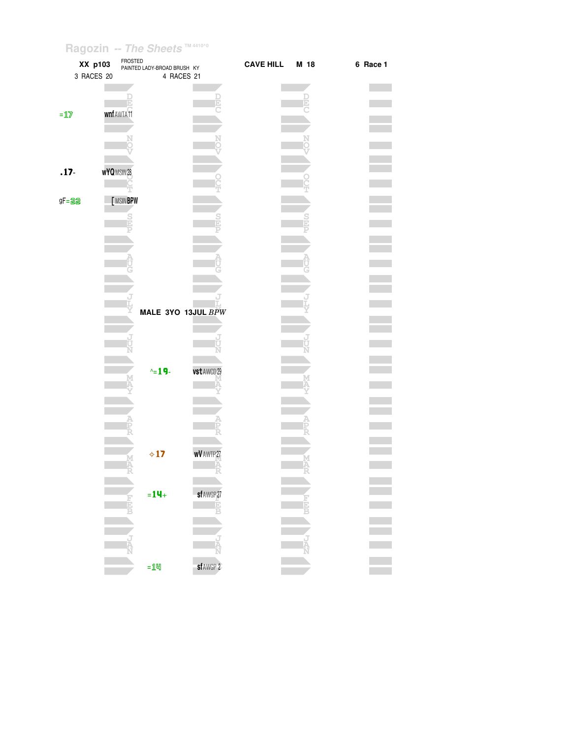|                                     | XX p103<br>3 RACES 20 | FROSTED          | PAINTED LADY-BROAD BRUSH KY<br>4 RACES 21 |                   | <b>CAVE HILL</b> | M 18 | 6 Race 1 |
|-------------------------------------|-----------------------|------------------|-------------------------------------------|-------------------|------------------|------|----------|
|                                     |                       |                  |                                           |                   |                  |      |          |
| $=\underline{\mathbb{1}\mathbb{Z}}$ |                       | wnf AWTA 11      |                                           |                   |                  |      |          |
|                                     |                       |                  |                                           |                   |                  |      |          |
| $.17 -$                             |                       | <b>wYQMSIN28</b> |                                           |                   |                  |      |          |
| $gF = 22$                           |                       | [MSINBPW         |                                           |                   |                  |      |          |
|                                     |                       | Ð                |                                           |                   |                  |      |          |
|                                     |                       |                  |                                           |                   |                  |      |          |
|                                     |                       |                  |                                           |                   |                  |      |          |
|                                     |                       |                  | MALE 3YO 13JUL BPW                        |                   |                  |      |          |
|                                     |                       |                  |                                           |                   |                  |      |          |
|                                     |                       |                  | $\sim$ 19.                                | vst AWCD 29       |                  |      |          |
|                                     |                       |                  |                                           |                   |                  |      |          |
|                                     |                       |                  |                                           |                   |                  |      |          |
|                                     |                       |                  |                                           |                   |                  |      |          |
|                                     |                       | Ą                | $\diamond$ 17                             | <b>wV</b> AWTP 27 |                  |      |          |
|                                     |                       |                  | $= 14 +$                                  | sf AWGP 27        |                  |      |          |
|                                     |                       | 耳目               |                                           | - È<br>B          |                  |      |          |
|                                     |                       |                  |                                           |                   |                  |      |          |
|                                     |                       |                  | $=$ 14                                    | sf AWGP 2         |                  |      |          |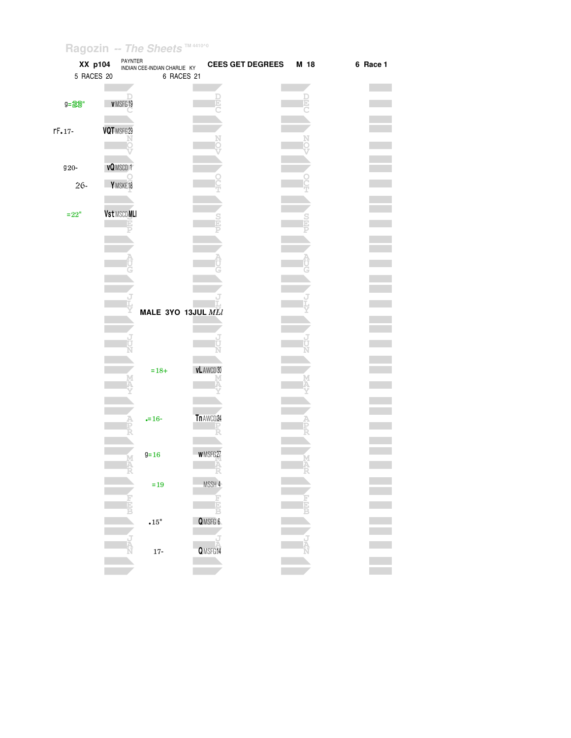| XX p104                              | PAYNTER            | INDIAN CEE-INDIAN CHARLIE KY | <b>CEES GET DEGREES</b> | M 18 | 6 Race 1 |
|--------------------------------------|--------------------|------------------------------|-------------------------|------|----------|
| 5 RACES 20                           |                    | 6 RACES 21                   |                         |      |          |
|                                      |                    |                              |                         |      |          |
|                                      |                    |                              |                         |      |          |
| $9 = 29$ "                           | VMSFG19            |                              |                         |      |          |
|                                      |                    |                              |                         |      |          |
| $rF - 17 -$                          | VQTMSFG29          |                              |                         |      |          |
|                                      |                    |                              |                         |      |          |
|                                      |                    |                              |                         |      |          |
|                                      |                    |                              |                         |      |          |
| $920-$                               | vQMSCD +           |                              |                         |      |          |
| $26 -$                               | Y MSKE18           |                              |                         |      |          |
|                                      |                    |                              |                         |      |          |
|                                      |                    |                              |                         |      |          |
| $\mathbf{=}\mathbf{22}^{\mathrm{n}}$ | <b>Vst MSCDMLI</b> |                              |                         |      |          |
|                                      | D                  |                              |                         |      |          |
|                                      |                    |                              |                         |      |          |
|                                      |                    |                              |                         |      |          |
|                                      |                    |                              |                         |      |          |
|                                      |                    |                              |                         |      |          |
|                                      |                    |                              |                         |      |          |
|                                      |                    |                              |                         |      |          |
|                                      |                    |                              |                         |      |          |
|                                      |                    | MALE 3YO 13JUL MLI           |                         |      |          |
|                                      |                    |                              |                         |      |          |
|                                      |                    |                              |                         |      |          |
|                                      |                    |                              |                         |      |          |
|                                      |                    |                              |                         |      |          |
|                                      |                    |                              |                         |      |          |
|                                      |                    | $=18+$                       | vL AWCD 30              |      |          |
|                                      |                    |                              |                         |      |          |
|                                      |                    |                              |                         |      |          |
|                                      |                    |                              |                         |      |          |
|                                      |                    | $= 16 -$                     | Tn AWCD 24              |      |          |
|                                      |                    |                              |                         |      |          |
|                                      |                    |                              |                         |      |          |
|                                      |                    |                              |                         |      |          |
|                                      |                    | $9 = 16$                     | <b>WMSFG27</b>          |      |          |
|                                      | Ä                  |                              |                         |      |          |
|                                      |                    |                              |                         |      |          |
|                                      |                    | $\!=\!19$                    | MSSH 4                  |      |          |
|                                      | Е                  |                              |                         |      |          |
|                                      |                    |                              |                         |      |          |
|                                      |                    | $\scriptstyle\bullet 15"$    | QMSFG 6                 |      |          |
|                                      |                    |                              |                         |      |          |
|                                      |                    |                              |                         |      |          |
|                                      |                    | $17-$                        | QMSFG14                 |      |          |
|                                      |                    |                              |                         |      |          |
|                                      |                    |                              |                         |      |          |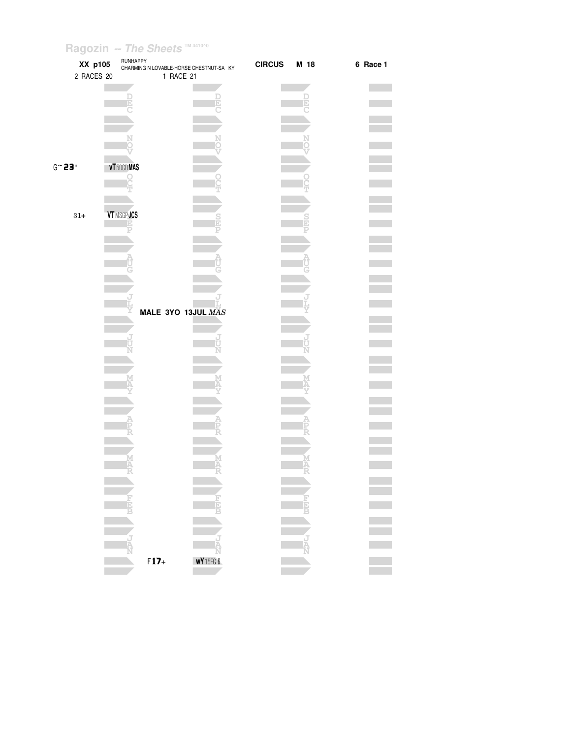| XX p105                         | RUNHAPPY         | CHARMING N LOVABLE-HORSE CHESTNUT-SA KY | <b>CIRCUS</b><br>M 18 | 6 Race 1 |
|---------------------------------|------------------|-----------------------------------------|-----------------------|----------|
| 2 RACES 20                      |                  | 1 RACE 21                               |                       |          |
|                                 |                  |                                         |                       |          |
|                                 |                  |                                         |                       |          |
|                                 |                  |                                         |                       |          |
|                                 |                  |                                         |                       |          |
|                                 |                  |                                         |                       |          |
|                                 |                  |                                         |                       |          |
| $G \widetilde{\phantom{a}}$ 23" | vT 50CDMAS       |                                         |                       |          |
|                                 |                  |                                         |                       |          |
|                                 |                  |                                         |                       |          |
|                                 |                  |                                         |                       |          |
| $31+$                           | <b>VTMSGPJCS</b> |                                         |                       |          |
|                                 |                  |                                         |                       |          |
|                                 |                  |                                         |                       |          |
|                                 |                  |                                         |                       |          |
|                                 |                  |                                         |                       |          |
|                                 |                  |                                         |                       |          |
|                                 |                  |                                         |                       |          |
|                                 |                  | MALE 3YO 13JUL MAS                      |                       |          |
|                                 |                  |                                         |                       |          |
|                                 |                  |                                         |                       |          |
|                                 |                  |                                         |                       |          |
|                                 |                  |                                         |                       |          |
|                                 |                  |                                         |                       |          |
|                                 |                  |                                         |                       |          |
|                                 |                  |                                         |                       |          |
|                                 |                  |                                         |                       |          |
|                                 |                  |                                         |                       |          |
|                                 |                  |                                         |                       |          |
|                                 |                  |                                         |                       |          |
|                                 |                  |                                         |                       |          |
|                                 |                  |                                         |                       |          |
|                                 |                  |                                         |                       |          |
|                                 |                  |                                         |                       |          |
|                                 |                  |                                         |                       |          |
|                                 |                  |                                         |                       |          |
|                                 |                  |                                         | ل<br>آ                |          |
|                                 |                  | WY15FG6                                 |                       |          |
|                                 | $F17+$           |                                         |                       |          |
|                                 |                  |                                         |                       |          |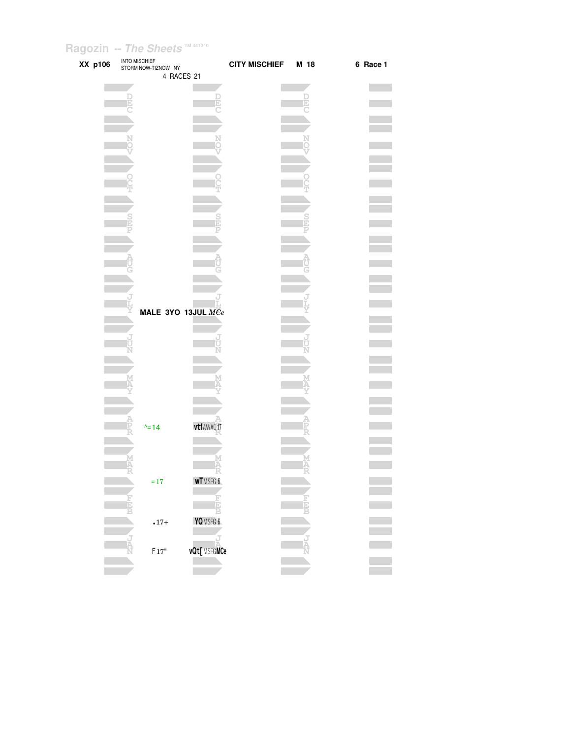| XX p106 | <b>INTO MISCHIEF</b><br>STORM NOW-TIZNOW NY<br>4 RACES 21 |                | CITY MISCHIEF M 18 | 6 Race 1 |
|---------|-----------------------------------------------------------|----------------|--------------------|----------|
|         |                                                           |                |                    |          |
|         |                                                           |                |                    |          |
|         |                                                           |                |                    |          |
|         |                                                           |                |                    |          |
|         |                                                           |                |                    |          |
|         |                                                           |                |                    |          |
|         |                                                           |                |                    |          |
|         |                                                           |                |                    |          |
|         |                                                           |                |                    |          |
|         |                                                           |                |                    |          |
|         |                                                           |                |                    |          |
|         |                                                           |                |                    |          |
|         |                                                           |                |                    |          |
|         |                                                           |                |                    |          |
|         |                                                           |                |                    |          |
|         |                                                           |                |                    |          |
|         |                                                           |                |                    |          |
|         |                                                           |                |                    |          |
|         |                                                           |                |                    |          |
|         |                                                           |                |                    |          |
|         |                                                           |                |                    |          |
|         |                                                           |                |                    |          |
|         |                                                           |                |                    |          |
|         |                                                           |                |                    |          |
|         |                                                           |                |                    |          |
|         | MALE 3YO 13JUL $\overline{MCe}$                           |                |                    |          |
|         |                                                           |                |                    |          |
|         |                                                           |                |                    |          |
|         |                                                           |                |                    |          |
|         |                                                           |                |                    |          |
|         |                                                           |                |                    |          |
|         |                                                           |                |                    |          |
|         |                                                           |                |                    |          |
|         |                                                           |                |                    |          |
|         |                                                           |                |                    |          |
|         |                                                           |                |                    |          |
|         |                                                           |                |                    |          |
|         |                                                           |                |                    |          |
|         | $\frac{1}{2}$ 14                                          | vtf AWAQ17     |                    |          |
|         |                                                           |                |                    |          |
|         |                                                           |                |                    |          |
|         |                                                           |                |                    |          |
|         |                                                           |                |                    |          |
|         |                                                           |                |                    |          |
|         | $=17$                                                     | <b>wTMSFG6</b> |                    |          |
|         |                                                           |                |                    |          |
|         |                                                           |                |                    |          |
|         |                                                           |                |                    |          |
|         | $.17+$                                                    | YQMSFG 6       |                    |          |
|         |                                                           |                |                    |          |
|         |                                                           |                |                    |          |
|         | $F17"$                                                    | vQt[MSFGMCe    |                    |          |
|         |                                                           |                |                    |          |
|         |                                                           |                |                    |          |
|         |                                                           |                |                    |          |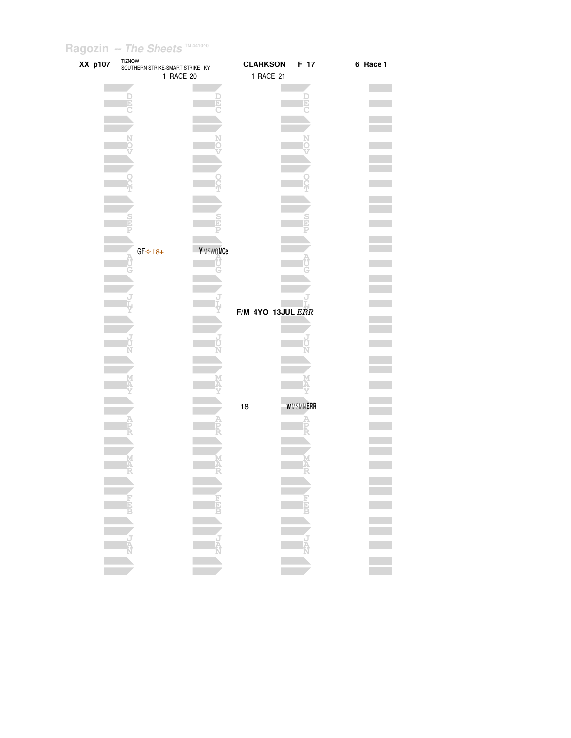| XX p107 | <b>TIZNOW</b><br>SOUTHERN STRIKE-SMART STRIKE KY |          | <b>CLARKSON</b>   | F 17            | 6 Race 1 |
|---------|--------------------------------------------------|----------|-------------------|-----------------|----------|
|         | 1 RACE 20                                        |          | 1 RACE 21         |                 |          |
|         |                                                  |          |                   |                 |          |
|         |                                                  |          |                   |                 |          |
|         |                                                  |          |                   |                 |          |
|         |                                                  |          |                   |                 |          |
|         |                                                  |          |                   |                 |          |
|         |                                                  |          |                   |                 |          |
|         |                                                  |          |                   |                 |          |
|         |                                                  |          |                   |                 |          |
|         |                                                  |          |                   |                 |          |
|         |                                                  |          |                   |                 |          |
|         |                                                  |          |                   |                 |          |
|         |                                                  |          |                   |                 |          |
|         |                                                  |          |                   |                 |          |
|         |                                                  |          |                   |                 |          |
|         |                                                  |          |                   |                 |          |
|         |                                                  |          |                   |                 |          |
|         |                                                  |          |                   |                 |          |
|         |                                                  |          |                   |                 |          |
|         | $GF\Leftrightarrow 18+$                          | YMSWOMCe |                   |                 |          |
|         |                                                  |          |                   |                 |          |
|         |                                                  |          |                   |                 |          |
|         |                                                  |          |                   |                 |          |
|         |                                                  |          |                   |                 |          |
|         |                                                  |          |                   |                 |          |
|         |                                                  |          |                   |                 |          |
|         |                                                  |          | F/M 4YO 13JUL ERR |                 |          |
|         |                                                  |          |                   |                 |          |
|         |                                                  |          |                   |                 |          |
|         |                                                  |          |                   |                 |          |
|         |                                                  |          |                   |                 |          |
|         |                                                  |          |                   |                 |          |
|         |                                                  |          |                   |                 |          |
|         |                                                  |          |                   |                 |          |
|         |                                                  |          |                   |                 |          |
|         |                                                  |          |                   |                 |          |
|         |                                                  |          | 18                | <b>WMSMNERR</b> |          |
|         |                                                  |          |                   |                 |          |
|         |                                                  |          |                   |                 |          |
|         |                                                  |          |                   |                 |          |
|         |                                                  |          |                   |                 |          |
|         |                                                  |          |                   |                 |          |
|         |                                                  |          |                   |                 |          |
|         |                                                  |          |                   |                 |          |
|         |                                                  |          |                   |                 |          |
|         |                                                  |          |                   |                 |          |
|         |                                                  |          |                   |                 |          |
|         |                                                  |          |                   |                 | Ē        |
|         |                                                  |          |                   |                 |          |
|         |                                                  |          |                   |                 |          |
|         |                                                  |          |                   |                 |          |
|         |                                                  |          |                   |                 |          |
|         |                                                  |          |                   |                 |          |
|         |                                                  |          |                   |                 |          |
|         |                                                  |          |                   |                 |          |
|         |                                                  |          |                   |                 |          |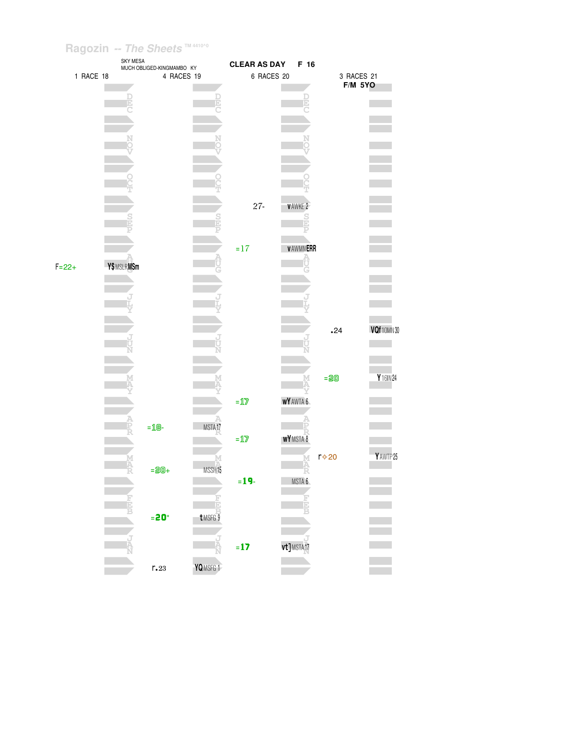|            |           | <b>SKY MESA</b> | MUCH OBLIGED-KINGMAMBO KY      |                         | <b>CLEAR AS DAY</b>                              |                     | F 16          |        |                    |  |
|------------|-----------|-----------------|--------------------------------|-------------------------|--------------------------------------------------|---------------------|---------------|--------|--------------------|--|
|            | 1 RACE 18 |                 | 4 RACES 19                     |                         | 6 RACES 20                                       |                     |               |        | 3 RACES 21         |  |
|            |           |                 |                                |                         |                                                  |                     |               |        | <b>F/M 5YO</b>     |  |
|            |           |                 |                                |                         |                                                  |                     |               |        |                    |  |
|            |           |                 |                                |                         |                                                  |                     |               |        |                    |  |
|            |           |                 |                                |                         |                                                  |                     |               |        |                    |  |
|            |           |                 |                                |                         |                                                  |                     |               |        |                    |  |
|            |           |                 |                                |                         |                                                  |                     |               |        |                    |  |
|            |           |                 |                                |                         |                                                  |                     |               |        |                    |  |
|            |           |                 |                                |                         |                                                  |                     |               |        |                    |  |
|            |           |                 |                                |                         |                                                  |                     |               |        |                    |  |
|            |           |                 |                                |                         |                                                  |                     |               |        |                    |  |
|            |           |                 |                                |                         | $27 -$                                           | <b>VAWKE 2</b>      |               |        |                    |  |
|            |           |                 |                                | S                       |                                                  |                     | $\frac{S}{E}$ |        |                    |  |
|            |           |                 |                                |                         |                                                  |                     | Þ             |        |                    |  |
|            |           |                 |                                |                         |                                                  |                     |               |        |                    |  |
|            |           |                 |                                |                         | $=17$                                            | <b>VAWMNERR</b>     |               |        |                    |  |
| $F = 22 +$ |           | Y\$MSLRMSm      |                                |                         |                                                  |                     |               |        |                    |  |
|            |           |                 |                                |                         |                                                  |                     |               |        |                    |  |
|            |           |                 |                                |                         |                                                  |                     |               |        |                    |  |
|            |           |                 |                                |                         |                                                  |                     |               |        |                    |  |
|            |           |                 |                                |                         |                                                  |                     |               |        |                    |  |
|            |           |                 |                                |                         |                                                  |                     |               |        |                    |  |
|            |           |                 |                                |                         |                                                  |                     |               | .24    | <b>VQf</b> 10MN 30 |  |
|            |           |                 |                                |                         |                                                  |                     |               |        |                    |  |
|            |           |                 |                                |                         |                                                  |                     |               |        |                    |  |
|            |           |                 |                                |                         |                                                  |                     |               |        |                    |  |
|            |           |                 |                                |                         |                                                  |                     |               | $= 20$ | Y 16IN 24          |  |
|            |           |                 |                                |                         |                                                  |                     |               |        |                    |  |
|            |           |                 |                                |                         | $=\underline{\mathbb{1}}\overline{\mathbb{Z}}$   | WY AWTA 6           |               |        |                    |  |
|            |           |                 |                                |                         |                                                  |                     |               |        |                    |  |
|            |           |                 | $=$ 18-                        | MSTA17                  |                                                  |                     |               |        |                    |  |
|            |           |                 |                                |                         | $=\underline{\mathbf{1}}\ensuremath{\mathbf{7}}$ | WYMSTA <sup>8</sup> |               |        |                    |  |
|            |           |                 |                                |                         |                                                  |                     |               |        | Y AWTP 25          |  |
|            |           |                 |                                | М                       |                                                  |                     | <b>MAR</b>    | r⊹20   |                    |  |
|            |           | A<br>R          | $= 20 +$                       | MSSH15                  |                                                  |                     |               |        |                    |  |
|            |           |                 |                                |                         | $= 19 -$                                         | MSTA 6              |               |        |                    |  |
|            |           |                 |                                |                         |                                                  |                     |               |        |                    |  |
|            |           |                 |                                | $t$ MSFG $\overline{9}$ |                                                  |                     |               |        |                    |  |
|            |           |                 | $= 20^\circ$                   |                         |                                                  |                     |               |        |                    |  |
|            |           |                 |                                |                         |                                                  |                     |               |        |                    |  |
|            |           |                 |                                | Ą                       | $= 17$                                           | vt]MSTA17           |               |        |                    |  |
|            |           |                 |                                |                         |                                                  |                     |               |        |                    |  |
|            |           |                 | $\mathsf{r}{\boldsymbol{.}}23$ | YQMSFG 1                |                                                  |                     |               |        |                    |  |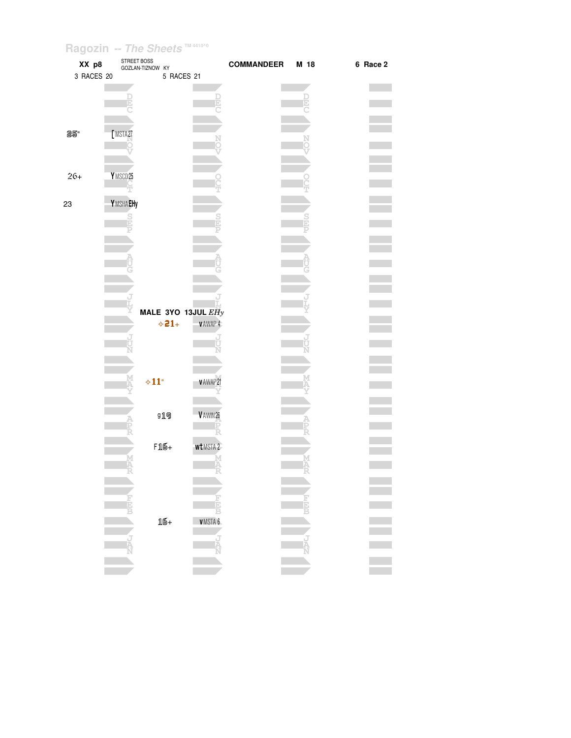| XX p8<br>3 RACES 20 | STREET BOSS | GOZLAN-TIZNOW KY<br>5 RACES 21       |                | <b>COMMANDEER</b> | M 18 | 6 Race 2 |
|---------------------|-------------|--------------------------------------|----------------|-------------------|------|----------|
|                     |             |                                      |                |                   |      |          |
| 25"                 | MSTA27      |                                      |                |                   |      |          |
| $26+$               | YMSCD25     |                                      |                |                   |      |          |
| 23                  | YMSHAEHy    |                                      |                |                   |      |          |
|                     |             |                                      |                |                   |      |          |
|                     |             | MALE 3YO 13JUL EHy<br>$\diamond$ 21+ | VAWAP 4        |                   |      |          |
|                     |             | $\diamond 11"$                       | VAWAP21        |                   |      |          |
|                     |             | g19                                  | V AWIN 26      |                   |      |          |
|                     | M<br>A      | $F16+$                               | wt MSTA 2<br>Α |                   |      |          |
|                     |             |                                      |                |                   |      |          |
|                     |             | 16+                                  | VMSTA 6        |                   |      |          |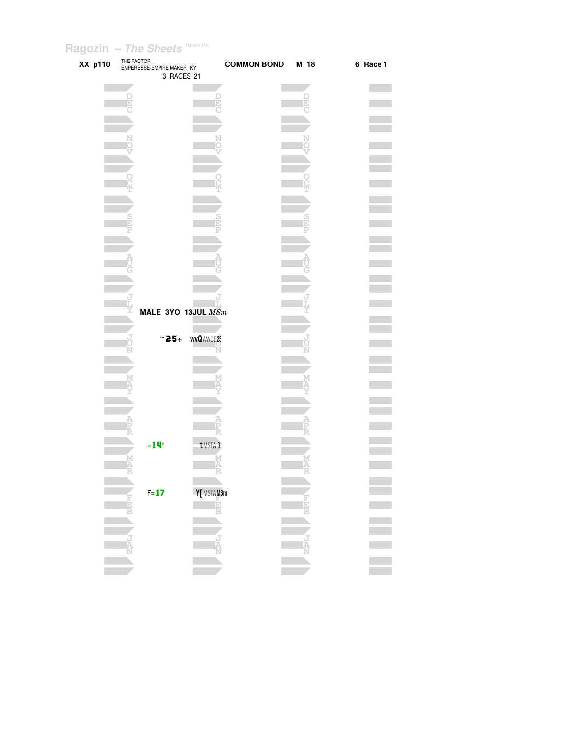| XX p110 |   | THE FACTOR<br>EMPERESSE-EMPIRE MAKER KY<br>3 RACES 21 |             | <b>COMMON BOND</b> | M 18   | 6 Race 1 |
|---------|---|-------------------------------------------------------|-------------|--------------------|--------|----------|
|         |   |                                                       |             |                    |        |          |
|         |   |                                                       |             |                    |        |          |
|         |   |                                                       |             |                    |        |          |
|         |   |                                                       |             |                    |        |          |
|         |   |                                                       |             |                    |        |          |
|         |   |                                                       |             |                    |        |          |
|         |   |                                                       |             |                    |        |          |
|         |   |                                                       |             |                    |        |          |
|         |   |                                                       |             |                    |        |          |
|         |   |                                                       |             |                    |        |          |
|         |   |                                                       |             |                    |        |          |
|         |   |                                                       |             |                    |        |          |
|         |   |                                                       |             |                    |        |          |
|         |   |                                                       |             |                    |        |          |
|         |   |                                                       |             |                    |        |          |
|         |   |                                                       |             |                    |        |          |
|         |   |                                                       |             |                    |        |          |
|         |   |                                                       |             |                    |        |          |
|         |   |                                                       |             |                    |        |          |
|         |   | MALE 3YO 13JUL MSm                                    |             |                    |        |          |
|         |   |                                                       |             |                    |        |          |
|         |   | $~\sim$ 25+                                           | wvQ AWDE 23 |                    |        |          |
|         |   |                                                       |             |                    |        |          |
|         |   |                                                       |             |                    |        |          |
|         |   |                                                       |             |                    |        |          |
|         |   |                                                       |             |                    |        |          |
|         |   |                                                       |             |                    |        |          |
|         |   |                                                       |             |                    |        |          |
|         |   |                                                       |             |                    |        |          |
|         |   |                                                       |             |                    |        |          |
|         |   | $=14^{\circ}$                                         | t MSTA 3    |                    |        |          |
|         |   |                                                       |             |                    |        |          |
|         | M |                                                       | M<br>A      |                    | M<br>A |          |
|         |   |                                                       |             |                    |        |          |
|         |   | $F=17$                                                | Y[MSTAMSm   |                    |        |          |
|         | 青 |                                                       | Ė           |                    |        |          |
|         |   |                                                       |             |                    |        |          |
|         |   |                                                       |             |                    |        |          |
|         |   |                                                       |             |                    |        |          |
|         |   |                                                       |             |                    |        |          |
|         |   |                                                       |             |                    |        |          |
|         |   |                                                       |             |                    |        |          |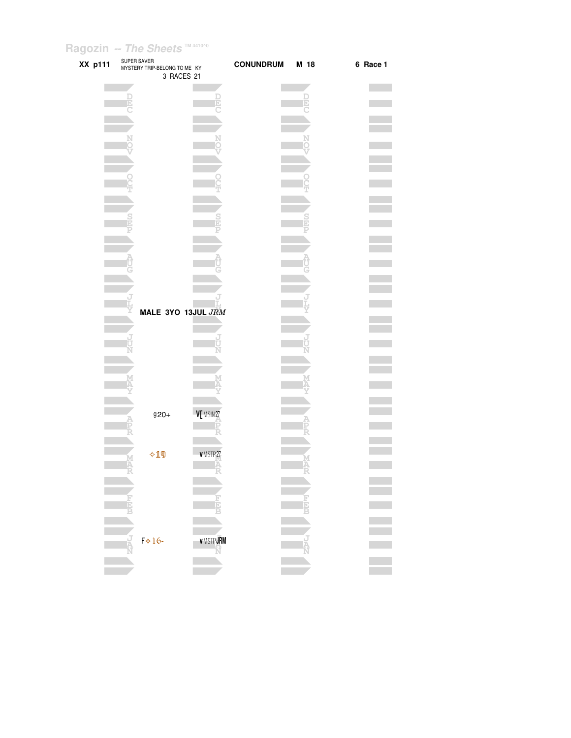| XX p111 |              | SUPER SAVER<br>MYSTERY TRIP-BELONG TO ME KY<br>3 RACES 21 | <b>CONUNDRUM</b> | M 18        | 6 Race 1 |
|---------|--------------|-----------------------------------------------------------|------------------|-------------|----------|
|         | Ē            |                                                           |                  | l<br>E      |          |
|         |              |                                                           |                  |             |          |
|         |              |                                                           |                  |             |          |
|         |              |                                                           |                  |             |          |
|         |              |                                                           |                  |             |          |
|         |              |                                                           |                  |             |          |
|         |              |                                                           |                  |             |          |
|         |              | MALE 3YO 13JUL JRM                                        |                  |             |          |
|         | ť            |                                                           |                  |             |          |
|         |              |                                                           |                  |             |          |
|         |              |                                                           |                  |             |          |
|         |              | V[MSIN27<br>$920 +$                                       |                  |             |          |
|         |              | $\lozenge$ 19<br>VMSTP27                                  |                  |             |          |
|         | A            |                                                           |                  | M<br>A      |          |
|         | É            |                                                           | <b>FIELE</b>     | <b>THE</b>  |          |
|         | Ŕ<br>$F*16-$ | <b>VMSTPJRM</b>                                           |                  | J<br>A<br>N |          |
|         |              |                                                           | Ñ                |             |          |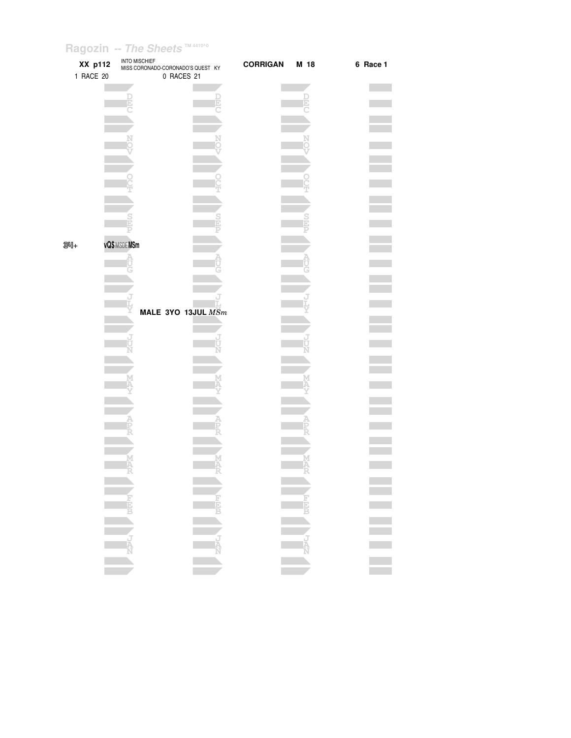| XX p112<br>1 RACE 20 | <b>INTO MISCHIEF</b><br>MISS CORONADO-CORONADO'S QUEST KY<br>0 RACES 21                                                                                                                                                                                                                                                                                                                                                                                                                                                                                                                | <b>CORRIGAN</b> | M 18 | 6 Race 1         |
|----------------------|----------------------------------------------------------------------------------------------------------------------------------------------------------------------------------------------------------------------------------------------------------------------------------------------------------------------------------------------------------------------------------------------------------------------------------------------------------------------------------------------------------------------------------------------------------------------------------------|-----------------|------|------------------|
|                      |                                                                                                                                                                                                                                                                                                                                                                                                                                                                                                                                                                                        |                 |      |                  |
|                      |                                                                                                                                                                                                                                                                                                                                                                                                                                                                                                                                                                                        |                 |      |                  |
|                      |                                                                                                                                                                                                                                                                                                                                                                                                                                                                                                                                                                                        |                 |      |                  |
|                      |                                                                                                                                                                                                                                                                                                                                                                                                                                                                                                                                                                                        |                 |      |                  |
|                      |                                                                                                                                                                                                                                                                                                                                                                                                                                                                                                                                                                                        |                 |      |                  |
|                      |                                                                                                                                                                                                                                                                                                                                                                                                                                                                                                                                                                                        |                 |      |                  |
|                      |                                                                                                                                                                                                                                                                                                                                                                                                                                                                                                                                                                                        |                 |      |                  |
|                      |                                                                                                                                                                                                                                                                                                                                                                                                                                                                                                                                                                                        |                 |      |                  |
|                      |                                                                                                                                                                                                                                                                                                                                                                                                                                                                                                                                                                                        |                 |      |                  |
|                      |                                                                                                                                                                                                                                                                                                                                                                                                                                                                                                                                                                                        |                 |      |                  |
|                      |                                                                                                                                                                                                                                                                                                                                                                                                                                                                                                                                                                                        |                 |      |                  |
|                      |                                                                                                                                                                                                                                                                                                                                                                                                                                                                                                                                                                                        |                 |      |                  |
| $34 +$               | vQ\$MSDEMSm                                                                                                                                                                                                                                                                                                                                                                                                                                                                                                                                                                            |                 |      |                  |
|                      |                                                                                                                                                                                                                                                                                                                                                                                                                                                                                                                                                                                        |                 |      |                  |
|                      |                                                                                                                                                                                                                                                                                                                                                                                                                                                                                                                                                                                        |                 |      |                  |
|                      |                                                                                                                                                                                                                                                                                                                                                                                                                                                                                                                                                                                        |                 |      |                  |
|                      | MALE 3YO 13JUL MSm                                                                                                                                                                                                                                                                                                                                                                                                                                                                                                                                                                     |                 |      |                  |
|                      |                                                                                                                                                                                                                                                                                                                                                                                                                                                                                                                                                                                        |                 |      |                  |
|                      |                                                                                                                                                                                                                                                                                                                                                                                                                                                                                                                                                                                        |                 |      |                  |
|                      |                                                                                                                                                                                                                                                                                                                                                                                                                                                                                                                                                                                        |                 |      |                  |
|                      |                                                                                                                                                                                                                                                                                                                                                                                                                                                                                                                                                                                        |                 |      |                  |
|                      |                                                                                                                                                                                                                                                                                                                                                                                                                                                                                                                                                                                        |                 |      |                  |
|                      |                                                                                                                                                                                                                                                                                                                                                                                                                                                                                                                                                                                        |                 |      |                  |
|                      |                                                                                                                                                                                                                                                                                                                                                                                                                                                                                                                                                                                        |                 |      |                  |
|                      |                                                                                                                                                                                                                                                                                                                                                                                                                                                                                                                                                                                        |                 |      |                  |
|                      |                                                                                                                                                                                                                                                                                                                                                                                                                                                                                                                                                                                        |                 |      |                  |
|                      |                                                                                                                                                                                                                                                                                                                                                                                                                                                                                                                                                                                        |                 |      |                  |
|                      |                                                                                                                                                                                                                                                                                                                                                                                                                                                                                                                                                                                        |                 |      |                  |
|                      |                                                                                                                                                                                                                                                                                                                                                                                                                                                                                                                                                                                        |                 |      |                  |
|                      |                                                                                                                                                                                                                                                                                                                                                                                                                                                                                                                                                                                        |                 |      |                  |
|                      |                                                                                                                                                                                                                                                                                                                                                                                                                                                                                                                                                                                        |                 |      |                  |
|                      |                                                                                                                                                                                                                                                                                                                                                                                                                                                                                                                                                                                        |                 |      |                  |
|                      |                                                                                                                                                                                                                                                                                                                                                                                                                                                                                                                                                                                        |                 |      |                  |
|                      |                                                                                                                                                                                                                                                                                                                                                                                                                                                                                                                                                                                        |                 |      |                  |
|                      |                                                                                                                                                                                                                                                                                                                                                                                                                                                                                                                                                                                        |                 |      |                  |
|                      | $\begin{array}{ c c c c }\hline \text{where} & \text{where} & \text{where} & \text{where} & \text{where} & \text{where} & \text{where} & \text{where} & \text{where} & \text{where} & \text{where} & \text{where} & \text{where} & \text{where } \text{ is the same, } \text{ and } \text{ is the same, } \text{ and } \text{ is the same, } \text{ and } \text{ is the same, } \text{ and } \text{ is the same, } \text{ and } \text{ is the same, } \text{ and } \text{ is the same, } \text{ is the same, } \text{ and } \text{ is the same, } \text{ is the same, } \text{ is the$ |                 |      | E<br>E<br>E<br>E |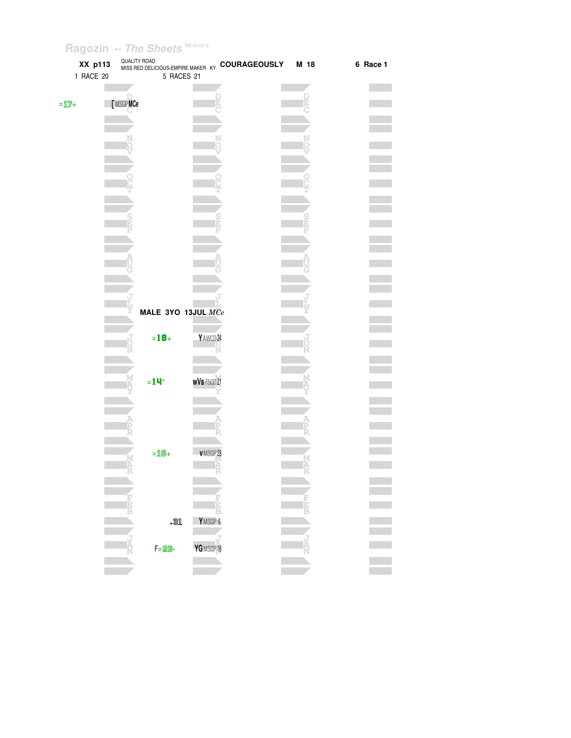| XX p113<br>1 RACE 20                 | <b>QUALITY ROAD</b> | 5 RACES 21                | WISS RED DELICIOUS-EMPIRE MAKER KY COURAGEOUSLY | M 18 | 6 Race 1 |
|--------------------------------------|---------------------|---------------------------|-------------------------------------------------|------|----------|
| $=\underline{\mathbb{1}}\mathbb{Z}+$ | [MSGPMCe            |                           |                                                 |      |          |
|                                      |                     |                           |                                                 |      |          |
|                                      |                     |                           |                                                 |      |          |
|                                      |                     |                           |                                                 |      |          |
|                                      |                     |                           |                                                 |      |          |
|                                      |                     |                           |                                                 |      |          |
|                                      |                     | MALE 3YO 13JUL MCe        |                                                 |      |          |
|                                      |                     | $= 18 +$                  | Y AWCD 24                                       |      |          |
|                                      |                     | $=14$ "                   | <b>wVs</b> 75CD 21                              |      |          |
|                                      |                     |                           |                                                 |      |          |
|                                      |                     | $=$ 18+                   | VMSGP28                                         |      |          |
|                                      |                     |                           |                                                 |      |          |
|                                      |                     | $\overline{\mathbb{S}^1}$ | YMSGP 6                                         |      |          |
|                                      |                     | $F = 29 -$                | YGMSGP16                                        |      |          |
|                                      |                     |                           |                                                 |      |          |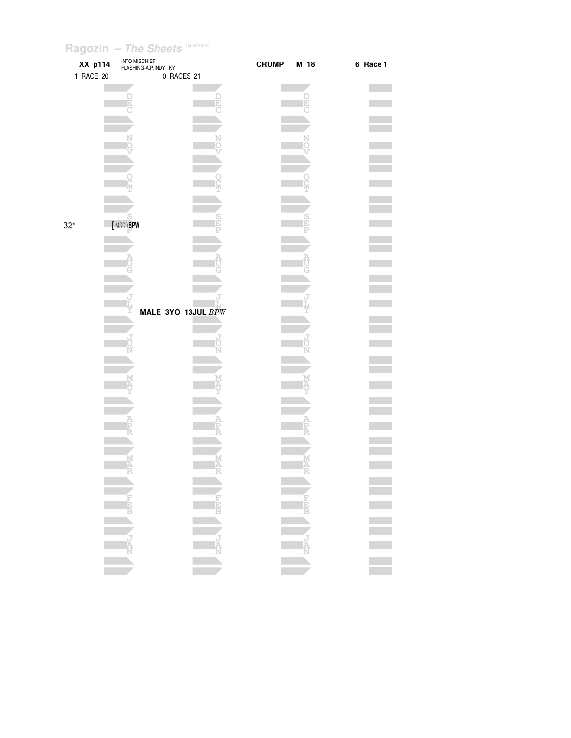| XX p114<br>1 RACE 20 | <b>INTO MISCHIEF</b><br>FLASHING-A.P.INDY KY<br>0 RACES 21 | <b>CRUMP</b> | M 18 | 6 Race 1 |
|----------------------|------------------------------------------------------------|--------------|------|----------|
|                      |                                                            |              |      |          |
|                      |                                                            |              |      |          |
|                      |                                                            |              |      |          |
|                      |                                                            |              |      |          |
|                      |                                                            |              |      |          |
|                      |                                                            |              |      |          |
| 32"                  | [MSCDBPW                                                   |              |      |          |
|                      |                                                            |              |      |          |
|                      |                                                            |              |      |          |
|                      | MALE 3YO 13JUL BPW                                         |              |      |          |
|                      |                                                            |              |      |          |
|                      |                                                            |              |      |          |
|                      |                                                            |              |      |          |
|                      |                                                            |              |      |          |
|                      |                                                            |              |      |          |
|                      | M<br>A                                                     |              |      |          |
|                      |                                                            |              | - 43 |          |
|                      |                                                            |              |      |          |
|                      |                                                            |              |      | E E E E  |
|                      |                                                            |              |      |          |
|                      |                                                            |              |      |          |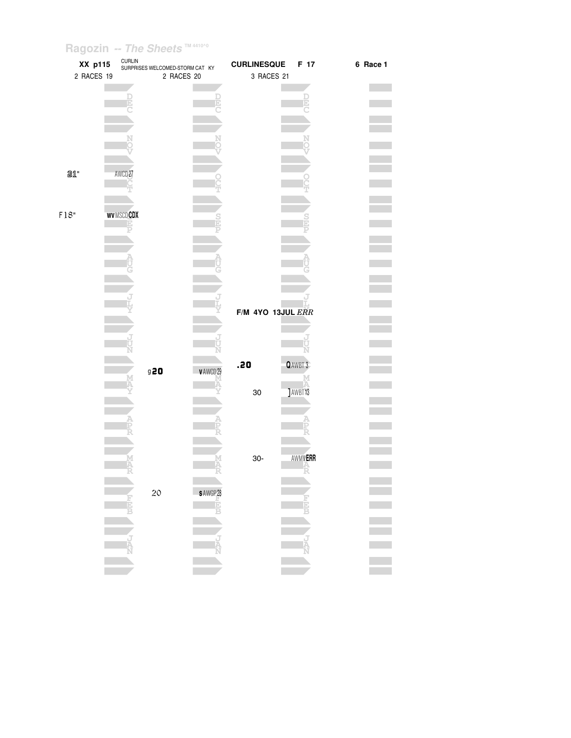| XX p115    |                    | CURLIN<br>SURPRISES WELCOMED-STORM CAT KY |                     | <b>CURLINESQUE</b> | F 17           | 6 Race 1 |
|------------|--------------------|-------------------------------------------|---------------------|--------------------|----------------|----------|
| 2 RACES 19 |                    | 2 RACES 20                                |                     | 3 RACES 21         |                |          |
|            |                    |                                           |                     |                    |                |          |
|            | F                  |                                           |                     |                    |                |          |
|            |                    |                                           |                     |                    | E              |          |
|            |                    |                                           |                     |                    |                |          |
|            |                    |                                           |                     |                    |                |          |
|            |                    |                                           |                     |                    |                |          |
|            |                    |                                           |                     |                    |                |          |
|            |                    |                                           |                     |                    |                |          |
| 21"        | AWCD <sub>27</sub> |                                           |                     |                    |                |          |
|            |                    |                                           |                     |                    |                |          |
|            |                    |                                           |                     |                    |                |          |
|            |                    |                                           |                     |                    |                |          |
| $F18"$     | WVMSCDCDX          |                                           |                     |                    | $\frac{S}{E}$  |          |
|            | F                  |                                           |                     |                    |                |          |
|            |                    |                                           |                     |                    |                |          |
|            |                    |                                           |                     |                    |                |          |
|            |                    |                                           |                     |                    |                |          |
|            |                    |                                           |                     |                    |                |          |
|            |                    |                                           |                     |                    |                |          |
|            |                    |                                           |                     |                    |                |          |
|            |                    |                                           |                     |                    |                |          |
|            |                    |                                           |                     | F/M 4YO 13JUL ERR  |                |          |
|            |                    |                                           |                     |                    |                |          |
|            |                    |                                           |                     |                    |                |          |
|            |                    |                                           |                     |                    |                |          |
|            |                    |                                           |                     | .20                | QAWBT 3        |          |
|            |                    | 920                                       | v AWCD 29           |                    |                |          |
|            |                    |                                           |                     |                    |                |          |
|            |                    |                                           |                     | 30                 | <b>JAWBT13</b> |          |
|            |                    |                                           |                     |                    |                |          |
|            |                    |                                           |                     |                    |                |          |
|            |                    |                                           |                     |                    |                |          |
|            |                    |                                           |                     |                    |                |          |
|            |                    |                                           |                     |                    |                |          |
|            |                    |                                           |                     | $30-$              | AWMVERR        |          |
|            |                    |                                           |                     |                    | Ê              |          |
|            |                    |                                           |                     |                    |                |          |
|            |                    | 20                                        | SAWGP <sub>28</sub> |                    |                |          |
|            |                    |                                           |                     |                    |                |          |
|            |                    |                                           |                     |                    |                |          |
|            |                    |                                           |                     |                    |                |          |
|            |                    |                                           |                     |                    |                |          |
|            |                    |                                           |                     |                    |                |          |
|            |                    |                                           |                     |                    |                |          |
|            |                    |                                           |                     |                    |                |          |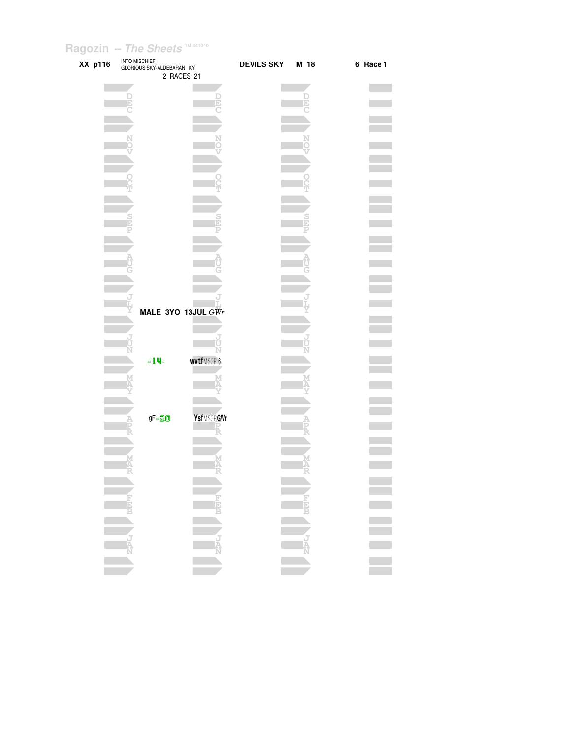| XX p116 | <b>INTO MISCHIEF</b><br>GLORIOUS SKY-ALDEBARAN KY | 2 RACES 21           | <b>DEVILS SKY</b> | M 18 | 6 Race 1         |
|---------|---------------------------------------------------|----------------------|-------------------|------|------------------|
|         |                                                   |                      |                   |      |                  |
|         |                                                   |                      |                   |      |                  |
|         |                                                   |                      |                   |      |                  |
|         |                                                   |                      |                   |      |                  |
|         |                                                   |                      |                   |      |                  |
|         |                                                   |                      |                   |      |                  |
|         |                                                   |                      |                   |      |                  |
|         |                                                   |                      |                   |      |                  |
|         |                                                   |                      |                   |      |                  |
|         |                                                   |                      |                   |      |                  |
|         |                                                   |                      |                   |      |                  |
|         |                                                   |                      |                   |      |                  |
|         |                                                   |                      |                   |      |                  |
|         |                                                   |                      |                   |      |                  |
|         |                                                   |                      |                   |      |                  |
|         |                                                   |                      |                   |      |                  |
|         |                                                   |                      |                   |      |                  |
|         |                                                   | MALE 3YO 13JUL $GWr$ |                   |      |                  |
|         |                                                   |                      |                   |      |                  |
|         |                                                   |                      |                   |      |                  |
|         |                                                   |                      |                   |      |                  |
|         | $= 14$                                            | wvtfMSGP 6           |                   |      |                  |
|         |                                                   |                      |                   |      |                  |
|         |                                                   |                      |                   |      |                  |
|         |                                                   |                      |                   |      |                  |
|         | gF=20                                             | YsfMSGP GWr          |                   |      |                  |
|         |                                                   |                      |                   |      |                  |
|         |                                                   |                      |                   |      |                  |
|         |                                                   |                      |                   |      |                  |
|         |                                                   |                      |                   |      |                  |
|         |                                                   |                      |                   |      |                  |
|         |                                                   |                      |                   |      |                  |
|         |                                                   |                      |                   |      |                  |
|         |                                                   |                      |                   |      | E<br>E<br>E<br>E |
|         |                                                   |                      |                   |      |                  |
|         |                                                   |                      |                   |      |                  |
|         |                                                   |                      |                   |      |                  |
|         |                                                   |                      |                   |      |                  |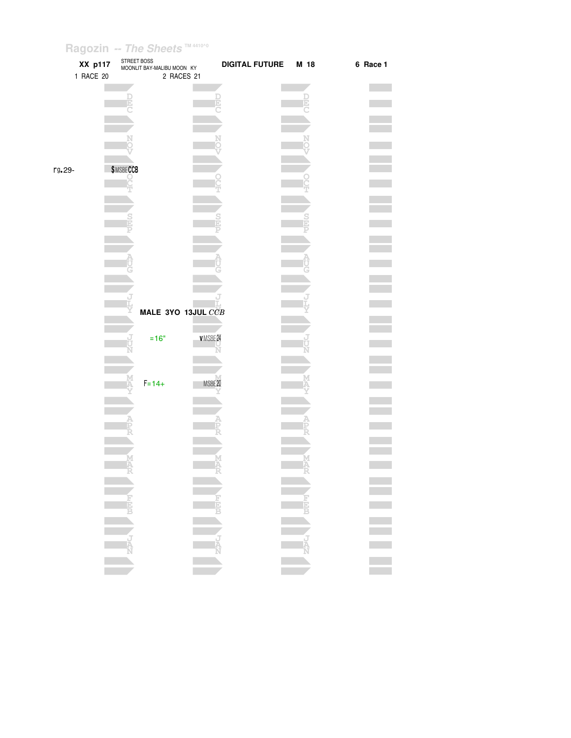|        | XX p117<br>1 RACE 20 | STREET BOSS      | MOONLIT BAY-MALIBU MOON KY<br>2 RACES 21 |         | <b>DIGITAL FUTURE</b> | M 18 | 6 Race 1 |
|--------|----------------------|------------------|------------------------------------------|---------|-----------------------|------|----------|
|        |                      |                  |                                          |         |                       |      |          |
|        |                      | E                |                                          |         |                       |      |          |
|        |                      |                  |                                          |         |                       |      |          |
|        |                      |                  |                                          |         |                       |      |          |
|        |                      |                  |                                          |         |                       |      |          |
| rg.29- |                      | <b>\$MSBECCB</b> |                                          |         |                       |      |          |
|        |                      |                  |                                          |         |                       |      |          |
|        |                      |                  |                                          |         |                       |      |          |
|        |                      |                  |                                          |         |                       |      |          |
|        |                      |                  |                                          |         |                       |      |          |
|        |                      |                  |                                          |         |                       |      |          |
|        |                      |                  |                                          |         |                       |      |          |
|        |                      |                  |                                          |         |                       |      |          |
|        |                      |                  | MALE 3YO 13JUL CCB                       |         |                       |      |          |
|        |                      |                  | $=16"$                                   | VMSBE24 |                       |      |          |
|        |                      |                  |                                          |         |                       |      |          |
|        |                      |                  |                                          |         |                       |      |          |
|        |                      |                  | $F = 14 +$                               | MSBE20  |                       |      |          |
|        |                      |                  |                                          |         |                       |      |          |
|        |                      |                  |                                          |         |                       |      |          |
|        |                      |                  |                                          |         |                       |      |          |
|        |                      |                  |                                          |         |                       |      |          |
|        |                      |                  |                                          |         |                       |      |          |
|        |                      |                  |                                          |         |                       |      |          |
|        |                      |                  |                                          |         |                       |      |          |
|        |                      | NAPLE MEET       |                                          |         |                       |      |          |
|        |                      |                  |                                          |         |                       |      |          |
|        |                      |                  |                                          |         |                       |      |          |
|        |                      |                  |                                          |         |                       |      |          |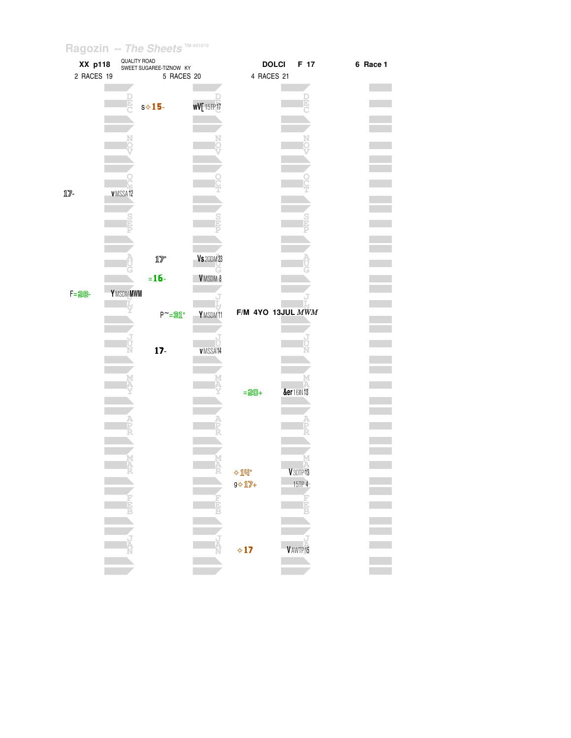| XX p118      | QUALITY ROAD<br>SWEET SUGAREE-TIZNOW KY |                   | <b>DOLCI</b>       |                       | F 17      | 6 Race 1  |  |  |
|--------------|-----------------------------------------|-------------------|--------------------|-----------------------|-----------|-----------|--|--|
| 2 RACES 19   |                                         | 5 RACES 20        |                    | 4 RACES 21            |           |           |  |  |
|              |                                         |                   |                    |                       |           |           |  |  |
|              |                                         |                   |                    |                       |           |           |  |  |
|              | e                                       | $s \diamond 15$   | <b>wV[15TP17</b>   |                       |           |           |  |  |
|              |                                         |                   |                    |                       |           |           |  |  |
|              |                                         |                   |                    |                       |           |           |  |  |
|              |                                         |                   | N                  |                       |           | N         |  |  |
|              |                                         |                   |                    |                       |           |           |  |  |
|              |                                         |                   |                    |                       |           |           |  |  |
|              |                                         |                   |                    |                       |           |           |  |  |
|              |                                         |                   |                    |                       |           |           |  |  |
| $17-$        | v MSSA12                                |                   |                    |                       |           |           |  |  |
|              |                                         |                   |                    |                       |           |           |  |  |
|              |                                         |                   |                    |                       |           |           |  |  |
|              |                                         |                   |                    |                       |           |           |  |  |
|              |                                         |                   |                    |                       |           |           |  |  |
|              |                                         |                   |                    |                       |           |           |  |  |
|              |                                         | $1\!\!1\!\!7$     | <b>Vs</b> 20DM 23  |                       |           |           |  |  |
|              |                                         |                   |                    |                       |           |           |  |  |
|              |                                         | $= 16 -$          | VMSDM <sub>8</sub> |                       |           |           |  |  |
| <b>F=28-</b> | YMSDMMWM                                |                   |                    |                       |           |           |  |  |
|              |                                         |                   |                    |                       |           |           |  |  |
|              |                                         | $P^{\sim} = 31$ " | YMSDM11            | $F/M$ 4YO 13JUL $MWM$ |           |           |  |  |
|              |                                         |                   |                    |                       |           |           |  |  |
|              |                                         |                   |                    |                       |           |           |  |  |
|              | ť                                       |                   | Ù                  |                       |           |           |  |  |
|              |                                         | $17 -$            | VMSSA14            |                       |           |           |  |  |
|              |                                         |                   |                    |                       |           |           |  |  |
|              |                                         |                   |                    |                       |           |           |  |  |
|              |                                         |                   |                    | $= 20 +$              | &er16IN13 |           |  |  |
|              |                                         |                   |                    |                       |           |           |  |  |
|              |                                         |                   |                    |                       |           |           |  |  |
|              |                                         |                   |                    |                       |           |           |  |  |
|              |                                         |                   |                    |                       |           |           |  |  |
|              |                                         |                   |                    |                       |           |           |  |  |
|              |                                         |                   |                    |                       |           |           |  |  |
|              |                                         |                   |                    |                       |           |           |  |  |
|              |                                         |                   |                    | $\Diamond$ 14"        |           | V 30TP 13 |  |  |
|              |                                         |                   |                    | $9 \diamond 17 +$     |           | 15TP 4    |  |  |
|              |                                         |                   | E                  |                       |           | E         |  |  |
|              | Ê                                       |                   |                    |                       |           |           |  |  |
|              |                                         |                   |                    |                       |           |           |  |  |
|              |                                         |                   |                    |                       |           |           |  |  |
|              |                                         |                   | j<br>A             |                       |           |           |  |  |
|              |                                         |                   |                    | $\diamond$ 17         | V AWTP 15 |           |  |  |
|              |                                         |                   |                    |                       |           |           |  |  |
|              |                                         |                   |                    |                       |           |           |  |  |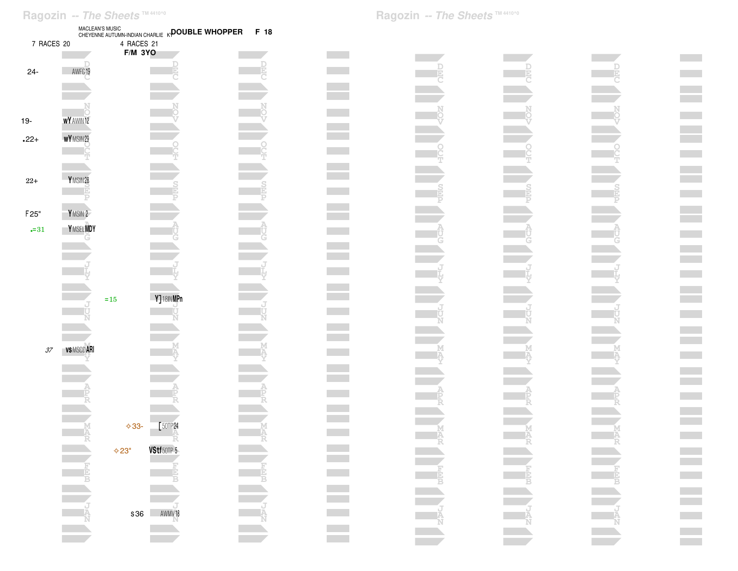|                             | Ragozin -- The Sheets ™4410^0 |                | MACLEAN'S MUSIC<br>CHEYENNE AUTUMN-INDIAN CHARLIE <sub>K</sub> <b>POUBLE WHOPPER</b> | F 18 |
|-----------------------------|-------------------------------|----------------|--------------------------------------------------------------------------------------|------|
| 7 RACES 20                  |                               | 4 RACES 21     |                                                                                      |      |
| $24 -$                      | AWFG19                        | <b>F/M 3YO</b> |                                                                                      |      |
| $19-$                       | <b>WY</b> AWIN 12             |                |                                                                                      |      |
| $.22+$                      | WY MSIN29                     |                |                                                                                      |      |
| $22+$                       | Y MSIN28                      |                |                                                                                      |      |
| F <sub>25</sub> "           | YMSIN <sub>2</sub>            |                |                                                                                      |      |
| $-31$                       | Y MSEL MDY                    |                |                                                                                      |      |
|                             |                               |                |                                                                                      |      |
|                             |                               |                |                                                                                      |      |
|                             |                               | $=15$          | Y]18INMPn                                                                            |      |
|                             |                               |                |                                                                                      |      |
| $\ensuremath{\mathcal{37}}$ | <b>VS MSCD ARI</b>            |                |                                                                                      |      |
|                             |                               |                |                                                                                      |      |

**A**

**A P R**

**MA [**50TP<sup>24</sup>

**VStf**50TP<sup>5</sup>

✧33-

✧23"

**J AN**s36 AWMV<sup>18</sup> **CONTRACTOR** 

**Contract Contract** 

**A**

**J A N**

 $\mathcal{L}^{\text{max}}$ 

**Contract** 

**Contract Contract** 

 $\mathcal{L}(\mathcal{A})$ 

**Contract Contract** 

 $\mathcal{L}^{\text{max}}_{\text{max}}$ an an  $\mathcal{L}(\mathcal{A})$  $\mathbb{R}^n$ a sa Ta  $\mathcal{L}(\mathcal{A})$  $\mathcal{L}(\mathcal{A})$ an an S  $\mathcal{L}(\mathcal{A})$  $\mathcal{L}^{\text{max}}$ a sa Ta **Contract**  $\mathcal{O}(\mathbb{R}^d)$ **Contract** 

**A P RContract Contract** 

**M A RContract** 

 $\mathcal{L}^{\text{max}}$ 

**Contract** 

 $\mathcal{L}(\mathcal{A})$ 

**Contract Contract** 

**Contract Contract** 

**J A N**

**Contract V** $\sim 10^{11}$ **T** $\sim 10^{11}$ **The College A U G Contract J L Y** $\sim 10^{11}$ **J U NSTART START M AYContract A P RM A RContract Contract**  $\mathcal{L}(\mathcal{A})$ **J A NContract**  $\sim 10^{11}$ 

**Contract N OVContract Contract O C TContract**  $\mathcal{L}(\mathcal{A})$ **S E P** $\mathcal{L}(\mathcal{A})$ **A U GThe Contract of Street Contract Contract J L Y** $\mathcal{L}(\mathcal{A})$ **J U NThe Contract of Street**  $\mathcal{L}(\mathcal{A})$ **M AYThe Contract of Street A P RM A RContract Contract Contract Contract The Contract of Street Contract Contract J A NThe Contract of the Contract of the Contract of the Contract of the Contract of the Contract of the Contract o**  $\mathcal{L}^{\text{max}}$ 

**VContract Contract T** $\mathcal{L}(\mathcal{A})$ **Contract**  $\mathcal{L}(\mathcal{A})$ **A U GContract Contract Contract J L YJ U NContract M AYCONTRACTOR**  $\mathcal{L}(\mathcal{A})$ **A P RThe Contract State M A RThe Contract The Contract of Street**  $\mathcal{L}(\mathcal{A})$ **J A NContract Contract Contract** 

**College**  $\mathcal{L}^{\text{max}}$ **Contract The Co**  $\mathcal{L}^{\text{max}}$  $\mathcal{L}^{\text{max}}$ **The Co College College College Contract Contract The Co Contract Contract Contract**  $\mathcal{L}^{\text{max}}$ **College The Co**  $\mathcal{L}^{\text{max}}_{\text{max}}$  $\mathcal{L}^{\text{max}}_{\text{max}}$  $\mathcal{O}(\mathcal{O}_\mathcal{A})$ **The Co**  $\mathcal{L}^{\text{max}}$  $\mathcal{L}^{\text{max}}$  $\mathcal{L}^{\text{max}}$  $\mathcal{L}^{\text{max}}$ **Contract**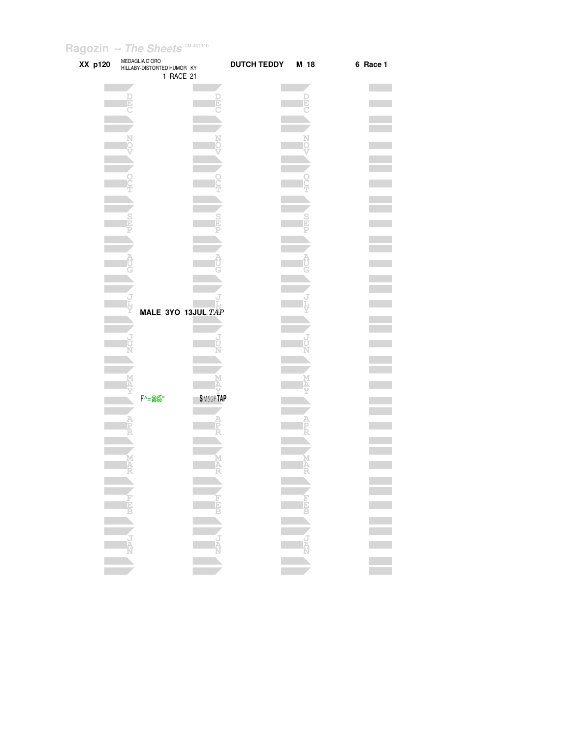| XX p120 | MEDAGLIA D'ORO<br>HILLABY-DISTORTED HUMOR KY<br>1 RACE 21 |                        | <b>DUTCH TEDDY</b> | M 18 | 6 Race 1 |
|---------|-----------------------------------------------------------|------------------------|--------------------|------|----------|
|         |                                                           |                        |                    |      |          |
|         |                                                           |                        |                    |      |          |
|         |                                                           |                        |                    |      |          |
|         |                                                           |                        |                    |      |          |
|         |                                                           |                        |                    |      |          |
|         |                                                           |                        |                    |      |          |
|         |                                                           |                        |                    |      |          |
|         |                                                           |                        |                    |      |          |
|         |                                                           |                        |                    |      |          |
|         | MALE 3YO 13JUL TAP                                        |                        |                    |      |          |
|         |                                                           |                        |                    |      |          |
|         |                                                           |                        |                    |      |          |
|         |                                                           |                        |                    |      |          |
|         | F^=26"                                                    | <b><i>SMSGPTAP</i></b> |                    |      |          |
|         |                                                           |                        |                    |      |          |
|         |                                                           |                        |                    |      |          |
|         |                                                           |                        |                    |      |          |
|         |                                                           |                        |                    |      |          |
|         |                                                           | R<br>NAVA CONTROL R    |                    |      | E E E E  |
|         |                                                           |                        |                    |      |          |
|         |                                                           |                        |                    |      |          |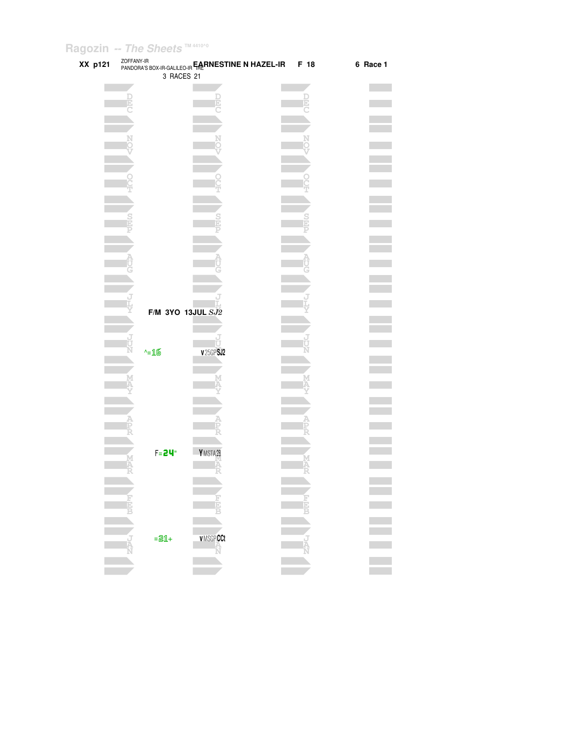| XX p121 |          | ZOFFANY-IR<br>PANDORA'S BOX-IR-GALILEO-IR FALTINESTINE N HAZEL-IR | F 18 | 6 Race 1 |
|---------|----------|-------------------------------------------------------------------|------|----------|
|         |          | 3 RACES 21                                                        |      |          |
|         |          |                                                                   |      |          |
|         |          |                                                                   |      |          |
|         |          |                                                                   |      |          |
|         |          |                                                                   |      |          |
|         |          |                                                                   |      |          |
|         |          |                                                                   |      |          |
|         |          |                                                                   |      |          |
|         |          |                                                                   |      |          |
|         |          |                                                                   |      |          |
|         |          |                                                                   |      |          |
|         |          |                                                                   |      |          |
|         |          |                                                                   |      |          |
|         |          |                                                                   |      |          |
|         |          |                                                                   |      |          |
|         |          |                                                                   |      |          |
|         |          |                                                                   |      |          |
|         |          |                                                                   |      |          |
|         |          |                                                                   |      |          |
|         |          |                                                                   |      |          |
|         |          | F/M 3YO 13JUL SJ2                                                 |      |          |
|         |          |                                                                   |      |          |
|         |          | Ū                                                                 |      |          |
|         | $-16$    | <b>v25GPSJ2</b>                                                   |      |          |
|         |          |                                                                   |      |          |
|         |          |                                                                   |      |          |
|         |          |                                                                   |      |          |
|         |          |                                                                   |      |          |
|         |          |                                                                   |      |          |
|         |          |                                                                   |      |          |
|         |          |                                                                   |      |          |
|         | $F = 24$ | YMSTA28                                                           |      |          |
|         |          |                                                                   |      |          |
|         |          |                                                                   |      |          |
|         |          |                                                                   |      |          |
|         |          |                                                                   |      |          |
|         |          |                                                                   |      |          |
|         |          |                                                                   |      |          |
|         |          | VMSGPCCt                                                          |      |          |
|         | $= 21 +$ | Ñ                                                                 |      |          |
|         |          |                                                                   |      |          |
|         |          |                                                                   |      |          |
|         |          |                                                                   |      |          |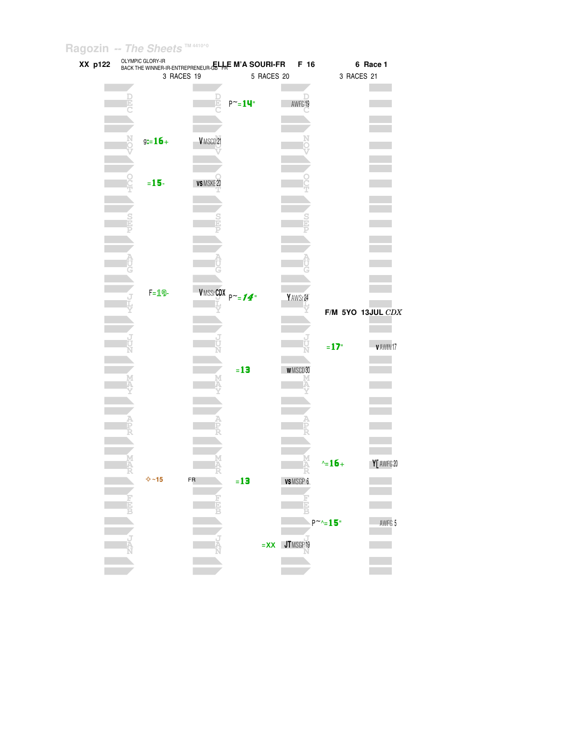| XX p122 |        | OLYMPIC GLORY-IR      | BACK THE WINNER-IR-ENTREPRENEUR-GELALE M'A SOURI-FR |                                 |            | F 16                        |                   | 6 Race 1          |  |
|---------|--------|-----------------------|-----------------------------------------------------|---------------------------------|------------|-----------------------------|-------------------|-------------------|--|
|         |        |                       | 3 RACES 19                                          |                                 | 5 RACES 20 |                             | 3 RACES 21        |                   |  |
|         |        |                       |                                                     |                                 |            |                             |                   |                   |  |
|         |        |                       |                                                     |                                 |            |                             |                   |                   |  |
|         |        |                       |                                                     | $P^{\sim} = 14$ "               |            | AWFG19                      |                   |                   |  |
|         |        |                       |                                                     |                                 |            |                             |                   |                   |  |
|         |        |                       |                                                     |                                 |            |                             |                   |                   |  |
|         |        |                       |                                                     |                                 |            |                             |                   |                   |  |
|         |        | $g:=16+$              | VMSCD21                                             |                                 |            |                             |                   |                   |  |
|         |        |                       |                                                     |                                 |            |                             |                   |                   |  |
|         |        |                       |                                                     |                                 |            |                             |                   |                   |  |
|         |        |                       |                                                     |                                 |            |                             |                   |                   |  |
|         |        | $= 15 -$              | VS MSKE20                                           |                                 |            |                             |                   |                   |  |
|         |        |                       |                                                     |                                 |            |                             |                   |                   |  |
|         |        |                       |                                                     |                                 |            |                             |                   |                   |  |
|         |        |                       |                                                     |                                 |            |                             |                   |                   |  |
|         |        |                       |                                                     |                                 |            |                             |                   |                   |  |
|         |        |                       |                                                     |                                 |            |                             |                   |                   |  |
|         |        |                       |                                                     |                                 |            |                             |                   |                   |  |
|         |        |                       |                                                     |                                 |            |                             |                   |                   |  |
|         |        |                       |                                                     |                                 |            |                             |                   |                   |  |
|         |        |                       |                                                     |                                 |            |                             |                   |                   |  |
|         |        |                       |                                                     |                                 |            |                             |                   |                   |  |
|         |        | $F = 19 -$            |                                                     | <b>VMSSrCDX</b> $P^{\sim}$ =14" |            | Y AWSr24                    |                   |                   |  |
|         |        |                       |                                                     |                                 |            |                             |                   | F/M 5YO 13JUL CDX |  |
|         |        |                       |                                                     |                                 |            |                             |                   |                   |  |
|         |        |                       |                                                     |                                 |            |                             |                   |                   |  |
|         |        |                       |                                                     |                                 |            |                             |                   |                   |  |
|         |        |                       |                                                     |                                 |            |                             | $=17$             | v AWIN 17         |  |
|         |        |                       |                                                     |                                 |            |                             |                   |                   |  |
|         |        |                       |                                                     | $=13$                           |            | WMSCD30                     |                   |                   |  |
|         |        |                       |                                                     |                                 |            |                             |                   |                   |  |
|         |        |                       |                                                     |                                 |            |                             |                   |                   |  |
|         |        |                       |                                                     |                                 |            |                             |                   |                   |  |
|         |        |                       |                                                     |                                 |            |                             |                   |                   |  |
|         |        |                       |                                                     |                                 |            |                             |                   |                   |  |
|         |        |                       |                                                     |                                 |            |                             |                   |                   |  |
|         |        |                       |                                                     |                                 |            |                             |                   |                   |  |
|         |        |                       |                                                     |                                 |            |                             |                   |                   |  |
|         |        |                       |                                                     |                                 |            |                             | $\sim 16 +$       | Y [ AWFG 20       |  |
|         |        |                       |                                                     |                                 |            |                             |                   |                   |  |
|         |        | $\Leftrightarrow$ ~15 | FR                                                  | $=13$                           |            | VS MSGP 6                   |                   |                   |  |
|         |        |                       |                                                     |                                 |            |                             |                   |                   |  |
|         | ю      |                       |                                                     |                                 |            | <b>Lield</b>                |                   |                   |  |
|         |        |                       |                                                     |                                 |            |                             |                   |                   |  |
|         |        |                       |                                                     |                                 |            |                             | $P^{\sim} = 15$ " | AWFG 5            |  |
|         |        |                       |                                                     |                                 |            |                             |                   |                   |  |
|         | ı<br>A |                       |                                                     |                                 |            | $=$ $\mathsf{XX}$ JTMSGP 19 |                   |                   |  |
|         |        |                       |                                                     |                                 |            |                             |                   |                   |  |
|         |        |                       |                                                     |                                 |            |                             |                   |                   |  |
|         |        |                       |                                                     |                                 |            |                             |                   |                   |  |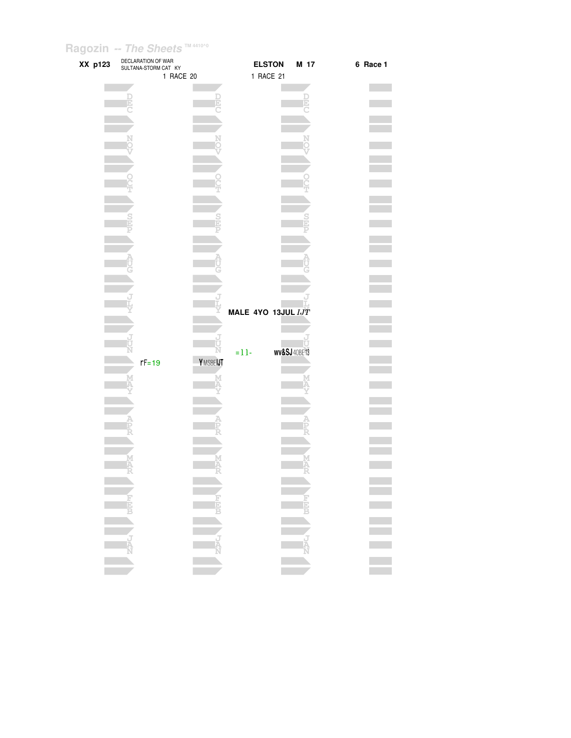| XX p123 | DECLARATION OF WAR<br>SULTANA-STORM CAT KY |          | <b>ELSTON</b>      | M 17                     | 6 Race 1 |
|---------|--------------------------------------------|----------|--------------------|--------------------------|----------|
|         | 1 RACE 20                                  |          | 1 RACE 21          |                          |          |
|         |                                            |          |                    |                          |          |
|         |                                            |          |                    |                          |          |
|         |                                            | þ        |                    |                          |          |
|         |                                            |          |                    |                          |          |
|         |                                            |          |                    |                          |          |
|         |                                            |          |                    |                          |          |
|         |                                            |          |                    |                          |          |
|         |                                            |          |                    |                          |          |
|         |                                            |          |                    |                          |          |
|         |                                            |          |                    |                          |          |
|         |                                            |          |                    |                          |          |
|         |                                            |          |                    |                          |          |
|         |                                            |          |                    |                          |          |
|         |                                            |          |                    |                          |          |
|         |                                            |          |                    |                          |          |
|         |                                            |          |                    |                          |          |
|         |                                            |          |                    |                          |          |
|         |                                            |          |                    |                          |          |
|         |                                            |          |                    |                          |          |
|         |                                            |          |                    |                          |          |
|         |                                            |          |                    |                          |          |
|         |                                            |          |                    |                          |          |
|         |                                            |          |                    |                          |          |
|         |                                            |          | MALE 4YO 13JUL IJT |                          |          |
|         |                                            |          |                    |                          |          |
|         |                                            |          |                    |                          |          |
|         |                                            |          |                    |                          |          |
|         |                                            |          | $= 11 -$           | <b>wv&amp;SJ</b> 40BE 13 |          |
|         | $rF = 19$                                  | YMSBEIJT |                    |                          |          |
|         |                                            |          |                    |                          |          |
|         |                                            |          |                    |                          |          |
|         |                                            |          |                    |                          |          |
|         |                                            |          |                    |                          |          |
|         |                                            |          |                    |                          |          |
|         |                                            |          |                    |                          |          |
|         |                                            |          |                    |                          |          |
|         |                                            |          |                    |                          |          |
|         |                                            |          |                    |                          |          |
|         |                                            |          |                    |                          |          |
|         |                                            |          |                    |                          |          |
|         |                                            |          |                    |                          |          |
|         |                                            |          |                    |                          |          |
|         |                                            |          |                    |                          |          |
|         |                                            |          |                    |                          |          |
|         |                                            |          |                    |                          |          |
|         |                                            |          |                    |                          |          |
|         |                                            |          |                    |                          |          |
|         |                                            |          |                    |                          |          |
|         |                                            |          |                    |                          |          |
|         |                                            |          |                    |                          |          |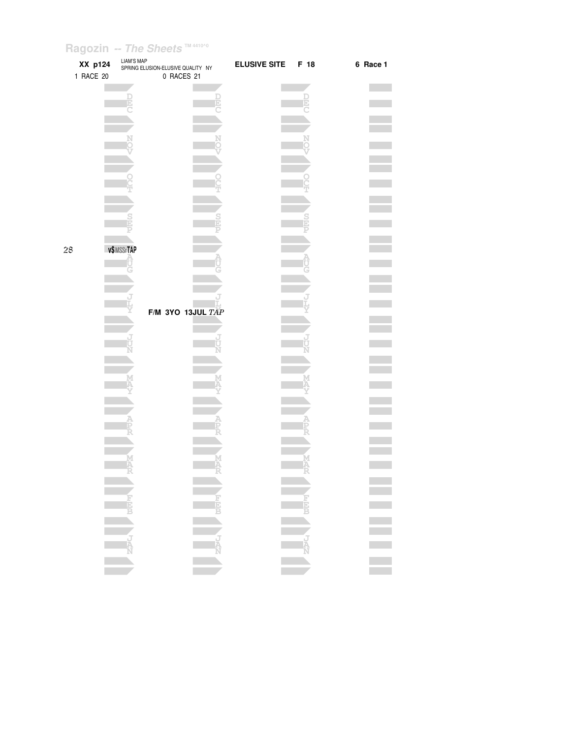| XX p124<br>1 RACE 20 | LIAM'S MAP<br>SPRING ELUSION-ELUSIVE QUALITY NY | 0 RACES 21          | <b>ELUSIVE SITE</b> | F 18          | 6 Race 1                   |
|----------------------|-------------------------------------------------|---------------------|---------------------|---------------|----------------------------|
|                      |                                                 |                     |                     |               |                            |
|                      |                                                 |                     |                     |               |                            |
|                      |                                                 |                     |                     |               |                            |
|                      |                                                 |                     |                     |               |                            |
|                      |                                                 |                     |                     |               |                            |
| 28                   | v\$MSSrTAP                                      |                     |                     |               |                            |
|                      |                                                 |                     |                     |               |                            |
|                      |                                                 | F/M 3YO 13JUL $TAP$ |                     |               |                            |
|                      |                                                 |                     |                     |               |                            |
|                      |                                                 |                     |                     |               |                            |
|                      |                                                 |                     |                     |               |                            |
|                      |                                                 |                     |                     |               |                            |
|                      |                                                 |                     |                     |               | $\mathcal{L}_{\text{max}}$ |
|                      |                                                 |                     |                     | <b>ENGLES</b> |                            |
|                      |                                                 |                     |                     |               |                            |
|                      |                                                 |                     |                     |               |                            |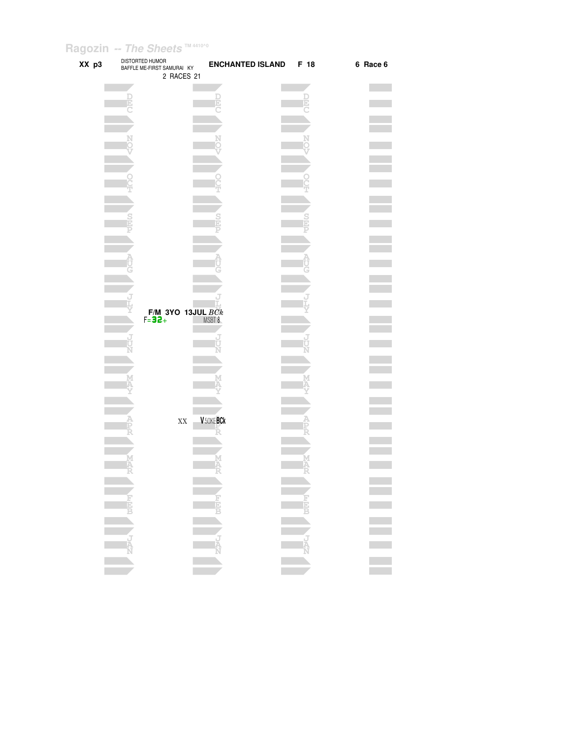| XX p3 | DISTORTED HUMOR<br>BAFFLE ME-FIRST SAMURAI KY<br>2 RACES 21 | <b>ENCHANTED ISLAND</b> | F 18 | 6 Race 6 |
|-------|-------------------------------------------------------------|-------------------------|------|----------|
|       |                                                             |                         |      |          |
|       |                                                             |                         |      |          |
|       |                                                             |                         | Þ    |          |
|       |                                                             |                         |      |          |
|       |                                                             |                         |      |          |
|       |                                                             |                         |      |          |
|       |                                                             |                         |      |          |
|       |                                                             |                         |      |          |
|       |                                                             |                         |      |          |
|       |                                                             |                         |      |          |
|       |                                                             |                         |      |          |
|       |                                                             |                         |      |          |
|       |                                                             |                         |      |          |
|       |                                                             |                         |      |          |
|       |                                                             |                         |      |          |
|       |                                                             |                         |      |          |
|       |                                                             |                         |      |          |
|       |                                                             |                         |      |          |
|       |                                                             |                         |      |          |
|       |                                                             |                         |      |          |
|       |                                                             |                         |      |          |
|       |                                                             |                         |      |          |
|       |                                                             |                         |      |          |
|       | <b>F/M 3YO 13JUL BCk</b><br>F=32+ MSBT 8                    |                         |      |          |
|       |                                                             |                         |      |          |
|       |                                                             |                         |      |          |
|       |                                                             |                         |      |          |
|       |                                                             |                         |      |          |
|       |                                                             |                         |      |          |
|       |                                                             |                         |      |          |
|       |                                                             |                         |      |          |
|       |                                                             |                         |      |          |
|       |                                                             |                         |      |          |
|       |                                                             |                         |      |          |
|       | $\mathbf{X}\mathbf{X}$                                      | V 50KEBCk               |      |          |
|       |                                                             |                         |      |          |
|       |                                                             |                         |      |          |
|       |                                                             |                         |      |          |
|       |                                                             |                         |      |          |
|       |                                                             |                         |      |          |
|       |                                                             |                         |      |          |
|       |                                                             |                         |      |          |
|       |                                                             |                         |      |          |
|       | FEET S                                                      |                         |      |          |
|       |                                                             |                         |      |          |
|       |                                                             |                         |      |          |
|       |                                                             |                         |      |          |
|       |                                                             |                         |      |          |
|       |                                                             |                         |      |          |
|       |                                                             |                         |      |          |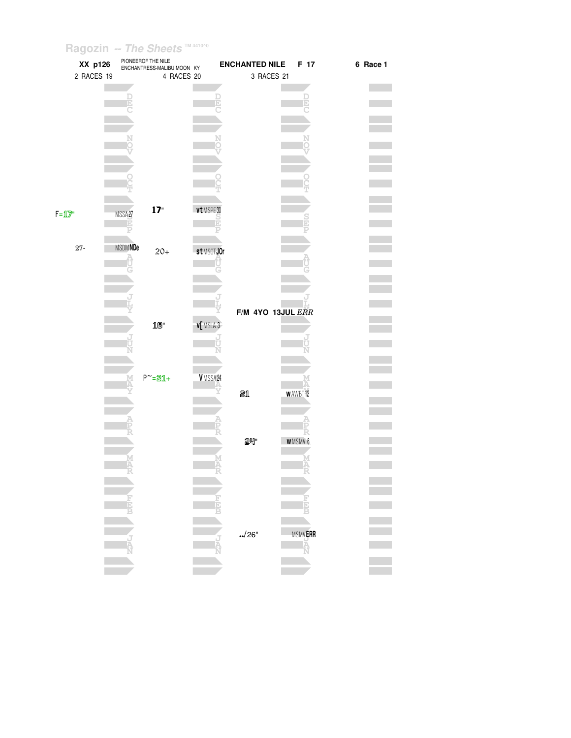| XX p126    |                | PIONEEROF THE NILE<br>ENCHANTRESS-MALIBU MOON KY |                 | <b>ENCHANTED NILE</b> | F 17                 | 6 Race 1 |
|------------|----------------|--------------------------------------------------|-----------------|-----------------------|----------------------|----------|
| 2 RACES 19 |                | 4 RACES 20                                       |                 | 3 RACES 21            |                      |          |
|            |                |                                                  |                 |                       |                      |          |
|            |                |                                                  | þ,              |                       |                      |          |
|            |                |                                                  |                 |                       |                      |          |
|            |                |                                                  |                 |                       |                      |          |
|            |                |                                                  |                 |                       |                      |          |
|            |                |                                                  |                 |                       |                      |          |
|            |                |                                                  |                 |                       |                      |          |
|            |                |                                                  |                 |                       |                      |          |
|            |                |                                                  |                 |                       |                      |          |
|            |                |                                                  |                 |                       |                      |          |
|            |                |                                                  |                 |                       |                      |          |
|            |                | 17"                                              | vt MSPE30       |                       |                      |          |
| $F = 12$   | MSSA27<br>Ð    |                                                  | D               |                       |                      |          |
|            |                |                                                  |                 |                       |                      |          |
|            |                |                                                  |                 |                       |                      |          |
| $27 -$     | <b>MSDMNDe</b> | $20+$                                            | st MSCT JOr     |                       |                      |          |
|            |                |                                                  |                 |                       |                      |          |
|            |                |                                                  |                 |                       |                      |          |
|            |                |                                                  |                 |                       |                      |          |
|            |                |                                                  |                 |                       |                      |          |
|            |                |                                                  |                 | F/M 4YO 13JUL ERR     |                      |          |
|            |                |                                                  |                 |                       |                      |          |
|            |                | $10^{\circ}$                                     | <b>v[MSLA 3</b> |                       |                      |          |
|            |                |                                                  |                 |                       |                      |          |
|            |                |                                                  |                 |                       |                      |          |
|            |                |                                                  |                 |                       |                      |          |
|            |                | $P^{\sim}$ =21+                                  | VMSSA24         |                       |                      |          |
|            |                |                                                  |                 |                       |                      |          |
|            |                |                                                  |                 | 21                    | <b>WAWBT12</b>       |          |
|            |                |                                                  |                 |                       |                      |          |
|            |                |                                                  |                 |                       |                      |          |
|            |                |                                                  |                 |                       |                      |          |
|            |                |                                                  |                 | <b>24"</b>            | <b>WMSMV6</b>        |          |
|            |                |                                                  |                 |                       |                      |          |
|            |                |                                                  |                 |                       |                      |          |
|            |                |                                                  |                 |                       |                      |          |
|            |                |                                                  |                 |                       |                      |          |
|            |                |                                                  |                 |                       |                      |          |
|            | E              |                                                  |                 |                       |                      |          |
|            |                |                                                  |                 |                       |                      |          |
|            |                |                                                  |                 | ./26"                 |                      |          |
|            |                |                                                  |                 |                       | MSMV <b>ERR</b><br>A |          |
|            |                |                                                  |                 |                       |                      |          |
|            |                |                                                  |                 |                       |                      |          |
|            |                |                                                  |                 |                       |                      |          |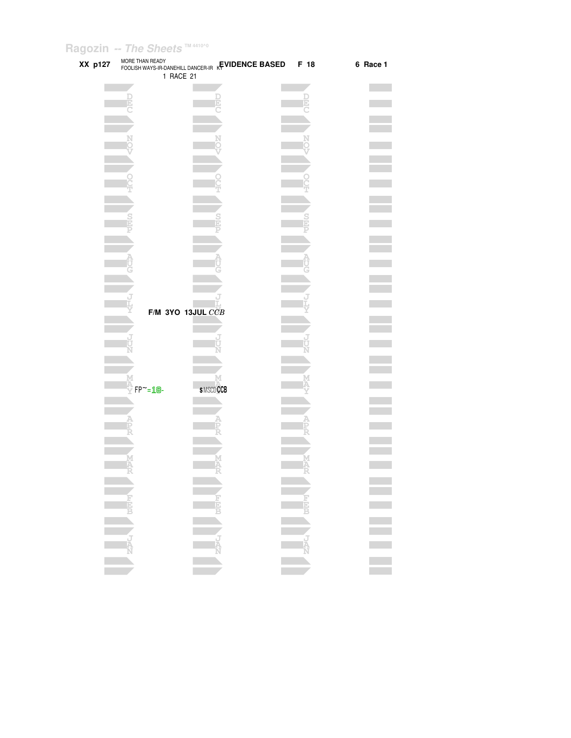| XX p127 | MORE THAN READY  | FOOLISH WAYS-IR-DANEHILL DANCER-IR KEVIDENCE BASED<br>1 RACE 21 | F 18 | 6 Race 1 |
|---------|------------------|-----------------------------------------------------------------|------|----------|
|         |                  |                                                                 |      |          |
|         |                  |                                                                 |      |          |
|         |                  |                                                                 |      |          |
|         |                  |                                                                 |      |          |
|         |                  |                                                                 |      |          |
|         |                  |                                                                 |      |          |
|         |                  |                                                                 |      |          |
|         |                  |                                                                 |      |          |
|         |                  |                                                                 |      |          |
|         |                  |                                                                 |      |          |
|         |                  |                                                                 |      |          |
|         |                  |                                                                 |      |          |
|         |                  |                                                                 |      |          |
|         |                  |                                                                 |      |          |
|         |                  |                                                                 |      |          |
|         |                  |                                                                 |      |          |
|         |                  |                                                                 |      |          |
|         |                  |                                                                 |      |          |
|         |                  |                                                                 |      |          |
|         |                  |                                                                 |      |          |
|         |                  |                                                                 |      |          |
|         |                  |                                                                 |      |          |
|         |                  |                                                                 |      |          |
|         |                  | F/M 3YO 13JUL $\overline{CCB}$                                  |      |          |
|         |                  |                                                                 |      |          |
|         |                  |                                                                 |      |          |
|         |                  |                                                                 |      |          |
|         |                  |                                                                 |      |          |
|         |                  |                                                                 |      |          |
|         |                  |                                                                 |      |          |
|         |                  |                                                                 |      |          |
|         | $FP^{\sim} = 18$ | <b>SMSCDCCB</b>                                                 |      |          |
|         |                  |                                                                 |      |          |
|         |                  |                                                                 |      |          |
|         |                  |                                                                 |      |          |
|         |                  |                                                                 |      |          |
|         |                  |                                                                 |      |          |
|         |                  |                                                                 |      |          |
|         |                  |                                                                 |      |          |
|         |                  |                                                                 |      |          |
|         |                  |                                                                 |      |          |
|         |                  |                                                                 |      |          |
|         |                  |                                                                 |      |          |
|         |                  |                                                                 |      |          |
|         |                  |                                                                 |      |          |
|         |                  |                                                                 |      |          |
|         |                  | <b>ENERGY AND READER</b>                                        |      |          |
|         |                  |                                                                 |      |          |
|         |                  |                                                                 |      |          |
|         |                  |                                                                 |      |          |
|         |                  |                                                                 |      |          |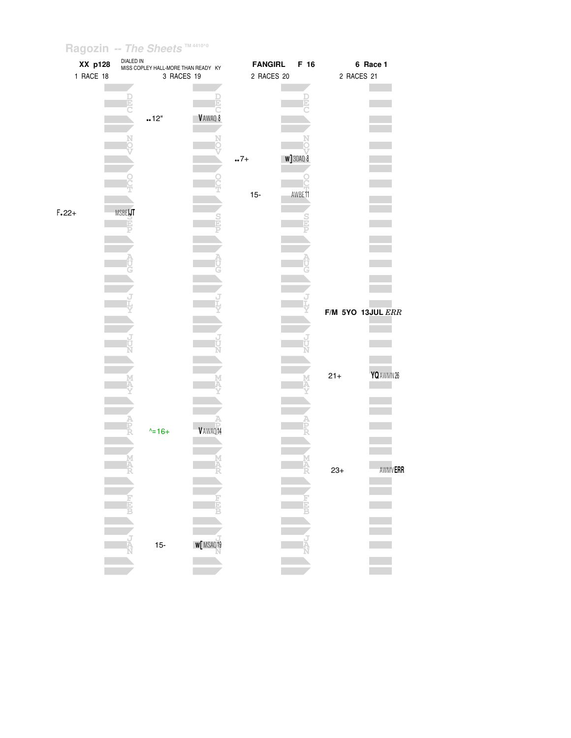|         | XX p128   |          | DIALED IN<br>MISS COPLEY HALL-MORE THAN READY KY |          | <b>FANGIRL</b> | F 16              |                       | 6 Race 1       |
|---------|-----------|----------|--------------------------------------------------|----------|----------------|-------------------|-----------------------|----------------|
|         | 1 RACE 18 |          | 3 RACES 19                                       |          | 2 RACES 20     |                   | 2 RACES 21            |                |
|         |           |          |                                                  |          |                |                   |                       |                |
|         |           | E        |                                                  |          |                | D                 |                       |                |
|         |           |          | .12"                                             | VAWAQ 8  |                |                   |                       |                |
|         |           |          |                                                  |          |                |                   |                       |                |
|         |           |          |                                                  |          |                |                   |                       |                |
|         |           |          |                                                  |          |                |                   |                       |                |
|         |           |          |                                                  |          | $.7+$          | <b>w</b> ] 30AQ 8 |                       |                |
|         |           |          |                                                  |          |                |                   |                       |                |
|         |           |          |                                                  |          |                |                   |                       |                |
|         |           |          |                                                  |          | $15-$          | AWBE11            |                       |                |
| $F.22+$ |           | MSBEIJT  |                                                  |          |                |                   |                       |                |
|         |           | D        |                                                  |          |                |                   |                       |                |
|         |           |          |                                                  |          |                |                   |                       |                |
|         |           |          |                                                  |          |                |                   |                       |                |
|         |           |          |                                                  |          |                |                   |                       |                |
|         |           |          |                                                  |          |                |                   |                       |                |
|         |           |          |                                                  |          |                |                   |                       |                |
|         |           |          |                                                  |          |                |                   |                       |                |
|         |           |          |                                                  |          |                |                   | $F/M$ 5YO 13JUL $ERR$ |                |
|         |           |          |                                                  |          |                |                   |                       |                |
|         |           |          |                                                  |          |                |                   |                       |                |
|         |           |          |                                                  |          |                |                   |                       |                |
|         |           |          |                                                  |          |                |                   |                       |                |
|         |           |          |                                                  |          |                |                   | $21 +$                | YQ AWMN 26     |
|         |           |          |                                                  |          |                |                   |                       |                |
|         |           |          |                                                  |          |                |                   |                       |                |
|         |           |          |                                                  |          |                |                   |                       |                |
|         |           | Ê        | $\lambda = 16 +$                                 | V AWAQ14 |                |                   |                       |                |
|         |           |          |                                                  |          |                |                   |                       |                |
|         |           |          |                                                  |          |                |                   |                       |                |
|         |           | MAR<br>R |                                                  |          |                | M<br>A<br>R       | $23+$                 | <b>AWMVERR</b> |
|         |           |          |                                                  |          |                |                   |                       |                |
|         |           |          |                                                  |          |                |                   |                       |                |
|         |           | H        |                                                  |          |                |                   |                       |                |
|         |           |          |                                                  |          |                |                   |                       |                |
|         |           |          |                                                  |          |                |                   |                       |                |
|         |           | Ą        | $15-$                                            | W MSAQ19 |                |                   |                       |                |
|         |           |          |                                                  |          |                |                   |                       |                |
|         |           |          |                                                  |          |                |                   |                       |                |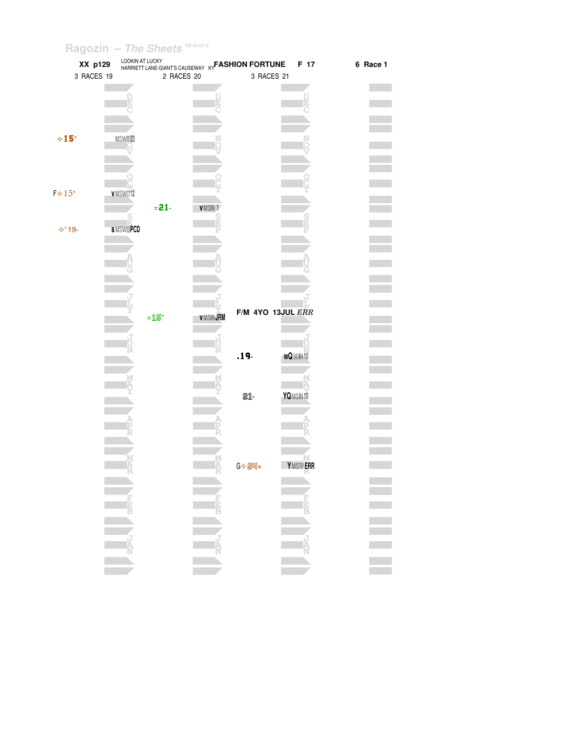|                | XX p129    | LOOKIN AT LUCKY |            |                      | HARRIETT LANE-GIANT'S CAUSEWAY KY <b>FASHION FORTUNE</b> | F 17            | 6 Race 1 |
|----------------|------------|-----------------|------------|----------------------|----------------------------------------------------------|-----------------|----------|
|                | 3 RACES 19 |                 | 2 RACES 20 |                      | 3 RACES 21                                               |                 |          |
|                |            |                 |            |                      |                                                          |                 |          |
|                |            |                 |            |                      |                                                          |                 |          |
|                |            |                 |            |                      |                                                          |                 |          |
|                |            |                 |            |                      |                                                          |                 |          |
|                |            |                 |            |                      |                                                          |                 |          |
| $\diamond$ 15" |            | MSW023          |            |                      |                                                          |                 |          |
|                |            |                 |            |                      |                                                          |                 |          |
|                |            |                 |            |                      |                                                          |                 |          |
|                |            |                 |            |                      |                                                          |                 |          |
|                |            |                 |            |                      |                                                          |                 |          |
| $F*15"$        |            | v MSWO12        |            |                      |                                                          |                 |          |
|                |            |                 | $= 21 -$   | <b>VMSIN1</b>        |                                                          |                 |          |
|                |            |                 |            |                      |                                                          |                 |          |
| <b>⊹′19-</b>   |            | <b>SMSWOPCD</b> |            |                      |                                                          |                 |          |
|                |            |                 |            |                      |                                                          |                 |          |
|                |            |                 |            |                      |                                                          |                 |          |
|                |            |                 |            |                      |                                                          |                 |          |
|                |            |                 |            |                      |                                                          |                 |          |
|                |            |                 |            |                      |                                                          |                 |          |
|                |            |                 |            |                      |                                                          |                 |          |
|                |            |                 |            |                      |                                                          |                 |          |
|                |            |                 | $=15"$     | <b>VMSINJRM</b>      | F/M 4YO 13JUL ERR                                        |                 |          |
|                |            |                 |            |                      |                                                          |                 |          |
|                |            |                 |            |                      |                                                          |                 |          |
|                |            |                 |            |                      |                                                          |                 |          |
|                |            |                 |            |                      | $.19 -$                                                  | <b>wQ30IN10</b> |          |
|                |            |                 |            |                      |                                                          |                 |          |
|                |            |                 |            |                      |                                                          |                 |          |
|                |            |                 |            |                      | 21-                                                      | YQMSIN10        |          |
|                |            |                 |            |                      |                                                          |                 |          |
|                |            |                 |            |                      |                                                          |                 |          |
|                |            |                 |            |                      |                                                          |                 |          |
|                |            |                 |            |                      |                                                          |                 |          |
|                |            |                 |            |                      |                                                          |                 |          |
|                |            |                 |            |                      |                                                          | <b>YMSTPERR</b> |          |
|                |            |                 |            |                      |                                                          |                 |          |
|                |            |                 |            |                      |                                                          |                 |          |
|                |            |                 |            |                      |                                                          |                 |          |
|                |            |                 |            |                      |                                                          |                 |          |
|                |            |                 |            |                      |                                                          |                 |          |
|                |            |                 |            |                      |                                                          |                 |          |
|                |            |                 |            |                      |                                                          |                 | E.       |
|                |            |                 |            |                      |                                                          |                 |          |
|                |            |                 |            |                      |                                                          |                 |          |
|                |            |                 |            | <b>ANGELA PERENT</b> |                                                          |                 |          |
|                |            |                 |            |                      |                                                          |                 |          |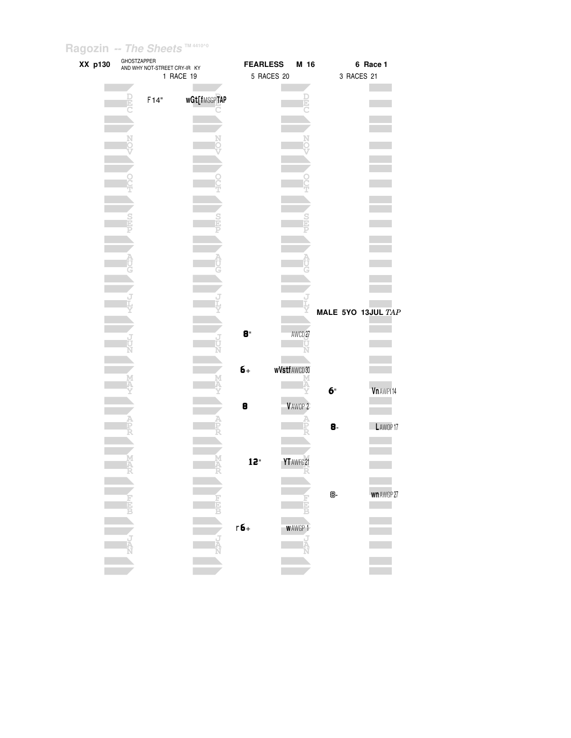| XX p130 | GHOSTZAPPER   | AND WHY NOT-STREET CRY-IR KY |              | <b>FEARLESS</b> |                    | M 16               |    |            | 6 Race 1           |
|---------|---------------|------------------------------|--------------|-----------------|--------------------|--------------------|----|------------|--------------------|
|         |               |                              | 1 RACE 19    |                 | 5 RACES 20         |                    |    | 3 RACES 21 |                    |
|         |               |                              |              |                 |                    |                    |    |            |                    |
|         | ē             | F14"                         | wGt[fMSGPTAP |                 |                    | Þ                  |    |            |                    |
|         |               |                              |              |                 |                    |                    |    |            |                    |
|         |               |                              |              |                 |                    |                    |    |            |                    |
|         |               |                              |              |                 |                    |                    |    |            |                    |
|         |               |                              |              |                 |                    |                    |    |            |                    |
|         |               |                              |              |                 |                    |                    |    |            |                    |
|         |               |                              |              |                 |                    |                    |    |            |                    |
|         |               |                              |              |                 |                    |                    |    |            |                    |
|         |               |                              |              |                 |                    |                    |    |            |                    |
|         |               |                              |              |                 |                    |                    |    |            |                    |
|         | $\frac{S}{1}$ |                              |              |                 |                    |                    |    |            |                    |
|         |               |                              |              |                 |                    |                    |    |            |                    |
|         |               |                              |              |                 |                    |                    |    |            |                    |
|         |               |                              |              |                 |                    |                    |    |            |                    |
|         |               |                              |              |                 |                    |                    |    |            |                    |
|         |               |                              |              |                 |                    |                    |    |            |                    |
|         |               |                              |              |                 |                    |                    |    |            |                    |
|         |               |                              |              |                 |                    |                    |    |            |                    |
|         |               |                              |              |                 |                    |                    |    |            | MALE 5YO 13JUL TAP |
|         |               |                              |              |                 |                    |                    |    |            |                    |
|         |               |                              |              | 8"              |                    | AWCD <sub>27</sub> |    |            |                    |
|         |               |                              |              |                 |                    |                    |    |            |                    |
|         |               |                              |              |                 |                    |                    |    |            |                    |
|         |               |                              |              | $6+$            | <b>wVstfAWCD30</b> |                    |    |            |                    |
|         |               |                              |              |                 |                    |                    |    |            |                    |
|         |               |                              |              |                 |                    |                    | б" |            | Vn AWPI14          |
|         |               |                              |              | 8               |                    | VAWOP <sub>2</sub> |    |            |                    |
|         |               |                              |              |                 |                    |                    |    |            |                    |
|         |               |                              |              |                 |                    |                    | 8- |            | LAWOP17            |
|         |               |                              |              |                 |                    |                    |    |            |                    |
|         |               |                              |              |                 |                    |                    |    |            |                    |
|         |               |                              |              | 12"             | YT AWFG 21         |                    |    |            |                    |
|         |               |                              |              |                 |                    |                    |    |            |                    |
|         |               |                              |              |                 |                    |                    |    |            |                    |
|         |               |                              |              |                 |                    |                    | 8- |            | wn AWGP 27         |
|         |               |                              |              |                 |                    |                    |    |            |                    |
|         |               |                              |              |                 |                    |                    |    |            |                    |
|         |               |                              |              | $r6+$           |                    | <b>WAWGP1</b>      |    |            |                    |
|         |               |                              | J            |                 |                    |                    |    |            |                    |
|         |               |                              |              |                 |                    |                    |    |            |                    |
|         |               |                              |              |                 |                    |                    |    |            |                    |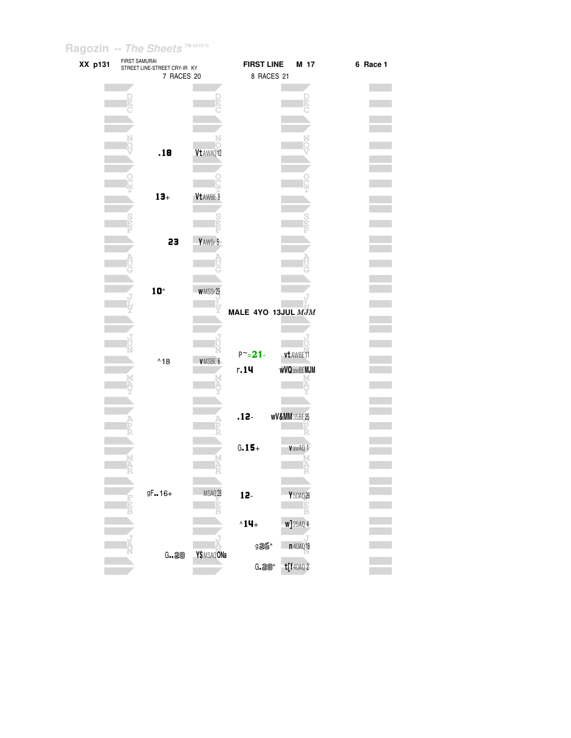| XX p131 | FIRST SAMURAI | STREET LINE-STREET CRY-IR KY |              | <b>FIRST LINE</b>       | M 17                     | 6 Race 1 |
|---------|---------------|------------------------------|--------------|-------------------------|--------------------------|----------|
|         |               | 7 RACES 20                   |              | 8 RACES 21              |                          |          |
|         |               |                              |              |                         |                          |          |
|         |               |                              |              |                         |                          |          |
|         |               |                              |              |                         |                          |          |
|         |               |                              |              |                         |                          |          |
|         |               |                              |              |                         |                          |          |
|         |               |                              |              |                         |                          |          |
|         |               | .18                          | Vt AWAQ12    |                         |                          |          |
|         |               |                              |              |                         |                          |          |
|         |               |                              |              |                         |                          |          |
|         |               |                              |              |                         |                          |          |
|         |               |                              |              |                         |                          |          |
|         |               | $13 +$                       | Vt AWBE 9    |                         |                          |          |
|         |               |                              |              |                         |                          |          |
|         |               |                              |              |                         |                          |          |
|         |               |                              |              |                         |                          |          |
|         |               | 23                           | YAWSr 5      |                         |                          |          |
|         |               |                              |              |                         |                          |          |
|         |               |                              |              |                         |                          |          |
|         |               |                              |              |                         |                          |          |
|         |               | $10^{\circ}$                 | WMSSr29      |                         |                          |          |
|         |               |                              |              |                         |                          |          |
|         |               |                              |              | MALE 4YO 13JUL MJM      |                          |          |
|         |               |                              |              |                         |                          |          |
|         |               |                              |              |                         |                          |          |
|         |               |                              |              |                         |                          |          |
|         |               |                              |              | $P^{\sim} = 21 -$       | vt AWBE11                |          |
|         |               | $^{\wedge}18$                | VMSBE 6      | r.14                    | <b>wVQ</b> awBE MJM      |          |
|         |               |                              |              |                         |                          |          |
|         |               |                              |              |                         |                          |          |
|         |               |                              |              |                         |                          |          |
|         |               |                              |              |                         |                          |          |
|         |               |                              |              | $.12 -$                 | <b>wV&amp;MM</b> 35BE 25 |          |
|         |               |                              |              |                         |                          |          |
|         |               |                              |              |                         |                          |          |
|         |               |                              |              | $G.15 +$                | VawAQ 1                  |          |
|         |               |                              |              |                         |                          |          |
|         |               |                              |              |                         |                          |          |
|         |               |                              |              |                         |                          |          |
|         |               | $9F16+$                      | MSAQ28       | 12.                     | Y 50AQ 26                |          |
|         |               |                              |              |                         |                          |          |
|         |               |                              |              |                         |                          |          |
|         |               |                              |              | $^{\wedge}1\mathbf{4}+$ | <b>w]</b> 25AQ 4         |          |
|         |               |                              |              |                         |                          |          |
|         |               | G., 28                       | Y\$ MSAQ ONa | 926"                    | n 40AQ 18                |          |
|         |               |                              |              | G.28"                   | $t$ [f40AQ $2$           |          |
|         |               |                              |              |                         |                          |          |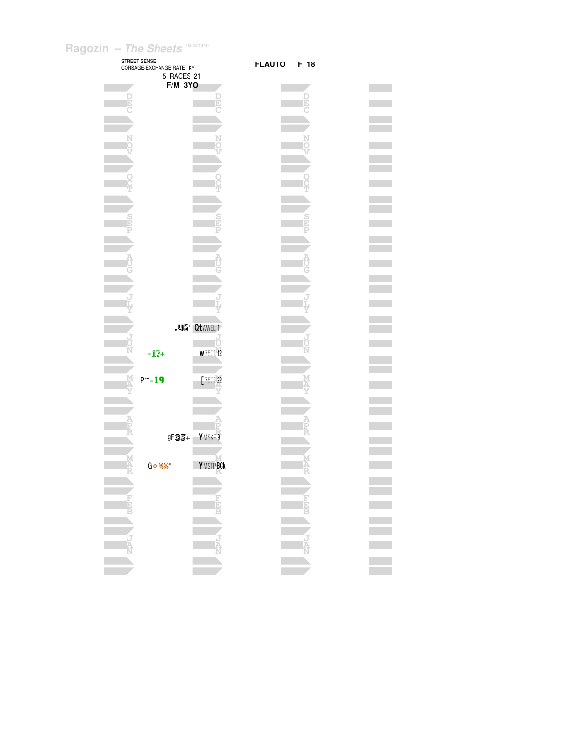|                | STREET SENSE<br>CORSAGE-EXCHANGE RATE KY |                  |
|----------------|------------------------------------------|------------------|
|                | 5 RACES 21                               |                  |
|                | <b>F/M 3YO</b>                           |                  |
|                |                                          |                  |
|                |                                          |                  |
|                |                                          |                  |
|                |                                          |                  |
|                |                                          |                  |
|                |                                          |                  |
|                |                                          |                  |
|                |                                          |                  |
|                |                                          |                  |
|                |                                          |                  |
|                |                                          |                  |
|                |                                          |                  |
|                |                                          |                  |
|                |                                          |                  |
|                |                                          |                  |
|                |                                          |                  |
|                |                                          |                  |
|                |                                          |                  |
|                |                                          |                  |
|                |                                          |                  |
|                |                                          | . 凹面" Qt AWEL 1  |
|                |                                          |                  |
|                | $=12+$                                   | <b>w</b> 75CD 12 |
|                |                                          |                  |
|                | $P^{\sim} = 19$                          | F 75CD 22        |
|                |                                          |                  |
|                |                                          |                  |
|                |                                          |                  |
|                |                                          |                  |
|                | gF <sub>35+</sub>                        | YMSKE 9          |
|                |                                          |                  |
|                | G <> 22"                                 | <b>YMSTPBCk</b>  |
|                |                                          |                  |
|                |                                          |                  |
|                |                                          |                  |
| FEB<br>B       |                                          | F<br>EE<br>B     |
|                |                                          |                  |
|                |                                          |                  |
| <b>CONNECT</b> |                                          | ن<br>مو          |
|                |                                          |                  |
|                |                                          |                  |
|                |                                          |                  |

FLAUTO F 18

**The State** m.

r.

**College** 

**D E C**

**N O V**

**O T**

**S P**

**A**

**J L Y**

**U N**

**M A Y**

**A P R**

**M A R**

**F E B**

**J A N**

 $\mathcal{L}^{\text{max}}$ 

**J**

 $\mathbb{R}^n$ 

### **Contract Contract Contract Contract Contract**  $\mathcal{L}^{\text{max}}_{\text{max}}$  $\equiv$  $\mathcal{L}^{\text{max}}_{\text{max}}$  $\equiv$ **Contract Contract**  $\mathcal{L}^{\text{max}}$  $\mathcal{L}^{\text{max}}$  $\sim 10^{-10}$ **Contract**  $\mathcal{L}^{\text{max}}_{\text{max}}$  $\mathcal{L}^{\text{max}}_{\text{max}}$ **Contract**  $\mathcal{L}^{\text{max}}$ **Contract**  $\mathcal{L}^{\text{max}}_{\text{max}}$ **Contract**  $\mathcal{L}^{\text{max}}_{\text{max}}$  $\mathcal{L}^{\text{max}}_{\text{max}}$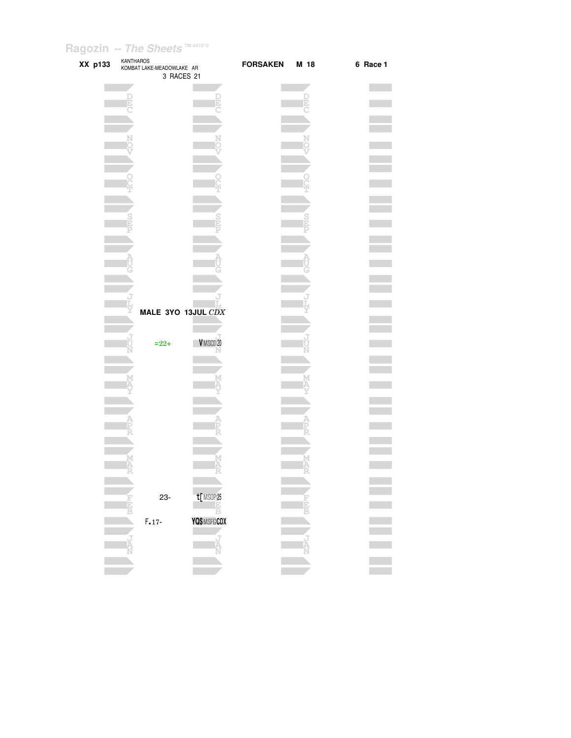| XX p133 | <b>KANTHAROS</b><br>KOMBAT LAKE-MEADOWLAKE AR<br>3 RACES 21 |                    | <b>FORSAKEN</b> | M 18 | 6 Race 1 |
|---------|-------------------------------------------------------------|--------------------|-----------------|------|----------|
|         | Ē                                                           |                    |                 | b)   |          |
|         |                                                             |                    |                 |      |          |
|         |                                                             |                    |                 |      |          |
|         |                                                             |                    |                 |      |          |
|         |                                                             |                    |                 |      |          |
|         |                                                             |                    |                 |      |          |
|         |                                                             |                    |                 |      |          |
|         |                                                             |                    |                 |      |          |
|         |                                                             |                    |                 |      |          |
|         |                                                             | MALE 3YO 13JUL CDX |                 |      |          |
|         | $= 22 +$                                                    | VMSCD20            |                 |      |          |
|         |                                                             |                    |                 |      |          |
|         |                                                             |                    |                 |      |          |
|         |                                                             |                    |                 |      |          |
|         |                                                             | M                  |                 | Μ    |          |
|         | A                                                           |                    |                 | Ä    |          |
|         | 23-                                                         | t[MSOP25           |                 |      |          |
|         | $F.17-$                                                     | YQ\$ MSFG CDX      |                 |      |          |
|         |                                                             |                    |                 |      |          |
|         |                                                             |                    |                 |      |          |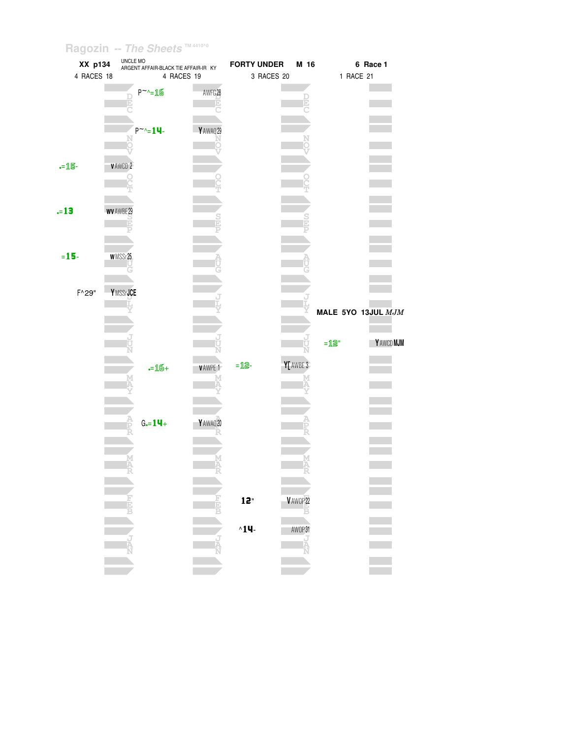| XX p134         |                 | UNCLE MO<br>ARGENT AFFAIR-BLACK TIE AFFAIR-IR KY |               | <b>FORTY UNDER</b> | M 16      |                    | 6 Race 1 |
|-----------------|-----------------|--------------------------------------------------|---------------|--------------------|-----------|--------------------|----------|
| 4 RACES 18      |                 | 4 RACES 19                                       |               | 3 RACES 20         |           | 1 RACE 21          |          |
|                 |                 | $P^{\sim} = 16$                                  | AWFG28        |                    |           |                    |          |
|                 |                 | $P^{\sim} = 14$                                  | YAWAQ29       |                    |           |                    |          |
| $-15-$          | <b>VAWCD 2</b>  |                                                  |               |                    |           |                    |          |
| $= 13$          | WV AWBE 29<br>Þ |                                                  |               |                    |           |                    |          |
| $= 15 -$        | <b>WMSSr25</b>  |                                                  |               |                    |           |                    |          |
| $F^{\wedge}29"$ | YMSSrJCE        |                                                  |               |                    |           | MALE 5YO 13JUL MJM |          |
|                 |                 |                                                  |               |                    |           | $=$ 12"            | YAWCDMJM |
|                 |                 | $-16+$                                           | <b>VAWPE1</b> | $= 12 -$           | Y[ AWBE 3 |                    |          |
|                 |                 | $G = 14 +$                                       | YAWAQ20       |                    | M         |                    |          |
|                 | M<br>R          |                                                  | M<br>R<br>R   | 12"                | V AWOP 22 |                    |          |
|                 |                 |                                                  |               | $^{\wedge}14$      | AWOP31    |                    |          |
|                 |                 |                                                  |               |                    |           |                    |          |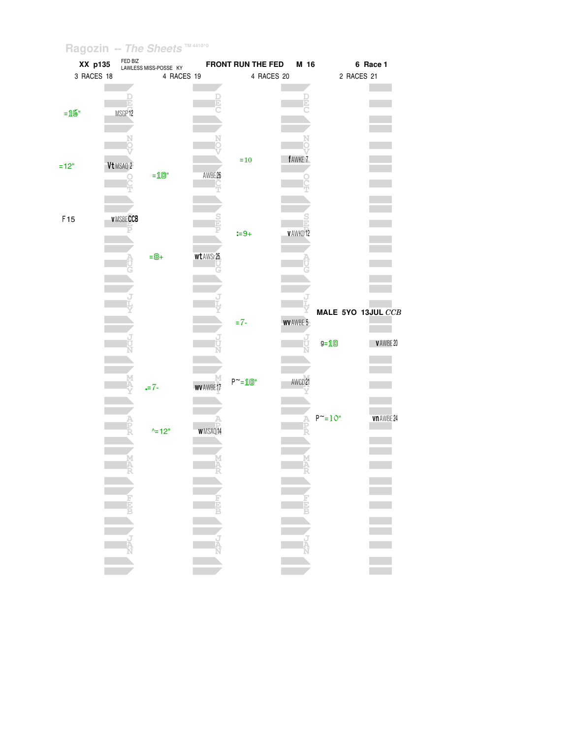| XX p135         |                    | FED BIZ<br>LAWLESS MISS-POSSE KY              |                    | FRONT RUN THE FED          | M 16        |                      | 6 Race 1      |
|-----------------|--------------------|-----------------------------------------------|--------------------|----------------------------|-------------|----------------------|---------------|
| 3 RACES 18      |                    | 4 RACES 19                                    |                    |                            | 4 RACES 20  | 2 RACES 21           |               |
| $=16"$          | MSGP <sub>12</sub> |                                               |                    |                            |             |                      |               |
| $=12"$          | Vt MSAQ 2          | $=\!\!\!\!\!\perp\!\!\!\!\!\perp\!\!\!\!\!0"$ | AWBE <sub>26</sub> | $=10$                      | fAWKE 7     |                      |               |
| F <sub>15</sub> | <b>V MSBECCB</b>   |                                               |                    | $:= 9 +$                   | v AWKD 12   |                      |               |
|                 |                    | $= 8 +$                                       | wt AWSr25          |                            |             | MALE 5YO 13JUL CCB   |               |
|                 |                    |                                               |                    | $= 7 -$                    | WV AWBE 5   | $g = 10$             | V AWBE 20     |
|                 |                    | $= 7 -$                                       | <b>WV AWBE</b>     | $P^{\sim} = \mathbf{10}$ " | AWCD 21     | $P^{\sim} = 10^{11}$ | vn AWBE 24    |
|                 |                    | $^{\wedge}$ = 12"                             | WMSAQ14            |                            |             |                      |               |
|                 | NEW WELL           |                                               |                    |                            | EN PROPERTY |                      | $\frac{1}{2}$ |
|                 |                    |                                               |                    |                            |             |                      |               |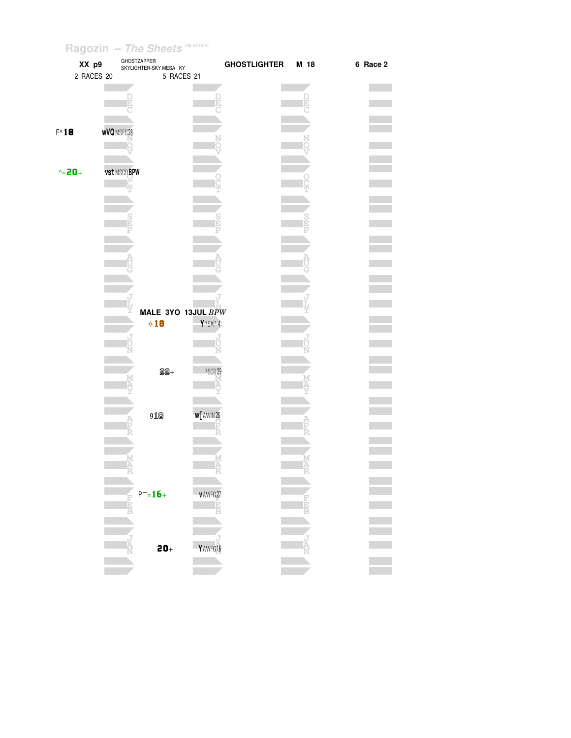| XX p9<br>2 RACES 20 | GHOSTZAPPER<br>SKYLIGHTER-SKY MESA KY<br>5 RACES 21 | <b>GHOSTLIGHTER</b>           | M 18 | 6 Race 2 |
|---------------------|-----------------------------------------------------|-------------------------------|------|----------|
|                     | F                                                   |                               |      |          |
| $F^{\wedge}18$      | <b>wVQ</b> MSFG 28                                  |                               |      |          |
|                     |                                                     |                               |      |          |
| $\text{A} = 20 +$   | <b>vst MSCD BPW</b>                                 |                               |      |          |
|                     |                                                     |                               |      |          |
|                     |                                                     |                               |      |          |
|                     |                                                     |                               |      |          |
|                     |                                                     |                               |      |          |
|                     | MALE 3YO 13JUL BPW<br>$\diamond$ 18                 | Y 75AP 4                      |      |          |
|                     | J                                                   |                               |      |          |
|                     | $22 +$                                              | 75CD 29                       |      |          |
|                     | 918                                                 | <b>W</b> <sub>L</sub> AWIN 26 |      |          |
|                     | A<br>P                                              |                               |      |          |
|                     | M<br>A                                              | Ä                             |      |          |
|                     | $P^{\sim} = 16 +$<br><b>Halp</b>                    | <b>VAWFG27</b>                |      |          |
|                     |                                                     |                               |      |          |
|                     | $20+$                                               | Y AWFG 16                     |      |          |
|                     |                                                     |                               |      |          |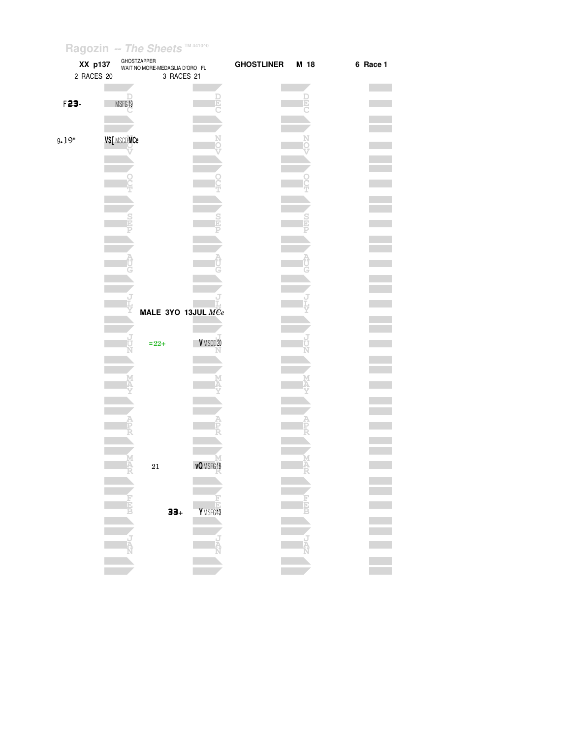| XX p137<br>2 RACES 20 |             | GHOSTZAPPER<br>WAIT NO MORE-MEDAGLIA D'ORO FL<br>3 RACES 21 |                  | <b>GHOSTLINER</b> | M 18   | 6 Race 1 |
|-----------------------|-------------|-------------------------------------------------------------|------------------|-------------------|--------|----------|
| F23-                  | MSFG19      |                                                             |                  |                   | Þ      |          |
| 9.19"                 | V\$[MSCDMCe |                                                             |                  |                   |        |          |
|                       |             |                                                             |                  |                   |        |          |
|                       |             |                                                             |                  |                   |        |          |
|                       |             | MALE 3YO 13JUL MCe                                          |                  |                   |        |          |
|                       |             | $= 22 +$                                                    | VMSCD20          |                   | Ņ      |          |
|                       |             |                                                             |                  |                   |        |          |
|                       | M<br>A      | $21\,$                                                      | <b>vQ</b> MSFG18 |                   | M<br>A |          |
|                       |             | $33+$                                                       | Y MSFG13         |                   |        |          |
|                       |             |                                                             |                  |                   |        |          |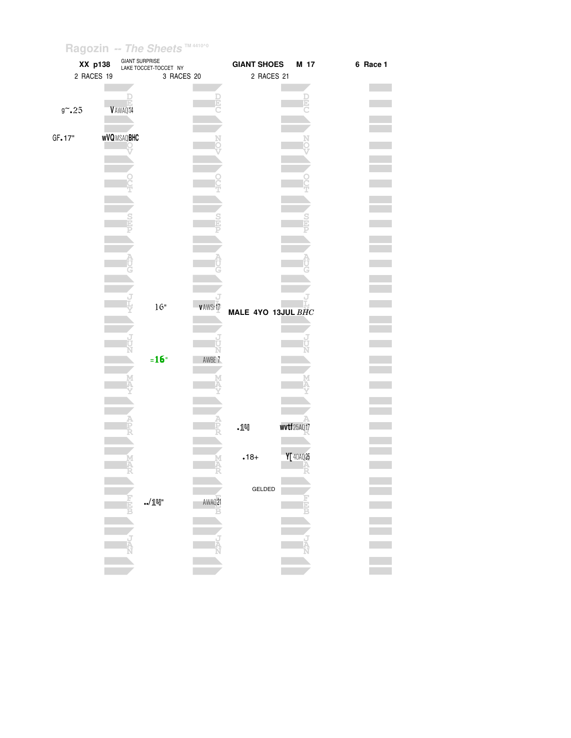| XX p138    |                   | GIANT SURPRISE<br>LAKE TOCCET-TOCCET NY |           | <b>GIANT SHOES</b> | M 17                   | 6 Race 1 |
|------------|-------------------|-----------------------------------------|-----------|--------------------|------------------------|----------|
| 2 RACES 19 |                   | 3 RACES 20                              |           | 2 RACES 21         |                        |          |
|            |                   |                                         |           |                    |                        |          |
|            |                   |                                         |           |                    |                        |          |
| $9 - 25$   | V AWAQ 14         |                                         |           |                    |                        |          |
|            |                   |                                         |           |                    |                        |          |
| GF.17"     | <b>WVQMSAQBHC</b> |                                         |           |                    |                        |          |
|            |                   |                                         |           |                    |                        |          |
|            |                   |                                         |           |                    |                        |          |
|            |                   |                                         |           |                    |                        |          |
|            |                   |                                         |           |                    |                        |          |
|            |                   |                                         |           |                    |                        |          |
|            |                   |                                         |           |                    |                        |          |
|            |                   |                                         |           |                    |                        |          |
|            |                   |                                         |           |                    |                        |          |
|            |                   |                                         |           |                    |                        |          |
|            |                   |                                         |           |                    |                        |          |
|            |                   |                                         |           |                    |                        |          |
|            |                   |                                         |           |                    |                        |          |
|            |                   |                                         |           |                    |                        |          |
|            |                   |                                         |           |                    |                        |          |
|            |                   |                                         |           |                    |                        |          |
|            |                   | $16"$                                   | v AWSr 17 | MALE 4YO 13JUL BHC |                        |          |
|            |                   |                                         |           |                    |                        |          |
|            |                   |                                         |           |                    |                        |          |
|            |                   |                                         |           |                    |                        |          |
|            |                   |                                         | N         |                    |                        |          |
|            |                   | $=16"$                                  | AWBE 7    |                    |                        |          |
|            |                   |                                         |           |                    |                        |          |
|            |                   |                                         |           |                    |                        |          |
|            |                   |                                         |           |                    |                        |          |
|            |                   |                                         |           |                    |                        |          |
|            |                   |                                         |           |                    |                        |          |
|            |                   |                                         |           | .14                | wvtf <sub>25AQ17</sub> |          |
|            |                   |                                         |           |                    |                        |          |
|            |                   |                                         |           | $.18+$             | Y[40AQ25               |          |
|            |                   |                                         |           |                    |                        |          |
|            |                   |                                         |           |                    |                        |          |
|            |                   |                                         |           | GELDED             |                        |          |
|            |                   | $\cdot$ / $1$ $\mathbb{q}$ "            | AWAQ21    |                    |                        |          |
|            |                   |                                         |           |                    |                        |          |
|            |                   |                                         |           |                    |                        |          |
|            |                   |                                         |           |                    |                        |          |
|            |                   |                                         |           |                    |                        |          |
|            |                   |                                         |           |                    |                        |          |
|            |                   |                                         |           |                    |                        |          |
|            |                   |                                         |           |                    |                        |          |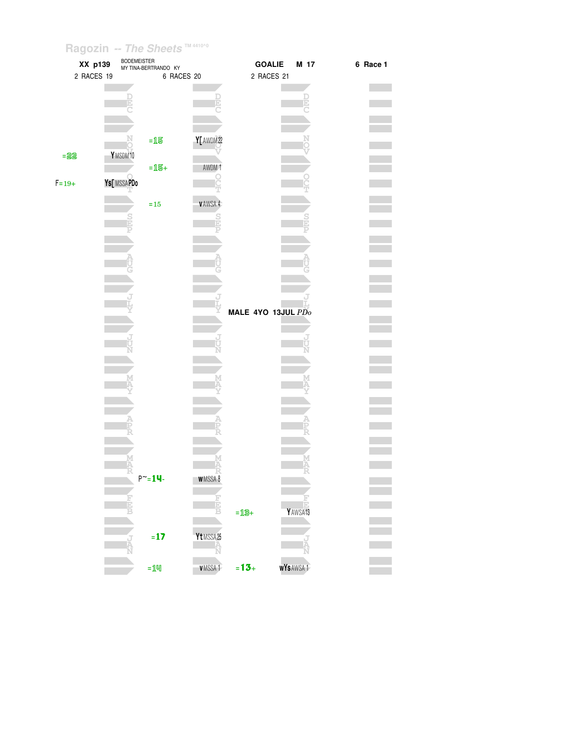|           | XX p139    |            | <b>BODEMEISTER</b> | MY TINA-BERTRANDO KY |                | <b>GOALIE</b>      | M 17                 | 6 Race 1 |
|-----------|------------|------------|--------------------|----------------------|----------------|--------------------|----------------------|----------|
|           | 2 RACES 19 |            |                    | 6 RACES 20           |                | 2 RACES 21         |                      |          |
|           |            |            |                    |                      |                |                    |                      |          |
|           |            |            |                    |                      | E              |                    |                      |          |
|           |            |            |                    |                      |                |                    |                      |          |
|           |            |            |                    |                      |                |                    |                      |          |
|           |            |            |                    |                      |                |                    |                      |          |
|           |            |            |                    | $=15$                | Y[ AWDM22      |                    |                      |          |
| $= 22$    |            | YMSDM10    |                    |                      |                |                    |                      |          |
|           |            |            |                    | $=15+$               | AWDM 1         |                    |                      |          |
| $F = 19+$ |            | Ys[MSSAPDo |                    |                      |                |                    |                      |          |
|           |            |            |                    |                      |                |                    |                      |          |
|           |            |            |                    | $\!=\!15$            | <b>VAWSA 4</b> |                    |                      |          |
|           |            |            |                    |                      |                |                    |                      |          |
|           |            |            |                    |                      |                |                    |                      |          |
|           |            |            |                    |                      |                |                    |                      |          |
|           |            |            |                    |                      |                |                    |                      |          |
|           |            |            |                    |                      |                |                    |                      |          |
|           |            |            |                    |                      |                |                    |                      |          |
|           |            |            |                    |                      |                |                    |                      |          |
|           |            |            |                    |                      |                |                    |                      |          |
|           |            |            |                    |                      |                | MALE 4YO 13JUL PDo |                      |          |
|           |            |            |                    |                      |                |                    |                      |          |
|           |            |            |                    |                      |                |                    |                      |          |
|           |            |            |                    |                      |                |                    |                      |          |
|           |            |            |                    |                      |                |                    |                      |          |
|           |            |            |                    |                      |                |                    |                      |          |
|           |            |            |                    |                      |                |                    |                      |          |
|           |            |            |                    |                      |                |                    |                      |          |
|           |            |            |                    |                      |                |                    |                      |          |
|           |            |            |                    |                      |                |                    |                      |          |
|           |            |            |                    |                      |                |                    |                      |          |
|           |            |            |                    |                      |                |                    |                      |          |
|           |            |            |                    |                      |                |                    |                      |          |
|           |            |            | M<br>Ą             |                      |                |                    |                      |          |
|           |            |            |                    | $P^{\sim} = 14$      | WMSSA 8        |                    |                      |          |
|           |            |            |                    |                      |                |                    |                      |          |
|           |            |            |                    |                      |                |                    |                      |          |
|           |            |            | Đ                  |                      |                | $=13+$             | Y AWSA <sub>13</sub> |          |
|           |            |            |                    |                      |                |                    |                      |          |
|           |            |            |                    | $= 17$               | Yt MSSA25      |                    |                      |          |
|           |            |            |                    |                      |                |                    |                      |          |
|           |            |            |                    |                      |                |                    |                      |          |
|           |            |            |                    | $=$ $1$ 떽            | <b>VMSSA1</b>  | $= 13 +$           | <b>WYSAWSA1</b>      |          |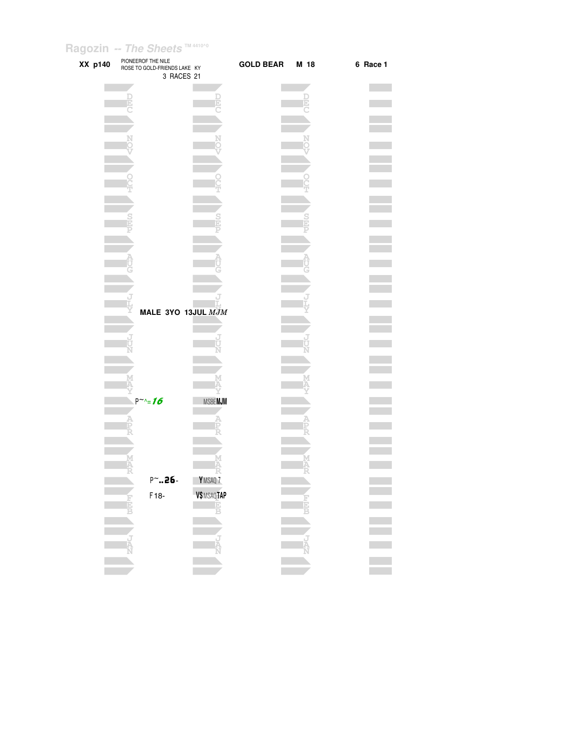| XX p140 | PIONEEROF THE NILE<br>ROSE TO GOLD-FRIENDS LAKE KY<br>3 RACES 21 |                                | GOLD BEAR M 18 |        | 6 Race 1 |
|---------|------------------------------------------------------------------|--------------------------------|----------------|--------|----------|
|         |                                                                  |                                |                | Ŀ      |          |
|         |                                                                  |                                |                |        |          |
|         |                                                                  |                                |                |        |          |
|         |                                                                  |                                |                |        |          |
|         |                                                                  |                                |                |        |          |
|         |                                                                  |                                |                |        |          |
|         |                                                                  |                                |                |        |          |
|         | MALE 3YO 13JUL MJM                                               |                                |                |        |          |
|         |                                                                  |                                |                |        |          |
|         |                                                                  |                                |                |        |          |
|         | $P^{\sim} = 16$                                                  | <b>MSBEMJM</b>                 |                |        |          |
|         |                                                                  |                                |                |        |          |
|         | im<br>IA                                                         | М<br>Ä                         |                | M<br>A |          |
|         | $P^{\sim}$ .26-                                                  | Y <sub>MSAQ</sub> <sub>7</sub> |                |        |          |
|         | F18-<br>H                                                        | V\$ MSAQTAP<br>Ė               |                |        |          |
|         |                                                                  |                                |                |        |          |
|         |                                                                  |                                |                |        |          |
|         | Ė                                                                |                                |                |        |          |
|         |                                                                  |                                |                |        |          |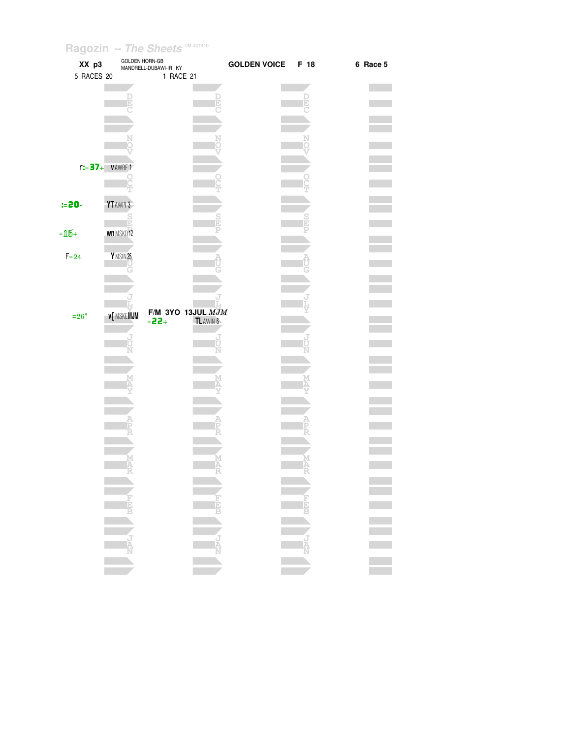| XX p3<br>5 RACES 20 | <b>GOLDEN HORN-GB</b> | MANDRELL-DUBAWI-IR KY<br>1 RACE 21 |           | <b>GOLDEN VOICE</b> | F 18 | 6 Race 5                   |  |
|---------------------|-----------------------|------------------------------------|-----------|---------------------|------|----------------------------|--|
|                     |                       |                                    | F         |                     | þ,   |                            |  |
|                     |                       |                                    |           |                     |      |                            |  |
|                     |                       |                                    |           |                     |      |                            |  |
|                     | $r:=37+$ VAWBE1       |                                    |           |                     |      |                            |  |
| $= 20 -$            | YT AWPI 3             |                                    |           |                     |      |                            |  |
|                     |                       |                                    |           |                     |      |                            |  |
| $=16+$              | wn MSKD12             |                                    |           |                     |      |                            |  |
| $F = 24$            | YMSIN25               |                                    |           |                     |      |                            |  |
|                     |                       |                                    |           |                     |      |                            |  |
| $=26"$              | <b>V[MSKEMJM</b>      | F/M 3YO 13JUL $MJM$<br>$= 22 +$    | TL AWIN 6 |                     |      |                            |  |
|                     |                       |                                    |           |                     |      |                            |  |
|                     |                       |                                    |           |                     |      |                            |  |
|                     |                       |                                    |           |                     |      |                            |  |
|                     |                       |                                    |           |                     |      |                            |  |
|                     |                       |                                    |           |                     |      |                            |  |
|                     |                       |                                    |           |                     |      |                            |  |
|                     |                       |                                    | -57       |                     | -55  |                            |  |
|                     |                       |                                    |           |                     |      |                            |  |
|                     |                       |                                    |           |                     |      | E<br>B<br>B<br>B<br>B<br>B |  |
|                     |                       |                                    |           |                     |      |                            |  |
|                     |                       |                                    |           |                     |      |                            |  |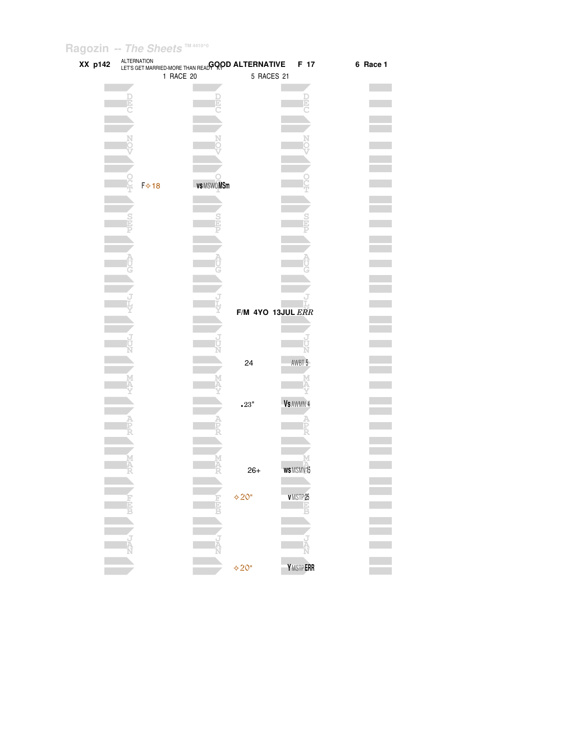| XX p142 |          |                           | ALTERNATION<br>LET'S GET MARRIED-MORE THAN READ GOOD ALTERNATIVE |                           | F 17              | 6 Race 1 |
|---------|----------|---------------------------|------------------------------------------------------------------|---------------------------|-------------------|----------|
|         |          |                           | 1 RACE 20                                                        |                           | 5 RACES 21        |          |
|         |          |                           |                                                                  |                           |                   |          |
|         |          |                           |                                                                  |                           |                   |          |
|         |          |                           |                                                                  |                           |                   |          |
|         |          |                           |                                                                  |                           |                   |          |
|         |          |                           |                                                                  |                           |                   |          |
|         |          |                           |                                                                  |                           |                   |          |
|         |          |                           |                                                                  |                           |                   |          |
|         |          |                           |                                                                  |                           |                   |          |
|         |          |                           |                                                                  |                           |                   |          |
|         |          | <b>F</b> <mark>☆18</mark> | vs MSWOMSm                                                       |                           |                   |          |
|         |          |                           |                                                                  |                           |                   |          |
|         |          |                           |                                                                  |                           |                   |          |
|         |          |                           |                                                                  |                           |                   |          |
|         |          |                           |                                                                  |                           |                   |          |
|         |          |                           |                                                                  |                           |                   |          |
|         |          |                           |                                                                  |                           |                   |          |
|         |          |                           |                                                                  |                           |                   |          |
|         |          |                           |                                                                  |                           |                   |          |
|         |          |                           |                                                                  |                           |                   |          |
|         |          |                           |                                                                  |                           |                   |          |
|         |          |                           |                                                                  |                           | F/M 4YO 13JUL ERR |          |
|         |          |                           |                                                                  |                           |                   |          |
|         |          |                           |                                                                  |                           |                   |          |
|         |          |                           |                                                                  |                           |                   |          |
|         |          |                           |                                                                  | 24                        | AWBT 5            |          |
|         |          |                           |                                                                  |                           |                   |          |
|         |          |                           |                                                                  |                           |                   |          |
|         |          |                           |                                                                  |                           |                   |          |
|         |          |                           |                                                                  | $\scriptstyle\bullet 23"$ | Vs AWMN 4         |          |
|         |          |                           |                                                                  |                           |                   |          |
|         | Ę        |                           |                                                                  |                           |                   |          |
|         |          |                           |                                                                  |                           |                   |          |
|         |          |                           |                                                                  |                           |                   |          |
|         | MAR<br>R |                           |                                                                  | $26+$                     | WSMSMV15          |          |
|         |          |                           |                                                                  |                           |                   |          |
|         |          |                           |                                                                  |                           |                   |          |
|         | 품        |                           |                                                                  | $420^\circ$               | <b>VMSTP25</b>    |          |
|         |          |                           |                                                                  |                           | ШD                |          |
|         |          |                           |                                                                  |                           |                   |          |
|         |          |                           |                                                                  |                           |                   |          |
|         |          |                           |                                                                  |                           |                   |          |
|         |          |                           |                                                                  |                           |                   |          |
|         |          |                           |                                                                  | $420^\circ$               | YMSTPERR          |          |
|         |          |                           |                                                                  |                           |                   |          |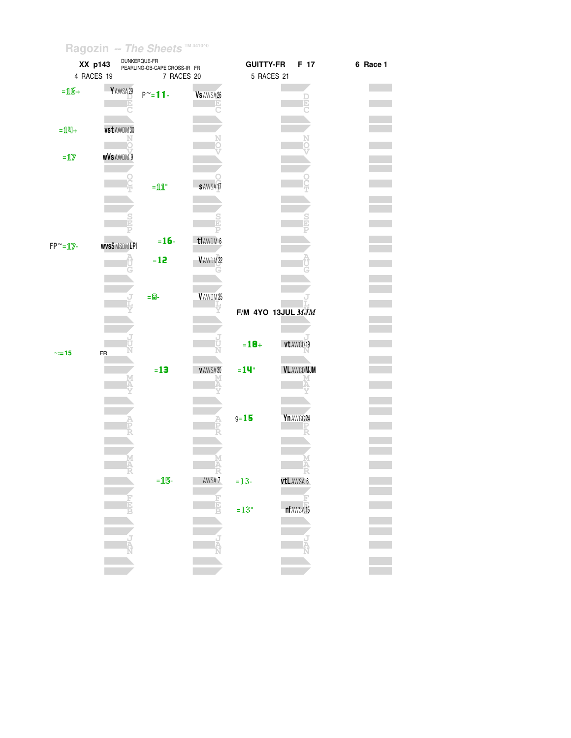|                  | XX p143             | DUNKERQUE-FR<br>PEARLING-GB-CAPE CROSS-IR FR |                | <b>GUITTY-FR</b>    | F 17                   | 6 Race 1 |
|------------------|---------------------|----------------------------------------------|----------------|---------------------|------------------------|----------|
|                  | 4 RACES 19          | 7 RACES 20                                   |                | 5 RACES 21          |                        |          |
| $=16+$           | YAWSA29             |                                              |                |                     |                        |          |
|                  |                     | $P^{\sim} = 11$                              | Vs AWSA 26     |                     |                        |          |
|                  |                     |                                              |                |                     |                        |          |
|                  |                     |                                              |                |                     |                        |          |
| $=$ 14+          | vst AWDM30          |                                              |                |                     |                        |          |
|                  |                     |                                              |                |                     |                        |          |
| $=\!12\!$        | <b>WVS AWDM 9</b>   |                                              |                |                     |                        |          |
|                  |                     |                                              |                |                     |                        |          |
|                  |                     | $=\!11$                                      | <b>SAWSA17</b> |                     |                        |          |
|                  |                     |                                              |                |                     |                        |          |
|                  |                     |                                              |                |                     |                        |          |
|                  |                     |                                              |                |                     |                        |          |
|                  |                     |                                              |                |                     |                        |          |
| $FP^{\sim} = 12$ | <b>wvs\$MSDMLPI</b> | $= 16 -$                                     | tf AWDM 6      |                     |                        |          |
|                  |                     | $= 12$                                       | V AWDM22       |                     |                        |          |
|                  |                     |                                              |                |                     |                        |          |
|                  |                     |                                              |                |                     |                        |          |
|                  |                     | $= 8-$                                       | VAWDM25        |                     |                        |          |
|                  |                     |                                              |                |                     |                        |          |
|                  |                     |                                              |                | F/M 4YO 13JUL $MJM$ |                        |          |
|                  |                     |                                              |                |                     |                        |          |
|                  |                     |                                              |                | $= 18 +$            | vt AWCD 19             |          |
| $\approx 15$     | FR                  |                                              |                |                     |                        |          |
|                  |                     |                                              |                |                     |                        |          |
|                  |                     | $=13$                                        | VAWSA30        | $=14^{\circ}$       | <b>VLAWCDMJM</b>       |          |
|                  |                     |                                              |                |                     |                        |          |
|                  |                     |                                              |                |                     |                        |          |
|                  |                     |                                              |                |                     |                        |          |
|                  |                     |                                              |                | $9 = 15$            | Yn AWGG 24             |          |
|                  |                     |                                              |                |                     |                        |          |
|                  |                     |                                              |                |                     |                        |          |
|                  |                     |                                              |                |                     |                        |          |
|                  |                     |                                              |                |                     |                        |          |
|                  |                     |                                              |                |                     |                        |          |
|                  |                     |                                              |                |                     |                        |          |
|                  |                     |                                              |                |                     |                        |          |
|                  |                     |                                              |                |                     |                        |          |
|                  |                     |                                              |                |                     |                        |          |
|                  |                     |                                              |                |                     |                        |          |
|                  |                     |                                              |                |                     |                        |          |
|                  |                     |                                              |                |                     |                        |          |
|                  |                     | $=15-$                                       | AWSA 7<br>È    | $= 13 -$<br>$=13"$  | vtLAWSA 6<br>nf AWSA15 |          |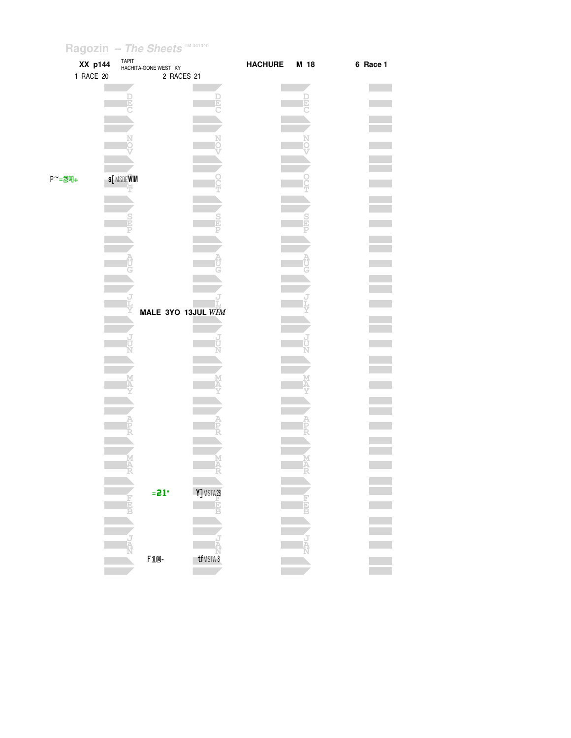|                 | XX p144   | TAPIT<br>HACHITA-GONE WEST KY |                    | <b>HACHURE</b> | M 18 | 6 Race 1 |
|-----------------|-----------|-------------------------------|--------------------|----------------|------|----------|
|                 | 1 RACE 20 |                               | 2 RACES 21         |                |      |          |
|                 |           |                               |                    |                |      |          |
|                 |           |                               | $\frac{D}{E}$      |                |      |          |
|                 |           |                               |                    |                |      |          |
|                 |           |                               |                    |                |      |          |
|                 |           |                               | Ņ                  |                |      |          |
|                 |           |                               |                    |                |      |          |
|                 |           |                               |                    |                |      |          |
| $P^{\sim}$ =24+ |           | <b>s[MSBEWIM</b>              |                    |                |      |          |
|                 |           |                               |                    |                |      |          |
|                 |           |                               |                    |                |      |          |
|                 |           |                               |                    |                |      |          |
|                 |           |                               |                    |                |      |          |
|                 |           |                               |                    |                |      |          |
|                 |           |                               |                    |                |      |          |
|                 |           |                               |                    |                |      |          |
|                 |           |                               |                    |                |      |          |
|                 |           | ť                             |                    |                |      |          |
|                 |           |                               | MALE 3YO 13JUL WIM |                |      |          |
|                 |           |                               |                    |                |      |          |
|                 |           |                               | ม<br>ปั            |                |      |          |
|                 |           |                               |                    |                |      |          |
|                 |           |                               |                    |                |      |          |
|                 |           |                               |                    |                |      |          |
|                 |           |                               |                    |                |      |          |
|                 |           |                               |                    |                |      |          |
|                 |           |                               |                    |                |      |          |
|                 |           |                               |                    |                |      |          |
|                 |           |                               |                    |                |      |          |
|                 |           |                               | Α                  |                |      |          |
|                 |           |                               |                    |                |      |          |
|                 |           | $= 21$ "                      | Y]MSTA28           |                |      |          |
|                 |           |                               | Ė                  |                |      |          |
|                 |           |                               |                    |                |      |          |
|                 |           |                               |                    |                |      |          |
|                 |           |                               | ل<br>م             |                |      |          |
|                 |           | $F1B-$                        | tf MSTA 8          |                |      |          |
|                 |           |                               |                    |                |      |          |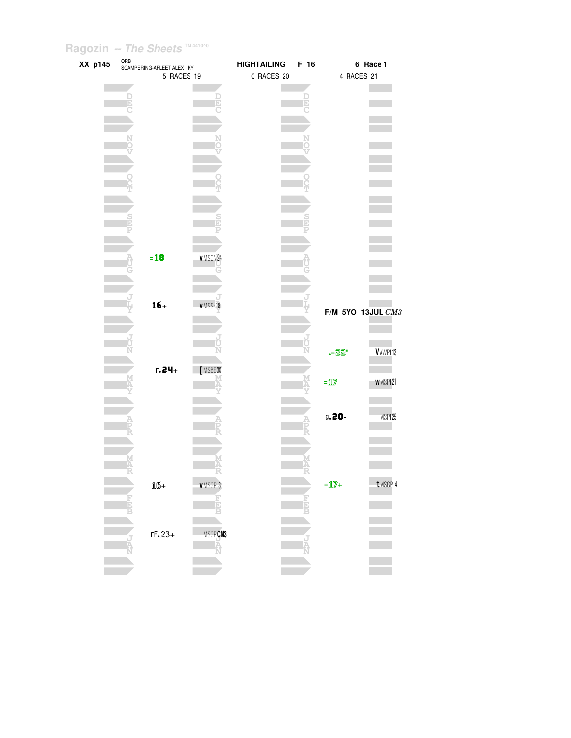| XX p145 |   | ORB<br>SCAMPERING-AFLEET ALEX KY |                      | <b>HIGHTAILING</b> | F 16 |                                                | 6 Race 1             |
|---------|---|----------------------------------|----------------------|--------------------|------|------------------------------------------------|----------------------|
|         |   | 5 RACES 19                       |                      | 0 RACES 20         |      | 4 RACES 21                                     |                      |
|         |   |                                  |                      |                    |      |                                                |                      |
|         |   |                                  |                      |                    |      |                                                |                      |
|         |   |                                  |                      |                    |      |                                                |                      |
|         |   |                                  |                      |                    |      |                                                |                      |
|         |   |                                  |                      |                    |      |                                                |                      |
|         |   |                                  |                      |                    |      |                                                |                      |
|         |   |                                  |                      |                    |      |                                                |                      |
|         |   |                                  |                      |                    |      |                                                |                      |
|         |   |                                  |                      |                    |      |                                                |                      |
|         |   |                                  |                      |                    |      |                                                |                      |
|         |   |                                  |                      |                    |      |                                                |                      |
|         |   |                                  |                      |                    |      |                                                |                      |
|         |   |                                  |                      |                    |      |                                                |                      |
|         |   |                                  |                      |                    |      |                                                |                      |
|         |   |                                  |                      |                    |      |                                                |                      |
|         |   |                                  |                      |                    |      |                                                |                      |
|         |   | $=18$                            | VMSCN24              |                    |      |                                                |                      |
|         |   |                                  |                      |                    |      |                                                |                      |
|         |   |                                  |                      |                    |      |                                                |                      |
|         |   |                                  |                      |                    |      |                                                |                      |
|         |   |                                  |                      |                    |      |                                                |                      |
|         |   | $16+$                            | VMSSr18              |                    |      |                                                | F/M 5YO 13JUL CM3    |
|         |   |                                  |                      |                    |      |                                                |                      |
|         |   |                                  |                      |                    |      |                                                |                      |
|         |   |                                  |                      |                    |      |                                                |                      |
|         |   |                                  |                      |                    |      | • - 22                                         | V AWPI <sub>13</sub> |
|         |   |                                  |                      |                    |      |                                                |                      |
|         |   | $r.24+$                          | [MSBE30              |                    |      |                                                |                      |
|         |   |                                  |                      |                    |      | $=\underline{\mathbf{1}}\overline{\mathbf{Z}}$ | WMSPI21              |
|         |   |                                  |                      |                    |      |                                                |                      |
|         |   |                                  |                      |                    |      |                                                |                      |
|         |   |                                  |                      |                    |      | $9.20 -$                                       | MSPI25               |
|         |   |                                  |                      |                    |      |                                                |                      |
|         |   |                                  |                      |                    |      |                                                |                      |
|         |   |                                  |                      |                    |      |                                                |                      |
|         |   |                                  |                      |                    |      |                                                |                      |
|         |   |                                  |                      |                    |      |                                                |                      |
|         |   | 16+                              | <b>VMSGP 3</b>       |                    |      | $=\mathbb{1}\mathbb{Z}$ +                      | t MSGP 4             |
|         |   |                                  |                      |                    |      |                                                |                      |
|         | 붑 |                                  | ELE                  |                    | E    |                                                |                      |
|         |   |                                  |                      |                    |      |                                                |                      |
|         |   |                                  |                      |                    |      |                                                |                      |
|         |   | $rF.23+$                         | MSGP <b>CM3</b><br>A |                    |      |                                                |                      |
|         |   |                                  |                      |                    |      |                                                |                      |
|         |   |                                  |                      |                    |      |                                                |                      |
|         |   |                                  |                      |                    |      |                                                |                      |
|         |   |                                  |                      |                    |      |                                                |                      |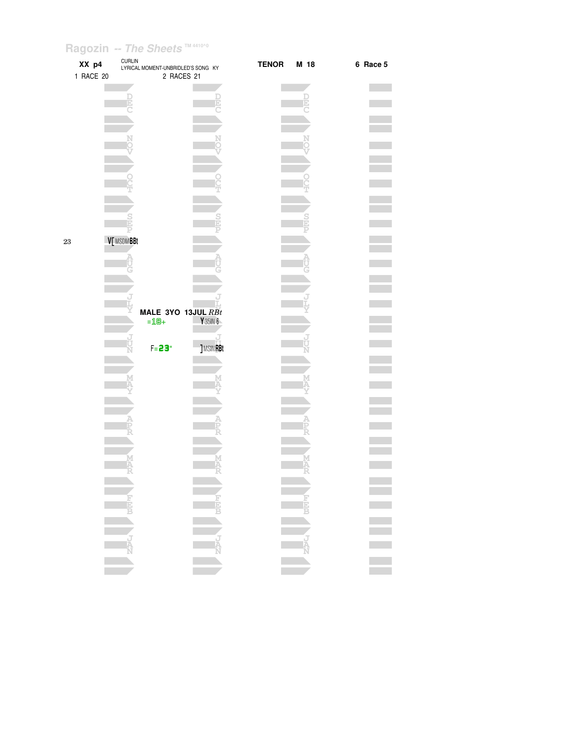| XX p4<br>1 RACE 20 | <b>CURLIN</b> | LYRICAL MOMENT-UNBRIDLED'S SONG KY<br>2 RACES 21 |                 | <b>TENOR</b> | M 18 | 6 Race 5         |
|--------------------|---------------|--------------------------------------------------|-----------------|--------------|------|------------------|
|                    |               |                                                  |                 |              |      |                  |
|                    |               |                                                  |                 |              |      |                  |
|                    |               |                                                  |                 |              |      |                  |
|                    |               |                                                  |                 |              |      |                  |
|                    |               |                                                  |                 |              |      |                  |
|                    |               |                                                  |                 |              |      |                  |
| 23                 | V[ MSDMBBt    |                                                  |                 |              |      |                  |
|                    |               |                                                  |                 |              |      |                  |
|                    |               |                                                  |                 |              |      |                  |
|                    |               | MALE 3YO 13JUL RBt<br>$=18+$                     | Y 35IN 6        |              |      |                  |
|                    |               | $F = 23$                                         | <b>JMSINRBt</b> |              |      |                  |
|                    |               |                                                  |                 |              |      |                  |
|                    |               |                                                  |                 |              |      |                  |
|                    |               |                                                  |                 |              |      |                  |
|                    |               |                                                  |                 |              |      |                  |
|                    |               |                                                  |                 |              |      |                  |
|                    |               |                                                  |                 |              |      |                  |
|                    |               |                                                  |                 |              |      | E<br>E<br>E<br>E |
|                    |               |                                                  |                 |              |      |                  |
|                    |               |                                                  |                 |              |      |                  |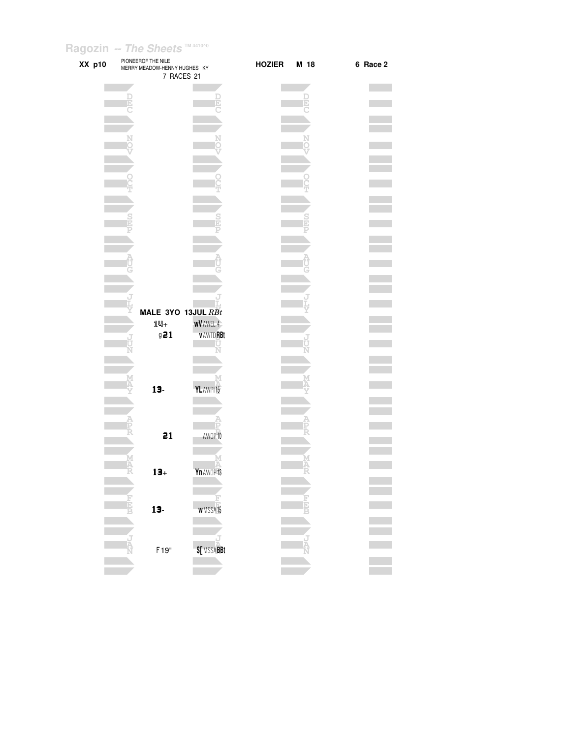| XX p10 | PIONEEROF THE NILE<br>MERRY MEADOW-HENNY HUGHES KY | 7 RACES 21                          | <b>HOZIER</b> | M 18 | 6 Race 2 |
|--------|----------------------------------------------------|-------------------------------------|---------------|------|----------|
|        |                                                    |                                     |               |      |          |
|        |                                                    |                                     |               |      |          |
|        |                                                    |                                     |               |      |          |
|        |                                                    |                                     |               |      |          |
|        |                                                    |                                     |               |      |          |
|        |                                                    |                                     |               |      |          |
|        |                                                    |                                     |               |      |          |
|        |                                                    |                                     |               |      |          |
|        |                                                    |                                     |               |      |          |
|        |                                                    |                                     |               |      |          |
|        |                                                    |                                     |               |      |          |
|        | MALE 3YO 13JUL RBt                                 |                                     |               |      |          |
|        | $1 \,$<br>921                                      | <b>WV</b> AWEL 4<br><b>VAWTDRBt</b> |               |      |          |
|        |                                                    | П                                   |               |      |          |
|        |                                                    |                                     |               |      |          |
|        | $13-$                                              | М<br>YLAWPI15                       |               |      |          |
|        |                                                    |                                     |               |      |          |
|        |                                                    |                                     |               |      |          |
|        | 21                                                 | AWOP 10                             |               |      |          |
|        | M<br>A                                             |                                     |               | Ä    |          |
|        | $13+$                                              | Yn AWOP <sup>13</sup>               |               |      |          |
|        | $13-$                                              | <b>WMSSA15</b>                      |               |      |          |
|        |                                                    |                                     |               |      |          |
|        |                                                    |                                     |               |      |          |
|        | F19"                                               | \$[MSSABBt                          |               |      |          |
|        |                                                    |                                     |               |      |          |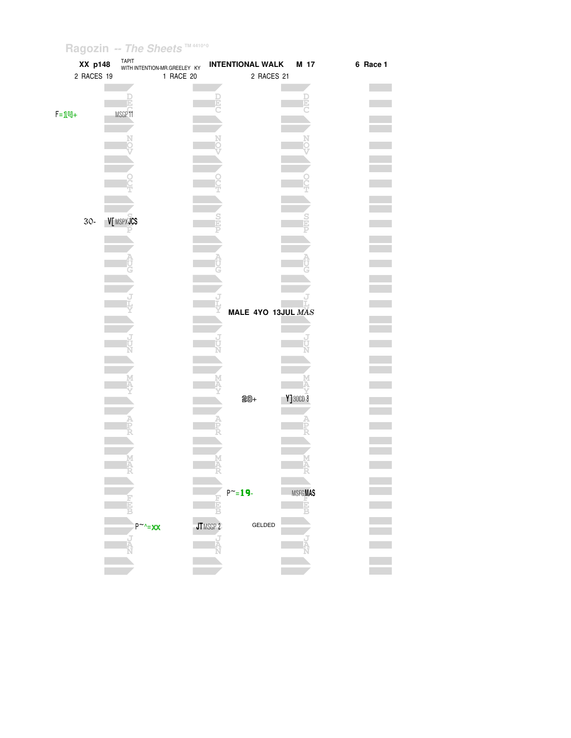| XX p148       |           | TAPIT<br>WITH INTENTION-MR.GREELEY KY | <b>INTENTIONAL WALK</b> |                    | M 17           | 6 Race 1 |
|---------------|-----------|---------------------------------------|-------------------------|--------------------|----------------|----------|
| 2 RACES 19    |           | 1 RACE 20                             |                         | 2 RACES 21         |                |          |
|               |           |                                       |                         |                    |                |          |
|               |           |                                       |                         |                    |                |          |
|               |           |                                       |                         |                    |                |          |
| $F = 1$ $M +$ | MSGP11    |                                       |                         |                    |                |          |
|               |           |                                       |                         |                    |                |          |
|               |           |                                       |                         |                    |                |          |
|               |           |                                       |                         |                    |                |          |
|               |           |                                       |                         |                    |                |          |
|               |           |                                       |                         |                    |                |          |
|               |           |                                       |                         |                    |                |          |
|               |           |                                       |                         |                    |                |          |
|               |           |                                       |                         |                    |                |          |
| $30-$         | V[MSPXJCS |                                       |                         |                    |                |          |
|               |           |                                       |                         |                    |                |          |
|               |           |                                       |                         |                    |                |          |
|               |           |                                       |                         |                    |                |          |
|               |           |                                       |                         |                    |                |          |
|               |           |                                       |                         |                    |                |          |
|               |           |                                       |                         |                    |                |          |
|               |           |                                       |                         |                    |                |          |
|               |           |                                       |                         |                    |                |          |
|               |           |                                       |                         | MALE 4YO 13JUL MAS |                |          |
|               |           |                                       |                         |                    |                |          |
|               |           |                                       |                         |                    |                |          |
|               |           |                                       |                         |                    |                |          |
|               |           |                                       |                         |                    |                |          |
|               |           |                                       |                         |                    |                |          |
|               |           |                                       |                         |                    |                |          |
|               |           |                                       |                         |                    |                |          |
|               |           |                                       | $20+$                   |                    | $Y$ ] 30CD $8$ |          |
|               |           |                                       |                         |                    |                |          |
|               |           |                                       |                         |                    |                |          |
|               |           |                                       |                         |                    |                |          |
|               |           |                                       |                         |                    |                |          |
|               | м         |                                       |                         |                    |                |          |
|               |           |                                       |                         |                    |                |          |
|               |           |                                       |                         |                    |                |          |
|               |           |                                       | $P^{\sim} = 19$         |                    | <b>MSFGMAS</b> |          |
|               |           |                                       |                         |                    | E              |          |
|               |           |                                       |                         |                    |                |          |
|               |           | $P^{\sim}$ - XX                       | JTMSGP 2                | GELDED             |                |          |
|               |           |                                       |                         |                    |                |          |
|               |           |                                       |                         |                    |                |          |
|               |           |                                       |                         |                    |                |          |
|               |           |                                       |                         |                    |                |          |
|               |           |                                       |                         |                    |                |          |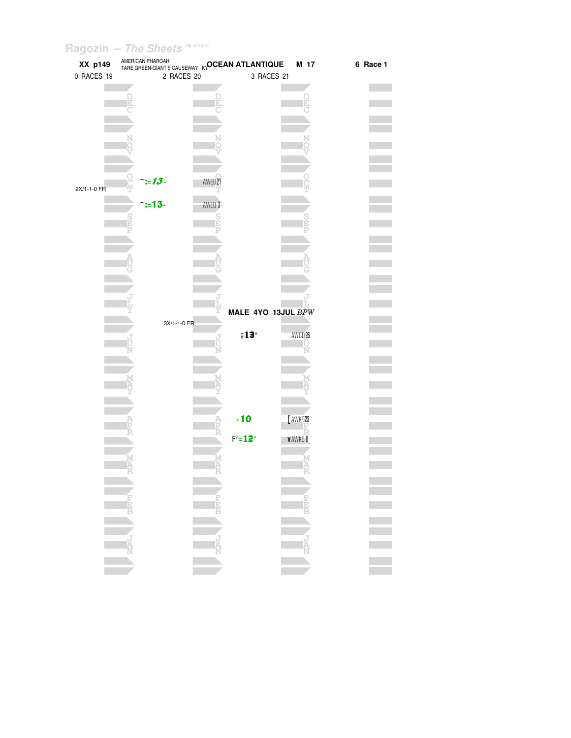| XX p149     | AMERICAN PHAROAH | TARE GREEN-GIANT'S CAUSEWAY KYOCEAN ATLANTIQUE | M 17               | 6 Race 1 |
|-------------|------------------|------------------------------------------------|--------------------|----------|
| 0 RACES 19  | 2 RACES 20       |                                                | 3 RACES 21         |          |
|             |                  |                                                |                    |          |
|             |                  |                                                |                    |          |
|             |                  |                                                |                    |          |
|             |                  |                                                |                    |          |
|             |                  |                                                |                    |          |
|             |                  |                                                |                    |          |
|             |                  |                                                |                    |          |
|             |                  |                                                |                    |          |
|             |                  |                                                |                    |          |
|             |                  |                                                |                    |          |
| 2X/1-1-0 FR | $\ddot{}:=13$    | AWEU21                                         |                    |          |
|             |                  |                                                |                    |          |
|             | $\tilde{=}13$ -  | AWEU 3                                         |                    |          |
|             |                  |                                                |                    |          |
|             |                  |                                                |                    |          |
|             |                  |                                                |                    |          |
|             |                  |                                                |                    |          |
|             |                  |                                                |                    |          |
|             |                  |                                                |                    |          |
|             |                  |                                                |                    |          |
|             |                  |                                                |                    |          |
|             |                  |                                                |                    |          |
|             |                  |                                                | MALE 4YO 13JUL BPW |          |
|             |                  |                                                |                    |          |
|             | 3X/1-1-0 FR      |                                                |                    |          |
|             |                  | 913"                                           | AWCD <sub>26</sub> |          |
|             |                  |                                                |                    |          |
|             |                  |                                                |                    |          |
|             |                  |                                                |                    |          |
|             |                  |                                                |                    |          |
|             |                  |                                                |                    |          |
|             |                  |                                                |                    |          |
|             |                  |                                                |                    |          |
|             |                  | $= 10$                                         | [AWKE23            |          |
|             |                  |                                                |                    |          |
|             |                  | $F^{\wedge} = 12^{\circ}$                      | V AWKE 8           |          |
|             |                  |                                                |                    |          |
|             |                  |                                                |                    |          |
|             |                  |                                                |                    |          |
|             |                  |                                                |                    |          |
|             |                  |                                                |                    |          |
|             |                  |                                                |                    |          |
|             |                  | NEW CREW                                       |                    |          |
|             |                  |                                                |                    |          |
|             |                  |                                                |                    |          |
|             |                  |                                                |                    |          |
|             |                  |                                                |                    |          |
|             |                  |                                                |                    |          |
|             |                  |                                                |                    |          |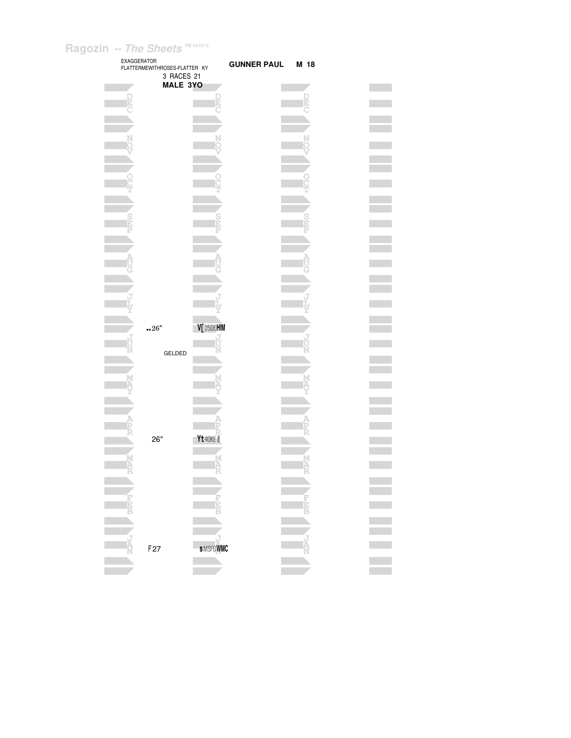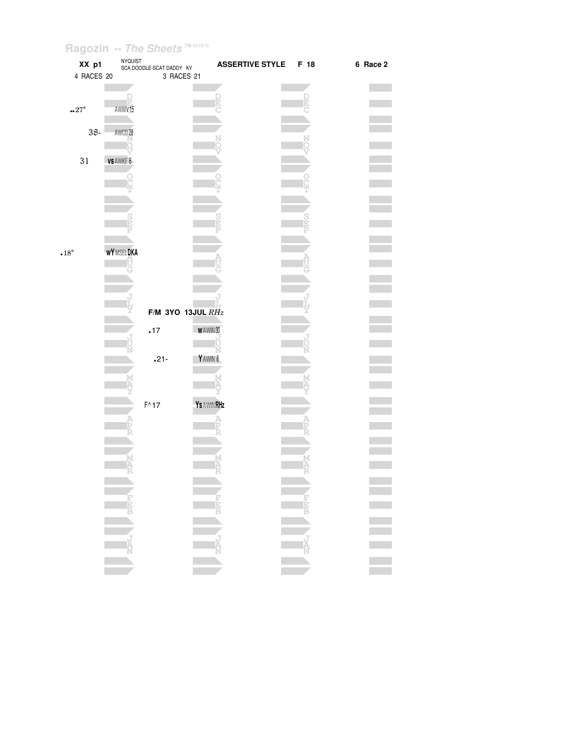| XX p1                     | <b>NYQUIST</b>    | SCA DOODLE-SCAT DADDY KY | <b>ASSERTIVE STYLE</b> | F 18                                    | 6 Race 2 |
|---------------------------|-------------------|--------------------------|------------------------|-----------------------------------------|----------|
| 4 RACES 20                |                   | 3 RACES 21               |                        |                                         |          |
|                           |                   |                          |                        |                                         |          |
| $\cdot \cdot 27"$         | AWMV15            |                          |                        |                                         |          |
|                           |                   |                          |                        |                                         |          |
| $38 -$                    | AWCD 28           |                          |                        |                                         |          |
|                           |                   |                          |                        |                                         |          |
| 31                        | VS AWKE 6         |                          |                        |                                         |          |
|                           |                   |                          |                        |                                         |          |
|                           |                   |                          |                        |                                         |          |
|                           |                   |                          |                        |                                         |          |
|                           |                   |                          |                        |                                         |          |
|                           |                   |                          |                        |                                         |          |
|                           |                   |                          |                        |                                         |          |
| $\scriptstyle\bullet 18"$ | <b>WY</b> MSELDKA |                          |                        |                                         |          |
|                           |                   |                          |                        |                                         |          |
|                           |                   |                          |                        |                                         |          |
|                           |                   |                          |                        |                                         |          |
|                           |                   |                          |                        |                                         |          |
|                           |                   | F/M 3YO 13JUL $RHz$      |                        |                                         |          |
|                           |                   | .17                      | WAWIN30                |                                         |          |
|                           |                   |                          |                        |                                         |          |
|                           |                   | $.21 -$                  | Y AWIN 8               |                                         |          |
|                           |                   |                          |                        |                                         |          |
|                           |                   |                          |                        |                                         |          |
|                           |                   |                          |                        |                                         |          |
|                           |                   | $F^{\wedge}17$           | <b>Ys AWIN RHz</b>     |                                         |          |
|                           |                   |                          |                        |                                         |          |
|                           |                   |                          |                        |                                         |          |
|                           |                   |                          |                        |                                         |          |
|                           |                   |                          |                        |                                         |          |
|                           |                   |                          |                        |                                         |          |
|                           |                   |                          |                        |                                         |          |
|                           |                   |                          |                        |                                         |          |
|                           |                   |                          |                        | $\begin{array}{c}\n\hline\n\end{array}$ | π        |
|                           | N ZIPLA NEET      |                          |                        |                                         |          |
|                           |                   |                          |                        |                                         |          |
|                           |                   |                          |                        | <b>ARC</b>                              |          |
|                           |                   |                          |                        |                                         |          |
|                           |                   |                          |                        |                                         |          |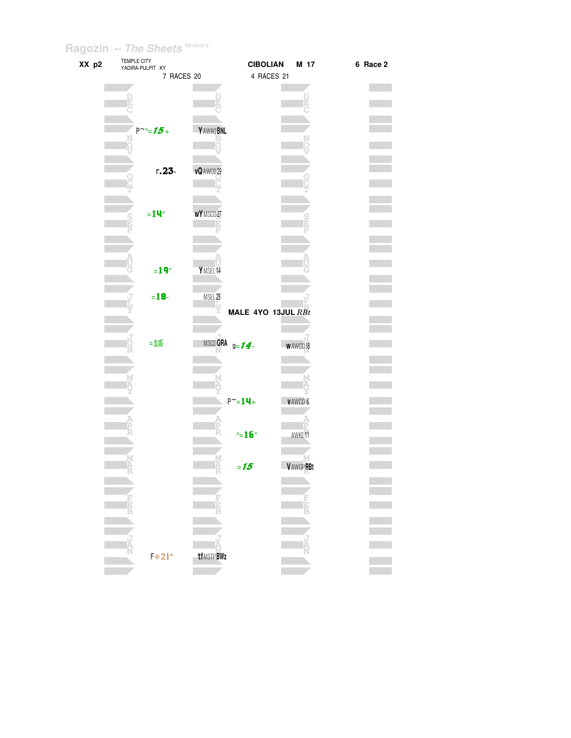| XX p2 | TEMPLE CITY<br>YADIRA-PULPIT KY |                      | <b>CIBOLIAN</b>    | M 17               | 6 Race 2 |
|-------|---------------------------------|----------------------|--------------------|--------------------|----------|
|       |                                 | 7 RACES 20           | 4 RACES 21         |                    |          |
|       |                                 |                      |                    |                    |          |
|       |                                 |                      |                    |                    |          |
|       |                                 |                      |                    |                    |          |
|       |                                 |                      |                    |                    |          |
|       | $P^{\sim}$ -15+                 | Y AWAQ BNL           |                    |                    |          |
|       |                                 |                      |                    |                    |          |
|       |                                 |                      |                    |                    |          |
|       |                                 |                      |                    |                    |          |
|       | $r.23 -$                        | vQ AWCD 29           |                    |                    |          |
|       |                                 |                      |                    |                    |          |
|       |                                 |                      |                    |                    |          |
|       | $=14$ "                         | WY MSCD27            |                    |                    |          |
|       |                                 |                      |                    |                    |          |
|       |                                 |                      |                    |                    |          |
|       |                                 |                      |                    |                    |          |
|       |                                 |                      |                    |                    |          |
|       | $=19°$                          | Y MSEL <sub>14</sub> |                    |                    |          |
|       |                                 |                      |                    |                    |          |
|       |                                 |                      |                    |                    |          |
|       | $= 18 -$                        | MSEL <sub>25</sub>   |                    |                    |          |
|       |                                 | Y                    | MALE 4YO 13JUL RBt |                    |          |
|       |                                 |                      |                    |                    |          |
|       |                                 |                      |                    |                    |          |
|       | $=16$                           | MSCDGRA $g = 14$     |                    | <b>WAWCD18</b>     |          |
|       |                                 |                      |                    |                    |          |
|       |                                 |                      |                    |                    |          |
|       |                                 |                      |                    |                    |          |
|       |                                 |                      |                    |                    |          |
|       |                                 |                      | $P^{\sim} = 14 +$  | <b>VAWCD6</b>      |          |
|       |                                 |                      |                    |                    |          |
|       |                                 |                      |                    |                    |          |
|       |                                 |                      | $\sim$ 16"         | AWKE <sup>11</sup> |          |
|       |                                 |                      |                    |                    |          |
|       |                                 | M<br>A               | $=15$              | <b>VAWGPRBt</b>    |          |
|       |                                 |                      |                    |                    |          |
|       |                                 |                      |                    |                    |          |
|       |                                 | i<br>E               |                    |                    |          |
|       |                                 |                      |                    |                    |          |
|       |                                 |                      |                    |                    |          |
|       |                                 |                      |                    |                    |          |
|       |                                 |                      |                    |                    |          |
|       | $F*21"$                         | <b>tfMSTPBWz</b>     |                    |                    |          |
|       |                                 |                      |                    |                    |          |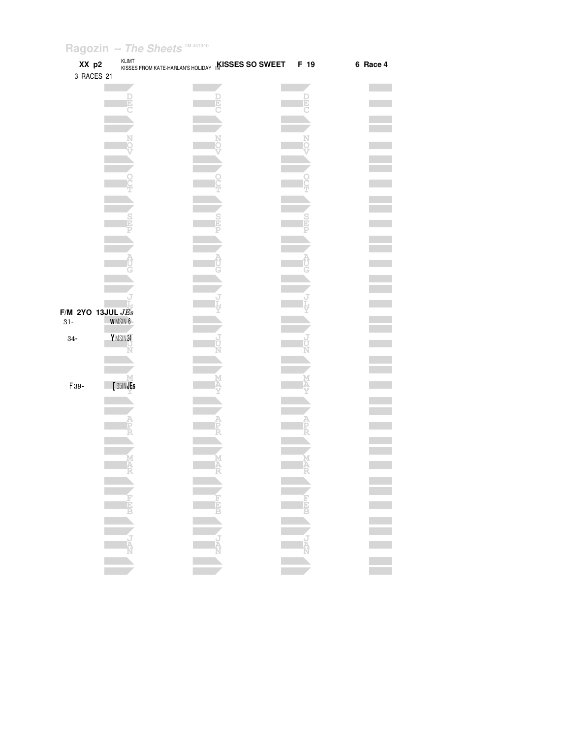| XX p2<br>3 RACES 21   |                | <b>KLIMT</b> | KISSES FROM KATE-HARLAN'S HOLIDAY <b>KISSES SO SWEET</b> | F 19 | 6 Race 4         |
|-----------------------|----------------|--------------|----------------------------------------------------------|------|------------------|
|                       |                |              |                                                          |      |                  |
|                       |                | Þ            |                                                          |      |                  |
|                       |                |              |                                                          |      |                  |
|                       |                |              |                                                          |      |                  |
|                       |                |              |                                                          |      |                  |
|                       |                |              |                                                          |      |                  |
|                       |                |              |                                                          |      |                  |
|                       |                |              |                                                          |      |                  |
|                       |                |              |                                                          |      |                  |
|                       |                |              |                                                          |      |                  |
|                       |                |              |                                                          |      |                  |
|                       |                |              |                                                          |      |                  |
|                       |                |              |                                                          |      |                  |
|                       |                |              |                                                          |      |                  |
|                       |                |              |                                                          |      |                  |
| $F/M$ 2YO 13JUL $JEs$ |                |              |                                                          |      |                  |
| $31-$                 | <b>WMSIN 6</b> |              |                                                          |      |                  |
| $34-$                 | YMSIN24        |              |                                                          |      |                  |
|                       |                |              |                                                          |      |                  |
|                       |                |              |                                                          |      |                  |
| F39-                  |                | [35INJEs     |                                                          |      |                  |
|                       |                |              |                                                          |      |                  |
|                       |                |              |                                                          |      |                  |
|                       |                |              |                                                          |      |                  |
|                       |                |              |                                                          |      |                  |
|                       |                |              |                                                          |      |                  |
|                       |                |              |                                                          |      |                  |
|                       |                |              |                                                          |      |                  |
|                       |                |              |                                                          |      |                  |
|                       |                |              | NAVAL CREEK                                              |      | E<br>E<br>E<br>E |
|                       |                |              |                                                          |      |                  |
|                       |                |              |                                                          |      |                  |
|                       |                |              |                                                          |      |                  |
|                       |                |              |                                                          |      |                  |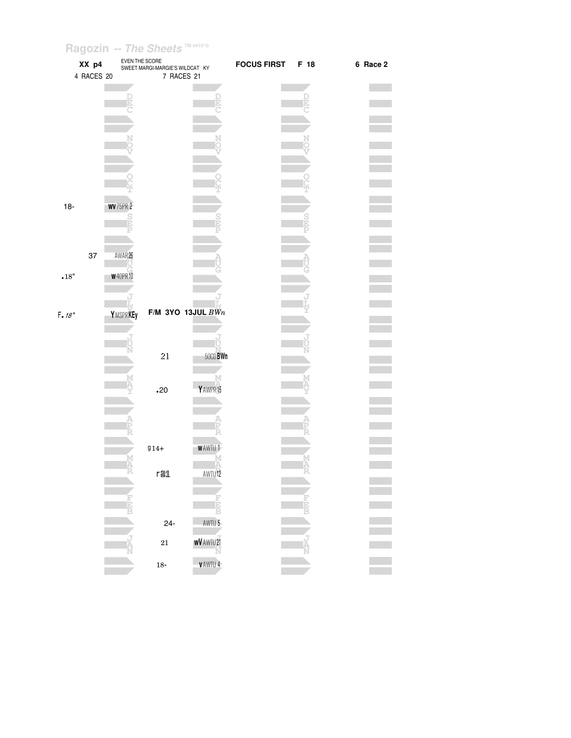|                            | $\tilde{\phantom{a}}$<br>XX p4<br>4 RACES 20 | EVEN THE SCORE                    | SWEET MARGI-MARGIE'S WILDCAT KY<br>7 RACES 21 |                        | FOCUS FIRST F 18 |        | 6 Race 2 |
|----------------------------|----------------------------------------------|-----------------------------------|-----------------------------------------------|------------------------|------------------|--------|----------|
|                            |                                              |                                   |                                               |                        |                  | þ.     |          |
|                            |                                              |                                   |                                               |                        |                  |        |          |
|                            |                                              |                                   |                                               |                        |                  |        |          |
|                            |                                              |                                   |                                               |                        |                  |        |          |
|                            |                                              |                                   |                                               |                        |                  |        |          |
| $18-$                      |                                              | <b>WV</b> 75PR 2<br>$\frac{S}{D}$ |                                               |                        |                  |        |          |
|                            |                                              |                                   |                                               |                        |                  |        |          |
|                            | 37                                           | AWAR26                            |                                               |                        |                  |        |          |
| $\scriptstyle\bullet 18''$ |                                              | <b>W</b> 40PR 10                  |                                               |                        |                  |        |          |
| F. 18"                     |                                              | YMSPRKEy                          | $F/M$ 3YO 13JUL $BWn$                         |                        |                  |        |          |
|                            |                                              |                                   |                                               | ŤТ                     |                  |        |          |
|                            |                                              |                                   | 21                                            | 50CD BWn               |                  |        |          |
|                            |                                              |                                   | .20                                           | Y AWPR15               |                  |        |          |
|                            |                                              |                                   |                                               |                        |                  |        |          |
|                            |                                              |                                   |                                               |                        |                  |        |          |
|                            |                                              |                                   | $914 +$                                       | <b>WAWTU1</b>          |                  | M<br>Ä |          |
|                            |                                              |                                   | r21                                           | AWTU <sup>12</sup>     |                  |        |          |
|                            |                                              |                                   |                                               |                        |                  |        |          |
|                            |                                              |                                   | $24 -$                                        | AWTU 5-                |                  |        |          |
|                            |                                              |                                   | $\bf{21}$                                     | <b>WV</b> AWTU 21<br>N |                  |        |          |
|                            |                                              |                                   | $18\mbox{-}$                                  | <b>VAWTU4</b>          |                  |        |          |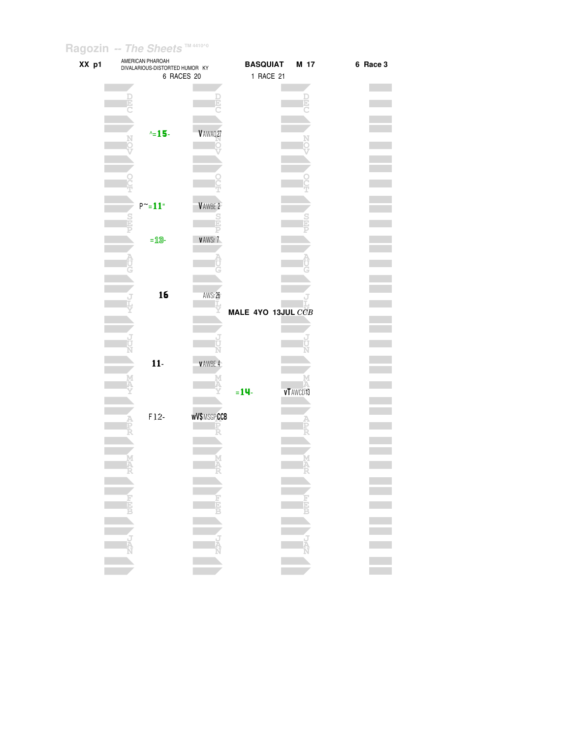| XX p1 |  | AMERICAN PHAROAH                             | <b>BASQUIAT</b><br>M 17 | 6 Race 3    |
|-------|--|----------------------------------------------|-------------------------|-------------|
|       |  | DIVALARIOUS-DISTORTED HUMOR KY<br>6 RACES 20 | 1 RACE 21               |             |
|       |  |                                              |                         |             |
|       |  |                                              |                         |             |
|       |  |                                              |                         |             |
|       |  |                                              |                         |             |
|       |  |                                              |                         |             |
|       |  | $\sim$ 15-                                   | V AWAQ27                |             |
|       |  |                                              |                         |             |
|       |  |                                              |                         |             |
|       |  |                                              |                         |             |
|       |  |                                              |                         |             |
|       |  |                                              |                         |             |
|       |  |                                              |                         |             |
|       |  |                                              |                         |             |
|       |  | $P^{\sim} = 11$ "                            | VAWBE 2                 |             |
|       |  |                                              |                         |             |
|       |  |                                              |                         |             |
|       |  | $=$ 13-                                      | <b>VAWSr7</b>           |             |
|       |  |                                              |                         |             |
|       |  |                                              |                         |             |
|       |  |                                              |                         |             |
|       |  |                                              |                         |             |
|       |  |                                              |                         |             |
|       |  | 16                                           | AWSr26                  |             |
|       |  |                                              |                         |             |
|       |  |                                              | MALE 4YO 13JUL CCB      |             |
|       |  |                                              |                         |             |
|       |  |                                              |                         |             |
|       |  |                                              |                         |             |
|       |  |                                              | N                       |             |
|       |  | $11-$                                        | <b>VAWBE4</b>           |             |
|       |  |                                              |                         |             |
|       |  |                                              |                         |             |
|       |  |                                              | $= 14$<br>vT AWCD 13    |             |
|       |  |                                              |                         |             |
|       |  | $F12-$                                       | <b>wV\$MSGPCCB</b>      |             |
|       |  |                                              |                         |             |
|       |  |                                              |                         |             |
|       |  |                                              |                         |             |
|       |  |                                              |                         |             |
|       |  |                                              |                         |             |
|       |  |                                              |                         |             |
|       |  |                                              |                         |             |
|       |  |                                              |                         |             |
|       |  |                                              |                         |             |
|       |  |                                              | NEW WEEK                | i<br>Biblio |
|       |  |                                              |                         |             |
|       |  |                                              |                         |             |
|       |  |                                              |                         |             |
|       |  |                                              |                         |             |
|       |  |                                              |                         |             |
|       |  |                                              |                         |             |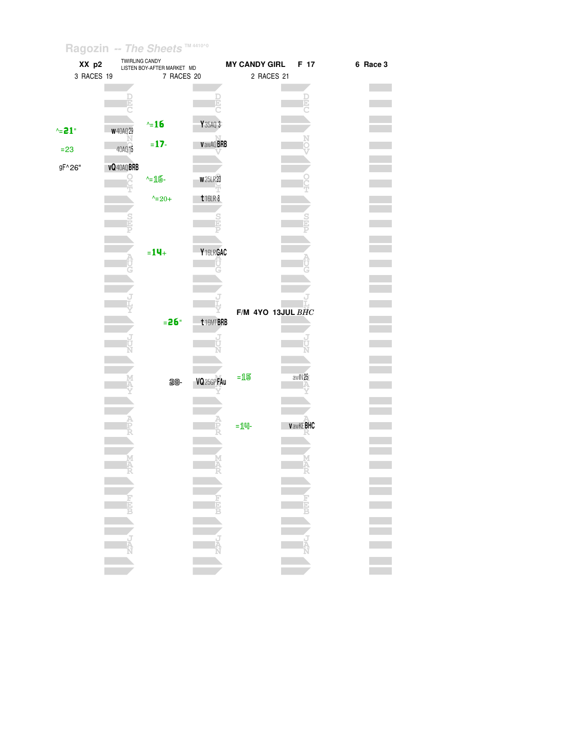| XX p2      | <b>I WIRLING CANDY</b> | LISTEN BOY-AFTER MARKET MD |                                                                           | <b>MY CANDY GIRL</b> | F 17            | 6 Race 3 |
|------------|------------------------|----------------------------|---------------------------------------------------------------------------|----------------------|-----------------|----------|
| 3 RACES 19 |                        | 7 RACES 20                 |                                                                           | 2 RACES 21           |                 |          |
|            |                        |                            |                                                                           |                      |                 |          |
|            |                        |                            |                                                                           |                      |                 |          |
|            |                        |                            |                                                                           |                      |                 |          |
|            |                        |                            |                                                                           |                      |                 |          |
|            |                        | $\sim 16$                  | Y 35AQ 3                                                                  |                      |                 |          |
| $\sim$ 21" | <b>W</b> 40AQ29        |                            |                                                                           |                      |                 |          |
|            |                        | $= 17 -$                   | <b>VawAQ BRB</b>                                                          |                      |                 |          |
| $= 23$     | 40AQ 15                |                            |                                                                           |                      |                 |          |
|            |                        |                            |                                                                           |                      |                 |          |
| gF^26"     | <b>vQ</b> 40AQ BRB     |                            |                                                                           |                      |                 |          |
|            |                        | $-16$                      | <b>w</b> 25LR23                                                           |                      |                 |          |
|            |                        |                            |                                                                           |                      |                 |          |
|            |                        | $^{\wedge}$ = 20+          | $t$ 16LR 8                                                                |                      |                 |          |
|            |                        |                            |                                                                           |                      |                 |          |
|            |                        |                            |                                                                           |                      |                 |          |
|            |                        |                            |                                                                           |                      |                 |          |
|            |                        |                            |                                                                           |                      |                 |          |
|            |                        | $= 14 +$                   | Y16LRGAC                                                                  |                      |                 |          |
|            |                        |                            |                                                                           |                      |                 |          |
|            |                        |                            |                                                                           |                      |                 |          |
|            |                        |                            |                                                                           |                      |                 |          |
|            |                        |                            |                                                                           |                      |                 |          |
|            |                        |                            |                                                                           |                      |                 |          |
|            |                        |                            |                                                                           | F/M 4YO 13JUL BHC    |                 |          |
|            |                        | $= 26"$                    |                                                                           |                      |                 |          |
|            |                        |                            | t16MTBRB                                                                  |                      |                 |          |
|            |                        |                            | J                                                                         |                      |                 |          |
|            |                        |                            | Ū                                                                         |                      |                 |          |
|            |                        |                            |                                                                           |                      |                 |          |
|            |                        |                            |                                                                           |                      |                 |          |
|            |                        | 28-                        | VQ <sub>25GPFAu</sub>                                                     | $=15$                | awlN25          |          |
|            |                        |                            |                                                                           |                      |                 |          |
|            |                        |                            |                                                                           |                      |                 |          |
|            |                        |                            |                                                                           |                      |                 |          |
|            |                        |                            |                                                                           |                      |                 |          |
|            |                        |                            |                                                                           | $=$ $1$ 띡 $-$        | <b>VawKEBHC</b> |          |
|            |                        |                            |                                                                           |                      |                 |          |
|            |                        |                            |                                                                           |                      |                 |          |
|            | м                      |                            |                                                                           |                      |                 |          |
|            |                        |                            |                                                                           |                      |                 |          |
|            |                        |                            |                                                                           |                      |                 |          |
|            |                        |                            |                                                                           |                      |                 |          |
|            |                        |                            |                                                                           |                      |                 |          |
|            |                        |                            | <b>HEP</b>                                                                |                      |                 |          |
|            |                        |                            |                                                                           |                      |                 |          |
|            |                        |                            |                                                                           |                      |                 |          |
|            |                        |                            |                                                                           |                      |                 |          |
|            |                        |                            |                                                                           |                      |                 |          |
|            |                        |                            | $\begin{array}{c}\n\bullet \\ \bullet \\ \bullet \\ \bullet\n\end{array}$ |                      | <b>TANCE</b>    |          |
|            |                        |                            |                                                                           |                      |                 |          |
|            |                        |                            |                                                                           |                      |                 |          |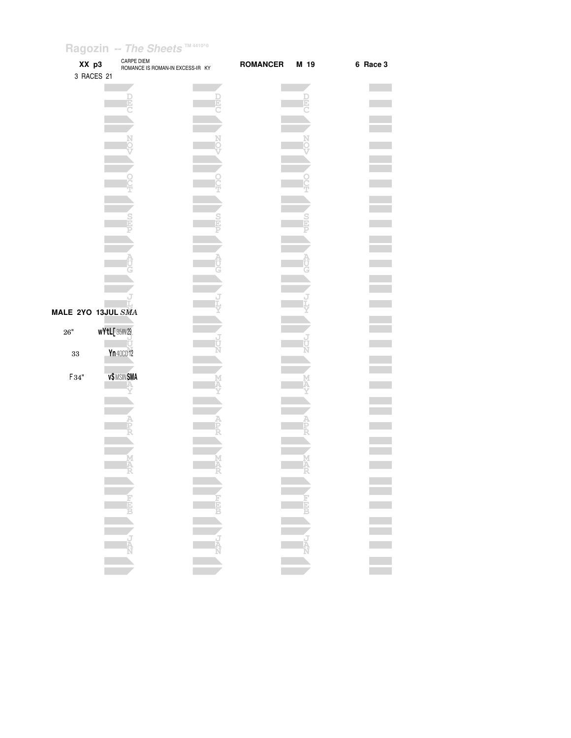| XX p3<br>3 RACES 21 | <b>CARPE DIEM</b><br>ROMANCE IS ROMAN-IN EXCESS-IR KY | <b>ROMANCER</b> | M 19   | 6 Race 3 |
|---------------------|-------------------------------------------------------|-----------------|--------|----------|
|                     | Ð                                                     |                 |        |          |
|                     |                                                       |                 |        |          |
|                     |                                                       |                 |        |          |
|                     |                                                       |                 |        |          |
|                     |                                                       |                 |        |          |
|                     |                                                       |                 |        |          |
|                     |                                                       |                 |        |          |
|                     |                                                       |                 |        |          |
|                     |                                                       |                 |        |          |
| MALE 2YO 13JUL SMA  |                                                       |                 |        |          |
| $26"$<br>$33\,$     | <b>wYtL[35IN29</b><br>Yn 40CD 12                      |                 |        |          |
| $F34"$              | <b>v\$MSINSMA</b>                                     |                 |        |          |
|                     |                                                       |                 |        |          |
|                     |                                                       |                 |        |          |
|                     |                                                       |                 |        |          |
|                     |                                                       |                 |        |          |
|                     |                                                       |                 |        |          |
|                     |                                                       |                 | ER ANA |          |
|                     |                                                       |                 |        |          |
|                     |                                                       |                 |        |          |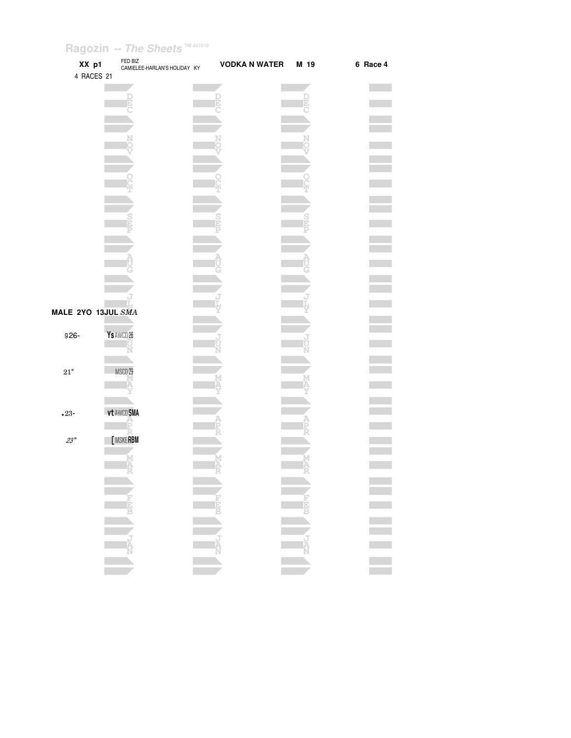| XX p1<br>4 RACES 21 | FED BIZ<br>CAMIELEE-HARLAN'S HOLIDAY KY |        | <b>VODKA N WATER</b> | M 19 | 6 Race 4 |
|---------------------|-----------------------------------------|--------|----------------------|------|----------|
|                     |                                         |        |                      |      |          |
|                     |                                         |        |                      |      |          |
|                     |                                         |        |                      |      |          |
|                     |                                         |        |                      |      |          |
|                     |                                         |        |                      |      |          |
|                     |                                         |        |                      |      |          |
|                     |                                         |        |                      |      |          |
|                     |                                         |        |                      |      |          |
|                     |                                         |        |                      |      |          |
|                     |                                         |        |                      |      |          |
|                     |                                         |        |                      |      |          |
|                     |                                         |        |                      |      |          |
| MALE 2YO 13JUL SMA  |                                         |        |                      |      |          |
| g <sub>26</sub> -   | Ys AWCD 26                              |        |                      |      |          |
|                     |                                         |        |                      |      |          |
| $21\mathrm{"}$      | MSCD <sub>29</sub>                      |        |                      |      |          |
|                     |                                         |        |                      |      |          |
|                     |                                         |        |                      |      |          |
| $•23-$              | vt AWCDSMA<br>Þ                         |        |                      |      |          |
| 23"                 | <b>MSKERBM</b>                          |        |                      |      |          |
|                     | M<br>A                                  | M<br>Ä |                      |      |          |
|                     | - 45                                    | ÷      |                      | ÷    |          |
|                     |                                         |        |                      |      |          |
|                     |                                         |        |                      |      |          |
|                     |                                         |        |                      |      |          |
|                     |                                         |        |                      |      |          |
|                     |                                         |        |                      |      |          |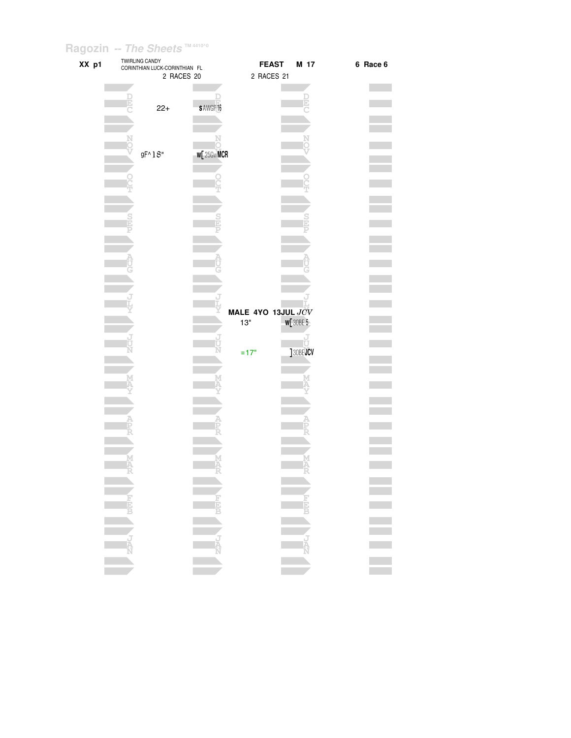